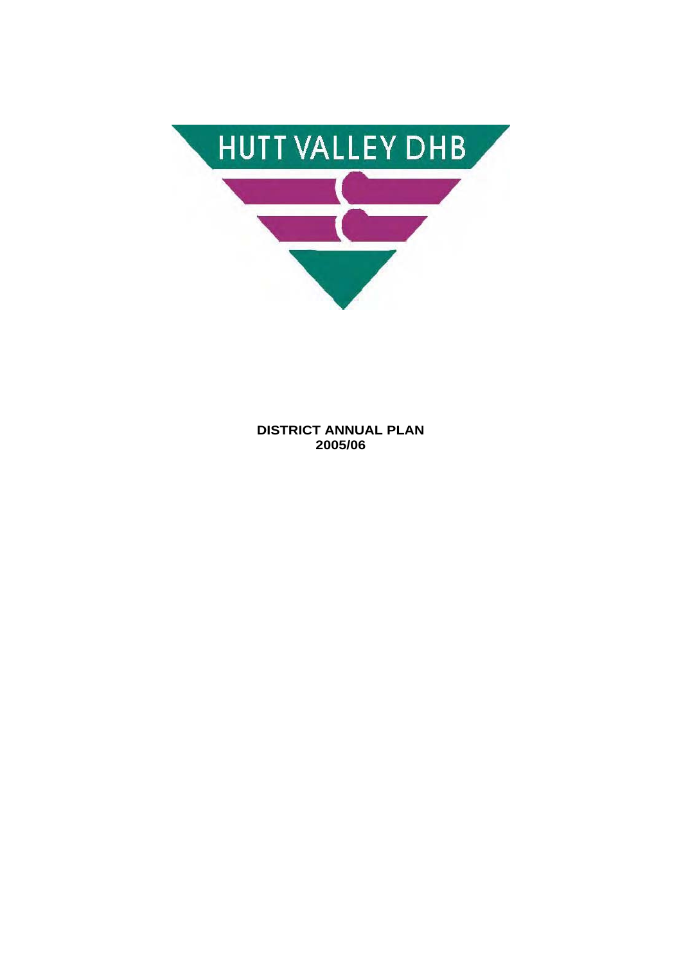

**DISTRICT ANNUAL PLAN 2005/06**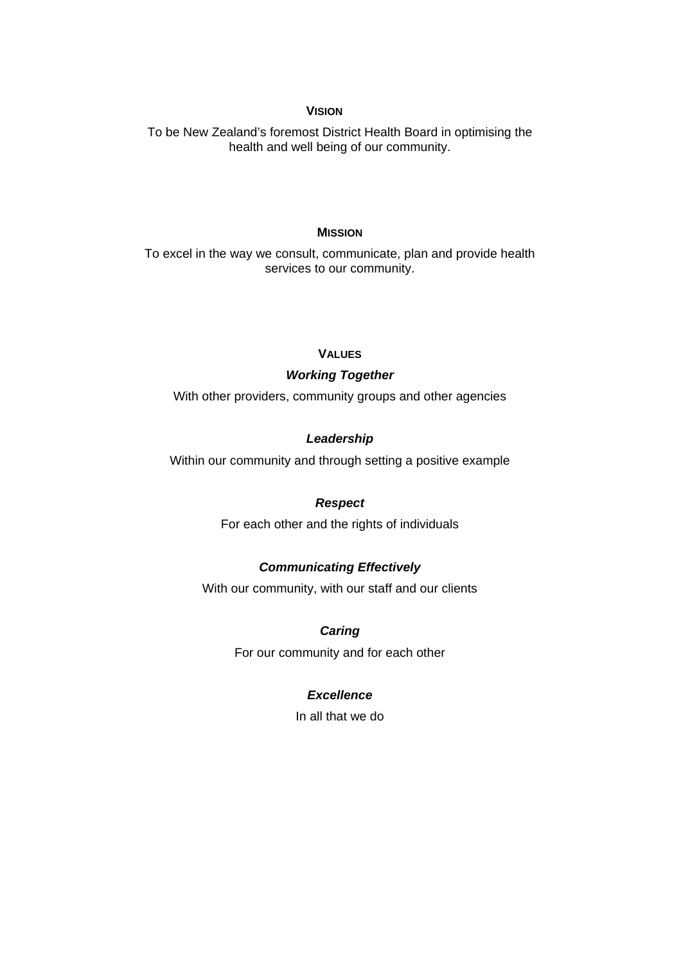### **VISION**

To be New Zealand's foremost District Health Board in optimising the health and well being of our community.

#### **MISSION**

To excel in the way we consult, communicate, plan and provide health services to our community.

#### **VALUES**

### *Working Together*

With other providers, community groups and other agencies

## *Leadership*

Within our community and through setting a positive example

### *Respect*

For each other and the rights of individuals

#### *Communicating Effectively*

With our community, with our staff and our clients

*Caring* 

For our community and for each other

### *Excellence*

In all that we do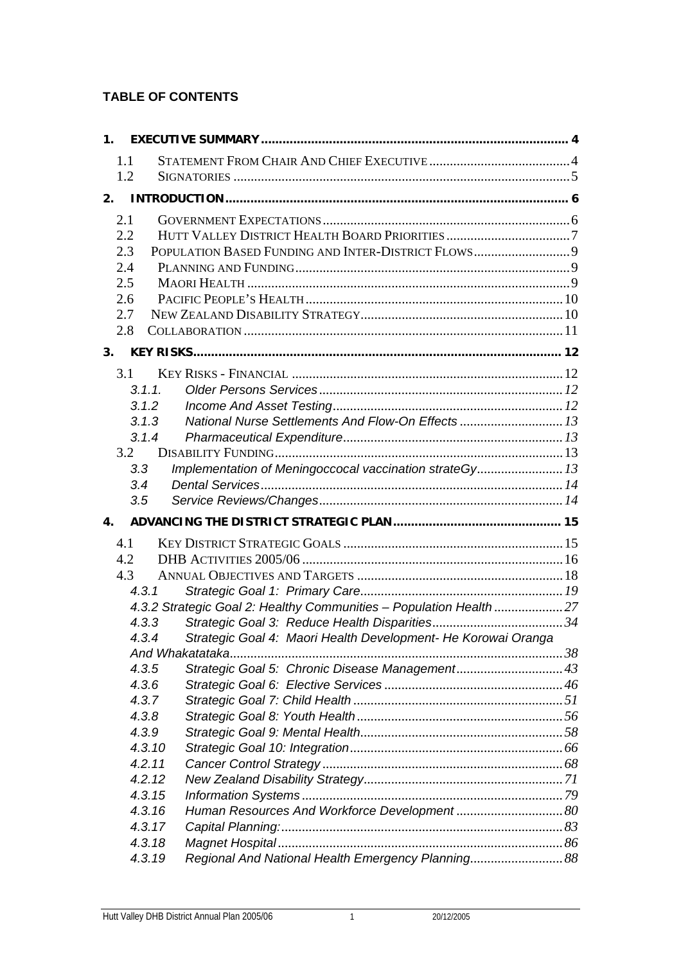# **TABLE OF CONTENTS**

| 1 <sub>1</sub> |                                                                    |  |
|----------------|--------------------------------------------------------------------|--|
| 1.1            |                                                                    |  |
| 1.2            |                                                                    |  |
|                |                                                                    |  |
| 2.             |                                                                    |  |
| 2.1            |                                                                    |  |
| 2.2            |                                                                    |  |
| 2.3            | POPULATION BASED FUNDING AND INTER-DISTRICT FLOWS9                 |  |
| 2.4            |                                                                    |  |
| 2.5            |                                                                    |  |
| 2.6            |                                                                    |  |
| 2.7            |                                                                    |  |
| 2.8            |                                                                    |  |
| 3.             |                                                                    |  |
| 3.1            |                                                                    |  |
| 3.1.1.         |                                                                    |  |
| 3.1.2          |                                                                    |  |
| 3.1.3          |                                                                    |  |
| 3.1.4          |                                                                    |  |
| 3.2            |                                                                    |  |
| 3.3            | Implementation of Meningoccocal vaccination strateGy13             |  |
| 3.4            |                                                                    |  |
| 3.5            |                                                                    |  |
| $\mathbf{4}$   |                                                                    |  |
| 4.1            |                                                                    |  |
| 4.2            |                                                                    |  |
| 4.3            |                                                                    |  |
| 4.3.1          |                                                                    |  |
|                | 4.3.2 Strategic Goal 2: Healthy Communities - Population Health 27 |  |
| 4.3.3          |                                                                    |  |
| 4.3.4          | Strategic Goal 4: Maori Health Development- He Korowai Oranga      |  |
|                |                                                                    |  |
| 4.3.5          | Strategic Goal 5: Chronic Disease Management43                     |  |
| 4.3.6          |                                                                    |  |
| 4.3.7          |                                                                    |  |
| 4.3.8          |                                                                    |  |
| 4.3.9          |                                                                    |  |
| 4.3.10         |                                                                    |  |
| 4.2.11         |                                                                    |  |
| 4.2.12         |                                                                    |  |
| 4.3.15         |                                                                    |  |
| 4.3.16         | Human Resources And Workforce Development 80                       |  |
| 4.3.17         |                                                                    |  |
| 4.3.18         |                                                                    |  |
| 4.3.19         | Regional And National Health Emergency Planning 88                 |  |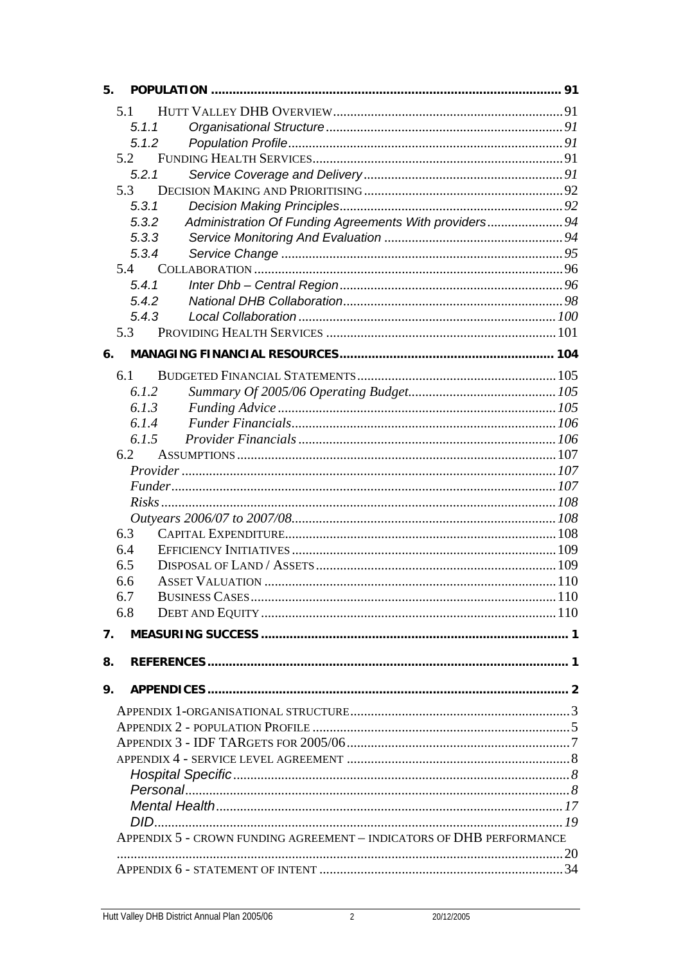| 5.           |                                                                      |  |
|--------------|----------------------------------------------------------------------|--|
| 5.1          |                                                                      |  |
| 5.1.1        |                                                                      |  |
| 5.1.2        |                                                                      |  |
| 5.2          |                                                                      |  |
| 5.2.1        |                                                                      |  |
| 5.3          |                                                                      |  |
| 5.3.1        |                                                                      |  |
| 5.3.2        | Administration Of Funding Agreements With providers 94               |  |
| 5.3.3        |                                                                      |  |
| 5.3.4        |                                                                      |  |
| 5.4          |                                                                      |  |
| 5.4.1        |                                                                      |  |
| 5.4.2        |                                                                      |  |
| 5.4.3<br>5.3 |                                                                      |  |
|              |                                                                      |  |
| 6.           |                                                                      |  |
| 6.1          |                                                                      |  |
| 6.1.2        |                                                                      |  |
| 6.1.3        |                                                                      |  |
| 6.1.4        |                                                                      |  |
| 6.1.5        |                                                                      |  |
| 6.2          |                                                                      |  |
|              |                                                                      |  |
|              |                                                                      |  |
|              |                                                                      |  |
|              |                                                                      |  |
| 6.3          |                                                                      |  |
| 6.4          |                                                                      |  |
| 6.5<br>6.6   |                                                                      |  |
| 6.7          |                                                                      |  |
| 6.8          |                                                                      |  |
|              |                                                                      |  |
| 7.           |                                                                      |  |
| 8.           |                                                                      |  |
|              |                                                                      |  |
| 9.           |                                                                      |  |
|              |                                                                      |  |
|              |                                                                      |  |
|              |                                                                      |  |
|              |                                                                      |  |
|              |                                                                      |  |
|              |                                                                      |  |
|              |                                                                      |  |
|              |                                                                      |  |
|              | APPENDIX 5 - CROWN FUNDING AGREEMENT - INDICATORS OF DHB PERFORMANCE |  |
|              |                                                                      |  |
|              |                                                                      |  |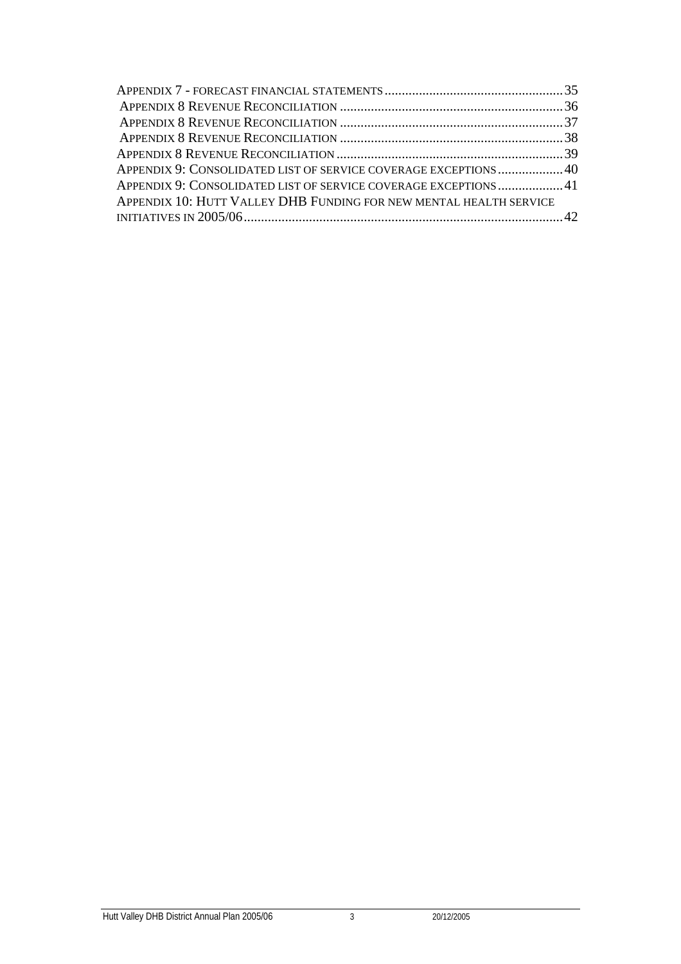| APPENDIX 9: CONSOLIDATED LIST OF SERVICE COVERAGE EXCEPTIONS  40   |  |
|--------------------------------------------------------------------|--|
| APPENDIX 9: CONSOLIDATED LIST OF SERVICE COVERAGE EXCEPTIONS 41    |  |
| APPENDIX 10: HUTT VALLEY DHB FUNDING FOR NEW MENTAL HEALTH SERVICE |  |
|                                                                    |  |
|                                                                    |  |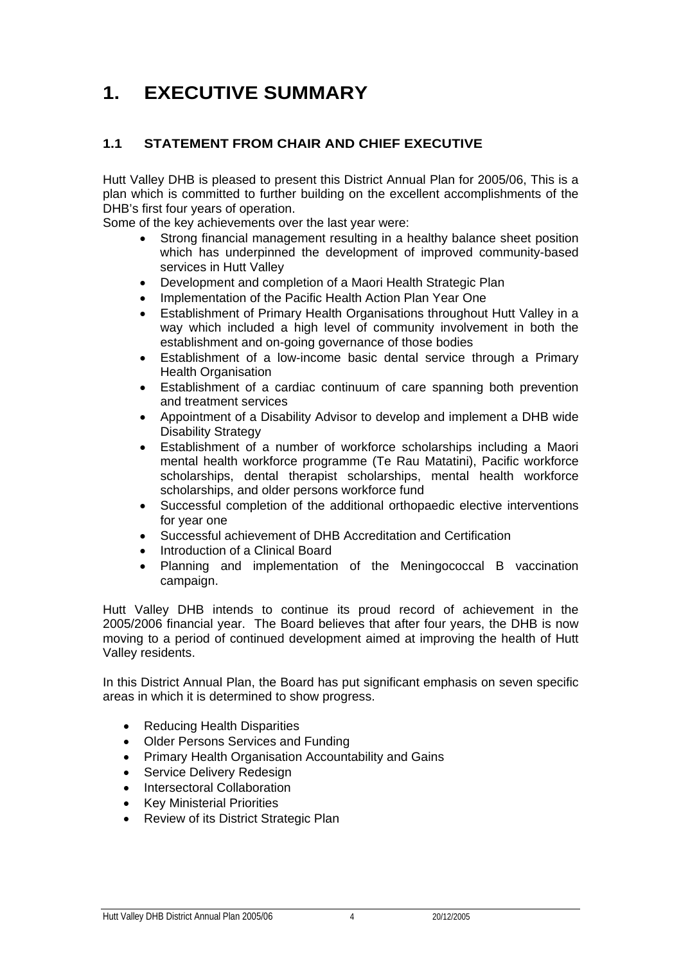# **1. EXECUTIVE SUMMARY**

# **1.1 STATEMENT FROM CHAIR AND CHIEF EXECUTIVE**

Hutt Valley DHB is pleased to present this District Annual Plan for 2005/06, This is a plan which is committed to further building on the excellent accomplishments of the DHB's first four years of operation.

Some of the key achievements over the last year were:

- Strong financial management resulting in a healthy balance sheet position which has underpinned the development of improved community-based services in Hutt Valley
- Development and completion of a Maori Health Strategic Plan
- Implementation of the Pacific Health Action Plan Year One
- Establishment of Primary Health Organisations throughout Hutt Valley in a way which included a high level of community involvement in both the establishment and on-going governance of those bodies
- Establishment of a low-income basic dental service through a Primary Health Organisation
- Establishment of a cardiac continuum of care spanning both prevention and treatment services
- Appointment of a Disability Advisor to develop and implement a DHB wide Disability Strategy
- Establishment of a number of workforce scholarships including a Maori mental health workforce programme (Te Rau Matatini), Pacific workforce scholarships, dental therapist scholarships, mental health workforce scholarships, and older persons workforce fund
- Successful completion of the additional orthopaedic elective interventions for year one
- Successful achievement of DHB Accreditation and Certification
- Introduction of a Clinical Board
- Planning and implementation of the Meningococcal B vaccination campaign.

Hutt Valley DHB intends to continue its proud record of achievement in the 2005/2006 financial year. The Board believes that after four years, the DHB is now moving to a period of continued development aimed at improving the health of Hutt Valley residents.

In this District Annual Plan, the Board has put significant emphasis on seven specific areas in which it is determined to show progress.

- Reducing Health Disparities
- Older Persons Services and Funding
- Primary Health Organisation Accountability and Gains
- Service Delivery Redesign
- Intersectoral Collaboration
- Key Ministerial Priorities
- Review of its District Strategic Plan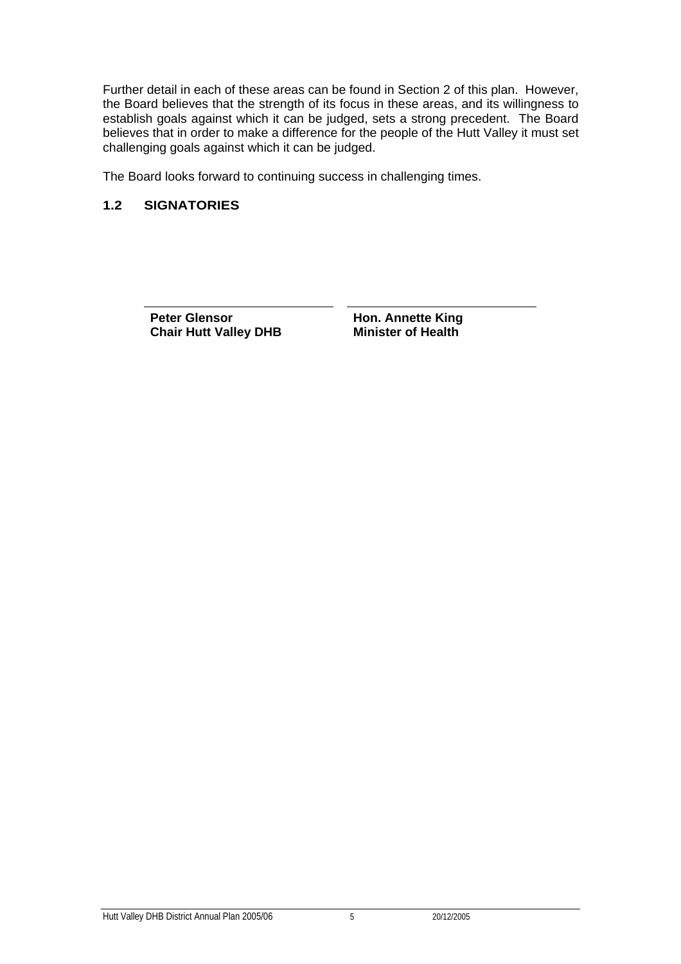Further detail in each of these areas can be found in Section 2 of this plan. However, the Board believes that the strength of its focus in these areas, and its willingness to establish goals against which it can be judged, sets a strong precedent. The Board believes that in order to make a difference for the people of the Hutt Valley it must set challenging goals against which it can be judged.

The Board looks forward to continuing success in challenging times.

## **1.2 SIGNATORIES**

**Peter Glensor Chair Hutt Valley DHB** 

**Hon. Annette King Minister of Health**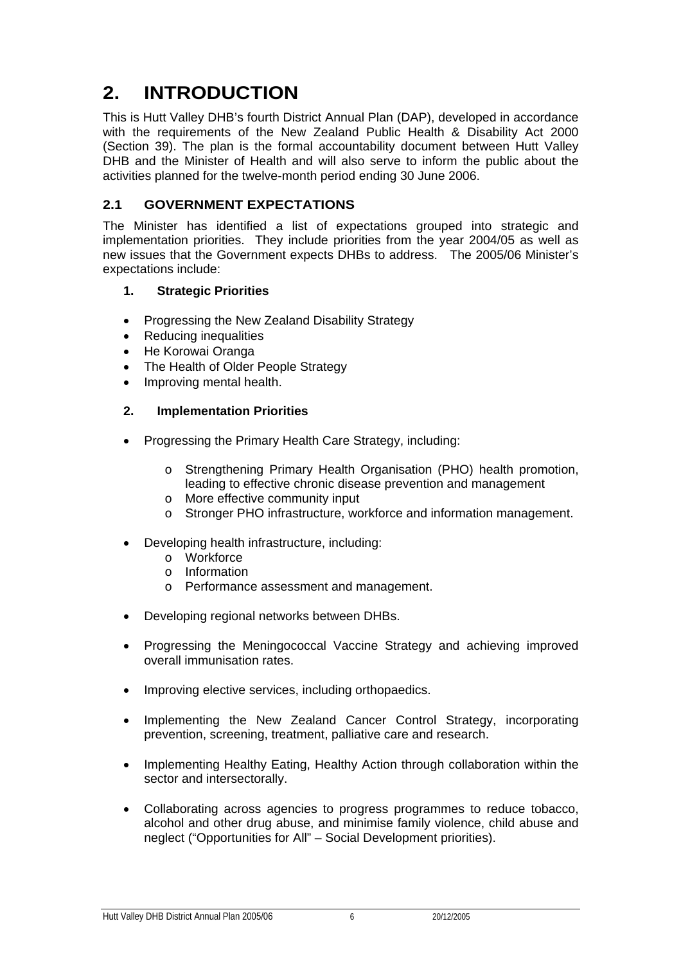# **2. INTRODUCTION**

This is Hutt Valley DHB's fourth District Annual Plan (DAP), developed in accordance with the requirements of the New Zealand Public Health & Disability Act 2000 (Section 39). The plan is the formal accountability document between Hutt Valley DHB and the Minister of Health and will also serve to inform the public about the activities planned for the twelve-month period ending 30 June 2006.

# **2.1 GOVERNMENT EXPECTATIONS**

The Minister has identified a list of expectations grouped into strategic and implementation priorities. They include priorities from the year 2004/05 as well as new issues that the Government expects DHBs to address. The 2005/06 Minister's expectations include:

## **1. Strategic Priorities**

- Progressing the New Zealand Disability Strategy
- Reducing inequalities
- He Korowai Oranga
- The Health of Older People Strategy
- Improving mental health.

## **2. Implementation Priorities**

- Progressing the Primary Health Care Strategy, including:
	- o Strengthening Primary Health Organisation (PHO) health promotion, leading to effective chronic disease prevention and management
	- o More effective community input
	- o Stronger PHO infrastructure, workforce and information management.
- Developing health infrastructure, including:
	- o Workforce
		- o Information
		- o Performance assessment and management.
- Developing regional networks between DHBs.
- Progressing the Meningococcal Vaccine Strategy and achieving improved overall immunisation rates.
- Improving elective services, including orthopaedics.
- Implementing the New Zealand Cancer Control Strategy, incorporating prevention, screening, treatment, palliative care and research.
- Implementing Healthy Eating, Healthy Action through collaboration within the sector and intersectorally.
- Collaborating across agencies to progress programmes to reduce tobacco, alcohol and other drug abuse, and minimise family violence, child abuse and neglect ("Opportunities for All" – Social Development priorities).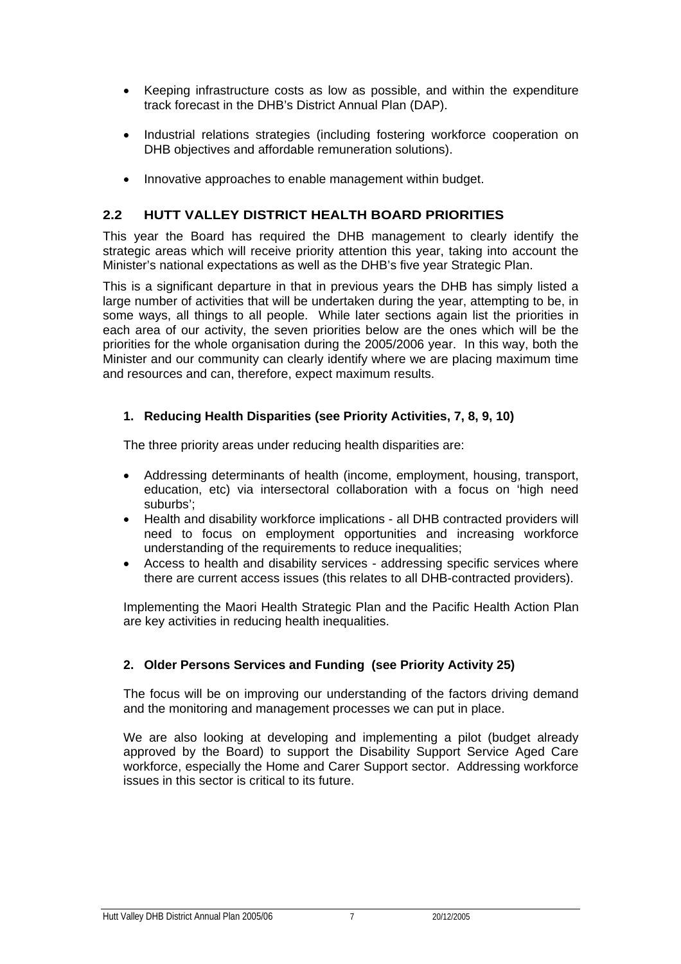- Keeping infrastructure costs as low as possible, and within the expenditure track forecast in the DHB's District Annual Plan (DAP).
- Industrial relations strategies (including fostering workforce cooperation on DHB objectives and affordable remuneration solutions).
- Innovative approaches to enable management within budget.

## **2.2 HUTT VALLEY DISTRICT HEALTH BOARD PRIORITIES**

This year the Board has required the DHB management to clearly identify the strategic areas which will receive priority attention this year, taking into account the Minister's national expectations as well as the DHB's five year Strategic Plan.

This is a significant departure in that in previous years the DHB has simply listed a large number of activities that will be undertaken during the year, attempting to be, in some ways, all things to all people. While later sections again list the priorities in each area of our activity, the seven priorities below are the ones which will be the priorities for the whole organisation during the 2005/2006 year. In this way, both the Minister and our community can clearly identify where we are placing maximum time and resources and can, therefore, expect maximum results.

### **1. Reducing Health Disparities (see Priority Activities, 7, 8, 9, 10)**

The three priority areas under reducing health disparities are:

- Addressing determinants of health (income, employment, housing, transport, education, etc) via intersectoral collaboration with a focus on 'high need suburbs';
- Health and disability workforce implications all DHB contracted providers will need to focus on employment opportunities and increasing workforce understanding of the requirements to reduce inequalities;
- Access to health and disability services addressing specific services where there are current access issues (this relates to all DHB-contracted providers).

Implementing the Maori Health Strategic Plan and the Pacific Health Action Plan are key activities in reducing health inequalities.

### **2. Older Persons Services and Funding (see Priority Activity 25)**

The focus will be on improving our understanding of the factors driving demand and the monitoring and management processes we can put in place.

We are also looking at developing and implementing a pilot (budget already approved by the Board) to support the Disability Support Service Aged Care workforce, especially the Home and Carer Support sector. Addressing workforce issues in this sector is critical to its future.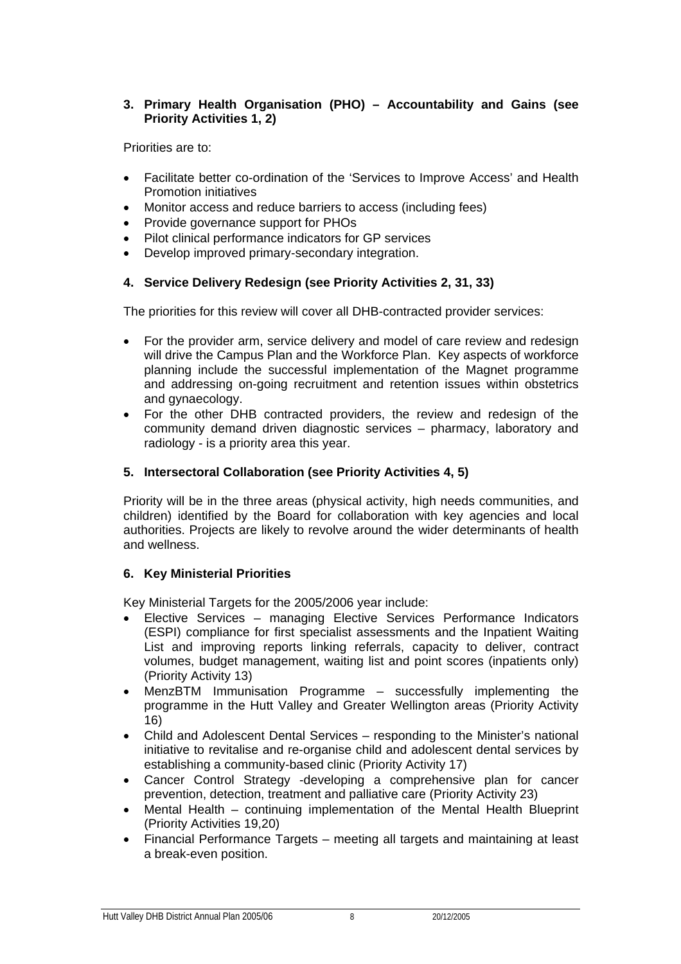## **3. Primary Health Organisation (PHO) – Accountability and Gains (see Priority Activities 1, 2)**

Priorities are to:

- Facilitate better co-ordination of the 'Services to Improve Access' and Health Promotion initiatives
- Monitor access and reduce barriers to access (including fees)
- Provide governance support for PHOs
- Pilot clinical performance indicators for GP services
- Develop improved primary-secondary integration.

## **4. Service Delivery Redesign (see Priority Activities 2, 31, 33)**

The priorities for this review will cover all DHB-contracted provider services:

- For the provider arm, service delivery and model of care review and redesign will drive the Campus Plan and the Workforce Plan. Key aspects of workforce planning include the successful implementation of the Magnet programme and addressing on-going recruitment and retention issues within obstetrics and gynaecology.
- For the other DHB contracted providers, the review and redesign of the community demand driven diagnostic services – pharmacy, laboratory and radiology - is a priority area this year.

## **5. Intersectoral Collaboration (see Priority Activities 4, 5)**

Priority will be in the three areas (physical activity, high needs communities, and children) identified by the Board for collaboration with key agencies and local authorities. Projects are likely to revolve around the wider determinants of health and wellness.

### **6. Key Ministerial Priorities**

Key Ministerial Targets for the 2005/2006 year include:

- Elective Services managing Elective Services Performance Indicators (ESPI) compliance for first specialist assessments and the Inpatient Waiting List and improving reports linking referrals, capacity to deliver, contract volumes, budget management, waiting list and point scores (inpatients only) (Priority Activity 13)
- MenzBTM Immunisation Programme successfully implementing the programme in the Hutt Valley and Greater Wellington areas (Priority Activity 16)
- Child and Adolescent Dental Services responding to the Minister's national initiative to revitalise and re-organise child and adolescent dental services by establishing a community-based clinic (Priority Activity 17)
- Cancer Control Strategy -developing a comprehensive plan for cancer prevention, detection, treatment and palliative care (Priority Activity 23)
- Mental Health continuing implementation of the Mental Health Blueprint (Priority Activities 19,20)
- Financial Performance Targets meeting all targets and maintaining at least a break-even position.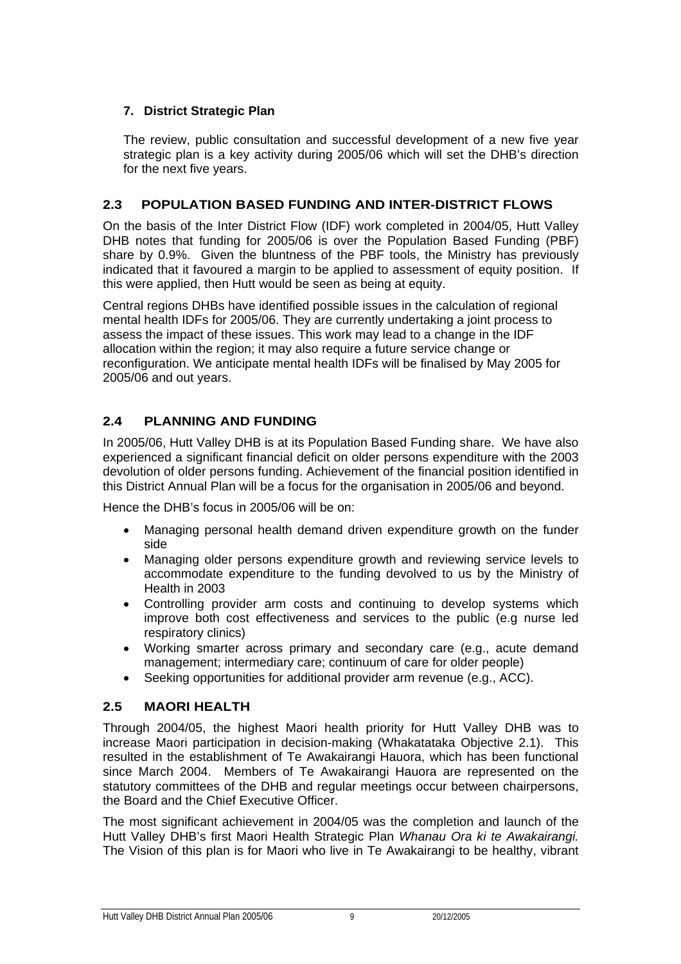# **7. District Strategic Plan**

The review, public consultation and successful development of a new five year strategic plan is a key activity during 2005/06 which will set the DHB's direction for the next five years.

# **2.3 POPULATION BASED FUNDING AND INTER-DISTRICT FLOWS**

On the basis of the Inter District Flow (IDF) work completed in 2004/05, Hutt Valley DHB notes that funding for 2005/06 is over the Population Based Funding (PBF) share by 0.9%. Given the bluntness of the PBF tools, the Ministry has previously indicated that it favoured a margin to be applied to assessment of equity position. If this were applied, then Hutt would be seen as being at equity.

Central regions DHBs have identified possible issues in the calculation of regional mental health IDFs for 2005/06. They are currently undertaking a joint process to assess the impact of these issues. This work may lead to a change in the IDF allocation within the region; it may also require a future service change or reconfiguration. We anticipate mental health IDFs will be finalised by May 2005 for 2005/06 and out years.

# **2.4 PLANNING AND FUNDING**

In 2005/06, Hutt Valley DHB is at its Population Based Funding share. We have also experienced a significant financial deficit on older persons expenditure with the 2003 devolution of older persons funding. Achievement of the financial position identified in this District Annual Plan will be a focus for the organisation in 2005/06 and beyond.

Hence the DHB's focus in 2005/06 will be on:

- Managing personal health demand driven expenditure growth on the funder side
- Managing older persons expenditure growth and reviewing service levels to accommodate expenditure to the funding devolved to us by the Ministry of Health in 2003
- Controlling provider arm costs and continuing to develop systems which improve both cost effectiveness and services to the public (e.g nurse led respiratory clinics)
- Working smarter across primary and secondary care (e.g., acute demand management; intermediary care; continuum of care for older people)
- Seeking opportunities for additional provider arm revenue (e.g., ACC).

# **2.5 MAORI HEALTH**

Through 2004/05, the highest Maori health priority for Hutt Valley DHB was to increase Maori participation in decision-making (Whakatataka Objective 2.1). This resulted in the establishment of Te Awakairangi Hauora, which has been functional since March 2004. Members of Te Awakairangi Hauora are represented on the statutory committees of the DHB and regular meetings occur between chairpersons, the Board and the Chief Executive Officer.

The most significant achievement in 2004/05 was the completion and launch of the Hutt Valley DHB's first Maori Health Strategic Plan *Whanau Ora ki te Awakairangi.*  The Vision of this plan is for Maori who live in Te Awakairangi to be healthy, vibrant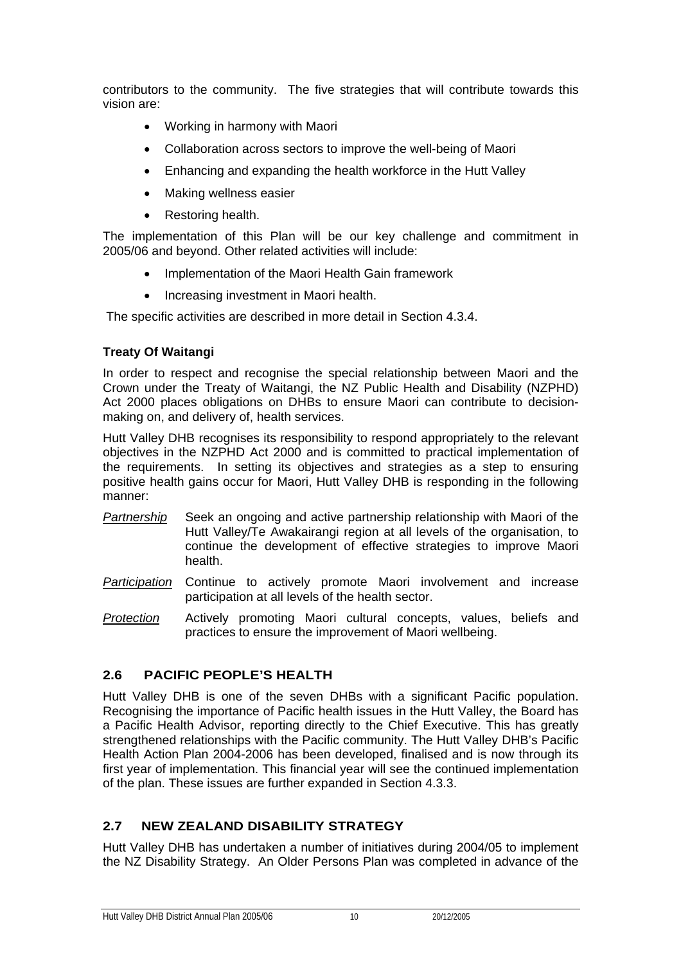contributors to the community. The five strategies that will contribute towards this vision are:

- Working in harmony with Maori
- Collaboration across sectors to improve the well-being of Maori
- Enhancing and expanding the health workforce in the Hutt Valley
- Making wellness easier
- Restoring health.

The implementation of this Plan will be our key challenge and commitment in 2005/06 and beyond. Other related activities will include:

- Implementation of the Maori Health Gain framework
- Increasing investment in Maori health.

The specific activities are described in more detail in Section 4.3.4.

## **Treaty Of Waitangi**

In order to respect and recognise the special relationship between Maori and the Crown under the Treaty of Waitangi, the NZ Public Health and Disability (NZPHD) Act 2000 places obligations on DHBs to ensure Maori can contribute to decisionmaking on, and delivery of, health services.

Hutt Valley DHB recognises its responsibility to respond appropriately to the relevant objectives in the NZPHD Act 2000 and is committed to practical implementation of the requirements. In setting its objectives and strategies as a step to ensuring positive health gains occur for Maori, Hutt Valley DHB is responding in the following manner:

- *Partnership* Seek an ongoing and active partnership relationship with Maori of the Hutt Valley/Te Awakairangi region at all levels of the organisation, to continue the development of effective strategies to improve Maori health.
- *Participation* Continue to actively promote Maori involvement and increase participation at all levels of the health sector.
- *Protection* Actively promoting Maori cultural concepts, values, beliefs and practices to ensure the improvement of Maori wellbeing.

# **2.6 PACIFIC PEOPLE'S HEALTH**

Hutt Valley DHB is one of the seven DHBs with a significant Pacific population. Recognising the importance of Pacific health issues in the Hutt Valley, the Board has a Pacific Health Advisor, reporting directly to the Chief Executive. This has greatly strengthened relationships with the Pacific community. The Hutt Valley DHB's Pacific Health Action Plan 2004-2006 has been developed, finalised and is now through its first year of implementation. This financial year will see the continued implementation of the plan. These issues are further expanded in Section 4.3.3.

# **2.7 NEW ZEALAND DISABILITY STRATEGY**

Hutt Valley DHB has undertaken a number of initiatives during 2004/05 to implement the NZ Disability Strategy. An Older Persons Plan was completed in advance of the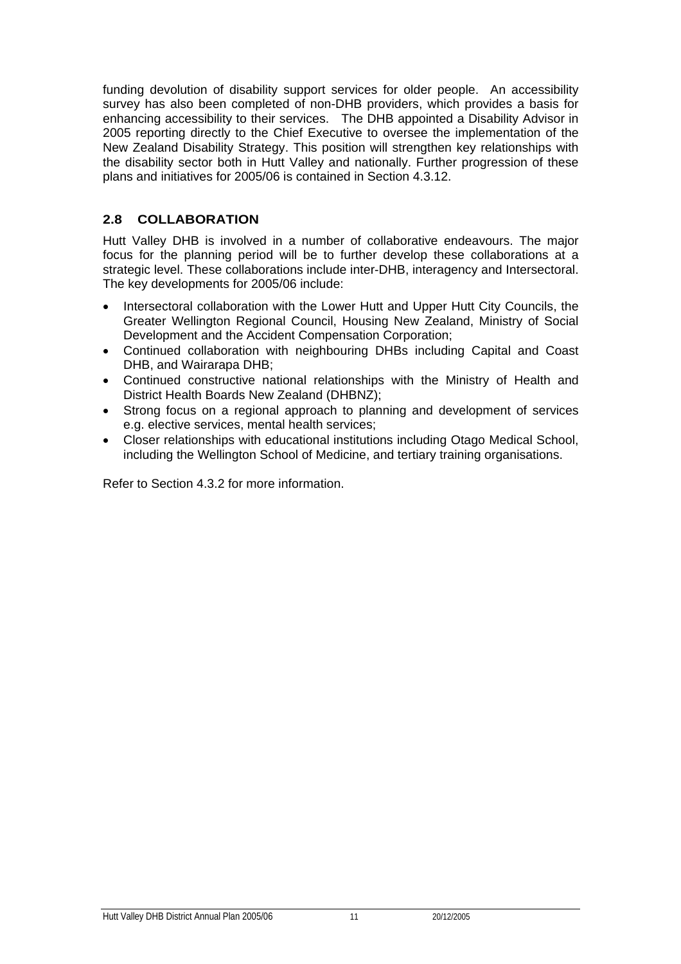funding devolution of disability support services for older people. An accessibility survey has also been completed of non-DHB providers, which provides a basis for enhancing accessibility to their services. The DHB appointed a Disability Advisor in 2005 reporting directly to the Chief Executive to oversee the implementation of the New Zealand Disability Strategy. This position will strengthen key relationships with the disability sector both in Hutt Valley and nationally. Further progression of these plans and initiatives for 2005/06 is contained in Section 4.3.12.

# **2.8 COLLABORATION**

Hutt Valley DHB is involved in a number of collaborative endeavours. The major focus for the planning period will be to further develop these collaborations at a strategic level. These collaborations include inter-DHB, interagency and Intersectoral. The key developments for 2005/06 include:

- Intersectoral collaboration with the Lower Hutt and Upper Hutt City Councils, the Greater Wellington Regional Council, Housing New Zealand, Ministry of Social Development and the Accident Compensation Corporation;
- Continued collaboration with neighbouring DHBs including Capital and Coast DHB, and Wairarapa DHB;
- Continued constructive national relationships with the Ministry of Health and District Health Boards New Zealand (DHBNZ);
- Strong focus on a regional approach to planning and development of services e.g. elective services, mental health services;
- Closer relationships with educational institutions including Otago Medical School, including the Wellington School of Medicine, and tertiary training organisations.

Refer to Section 4.3.2 for more information.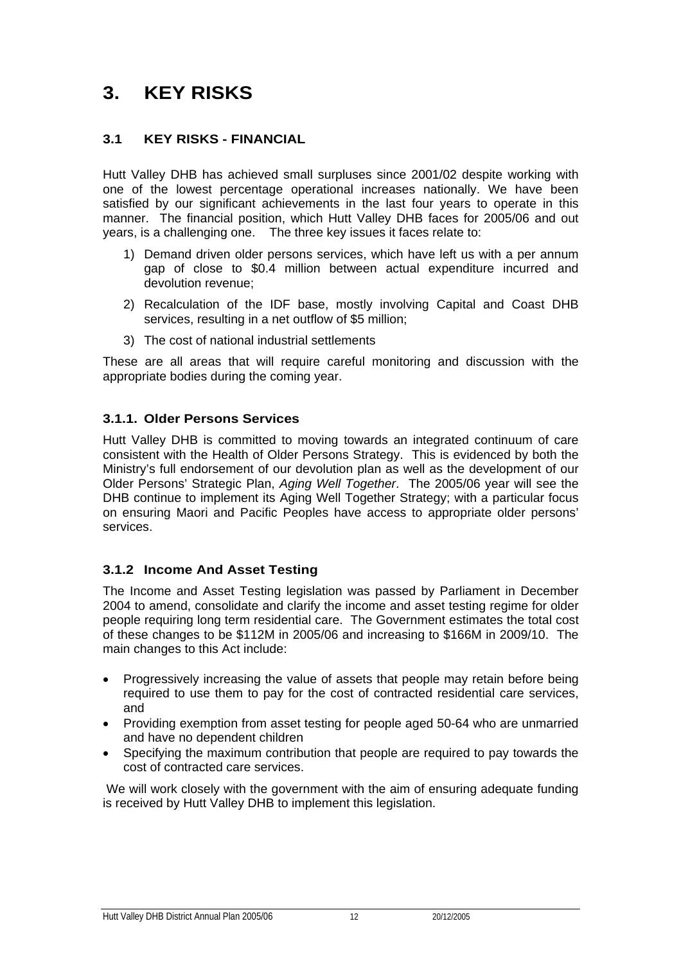# **3. KEY RISKS**

## **3.1 KEY RISKS - FINANCIAL**

Hutt Valley DHB has achieved small surpluses since 2001/02 despite working with one of the lowest percentage operational increases nationally. We have been satisfied by our significant achievements in the last four years to operate in this manner. The financial position, which Hutt Valley DHB faces for 2005/06 and out years, is a challenging one. The three key issues it faces relate to:

- 1) Demand driven older persons services, which have left us with a per annum gap of close to \$0.4 million between actual expenditure incurred and devolution revenue;
- 2) Recalculation of the IDF base, mostly involving Capital and Coast DHB services, resulting in a net outflow of \$5 million;
- 3) The cost of national industrial settlements

These are all areas that will require careful monitoring and discussion with the appropriate bodies during the coming year.

## **3.1.1. Older Persons Services**

Hutt Valley DHB is committed to moving towards an integrated continuum of care consistent with the Health of Older Persons Strategy. This is evidenced by both the Ministry's full endorsement of our devolution plan as well as the development of our Older Persons' Strategic Plan, *Aging Well Together*. The 2005/06 year will see the DHB continue to implement its Aging Well Together Strategy; with a particular focus on ensuring Maori and Pacific Peoples have access to appropriate older persons' services.

# **3.1.2 Income And Asset Testing**

The Income and Asset Testing legislation was passed by Parliament in December 2004 to amend, consolidate and clarify the income and asset testing regime for older people requiring long term residential care. The Government estimates the total cost of these changes to be \$112M in 2005/06 and increasing to \$166M in 2009/10. The main changes to this Act include:

- Progressively increasing the value of assets that people may retain before being required to use them to pay for the cost of contracted residential care services, and
- Providing exemption from asset testing for people aged 50-64 who are unmarried and have no dependent children
- Specifying the maximum contribution that people are required to pay towards the cost of contracted care services.

 We will work closely with the government with the aim of ensuring adequate funding is received by Hutt Valley DHB to implement this legislation.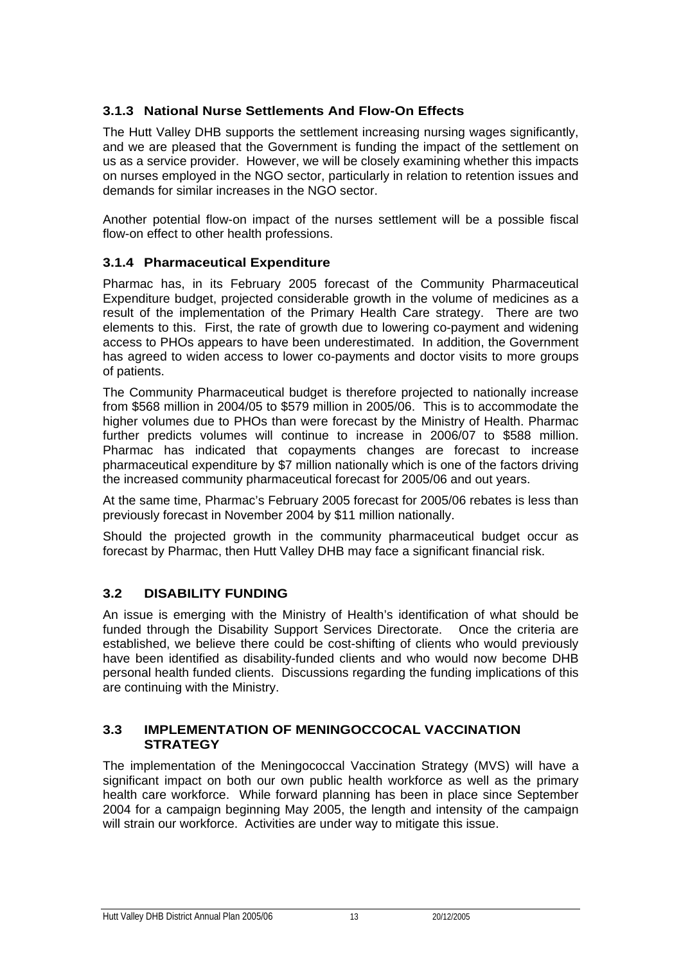# **3.1.3 National Nurse Settlements And Flow-On Effects**

The Hutt Valley DHB supports the settlement increasing nursing wages significantly, and we are pleased that the Government is funding the impact of the settlement on us as a service provider. However, we will be closely examining whether this impacts on nurses employed in the NGO sector, particularly in relation to retention issues and demands for similar increases in the NGO sector.

Another potential flow-on impact of the nurses settlement will be a possible fiscal flow-on effect to other health professions.

## **3.1.4 Pharmaceutical Expenditure**

Pharmac has, in its February 2005 forecast of the Community Pharmaceutical Expenditure budget, projected considerable growth in the volume of medicines as a result of the implementation of the Primary Health Care strategy. There are two elements to this. First, the rate of growth due to lowering co-payment and widening access to PHOs appears to have been underestimated. In addition, the Government has agreed to widen access to lower co-payments and doctor visits to more groups of patients.

The Community Pharmaceutical budget is therefore projected to nationally increase from \$568 million in 2004/05 to \$579 million in 2005/06. This is to accommodate the higher volumes due to PHOs than were forecast by the Ministry of Health. Pharmac further predicts volumes will continue to increase in 2006/07 to \$588 million. Pharmac has indicated that copayments changes are forecast to increase pharmaceutical expenditure by \$7 million nationally which is one of the factors driving the increased community pharmaceutical forecast for 2005/06 and out years.

At the same time, Pharmac's February 2005 forecast for 2005/06 rebates is less than previously forecast in November 2004 by \$11 million nationally.

Should the projected growth in the community pharmaceutical budget occur as forecast by Pharmac, then Hutt Valley DHB may face a significant financial risk.

# **3.2 DISABILITY FUNDING**

An issue is emerging with the Ministry of Health's identification of what should be funded through the Disability Support Services Directorate. Once the criteria are established, we believe there could be cost-shifting of clients who would previously have been identified as disability-funded clients and who would now become DHB personal health funded clients. Discussions regarding the funding implications of this are continuing with the Ministry.

## **3.3 IMPLEMENTATION OF MENINGOCCOCAL VACCINATION STRATEGY**

The implementation of the Meningococcal Vaccination Strategy (MVS) will have a significant impact on both our own public health workforce as well as the primary health care workforce. While forward planning has been in place since September 2004 for a campaign beginning May 2005, the length and intensity of the campaign will strain our workforce. Activities are under way to mitigate this issue.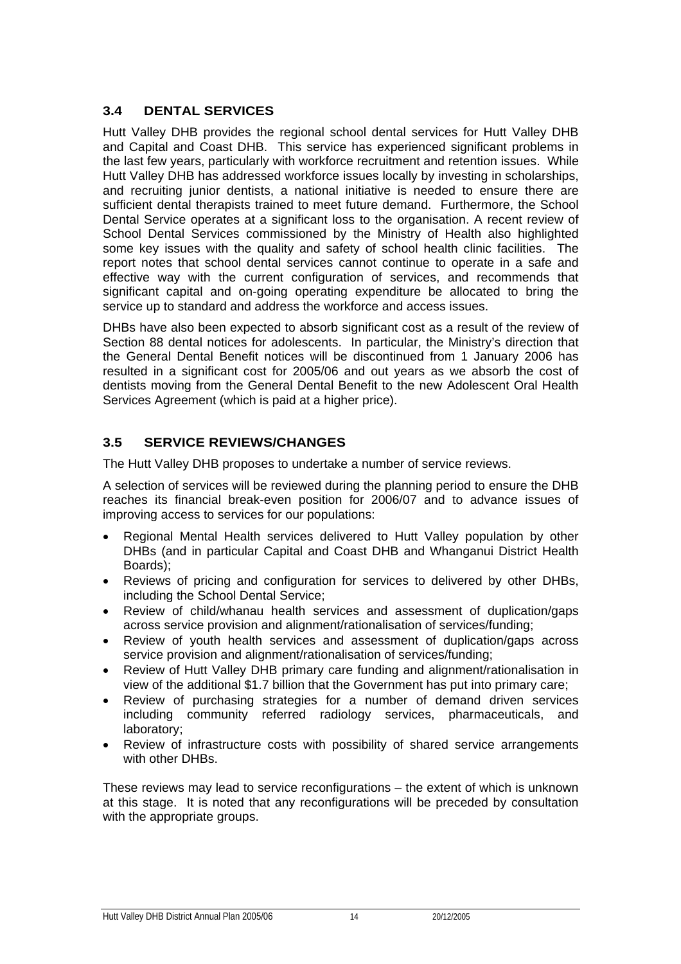# **3.4 DENTAL SERVICES**

Hutt Valley DHB provides the regional school dental services for Hutt Valley DHB and Capital and Coast DHB. This service has experienced significant problems in the last few years, particularly with workforce recruitment and retention issues. While Hutt Valley DHB has addressed workforce issues locally by investing in scholarships, and recruiting junior dentists, a national initiative is needed to ensure there are sufficient dental therapists trained to meet future demand. Furthermore, the School Dental Service operates at a significant loss to the organisation. A recent review of School Dental Services commissioned by the Ministry of Health also highlighted some key issues with the quality and safety of school health clinic facilities. The report notes that school dental services cannot continue to operate in a safe and effective way with the current configuration of services, and recommends that significant capital and on-going operating expenditure be allocated to bring the service up to standard and address the workforce and access issues.

DHBs have also been expected to absorb significant cost as a result of the review of Section 88 dental notices for adolescents. In particular, the Ministry's direction that the General Dental Benefit notices will be discontinued from 1 January 2006 has resulted in a significant cost for 2005/06 and out years as we absorb the cost of dentists moving from the General Dental Benefit to the new Adolescent Oral Health Services Agreement (which is paid at a higher price).

# **3.5 SERVICE REVIEWS/CHANGES**

The Hutt Valley DHB proposes to undertake a number of service reviews.

A selection of services will be reviewed during the planning period to ensure the DHB reaches its financial break-even position for 2006/07 and to advance issues of improving access to services for our populations:

- Regional Mental Health services delivered to Hutt Valley population by other DHBs (and in particular Capital and Coast DHB and Whanganui District Health Boards);
- Reviews of pricing and configuration for services to delivered by other DHBs, including the School Dental Service;
- Review of child/whanau health services and assessment of duplication/gaps across service provision and alignment/rationalisation of services/funding;
- Review of youth health services and assessment of duplication/gaps across service provision and alignment/rationalisation of services/funding;
- Review of Hutt Valley DHB primary care funding and alignment/rationalisation in view of the additional \$1.7 billion that the Government has put into primary care;
- Review of purchasing strategies for a number of demand driven services including community referred radiology services, pharmaceuticals, and laboratory;
- Review of infrastructure costs with possibility of shared service arrangements with other DHBs.

These reviews may lead to service reconfigurations – the extent of which is unknown at this stage. It is noted that any reconfigurations will be preceded by consultation with the appropriate groups.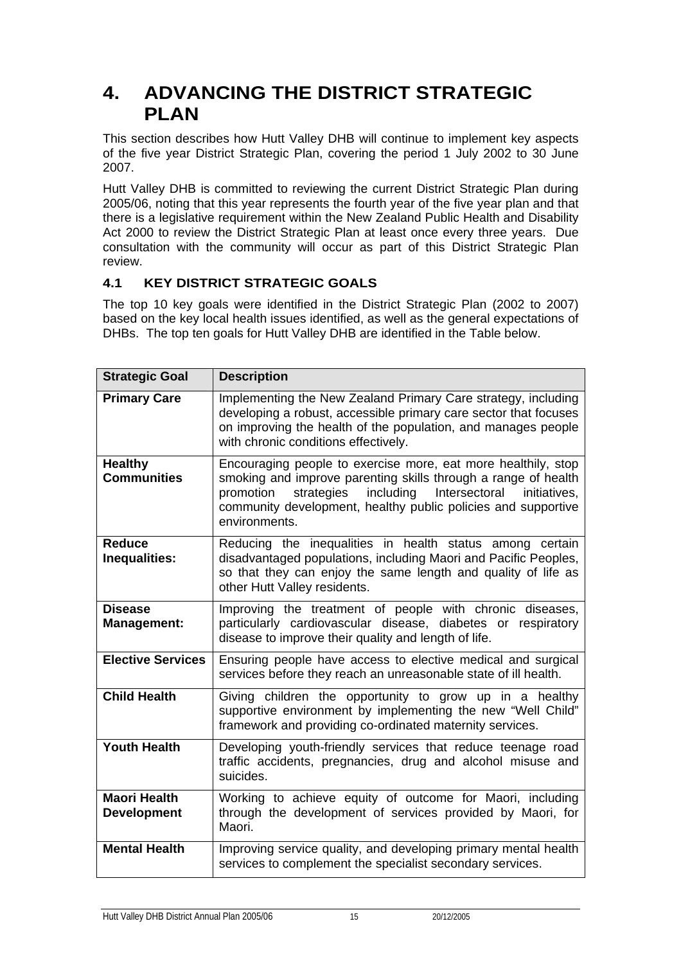# **4. ADVANCING THE DISTRICT STRATEGIC PLAN**

This section describes how Hutt Valley DHB will continue to implement key aspects of the five year District Strategic Plan, covering the period 1 July 2002 to 30 June 2007.

Hutt Valley DHB is committed to reviewing the current District Strategic Plan during 2005/06, noting that this year represents the fourth year of the five year plan and that there is a legislative requirement within the New Zealand Public Health and Disability Act 2000 to review the District Strategic Plan at least once every three years. Due consultation with the community will occur as part of this District Strategic Plan review.

# **4.1 KEY DISTRICT STRATEGIC GOALS**

The top 10 key goals were identified in the District Strategic Plan (2002 to 2007) based on the key local health issues identified, as well as the general expectations of DHBs. The top ten goals for Hutt Valley DHB are identified in the Table below.

| <b>Strategic Goal</b>                     | <b>Description</b>                                                                                                                                                                                                                                                                         |
|-------------------------------------------|--------------------------------------------------------------------------------------------------------------------------------------------------------------------------------------------------------------------------------------------------------------------------------------------|
| <b>Primary Care</b>                       | Implementing the New Zealand Primary Care strategy, including<br>developing a robust, accessible primary care sector that focuses<br>on improving the health of the population, and manages people<br>with chronic conditions effectively.                                                 |
| <b>Healthy</b><br><b>Communities</b>      | Encouraging people to exercise more, eat more healthily, stop<br>smoking and improve parenting skills through a range of health<br>strategies<br>including<br>Intersectoral<br>initiatives.<br>promotion<br>community development, healthy public policies and supportive<br>environments. |
| <b>Reduce</b><br>Inequalities:            | Reducing the inequalities in health status among certain<br>disadvantaged populations, including Maori and Pacific Peoples,<br>so that they can enjoy the same length and quality of life as<br>other Hutt Valley residents.                                                               |
| <b>Disease</b><br><b>Management:</b>      | Improving the treatment of people with chronic diseases,<br>particularly cardiovascular disease, diabetes or respiratory<br>disease to improve their quality and length of life.                                                                                                           |
| <b>Elective Services</b>                  | Ensuring people have access to elective medical and surgical<br>services before they reach an unreasonable state of ill health.                                                                                                                                                            |
| <b>Child Health</b>                       | Giving children the opportunity to grow up in a healthy<br>supportive environment by implementing the new "Well Child"<br>framework and providing co-ordinated maternity services.                                                                                                         |
| <b>Youth Health</b>                       | Developing youth-friendly services that reduce teenage road<br>traffic accidents, pregnancies, drug and alcohol misuse and<br>suicides.                                                                                                                                                    |
| <b>Maori Health</b><br><b>Development</b> | Working to achieve equity of outcome for Maori, including<br>through the development of services provided by Maori, for<br>Maori.                                                                                                                                                          |
| <b>Mental Health</b>                      | Improving service quality, and developing primary mental health<br>services to complement the specialist secondary services.                                                                                                                                                               |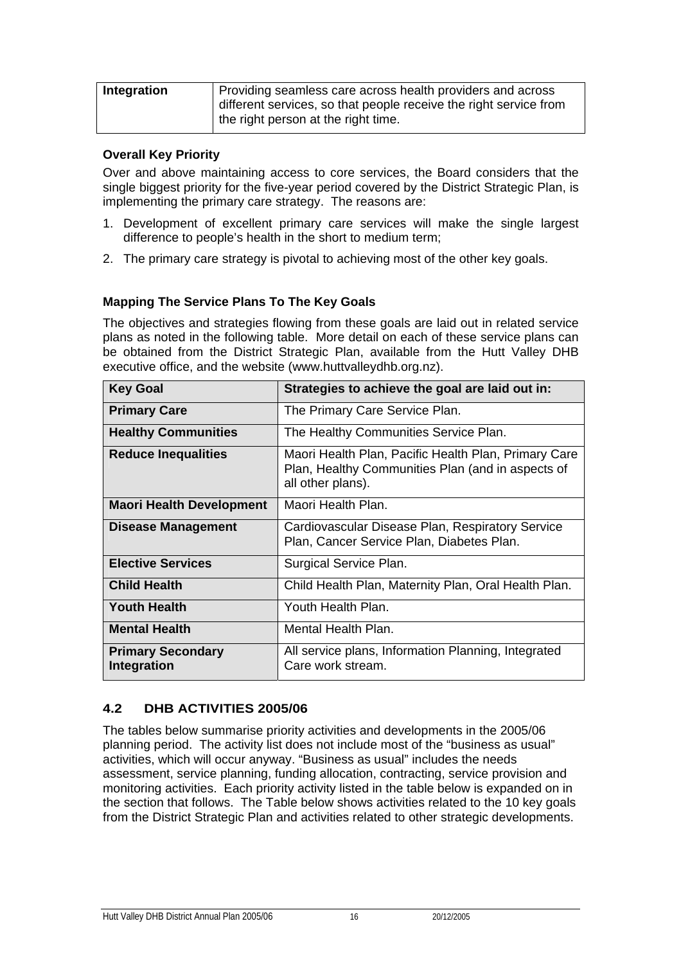| Integration | Providing seamless care across health providers and across<br>different services, so that people receive the right service from |
|-------------|---------------------------------------------------------------------------------------------------------------------------------|
|             | I the right person at the right time.                                                                                           |

### **Overall Key Priority**

Over and above maintaining access to core services, the Board considers that the single biggest priority for the five-year period covered by the District Strategic Plan, is implementing the primary care strategy. The reasons are:

- 1. Development of excellent primary care services will make the single largest difference to people's health in the short to medium term;
- 2. The primary care strategy is pivotal to achieving most of the other key goals.

## **Mapping The Service Plans To The Key Goals**

The objectives and strategies flowing from these goals are laid out in related service plans as noted in the following table. More detail on each of these service plans can be obtained from the District Strategic Plan, available from the Hutt Valley DHB executive office, and the website (www.huttvalleydhb.org.nz).

| <b>Key Goal</b>                         | Strategies to achieve the goal are laid out in:                                                                                |  |
|-----------------------------------------|--------------------------------------------------------------------------------------------------------------------------------|--|
| <b>Primary Care</b>                     | The Primary Care Service Plan.                                                                                                 |  |
| <b>Healthy Communities</b>              | The Healthy Communities Service Plan.                                                                                          |  |
| <b>Reduce Inequalities</b>              | Maori Health Plan, Pacific Health Plan, Primary Care<br>Plan, Healthy Communities Plan (and in aspects of<br>all other plans). |  |
| <b>Maori Health Development</b>         | Maori Health Plan.                                                                                                             |  |
| Disease Management                      | Cardiovascular Disease Plan, Respiratory Service<br>Plan, Cancer Service Plan, Diabetes Plan.                                  |  |
| <b>Elective Services</b>                | Surgical Service Plan.                                                                                                         |  |
| <b>Child Health</b>                     | Child Health Plan, Maternity Plan, Oral Health Plan.                                                                           |  |
| <b>Youth Health</b>                     | Youth Health Plan.                                                                                                             |  |
| <b>Mental Health</b>                    | Mental Health Plan.                                                                                                            |  |
| <b>Primary Secondary</b><br>Integration | All service plans, Information Planning, Integrated<br>Care work stream.                                                       |  |

# **4.2 DHB ACTIVITIES 2005/06**

The tables below summarise priority activities and developments in the 2005/06 planning period. The activity list does not include most of the "business as usual" activities, which will occur anyway. "Business as usual" includes the needs assessment, service planning, funding allocation, contracting, service provision and monitoring activities. Each priority activity listed in the table below is expanded on in the section that follows. The Table below shows activities related to the 10 key goals from the District Strategic Plan and activities related to other strategic developments.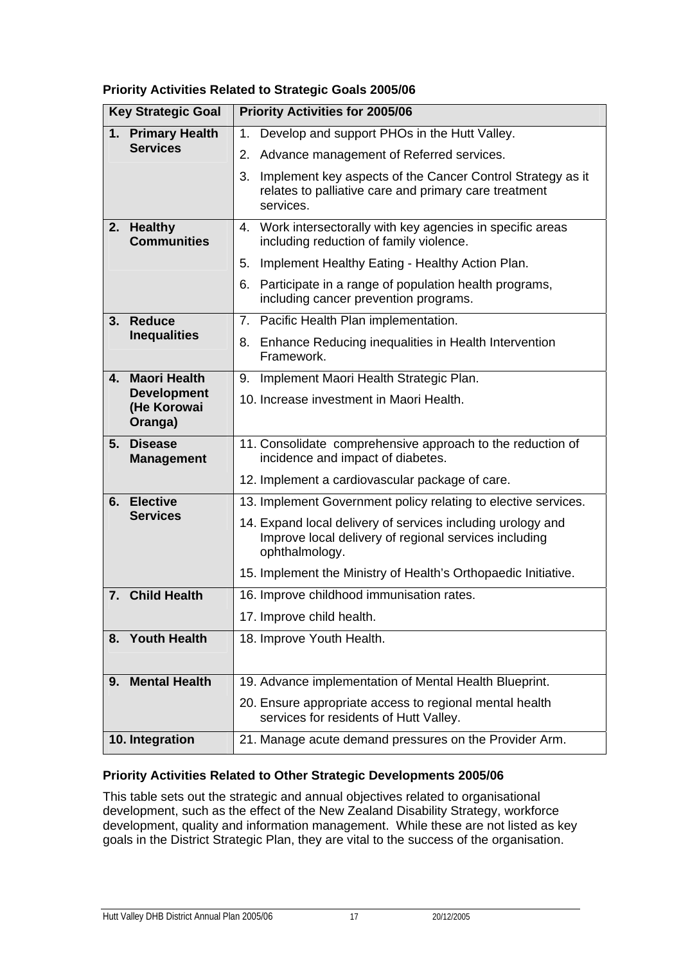| <b>Priority Activities Related to Strategic Goals 2005/06</b> |  |  |  |  |
|---------------------------------------------------------------|--|--|--|--|
|---------------------------------------------------------------|--|--|--|--|

| <b>Key Strategic Goal</b> |                                              | <b>Priority Activities for 2005/06</b>                                                                                                 |  |  |
|---------------------------|----------------------------------------------|----------------------------------------------------------------------------------------------------------------------------------------|--|--|
|                           | 1. Primary Health<br><b>Services</b>         | 1. Develop and support PHOs in the Hutt Valley.                                                                                        |  |  |
|                           |                                              | 2. Advance management of Referred services.                                                                                            |  |  |
|                           |                                              | 3.<br>Implement key aspects of the Cancer Control Strategy as it<br>relates to palliative care and primary care treatment<br>services. |  |  |
| 2.                        | <b>Healthy</b><br><b>Communities</b>         | 4. Work intersectorally with key agencies in specific areas<br>including reduction of family violence.                                 |  |  |
|                           |                                              | Implement Healthy Eating - Healthy Action Plan.<br>5.                                                                                  |  |  |
|                           |                                              | 6. Participate in a range of population health programs,<br>including cancer prevention programs.                                      |  |  |
| 3.                        | <b>Reduce</b>                                | 7. Pacific Health Plan implementation.                                                                                                 |  |  |
|                           | <b>Inequalities</b>                          | 8. Enhance Reducing inequalities in Health Intervention<br>Framework.                                                                  |  |  |
| 4.                        | <b>Maori Health</b>                          | 9. Implement Maori Health Strategic Plan.                                                                                              |  |  |
|                           | <b>Development</b><br>(He Korowai<br>Oranga) | 10. Increase investment in Maori Health.                                                                                               |  |  |
| 5.                        | <b>Disease</b>                               | 11. Consolidate comprehensive approach to the reduction of                                                                             |  |  |
|                           | <b>Management</b>                            | incidence and impact of diabetes.                                                                                                      |  |  |
|                           |                                              | 12. Implement a cardiovascular package of care.                                                                                        |  |  |
| 6.                        | <b>Elective</b><br><b>Services</b>           | 13. Implement Government policy relating to elective services.                                                                         |  |  |
|                           |                                              | 14. Expand local delivery of services including urology and<br>Improve local delivery of regional services including<br>ophthalmology. |  |  |
|                           |                                              | 15. Implement the Ministry of Health's Orthopaedic Initiative.                                                                         |  |  |
|                           | 7. Child Health                              | 16. Improve childhood immunisation rates.                                                                                              |  |  |
|                           |                                              | 17. Improve child health.                                                                                                              |  |  |
|                           | 8. Youth Health                              | 18. Improve Youth Health.                                                                                                              |  |  |
|                           |                                              |                                                                                                                                        |  |  |
| 9.                        | <b>Mental Health</b>                         | 19. Advance implementation of Mental Health Blueprint.                                                                                 |  |  |
|                           |                                              | 20. Ensure appropriate access to regional mental health<br>services for residents of Hutt Valley.                                      |  |  |
|                           | 10. Integration                              | 21. Manage acute demand pressures on the Provider Arm.                                                                                 |  |  |

## **Priority Activities Related to Other Strategic Developments 2005/06**

This table sets out the strategic and annual objectives related to organisational development, such as the effect of the New Zealand Disability Strategy, workforce development, quality and information management. While these are not listed as key goals in the District Strategic Plan, they are vital to the success of the organisation.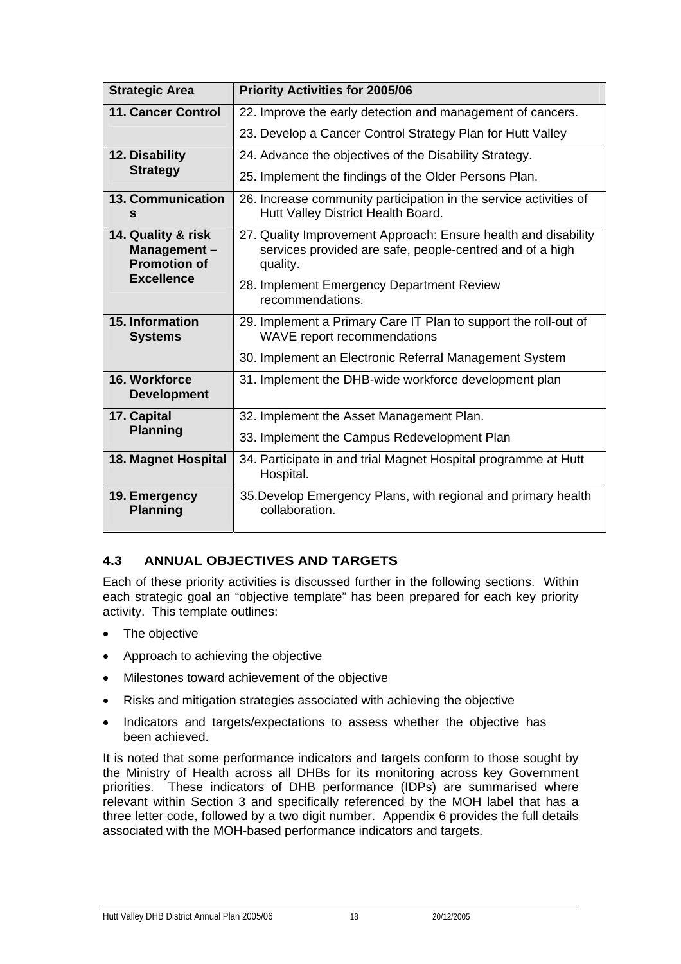| <b>Strategic Area</b>                                    | <b>Priority Activities for 2005/06</b>                                                                                                 |
|----------------------------------------------------------|----------------------------------------------------------------------------------------------------------------------------------------|
| <b>11. Cancer Control</b>                                | 22. Improve the early detection and management of cancers.                                                                             |
|                                                          | 23. Develop a Cancer Control Strategy Plan for Hutt Valley                                                                             |
| 12. Disability                                           | 24. Advance the objectives of the Disability Strategy.                                                                                 |
| <b>Strategy</b>                                          | 25. Implement the findings of the Older Persons Plan.                                                                                  |
| <b>13. Communication</b><br>s                            | 26. Increase community participation in the service activities of<br>Hutt Valley District Health Board.                                |
| 14. Quality & risk<br>Management-<br><b>Promotion of</b> | 27. Quality Improvement Approach: Ensure health and disability<br>services provided are safe, people-centred and of a high<br>quality. |
| <b>Excellence</b>                                        | 28. Implement Emergency Department Review<br>recommendations.                                                                          |
| 15. Information<br><b>Systems</b>                        | 29. Implement a Primary Care IT Plan to support the roll-out of<br>WAVE report recommendations                                         |
|                                                          | 30. Implement an Electronic Referral Management System                                                                                 |
| 16. Workforce<br><b>Development</b>                      | 31. Implement the DHB-wide workforce development plan                                                                                  |
| 17. Capital                                              | 32. Implement the Asset Management Plan.                                                                                               |
| <b>Planning</b>                                          | 33. Implement the Campus Redevelopment Plan                                                                                            |
| 18. Magnet Hospital                                      | 34. Participate in and trial Magnet Hospital programme at Hutt<br>Hospital.                                                            |
| 19. Emergency<br><b>Planning</b>                         | 35. Develop Emergency Plans, with regional and primary health<br>collaboration.                                                        |

# **4.3 ANNUAL OBJECTIVES AND TARGETS**

Each of these priority activities is discussed further in the following sections. Within each strategic goal an "objective template" has been prepared for each key priority activity. This template outlines:

- The objective
- Approach to achieving the objective
- Milestones toward achievement of the objective
- Risks and mitigation strategies associated with achieving the objective
- Indicators and targets/expectations to assess whether the objective has been achieved.

It is noted that some performance indicators and targets conform to those sought by the Ministry of Health across all DHBs for its monitoring across key Government priorities. These indicators of DHB performance (IDPs) are summarised where relevant within Section 3 and specifically referenced by the MOH label that has a three letter code, followed by a two digit number. Appendix 6 provides the full details associated with the MOH-based performance indicators and targets.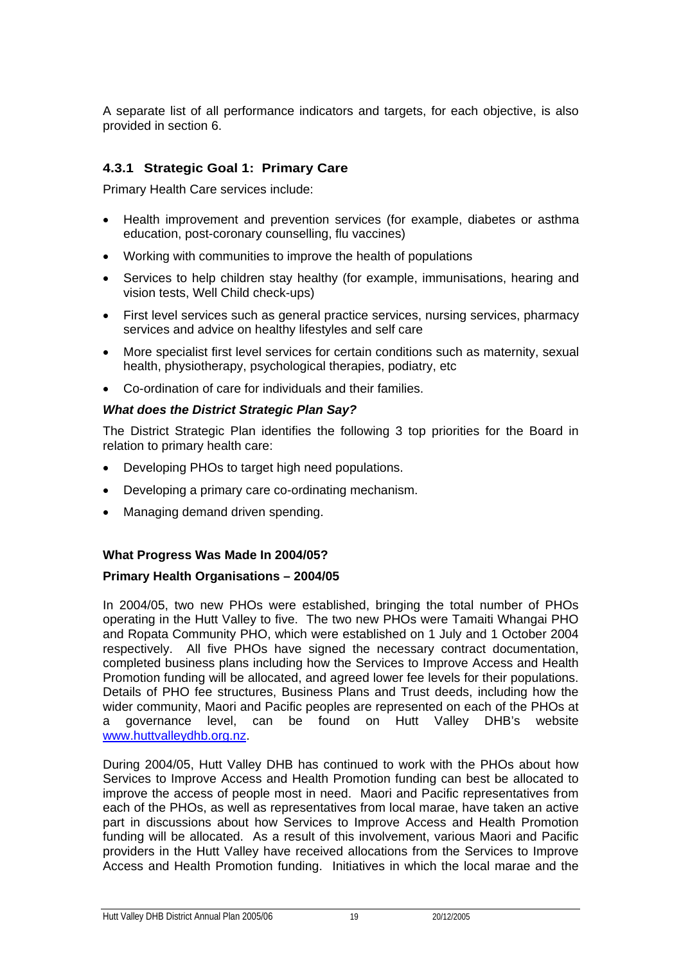A separate list of all performance indicators and targets, for each objective, is also provided in section 6.

# **4.3.1 Strategic Goal 1: Primary Care**

Primary Health Care services include:

- Health improvement and prevention services (for example, diabetes or asthma education, post-coronary counselling, flu vaccines)
- Working with communities to improve the health of populations
- Services to help children stay healthy (for example, immunisations, hearing and vision tests, Well Child check-ups)
- First level services such as general practice services, nursing services, pharmacy services and advice on healthy lifestyles and self care
- More specialist first level services for certain conditions such as maternity, sexual health, physiotherapy, psychological therapies, podiatry, etc
- Co-ordination of care for individuals and their families.

## *What does the District Strategic Plan Say?*

The District Strategic Plan identifies the following 3 top priorities for the Board in relation to primary health care:

- Developing PHOs to target high need populations.
- Developing a primary care co-ordinating mechanism.
- Managing demand driven spending.

## **What Progress Was Made In 2004/05?**

### **Primary Health Organisations – 2004/05**

In 2004/05, two new PHOs were established, bringing the total number of PHOs operating in the Hutt Valley to five. The two new PHOs were Tamaiti Whangai PHO and Ropata Community PHO, which were established on 1 July and 1 October 2004 respectively. All five PHOs have signed the necessary contract documentation, completed business plans including how the Services to Improve Access and Health Promotion funding will be allocated, and agreed lower fee levels for their populations. Details of PHO fee structures, Business Plans and Trust deeds, including how the wider community, Maori and Pacific peoples are represented on each of the PHOs at a governance level, can be found on Hutt Valley DHB's website www.huttvalleydhb.org.nz.

During 2004/05, Hutt Valley DHB has continued to work with the PHOs about how Services to Improve Access and Health Promotion funding can best be allocated to improve the access of people most in need. Maori and Pacific representatives from each of the PHOs, as well as representatives from local marae, have taken an active part in discussions about how Services to Improve Access and Health Promotion funding will be allocated. As a result of this involvement, various Maori and Pacific providers in the Hutt Valley have received allocations from the Services to Improve Access and Health Promotion funding. Initiatives in which the local marae and the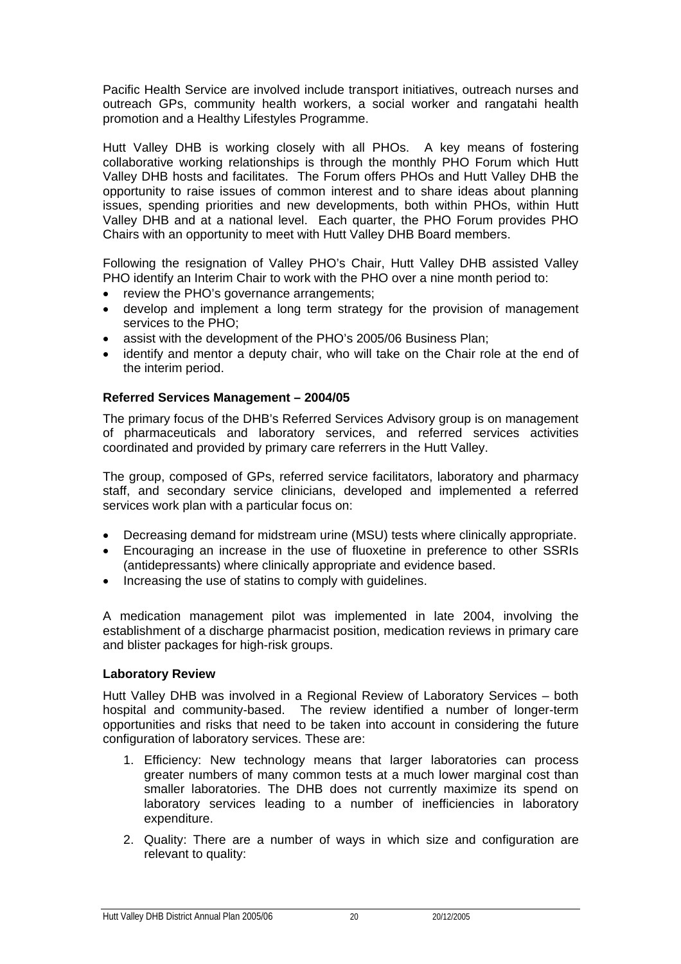Pacific Health Service are involved include transport initiatives, outreach nurses and outreach GPs, community health workers, a social worker and rangatahi health promotion and a Healthy Lifestyles Programme.

Hutt Valley DHB is working closely with all PHOs. A key means of fostering collaborative working relationships is through the monthly PHO Forum which Hutt Valley DHB hosts and facilitates. The Forum offers PHOs and Hutt Valley DHB the opportunity to raise issues of common interest and to share ideas about planning issues, spending priorities and new developments, both within PHOs, within Hutt Valley DHB and at a national level. Each quarter, the PHO Forum provides PHO Chairs with an opportunity to meet with Hutt Valley DHB Board members.

Following the resignation of Valley PHO's Chair, Hutt Valley DHB assisted Valley PHO identify an Interim Chair to work with the PHO over a nine month period to:

- review the PHO's governance arrangements;
- develop and implement a long term strategy for the provision of management services to the PHO;
- assist with the development of the PHO's 2005/06 Business Plan:
- identify and mentor a deputy chair, who will take on the Chair role at the end of the interim period.

## **Referred Services Management – 2004/05**

The primary focus of the DHB's Referred Services Advisory group is on management of pharmaceuticals and laboratory services, and referred services activities coordinated and provided by primary care referrers in the Hutt Valley.

The group, composed of GPs, referred service facilitators, laboratory and pharmacy staff, and secondary service clinicians, developed and implemented a referred services work plan with a particular focus on:

- Decreasing demand for midstream urine (MSU) tests where clinically appropriate.
- Encouraging an increase in the use of fluoxetine in preference to other SSRIs (antidepressants) where clinically appropriate and evidence based.
- Increasing the use of statins to comply with guidelines.

A medication management pilot was implemented in late 2004, involving the establishment of a discharge pharmacist position, medication reviews in primary care and blister packages for high-risk groups.

### **Laboratory Review**

Hutt Valley DHB was involved in a Regional Review of Laboratory Services – both hospital and community-based. The review identified a number of longer-term opportunities and risks that need to be taken into account in considering the future configuration of laboratory services. These are:

- 1. Efficiency: New technology means that larger laboratories can process greater numbers of many common tests at a much lower marginal cost than smaller laboratories. The DHB does not currently maximize its spend on laboratory services leading to a number of inefficiencies in laboratory expenditure.
- 2. Quality: There are a number of ways in which size and configuration are relevant to quality: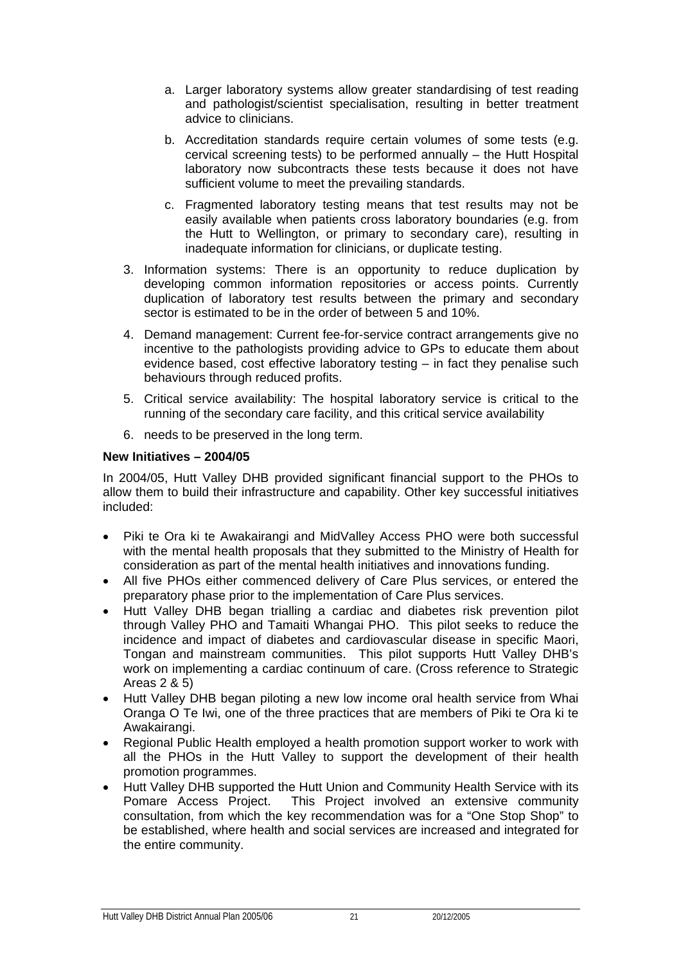- a. Larger laboratory systems allow greater standardising of test reading and pathologist/scientist specialisation, resulting in better treatment advice to clinicians.
- b. Accreditation standards require certain volumes of some tests (e.g. cervical screening tests) to be performed annually – the Hutt Hospital laboratory now subcontracts these tests because it does not have sufficient volume to meet the prevailing standards.
- c. Fragmented laboratory testing means that test results may not be easily available when patients cross laboratory boundaries (e.g. from the Hutt to Wellington, or primary to secondary care), resulting in inadequate information for clinicians, or duplicate testing.
- 3. Information systems: There is an opportunity to reduce duplication by developing common information repositories or access points. Currently duplication of laboratory test results between the primary and secondary sector is estimated to be in the order of between 5 and 10%.
- 4. Demand management: Current fee-for-service contract arrangements give no incentive to the pathologists providing advice to GPs to educate them about evidence based, cost effective laboratory testing – in fact they penalise such behaviours through reduced profits.
- 5. Critical service availability: The hospital laboratory service is critical to the running of the secondary care facility, and this critical service availability
- 6. needs to be preserved in the long term.

## **New Initiatives – 2004/05**

In 2004/05, Hutt Valley DHB provided significant financial support to the PHOs to allow them to build their infrastructure and capability. Other key successful initiatives included:

- Piki te Ora ki te Awakairangi and MidValley Access PHO were both successful with the mental health proposals that they submitted to the Ministry of Health for consideration as part of the mental health initiatives and innovations funding.
- All five PHOs either commenced delivery of Care Plus services, or entered the preparatory phase prior to the implementation of Care Plus services.
- Hutt Valley DHB began trialling a cardiac and diabetes risk prevention pilot through Valley PHO and Tamaiti Whangai PHO. This pilot seeks to reduce the incidence and impact of diabetes and cardiovascular disease in specific Maori, Tongan and mainstream communities. This pilot supports Hutt Valley DHB's work on implementing a cardiac continuum of care. (Cross reference to Strategic Areas 2 & 5)
- Hutt Valley DHB began piloting a new low income oral health service from Whai Oranga O Te Iwi, one of the three practices that are members of Piki te Ora ki te Awakairangi.
- Regional Public Health employed a health promotion support worker to work with all the PHOs in the Hutt Valley to support the development of their health promotion programmes.
- Hutt Valley DHB supported the Hutt Union and Community Health Service with its Pomare Access Project. This Project involved an extensive community consultation, from which the key recommendation was for a "One Stop Shop" to be established, where health and social services are increased and integrated for the entire community.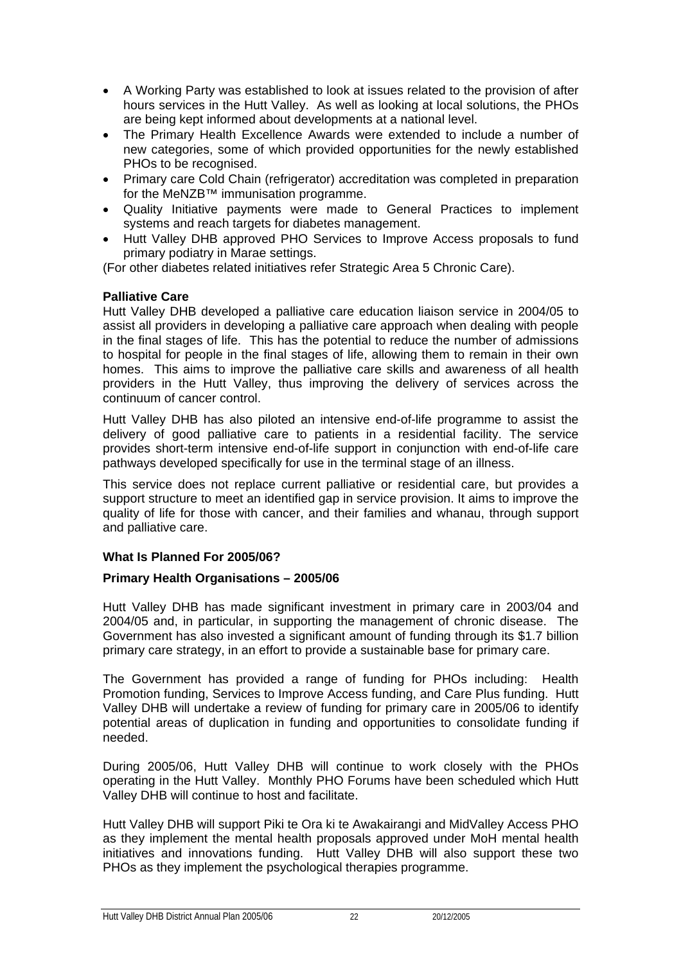- A Working Party was established to look at issues related to the provision of after hours services in the Hutt Valley. As well as looking at local solutions, the PHOs are being kept informed about developments at a national level.
- The Primary Health Excellence Awards were extended to include a number of new categories, some of which provided opportunities for the newly established PHOs to be recognised.
- Primary care Cold Chain (refrigerator) accreditation was completed in preparation for the MeNZB™ immunisation programme.
- Quality Initiative payments were made to General Practices to implement systems and reach targets for diabetes management.
- Hutt Valley DHB approved PHO Services to Improve Access proposals to fund primary podiatry in Marae settings.

(For other diabetes related initiatives refer Strategic Area 5 Chronic Care).

## **Palliative Care**

Hutt Valley DHB developed a palliative care education liaison service in 2004/05 to assist all providers in developing a palliative care approach when dealing with people in the final stages of life. This has the potential to reduce the number of admissions to hospital for people in the final stages of life, allowing them to remain in their own homes. This aims to improve the palliative care skills and awareness of all health providers in the Hutt Valley, thus improving the delivery of services across the continuum of cancer control.

Hutt Valley DHB has also piloted an intensive end-of-life programme to assist the delivery of good palliative care to patients in a residential facility. The service provides short-term intensive end-of-life support in conjunction with end-of-life care pathways developed specifically for use in the terminal stage of an illness.

This service does not replace current palliative or residential care, but provides a support structure to meet an identified gap in service provision. It aims to improve the quality of life for those with cancer, and their families and whanau, through support and palliative care.

## **What Is Planned For 2005/06?**

### **Primary Health Organisations – 2005/06**

Hutt Valley DHB has made significant investment in primary care in 2003/04 and 2004/05 and, in particular, in supporting the management of chronic disease. The Government has also invested a significant amount of funding through its \$1.7 billion primary care strategy, in an effort to provide a sustainable base for primary care.

The Government has provided a range of funding for PHOs including: Health Promotion funding, Services to Improve Access funding, and Care Plus funding. Hutt Valley DHB will undertake a review of funding for primary care in 2005/06 to identify potential areas of duplication in funding and opportunities to consolidate funding if needed.

During 2005/06, Hutt Valley DHB will continue to work closely with the PHOs operating in the Hutt Valley. Monthly PHO Forums have been scheduled which Hutt Valley DHB will continue to host and facilitate.

Hutt Valley DHB will support Piki te Ora ki te Awakairangi and MidValley Access PHO as they implement the mental health proposals approved under MoH mental health initiatives and innovations funding. Hutt Valley DHB will also support these two PHOs as they implement the psychological therapies programme.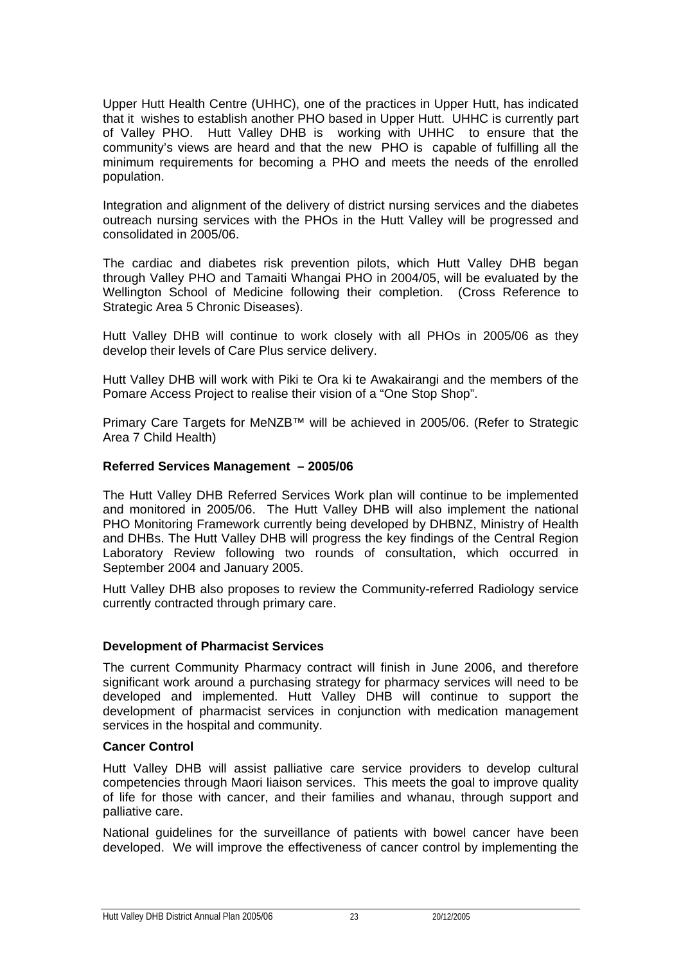Upper Hutt Health Centre (UHHC), one of the practices in Upper Hutt, has indicated that it wishes to establish another PHO based in Upper Hutt. UHHC is currently part of Valley PHO. Hutt Valley DHB is working with UHHC to ensure that the community's views are heard and that the new PHO is capable of fulfilling all the minimum requirements for becoming a PHO and meets the needs of the enrolled population.

Integration and alignment of the delivery of district nursing services and the diabetes outreach nursing services with the PHOs in the Hutt Valley will be progressed and consolidated in 2005/06.

The cardiac and diabetes risk prevention pilots, which Hutt Valley DHB began through Valley PHO and Tamaiti Whangai PHO in 2004/05, will be evaluated by the Wellington School of Medicine following their completion. (Cross Reference to Strategic Area 5 Chronic Diseases).

Hutt Valley DHB will continue to work closely with all PHOs in 2005/06 as they develop their levels of Care Plus service delivery.

Hutt Valley DHB will work with Piki te Ora ki te Awakairangi and the members of the Pomare Access Project to realise their vision of a "One Stop Shop".

Primary Care Targets for MeNZB™ will be achieved in 2005/06. (Refer to Strategic Area 7 Child Health)

### **Referred Services Management – 2005/06**

The Hutt Valley DHB Referred Services Work plan will continue to be implemented and monitored in 2005/06. The Hutt Valley DHB will also implement the national PHO Monitoring Framework currently being developed by DHBNZ, Ministry of Health and DHBs. The Hutt Valley DHB will progress the key findings of the Central Region Laboratory Review following two rounds of consultation, which occurred in September 2004 and January 2005.

Hutt Valley DHB also proposes to review the Community-referred Radiology service currently contracted through primary care.

### **Development of Pharmacist Services**

The current Community Pharmacy contract will finish in June 2006, and therefore significant work around a purchasing strategy for pharmacy services will need to be developed and implemented. Hutt Valley DHB will continue to support the development of pharmacist services in conjunction with medication management services in the hospital and community.

### **Cancer Control**

Hutt Valley DHB will assist palliative care service providers to develop cultural competencies through Maori liaison services. This meets the goal to improve quality of life for those with cancer, and their families and whanau, through support and palliative care.

National guidelines for the surveillance of patients with bowel cancer have been developed. We will improve the effectiveness of cancer control by implementing the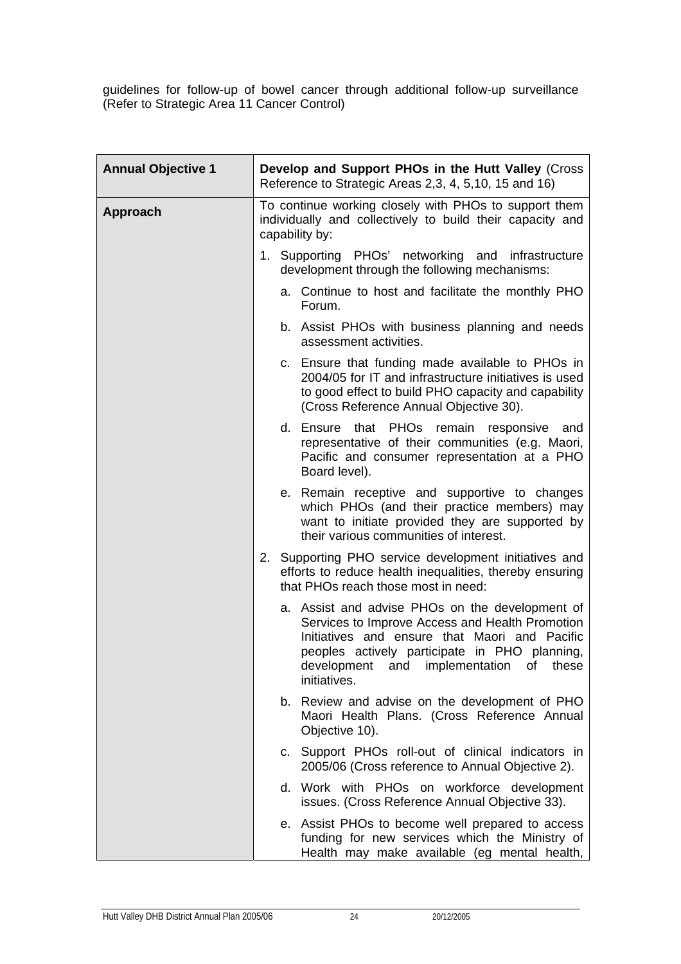guidelines for follow-up of bowel cancer through additional follow-up surveillance (Refer to Strategic Area 11 Cancer Control)

| <b>Annual Objective 1</b> | Develop and Support PHOs in the Hutt Valley (Cross<br>Reference to Strategic Areas 2,3, 4, 5,10, 15 and 16)                                                                                                                                                     |  |
|---------------------------|-----------------------------------------------------------------------------------------------------------------------------------------------------------------------------------------------------------------------------------------------------------------|--|
| <b>Approach</b>           | To continue working closely with PHOs to support them<br>individually and collectively to build their capacity and<br>capability by:                                                                                                                            |  |
|                           | 1. Supporting PHOs' networking and infrastructure<br>development through the following mechanisms:                                                                                                                                                              |  |
|                           | a. Continue to host and facilitate the monthly PHO<br>Forum.                                                                                                                                                                                                    |  |
|                           | b. Assist PHOs with business planning and needs<br>assessment activities.                                                                                                                                                                                       |  |
|                           | c. Ensure that funding made available to PHOs in<br>2004/05 for IT and infrastructure initiatives is used<br>to good effect to build PHO capacity and capability<br>(Cross Reference Annual Objective 30).                                                      |  |
|                           | d. Ensure that PHOs remain responsive<br>and<br>representative of their communities (e.g. Maori,<br>Pacific and consumer representation at a PHO<br>Board level).                                                                                               |  |
|                           | e. Remain receptive and supportive to changes<br>which PHOs (and their practice members) may<br>want to initiate provided they are supported by<br>their various communities of interest.                                                                       |  |
|                           | 2. Supporting PHO service development initiatives and<br>efforts to reduce health inequalities, thereby ensuring<br>that PHOs reach those most in need:                                                                                                         |  |
|                           | a. Assist and advise PHOs on the development of<br>Services to Improve Access and Health Promotion<br>Initiatives and ensure that Maori and Pacific<br>peoples actively participate in PHO planning,<br>development and implementation of these<br>initiatives. |  |
|                           | b. Review and advise on the development of PHO<br>Maori Health Plans. (Cross Reference Annual<br>Objective 10).                                                                                                                                                 |  |
|                           | c. Support PHOs roll-out of clinical indicators in<br>2005/06 (Cross reference to Annual Objective 2).                                                                                                                                                          |  |
|                           | d. Work with PHOs on workforce development<br>issues. (Cross Reference Annual Objective 33).                                                                                                                                                                    |  |
|                           | e. Assist PHOs to become well prepared to access<br>funding for new services which the Ministry of<br>Health may make available (eg mental health,                                                                                                              |  |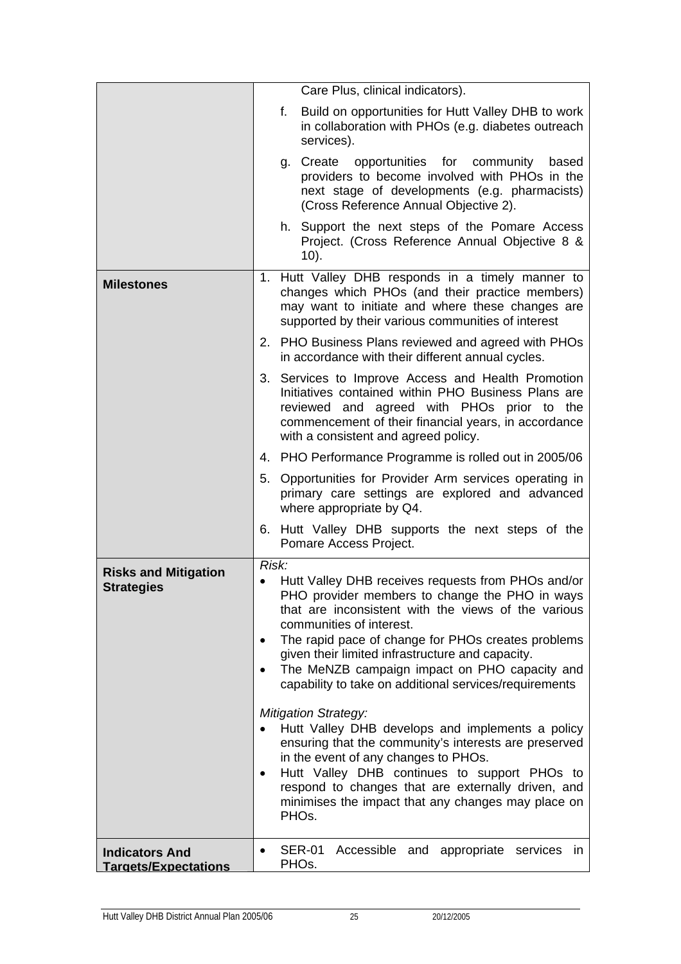|                                                                                                                                                                                                                                                                                                                                                                                                                                                                                                                            | Care Plus, clinical indicators).                                                                                                                                                                                                                                                                                                                     |  |  |
|----------------------------------------------------------------------------------------------------------------------------------------------------------------------------------------------------------------------------------------------------------------------------------------------------------------------------------------------------------------------------------------------------------------------------------------------------------------------------------------------------------------------------|------------------------------------------------------------------------------------------------------------------------------------------------------------------------------------------------------------------------------------------------------------------------------------------------------------------------------------------------------|--|--|
|                                                                                                                                                                                                                                                                                                                                                                                                                                                                                                                            | Build on opportunities for Hutt Valley DHB to work<br>f.<br>in collaboration with PHOs (e.g. diabetes outreach<br>services).                                                                                                                                                                                                                         |  |  |
|                                                                                                                                                                                                                                                                                                                                                                                                                                                                                                                            | g. Create opportunities for community<br>based<br>providers to become involved with PHOs in the<br>next stage of developments (e.g. pharmacists)<br>(Cross Reference Annual Objective 2).                                                                                                                                                            |  |  |
|                                                                                                                                                                                                                                                                                                                                                                                                                                                                                                                            | h. Support the next steps of the Pomare Access<br>Project. (Cross Reference Annual Objective 8 &<br>10).                                                                                                                                                                                                                                             |  |  |
| <b>Milestones</b>                                                                                                                                                                                                                                                                                                                                                                                                                                                                                                          | 1. Hutt Valley DHB responds in a timely manner to<br>changes which PHOs (and their practice members)<br>may want to initiate and where these changes are<br>supported by their various communities of interest                                                                                                                                       |  |  |
|                                                                                                                                                                                                                                                                                                                                                                                                                                                                                                                            | 2. PHO Business Plans reviewed and agreed with PHOs<br>in accordance with their different annual cycles.                                                                                                                                                                                                                                             |  |  |
|                                                                                                                                                                                                                                                                                                                                                                                                                                                                                                                            | 3. Services to Improve Access and Health Promotion<br>Initiatives contained within PHO Business Plans are<br>reviewed and agreed with PHOs prior to the<br>commencement of their financial years, in accordance<br>with a consistent and agreed policy.                                                                                              |  |  |
|                                                                                                                                                                                                                                                                                                                                                                                                                                                                                                                            | 4. PHO Performance Programme is rolled out in 2005/06                                                                                                                                                                                                                                                                                                |  |  |
|                                                                                                                                                                                                                                                                                                                                                                                                                                                                                                                            | 5. Opportunities for Provider Arm services operating in<br>primary care settings are explored and advanced<br>where appropriate by Q4.                                                                                                                                                                                                               |  |  |
|                                                                                                                                                                                                                                                                                                                                                                                                                                                                                                                            | 6. Hutt Valley DHB supports the next steps of the<br>Pomare Access Project.                                                                                                                                                                                                                                                                          |  |  |
| Risk:<br><b>Risks and Mitigation</b><br>Hutt Valley DHB receives requests from PHOs and/or<br>$\bullet$<br><b>Strategies</b><br>PHO provider members to change the PHO in ways<br>that are inconsistent with the views of the various<br>communities of interest.<br>The rapid pace of change for PHOs creates problems<br>٠<br>given their limited infrastructure and capacity.<br>The MeNZB campaign impact on PHO capacity and<br>capability to take on additional services/requirements<br><b>Mitigation Strategy:</b> |                                                                                                                                                                                                                                                                                                                                                      |  |  |
|                                                                                                                                                                                                                                                                                                                                                                                                                                                                                                                            | Hutt Valley DHB develops and implements a policy<br>$\bullet$<br>ensuring that the community's interests are preserved<br>in the event of any changes to PHOs.<br>Hutt Valley DHB continues to support PHOs to<br>٠<br>respond to changes that are externally driven, and<br>minimises the impact that any changes may place on<br>PHO <sub>s.</sub> |  |  |
| <b>Indicators And</b><br><b>Targets/Expectations</b>                                                                                                                                                                                                                                                                                                                                                                                                                                                                       | <b>SER-01</b><br>Accessible and appropriate<br>services in<br>PHO <sub>s</sub> .                                                                                                                                                                                                                                                                     |  |  |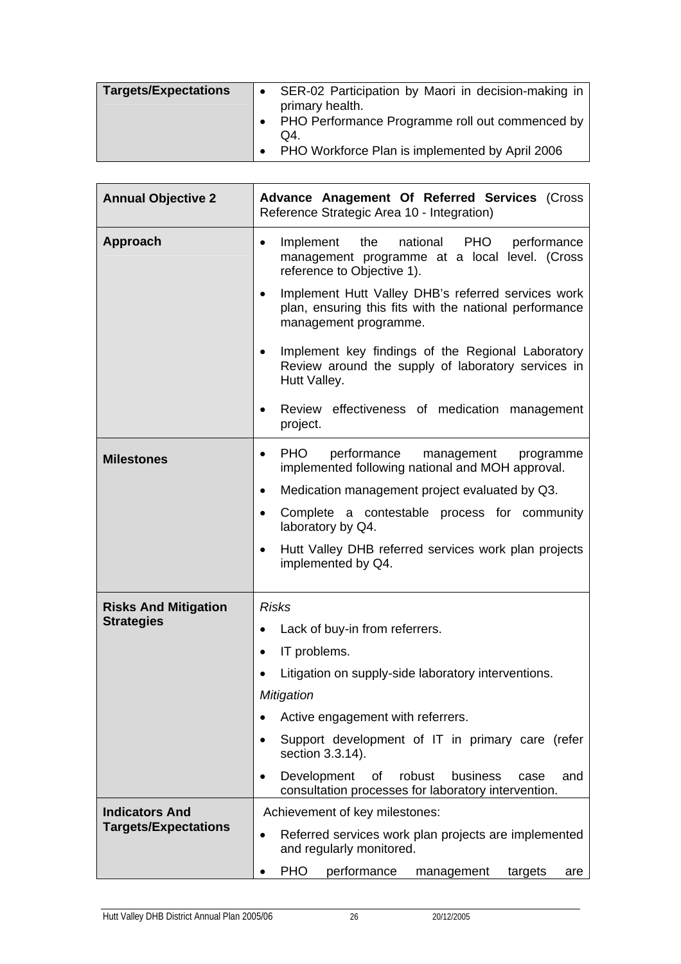| <b>Targets/Expectations</b> | SER-02 Participation by Maori in decision-making in<br>$\bullet$<br>primary health.<br>• PHO Performance Programme roll out commenced by<br>Q4. |
|-----------------------------|-------------------------------------------------------------------------------------------------------------------------------------------------|
|                             | • PHO Workforce Plan is implemented by April 2006                                                                                               |

| <b>Annual Objective 2</b>   | Advance Anagement Of Referred Services (Cross<br>Reference Strategic Area 10 - Integration)                                                        |  |  |
|-----------------------------|----------------------------------------------------------------------------------------------------------------------------------------------------|--|--|
| <b>Approach</b>             | national PHO<br>Implement<br>the<br>performance<br>$\bullet$<br>management programme at a local level. (Cross<br>reference to Objective 1).        |  |  |
|                             | Implement Hutt Valley DHB's referred services work<br>$\bullet$<br>plan, ensuring this fits with the national performance<br>management programme. |  |  |
|                             | Implement key findings of the Regional Laboratory<br>$\bullet$<br>Review around the supply of laboratory services in<br>Hutt Valley.               |  |  |
|                             | Review effectiveness of medication management<br>project.                                                                                          |  |  |
| <b>Milestones</b>           | <b>PHO</b><br>performance<br>management<br>programme<br>$\bullet$<br>implemented following national and MOH approval.                              |  |  |
|                             | Medication management project evaluated by Q3.<br>٠                                                                                                |  |  |
|                             | Complete a contestable process for community<br>$\bullet$<br>laboratory by Q4.                                                                     |  |  |
|                             | Hutt Valley DHB referred services work plan projects<br>$\bullet$<br>implemented by Q4.                                                            |  |  |
| <b>Risks And Mitigation</b> | <b>Risks</b>                                                                                                                                       |  |  |
| <b>Strategies</b>           | Lack of buy-in from referrers.<br>٠                                                                                                                |  |  |
|                             | IT problems.<br>$\bullet$                                                                                                                          |  |  |
|                             | Litigation on supply-side laboratory interventions.<br>٠                                                                                           |  |  |
|                             | <b>Mitigation</b>                                                                                                                                  |  |  |
|                             | Active engagement with referrers.<br>٠                                                                                                             |  |  |
|                             | Support development of IT in primary care (refer<br>$\bullet$<br>section 3.3.14).                                                                  |  |  |
|                             | Development<br>of<br>robust<br>business<br>case<br>and<br>٠<br>consultation processes for laboratory intervention.                                 |  |  |
| <b>Indicators And</b>       | Achievement of key milestones:                                                                                                                     |  |  |
| <b>Targets/Expectations</b> | Referred services work plan projects are implemented<br>and regularly monitored.                                                                   |  |  |
|                             | <b>PHO</b><br>performance<br>targets<br>management<br>are<br>٠                                                                                     |  |  |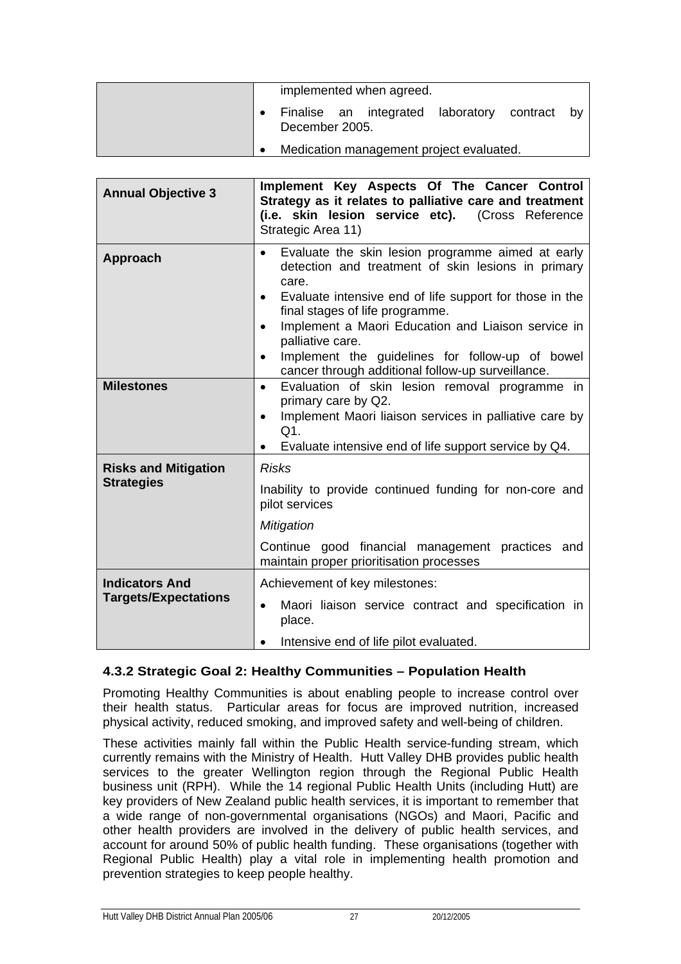|  | implemented when agreed.                                     |    |
|--|--------------------------------------------------------------|----|
|  | Finalise an integrated laboratory contract<br>December 2005. | bv |
|  | Medication management project evaluated.                     |    |

| <b>Annual Objective 3</b>                            | Implement Key Aspects Of The Cancer Control<br>Strategy as it relates to palliative care and treatment<br>(i.e. skin lesion service etc). (Cross Reference<br>Strategic Area 11)                                                                                                                                                                                                                                           |
|------------------------------------------------------|----------------------------------------------------------------------------------------------------------------------------------------------------------------------------------------------------------------------------------------------------------------------------------------------------------------------------------------------------------------------------------------------------------------------------|
| <b>Approach</b>                                      | Evaluate the skin lesion programme aimed at early<br>detection and treatment of skin lesions in primary<br>care.<br>Evaluate intensive end of life support for those in the<br>final stages of life programme.<br>Implement a Maori Education and Liaison service in<br>$\bullet$<br>palliative care.<br>Implement the guidelines for follow-up of bowel<br>$\bullet$<br>cancer through additional follow-up surveillance. |
| <b>Milestones</b>                                    | Evaluation of skin lesion removal programme in<br>$\bullet$<br>primary care by Q2.<br>Implement Maori liaison services in palliative care by<br>Q1.<br>Evaluate intensive end of life support service by Q4.                                                                                                                                                                                                               |
| <b>Risks and Mitigation</b><br><b>Strategies</b>     | <b>Risks</b><br>Inability to provide continued funding for non-core and<br>pilot services<br><b>Mitigation</b><br>Continue good financial management practices and<br>maintain proper prioritisation processes                                                                                                                                                                                                             |
| <b>Indicators And</b><br><b>Targets/Expectations</b> | Achievement of key milestones:<br>Maori liaison service contract and specification in<br>place.<br>Intensive end of life pilot evaluated.                                                                                                                                                                                                                                                                                  |

# **4.3.2 Strategic Goal 2: Healthy Communities – Population Health**

Promoting Healthy Communities is about enabling people to increase control over their health status. Particular areas for focus are improved nutrition, increased physical activity, reduced smoking, and improved safety and well-being of children.

These activities mainly fall within the Public Health service-funding stream, which currently remains with the Ministry of Health. Hutt Valley DHB provides public health services to the greater Wellington region through the Regional Public Health business unit (RPH). While the 14 regional Public Health Units (including Hutt) are key providers of New Zealand public health services, it is important to remember that a wide range of non-governmental organisations (NGOs) and Maori, Pacific and other health providers are involved in the delivery of public health services, and account for around 50% of public health funding. These organisations (together with Regional Public Health) play a vital role in implementing health promotion and prevention strategies to keep people healthy.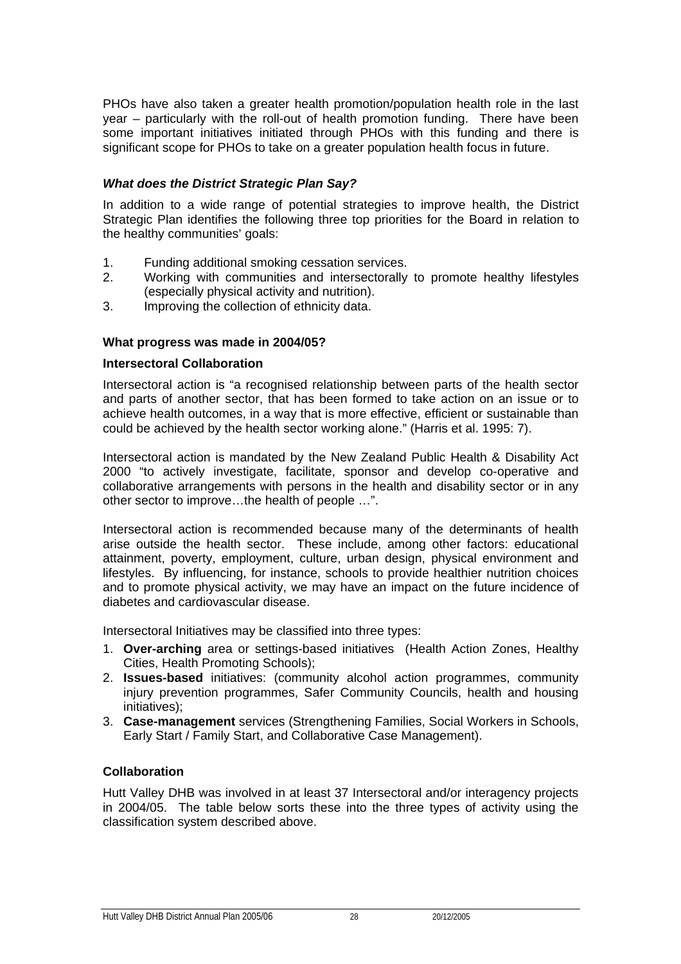PHOs have also taken a greater health promotion/population health role in the last year – particularly with the roll-out of health promotion funding. There have been some important initiatives initiated through PHOs with this funding and there is significant scope for PHOs to take on a greater population health focus in future.

## *What does the District Strategic Plan Say?*

In addition to a wide range of potential strategies to improve health, the District Strategic Plan identifies the following three top priorities for the Board in relation to the healthy communities' goals:

- 1. Funding additional smoking cessation services.
- 2. Working with communities and intersectorally to promote healthy lifestyles (especially physical activity and nutrition).
- 3. Improving the collection of ethnicity data.

### **What progress was made in 2004/05?**

### **Intersectoral Collaboration**

Intersectoral action is "a recognised relationship between parts of the health sector and parts of another sector, that has been formed to take action on an issue or to achieve health outcomes, in a way that is more effective, efficient or sustainable than could be achieved by the health sector working alone." (Harris et al. 1995: 7).

Intersectoral action is mandated by the New Zealand Public Health & Disability Act 2000 "to actively investigate, facilitate, sponsor and develop co-operative and collaborative arrangements with persons in the health and disability sector or in any other sector to improve…the health of people …".

Intersectoral action is recommended because many of the determinants of health arise outside the health sector. These include, among other factors: educational attainment, poverty, employment, culture, urban design, physical environment and lifestyles. By influencing, for instance, schools to provide healthier nutrition choices and to promote physical activity, we may have an impact on the future incidence of diabetes and cardiovascular disease.

Intersectoral Initiatives may be classified into three types:

- 1. **Over-arching** area or settings-based initiatives (Health Action Zones, Healthy Cities, Health Promoting Schools);
- 2. **Issues-based** initiatives: (community alcohol action programmes, community injury prevention programmes, Safer Community Councils, health and housing initiatives);
- 3. **Case-management** services (Strengthening Families, Social Workers in Schools, Early Start / Family Start, and Collaborative Case Management).

### **Collaboration**

Hutt Valley DHB was involved in at least 37 Intersectoral and/or interagency projects in 2004/05. The table below sorts these into the three types of activity using the classification system described above.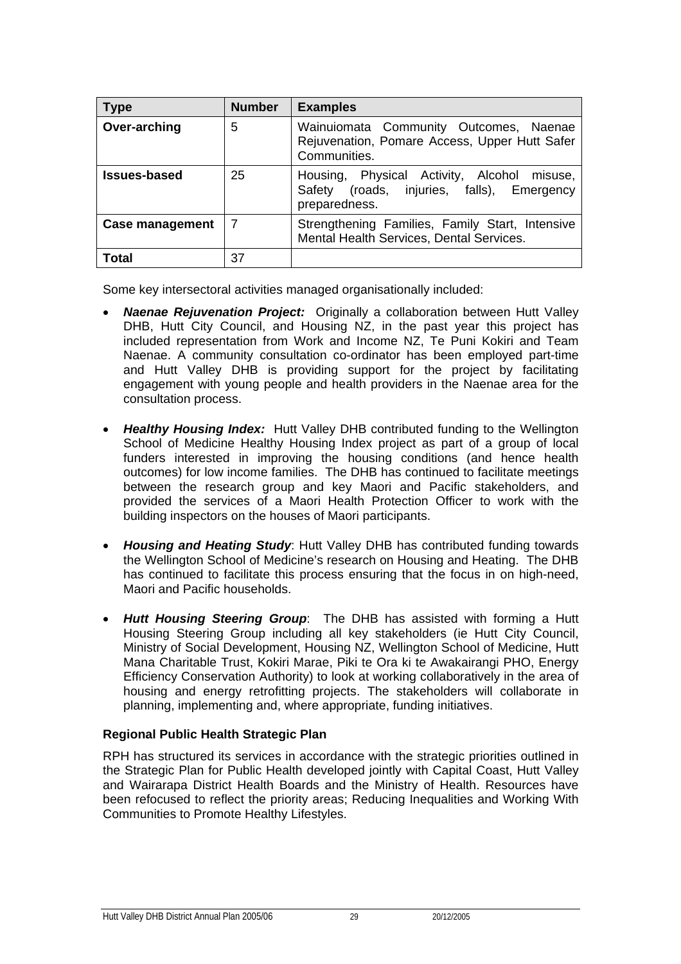| Type                   | <b>Number</b> | <b>Examples</b>                                                                                               |
|------------------------|---------------|---------------------------------------------------------------------------------------------------------------|
| Over-arching           | 5             | Wainuiomata Community Outcomes, Naenae<br>Rejuvenation, Pomare Access, Upper Hutt Safer<br>Communities.       |
| <b>Issues-based</b>    | 25            | Physical Activity, Alcohol misuse,<br>Housing,<br>Safety (roads, injuries, falls), Emergency<br>preparedness. |
| <b>Case management</b> | 7             | Strengthening Families, Family Start, Intensive<br>Mental Health Services, Dental Services.                   |
| Total                  | 37            |                                                                                                               |

Some key intersectoral activities managed organisationally included:

- *Naenae Rejuvenation Project:* Originally a collaboration between Hutt Valley DHB, Hutt City Council, and Housing NZ, in the past year this project has included representation from Work and Income NZ, Te Puni Kokiri and Team Naenae. A community consultation co-ordinator has been employed part-time and Hutt Valley DHB is providing support for the project by facilitating engagement with young people and health providers in the Naenae area for the consultation process.
- *Healthy Housing Index:* Hutt Valley DHB contributed funding to the Wellington School of Medicine Healthy Housing Index project as part of a group of local funders interested in improving the housing conditions (and hence health outcomes) for low income families. The DHB has continued to facilitate meetings between the research group and key Maori and Pacific stakeholders, and provided the services of a Maori Health Protection Officer to work with the building inspectors on the houses of Maori participants.
- *Housing and Heating Study*: Hutt Valley DHB has contributed funding towards the Wellington School of Medicine's research on Housing and Heating. The DHB has continued to facilitate this process ensuring that the focus in on high-need, Maori and Pacific households.
- *Hutt Housing Steering Group*: The DHB has assisted with forming a Hutt Housing Steering Group including all key stakeholders (ie Hutt City Council, Ministry of Social Development, Housing NZ, Wellington School of Medicine, Hutt Mana Charitable Trust, Kokiri Marae, Piki te Ora ki te Awakairangi PHO, Energy Efficiency Conservation Authority) to look at working collaboratively in the area of housing and energy retrofitting projects. The stakeholders will collaborate in planning, implementing and, where appropriate, funding initiatives.

### **Regional Public Health Strategic Plan**

RPH has structured its services in accordance with the strategic priorities outlined in the Strategic Plan for Public Health developed jointly with Capital Coast, Hutt Valley and Wairarapa District Health Boards and the Ministry of Health. Resources have been refocused to reflect the priority areas; Reducing Inequalities and Working With Communities to Promote Healthy Lifestyles.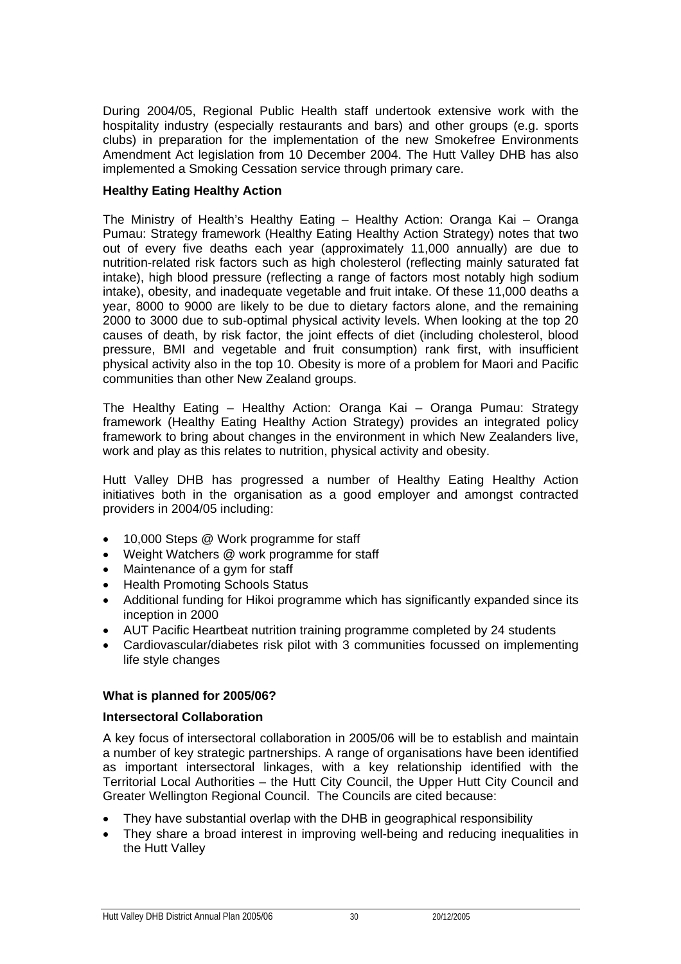During 2004/05, Regional Public Health staff undertook extensive work with the hospitality industry (especially restaurants and bars) and other groups (e.g. sports clubs) in preparation for the implementation of the new Smokefree Environments Amendment Act legislation from 10 December 2004. The Hutt Valley DHB has also implemented a Smoking Cessation service through primary care.

### **Healthy Eating Healthy Action**

The Ministry of Health's Healthy Eating – Healthy Action: Oranga Kai – Oranga Pumau: Strategy framework (Healthy Eating Healthy Action Strategy) notes that two out of every five deaths each year (approximately 11,000 annually) are due to nutrition-related risk factors such as high cholesterol (reflecting mainly saturated fat intake), high blood pressure (reflecting a range of factors most notably high sodium intake), obesity, and inadequate vegetable and fruit intake. Of these 11,000 deaths a year, 8000 to 9000 are likely to be due to dietary factors alone, and the remaining 2000 to 3000 due to sub-optimal physical activity levels. When looking at the top 20 causes of death, by risk factor, the joint effects of diet (including cholesterol, blood pressure, BMI and vegetable and fruit consumption) rank first, with insufficient physical activity also in the top 10. Obesity is more of a problem for Maori and Pacific communities than other New Zealand groups.

The Healthy Eating – Healthy Action: Oranga Kai – Oranga Pumau: Strategy framework (Healthy Eating Healthy Action Strategy) provides an integrated policy framework to bring about changes in the environment in which New Zealanders live, work and play as this relates to nutrition, physical activity and obesity.

Hutt Valley DHB has progressed a number of Healthy Eating Healthy Action initiatives both in the organisation as a good employer and amongst contracted providers in 2004/05 including:

- 10,000 Steps @ Work programme for staff
- Weight Watchers @ work programme for staff
- Maintenance of a gym for staff
- Health Promoting Schools Status
- Additional funding for Hikoi programme which has significantly expanded since its inception in 2000
- AUT Pacific Heartbeat nutrition training programme completed by 24 students
- Cardiovascular/diabetes risk pilot with 3 communities focussed on implementing life style changes

### **What is planned for 2005/06?**

### **Intersectoral Collaboration**

A key focus of intersectoral collaboration in 2005/06 will be to establish and maintain a number of key strategic partnerships. A range of organisations have been identified as important intersectoral linkages, with a key relationship identified with the Territorial Local Authorities – the Hutt City Council, the Upper Hutt City Council and Greater Wellington Regional Council. The Councils are cited because:

- They have substantial overlap with the DHB in geographical responsibility
- They share a broad interest in improving well-being and reducing inequalities in the Hutt Valley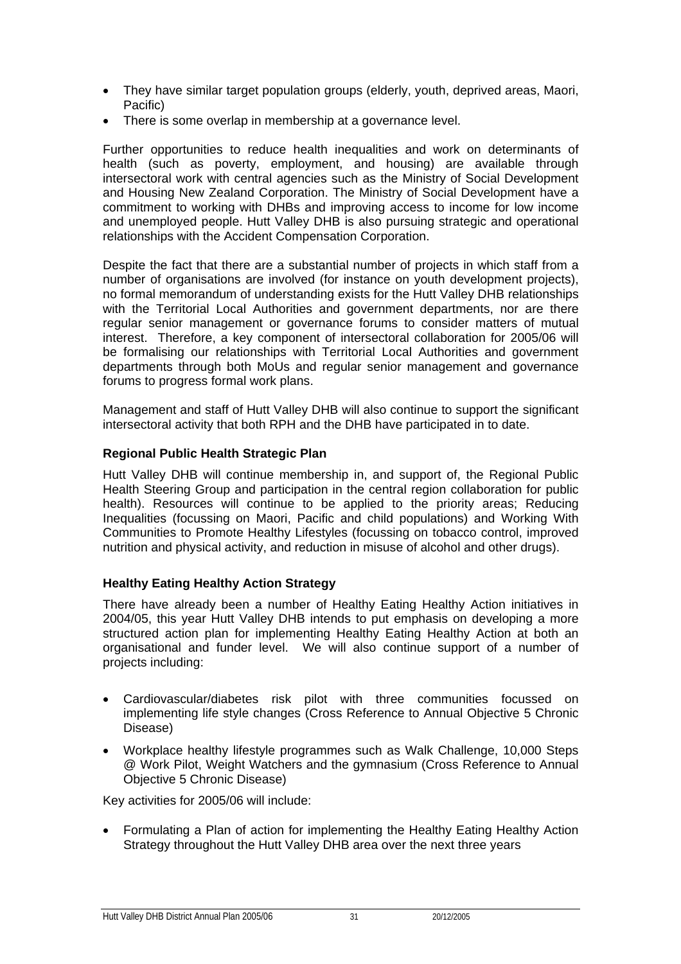- They have similar target population groups (elderly, youth, deprived areas, Maori, Pacific)
- There is some overlap in membership at a governance level.

Further opportunities to reduce health inequalities and work on determinants of health (such as poverty, employment, and housing) are available through intersectoral work with central agencies such as the Ministry of Social Development and Housing New Zealand Corporation. The Ministry of Social Development have a commitment to working with DHBs and improving access to income for low income and unemployed people. Hutt Valley DHB is also pursuing strategic and operational relationships with the Accident Compensation Corporation.

Despite the fact that there are a substantial number of projects in which staff from a number of organisations are involved (for instance on youth development projects), no formal memorandum of understanding exists for the Hutt Valley DHB relationships with the Territorial Local Authorities and government departments, nor are there regular senior management or governance forums to consider matters of mutual interest. Therefore, a key component of intersectoral collaboration for 2005/06 will be formalising our relationships with Territorial Local Authorities and government departments through both MoUs and regular senior management and governance forums to progress formal work plans.

Management and staff of Hutt Valley DHB will also continue to support the significant intersectoral activity that both RPH and the DHB have participated in to date.

## **Regional Public Health Strategic Plan**

Hutt Valley DHB will continue membership in, and support of, the Regional Public Health Steering Group and participation in the central region collaboration for public health). Resources will continue to be applied to the priority areas; Reducing Inequalities (focussing on Maori, Pacific and child populations) and Working With Communities to Promote Healthy Lifestyles (focussing on tobacco control, improved nutrition and physical activity, and reduction in misuse of alcohol and other drugs).

## **Healthy Eating Healthy Action Strategy**

There have already been a number of Healthy Eating Healthy Action initiatives in 2004/05, this year Hutt Valley DHB intends to put emphasis on developing a more structured action plan for implementing Healthy Eating Healthy Action at both an organisational and funder level. We will also continue support of a number of projects including:

- Cardiovascular/diabetes risk pilot with three communities focussed on implementing life style changes (Cross Reference to Annual Objective 5 Chronic Disease)
- Workplace healthy lifestyle programmes such as Walk Challenge, 10,000 Steps @ Work Pilot, Weight Watchers and the gymnasium (Cross Reference to Annual Objective 5 Chronic Disease)

Key activities for 2005/06 will include:

• Formulating a Plan of action for implementing the Healthy Eating Healthy Action Strategy throughout the Hutt Valley DHB area over the next three years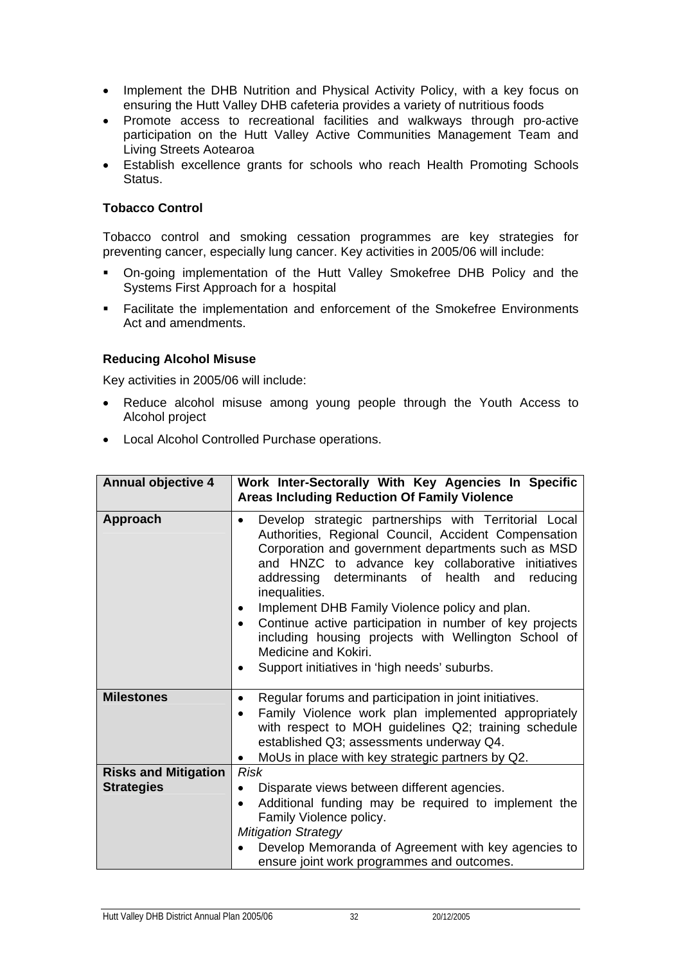- Implement the DHB Nutrition and Physical Activity Policy, with a key focus on ensuring the Hutt Valley DHB cafeteria provides a variety of nutritious foods
- Promote access to recreational facilities and walkways through pro-active participation on the Hutt Valley Active Communities Management Team and Living Streets Aotearoa
- Establish excellence grants for schools who reach Health Promoting Schools Status.

## **Tobacco Control**

Tobacco control and smoking cessation programmes are key strategies for preventing cancer, especially lung cancer. Key activities in 2005/06 will include:

- On-going implementation of the Hutt Valley Smokefree DHB Policy and the Systems First Approach for a hospital
- **Facilitate the implementation and enforcement of the Smokefree Environments** Act and amendments.

### **Reducing Alcohol Misuse**

Key activities in 2005/06 will include:

- Reduce alcohol misuse among young people through the Youth Access to Alcohol project
- Local Alcohol Controlled Purchase operations.

| <b>Annual objective 4</b>   | Work Inter-Sectorally With Key Agencies In Specific<br><b>Areas Including Reduction Of Family Violence</b>                                                                                                                                                                                                                                                                                                                                                                                                                                                                         |
|-----------------------------|------------------------------------------------------------------------------------------------------------------------------------------------------------------------------------------------------------------------------------------------------------------------------------------------------------------------------------------------------------------------------------------------------------------------------------------------------------------------------------------------------------------------------------------------------------------------------------|
| <b>Approach</b>             | Develop strategic partnerships with Territorial Local<br>$\bullet$<br>Authorities, Regional Council, Accident Compensation<br>Corporation and government departments such as MSD<br>and HNZC to advance key collaborative initiatives<br>addressing determinants of health and<br>reducing<br>inequalities.<br>Implement DHB Family Violence policy and plan.<br>$\bullet$<br>Continue active participation in number of key projects<br>$\bullet$<br>including housing projects with Wellington School of<br>Medicine and Kokiri.<br>Support initiatives in 'high needs' suburbs. |
| <b>Milestones</b>           | Regular forums and participation in joint initiatives.<br>$\bullet$<br>Family Violence work plan implemented appropriately<br>$\bullet$<br>with respect to MOH guidelines Q2; training schedule<br>established Q3; assessments underway Q4.<br>MoUs in place with key strategic partners by Q2.                                                                                                                                                                                                                                                                                    |
| <b>Risks and Mitigation</b> | <b>Risk</b>                                                                                                                                                                                                                                                                                                                                                                                                                                                                                                                                                                        |
| <b>Strategies</b>           | Disparate views between different agencies.<br>$\bullet$<br>Additional funding may be required to implement the<br>$\bullet$<br>Family Violence policy.<br><b>Mitigation Strategy</b><br>Develop Memoranda of Agreement with key agencies to<br>ensure joint work programmes and outcomes.                                                                                                                                                                                                                                                                                         |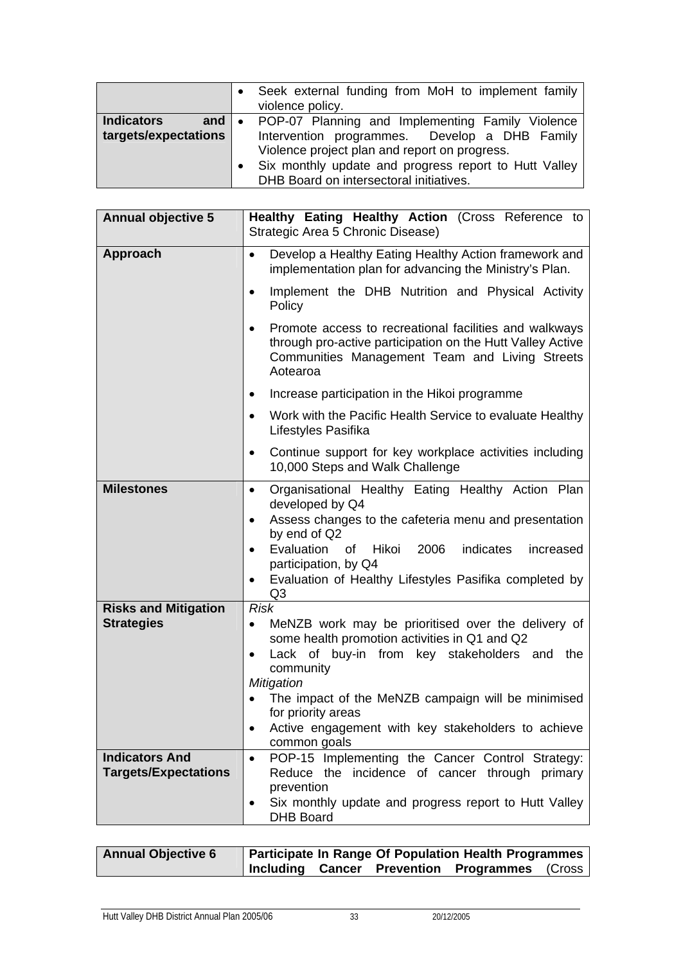|                                                               | Seek external funding from MoH to implement family<br>violence policy.                                                                                                                                                                                 |
|---------------------------------------------------------------|--------------------------------------------------------------------------------------------------------------------------------------------------------------------------------------------------------------------------------------------------------|
| <b>Indicators</b><br>and $\mathsf{I}$<br>targets/expectations | POP-07 Planning and Implementing Family Violence<br>Intervention programmes. Develop a DHB Family<br>Violence project plan and report on progress.<br>Six monthly update and progress report to Hutt Valley<br>DHB Board on intersectoral initiatives. |

| <b>Annual objective 5</b>   | Healthy Eating Healthy Action (Cross Reference to<br>Strategic Area 5 Chronic Disease)                                                                                             |
|-----------------------------|------------------------------------------------------------------------------------------------------------------------------------------------------------------------------------|
| <b>Approach</b>             | Develop a Healthy Eating Healthy Action framework and<br>$\bullet$<br>implementation plan for advancing the Ministry's Plan.                                                       |
|                             | Implement the DHB Nutrition and Physical Activity<br>Policy                                                                                                                        |
|                             | Promote access to recreational facilities and walkways<br>through pro-active participation on the Hutt Valley Active<br>Communities Management Team and Living Streets<br>Aotearoa |
|                             | Increase participation in the Hikoi programme<br>$\bullet$                                                                                                                         |
|                             | Work with the Pacific Health Service to evaluate Healthy<br>Lifestyles Pasifika                                                                                                    |
|                             | Continue support for key workplace activities including<br>$\bullet$<br>10,000 Steps and Walk Challenge                                                                            |
| <b>Milestones</b>           | Organisational Healthy Eating Healthy Action Plan<br>$\bullet$<br>developed by Q4                                                                                                  |
|                             | Assess changes to the cafeteria menu and presentation<br>٠                                                                                                                         |
|                             | by end of Q2                                                                                                                                                                       |
|                             | Evaluation<br>Hikoi<br>2006<br>indicates<br>0f<br>increased<br>$\bullet$<br>participation, by Q4                                                                                   |
|                             | Evaluation of Healthy Lifestyles Pasifika completed by<br>Q3                                                                                                                       |
| <b>Risks and Mitigation</b> | <b>Risk</b>                                                                                                                                                                        |
| <b>Strategies</b>           | MeNZB work may be prioritised over the delivery of<br>٠                                                                                                                            |
|                             | some health promotion activities in Q1 and Q2<br>Lack of buy-in from key stakeholders and the                                                                                      |
|                             | community                                                                                                                                                                          |
|                             | <b>Mitigation</b>                                                                                                                                                                  |
|                             | The impact of the MeNZB campaign will be minimised<br>for priority areas                                                                                                           |
|                             | Active engagement with key stakeholders to achieve                                                                                                                                 |
|                             | common goals                                                                                                                                                                       |
| <b>Indicators And</b>       | POP-15 Implementing the Cancer Control Strategy:<br>$\bullet$                                                                                                                      |
| <b>Targets/Expectations</b> | Reduce the incidence of cancer through primary<br>prevention                                                                                                                       |
|                             | Six monthly update and progress report to Hutt Valley<br><b>DHB Board</b>                                                                                                          |

| <b>Annual Objective 6</b> |  | Participate In Range Of Population Health Programmes |  |
|---------------------------|--|------------------------------------------------------|--|
|                           |  | Including Cancer Prevention Programmes (Cross)       |  |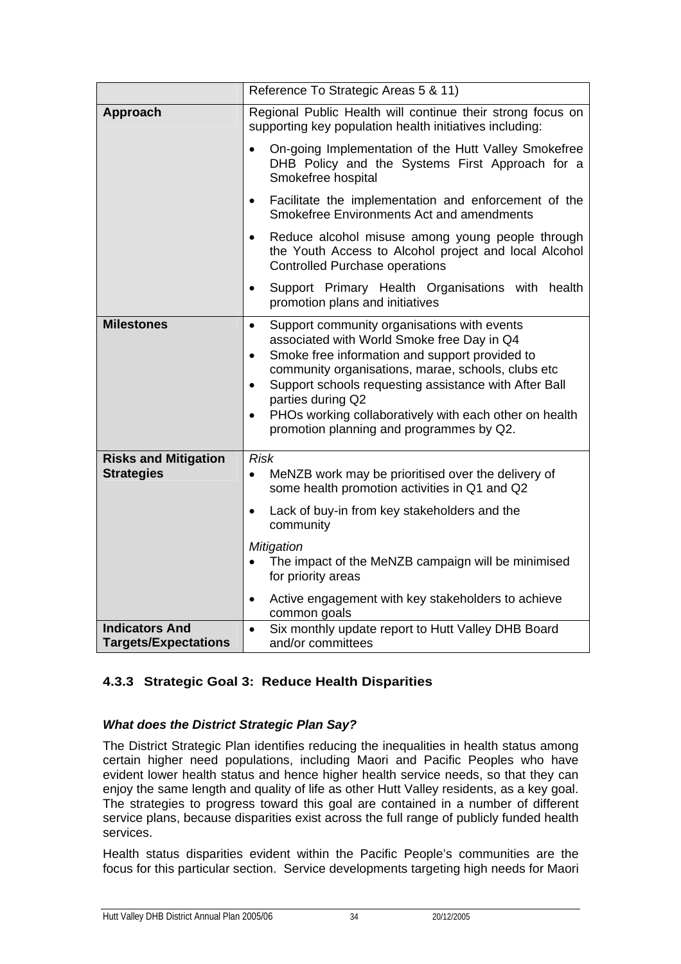|                                                      | Reference To Strategic Areas 5 & 11)                                                                                                                                                                                                                                                                                                                                                                                                      |
|------------------------------------------------------|-------------------------------------------------------------------------------------------------------------------------------------------------------------------------------------------------------------------------------------------------------------------------------------------------------------------------------------------------------------------------------------------------------------------------------------------|
| <b>Approach</b>                                      | Regional Public Health will continue their strong focus on<br>supporting key population health initiatives including:                                                                                                                                                                                                                                                                                                                     |
|                                                      | On-going Implementation of the Hutt Valley Smokefree<br>DHB Policy and the Systems First Approach for a<br>Smokefree hospital                                                                                                                                                                                                                                                                                                             |
|                                                      | Facilitate the implementation and enforcement of the<br>$\bullet$<br>Smokefree Environments Act and amendments                                                                                                                                                                                                                                                                                                                            |
|                                                      | Reduce alcohol misuse among young people through<br>$\bullet$<br>the Youth Access to Alcohol project and local Alcohol<br><b>Controlled Purchase operations</b>                                                                                                                                                                                                                                                                           |
|                                                      | Support Primary Health Organisations with health<br>$\bullet$<br>promotion plans and initiatives                                                                                                                                                                                                                                                                                                                                          |
| <b>Milestones</b>                                    | Support community organisations with events<br>$\bullet$<br>associated with World Smoke free Day in Q4<br>Smoke free information and support provided to<br>$\bullet$<br>community organisations, marae, schools, clubs etc<br>Support schools requesting assistance with After Ball<br>$\bullet$<br>parties during Q2<br>PHOs working collaboratively with each other on health<br>$\bullet$<br>promotion planning and programmes by Q2. |
| <b>Risks and Mitigation</b><br><b>Strategies</b>     | <b>Risk</b><br>MeNZB work may be prioritised over the delivery of<br>$\bullet$<br>some health promotion activities in Q1 and Q2                                                                                                                                                                                                                                                                                                           |
|                                                      | Lack of buy-in from key stakeholders and the<br>$\bullet$<br>community                                                                                                                                                                                                                                                                                                                                                                    |
|                                                      | <b>Mitigation</b><br>The impact of the MeNZB campaign will be minimised<br>for priority areas                                                                                                                                                                                                                                                                                                                                             |
|                                                      | Active engagement with key stakeholders to achieve<br>common goals                                                                                                                                                                                                                                                                                                                                                                        |
| <b>Indicators And</b><br><b>Targets/Expectations</b> | Six monthly update report to Hutt Valley DHB Board<br>$\bullet$<br>and/or committees                                                                                                                                                                                                                                                                                                                                                      |

# **4.3.3 Strategic Goal 3: Reduce Health Disparities**

## *What does the District Strategic Plan Say?*

The District Strategic Plan identifies reducing the inequalities in health status among certain higher need populations, including Maori and Pacific Peoples who have evident lower health status and hence higher health service needs, so that they can enjoy the same length and quality of life as other Hutt Valley residents, as a key goal. The strategies to progress toward this goal are contained in a number of different service plans, because disparities exist across the full range of publicly funded health services.

Health status disparities evident within the Pacific People's communities are the focus for this particular section. Service developments targeting high needs for Maori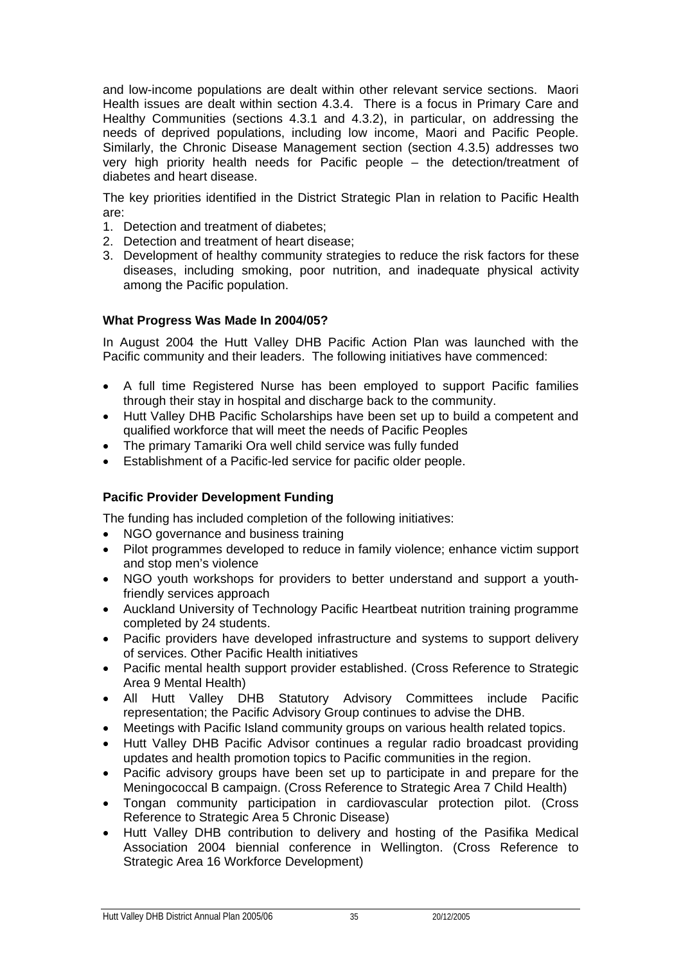and low-income populations are dealt within other relevant service sections. Maori Health issues are dealt within section 4.3.4. There is a focus in Primary Care and Healthy Communities (sections 4.3.1 and 4.3.2), in particular, on addressing the needs of deprived populations, including low income, Maori and Pacific People. Similarly, the Chronic Disease Management section (section 4.3.5) addresses two very high priority health needs for Pacific people – the detection/treatment of diabetes and heart disease.

The key priorities identified in the District Strategic Plan in relation to Pacific Health are:

- 1. Detection and treatment of diabetes;
- 2. Detection and treatment of heart disease;
- 3. Development of healthy community strategies to reduce the risk factors for these diseases, including smoking, poor nutrition, and inadequate physical activity among the Pacific population.

### **What Progress Was Made In 2004/05?**

In August 2004 the Hutt Valley DHB Pacific Action Plan was launched with the Pacific community and their leaders. The following initiatives have commenced:

- A full time Registered Nurse has been employed to support Pacific families through their stay in hospital and discharge back to the community.
- Hutt Valley DHB Pacific Scholarships have been set up to build a competent and qualified workforce that will meet the needs of Pacific Peoples
- The primary Tamariki Ora well child service was fully funded
- Establishment of a Pacific-led service for pacific older people.

## **Pacific Provider Development Funding**

The funding has included completion of the following initiatives:

- NGO governance and business training
- Pilot programmes developed to reduce in family violence; enhance victim support and stop men's violence
- NGO youth workshops for providers to better understand and support a youthfriendly services approach
- Auckland University of Technology Pacific Heartbeat nutrition training programme completed by 24 students.
- Pacific providers have developed infrastructure and systems to support delivery of services. Other Pacific Health initiatives
- Pacific mental health support provider established. (Cross Reference to Strategic Area 9 Mental Health)
- All Hutt Valley DHB Statutory Advisory Committees include Pacific representation; the Pacific Advisory Group continues to advise the DHB.
- Meetings with Pacific Island community groups on various health related topics.
- Hutt Valley DHB Pacific Advisor continues a regular radio broadcast providing updates and health promotion topics to Pacific communities in the region.
- Pacific advisory groups have been set up to participate in and prepare for the Meningococcal B campaign. (Cross Reference to Strategic Area 7 Child Health)
- Tongan community participation in cardiovascular protection pilot. (Cross Reference to Strategic Area 5 Chronic Disease)
- Hutt Valley DHB contribution to delivery and hosting of the Pasifika Medical Association 2004 biennial conference in Wellington. (Cross Reference to Strategic Area 16 Workforce Development)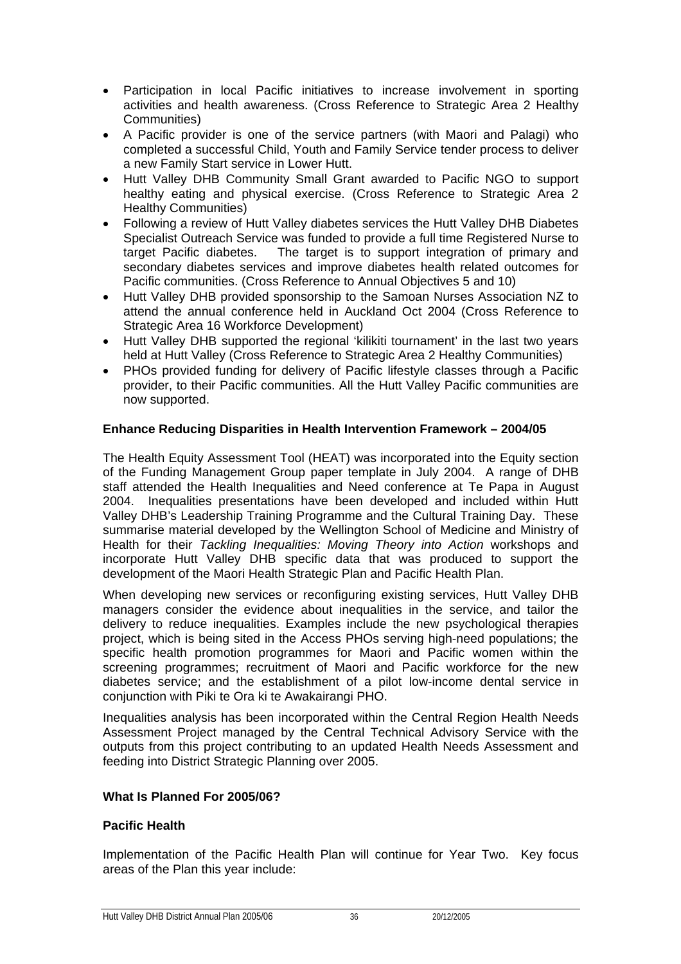- Participation in local Pacific initiatives to increase involvement in sporting activities and health awareness. (Cross Reference to Strategic Area 2 Healthy Communities)
- A Pacific provider is one of the service partners (with Maori and Palagi) who completed a successful Child, Youth and Family Service tender process to deliver a new Family Start service in Lower Hutt.
- Hutt Valley DHB Community Small Grant awarded to Pacific NGO to support healthy eating and physical exercise. (Cross Reference to Strategic Area 2 Healthy Communities)
- Following a review of Hutt Valley diabetes services the Hutt Valley DHB Diabetes Specialist Outreach Service was funded to provide a full time Registered Nurse to target Pacific diabetes. The target is to support integration of primary and secondary diabetes services and improve diabetes health related outcomes for Pacific communities. (Cross Reference to Annual Objectives 5 and 10)
- Hutt Valley DHB provided sponsorship to the Samoan Nurses Association NZ to attend the annual conference held in Auckland Oct 2004 (Cross Reference to Strategic Area 16 Workforce Development)
- Hutt Valley DHB supported the regional 'kilikiti tournament' in the last two years held at Hutt Valley (Cross Reference to Strategic Area 2 Healthy Communities)
- PHOs provided funding for delivery of Pacific lifestyle classes through a Pacific provider, to their Pacific communities. All the Hutt Valley Pacific communities are now supported.

## **Enhance Reducing Disparities in Health Intervention Framework – 2004/05**

The Health Equity Assessment Tool (HEAT) was incorporated into the Equity section of the Funding Management Group paper template in July 2004. A range of DHB staff attended the Health Inequalities and Need conference at Te Papa in August 2004. Inequalities presentations have been developed and included within Hutt Valley DHB's Leadership Training Programme and the Cultural Training Day. These summarise material developed by the Wellington School of Medicine and Ministry of Health for their *Tackling Inequalities: Moving Theory into Action* workshops and incorporate Hutt Valley DHB specific data that was produced to support the development of the Maori Health Strategic Plan and Pacific Health Plan.

When developing new services or reconfiguring existing services, Hutt Valley DHB managers consider the evidence about inequalities in the service, and tailor the delivery to reduce inequalities. Examples include the new psychological therapies project, which is being sited in the Access PHOs serving high-need populations; the specific health promotion programmes for Maori and Pacific women within the screening programmes; recruitment of Maori and Pacific workforce for the new diabetes service; and the establishment of a pilot low-income dental service in conjunction with Piki te Ora ki te Awakairangi PHO.

Inequalities analysis has been incorporated within the Central Region Health Needs Assessment Project managed by the Central Technical Advisory Service with the outputs from this project contributing to an updated Health Needs Assessment and feeding into District Strategic Planning over 2005.

## **What Is Planned For 2005/06?**

## **Pacific Health**

Implementation of the Pacific Health Plan will continue for Year Two. Key focus areas of the Plan this year include: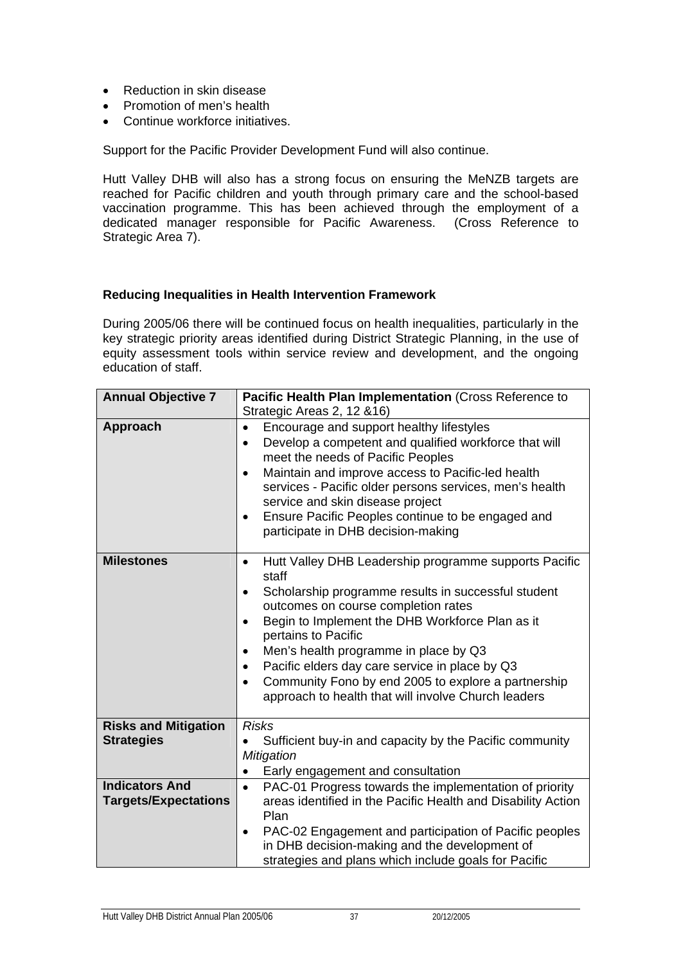- Reduction in skin disease
- Promotion of men's health
- Continue workforce initiatives.

Support for the Pacific Provider Development Fund will also continue.

Hutt Valley DHB will also has a strong focus on ensuring the MeNZB targets are reached for Pacific children and youth through primary care and the school-based vaccination programme. This has been achieved through the employment of a dedicated manager responsible for Pacific Awareness. (Cross Reference to Strategic Area 7).

### **Reducing Inequalities in Health Intervention Framework**

During 2005/06 there will be continued focus on health inequalities, particularly in the key strategic priority areas identified during District Strategic Planning, in the use of equity assessment tools within service review and development, and the ongoing education of staff.

| <b>Annual Objective 7</b>   | Pacific Health Plan Implementation (Cross Reference to                                                                                                                                                                                                                                                                                                                                                                                                                                 |
|-----------------------------|----------------------------------------------------------------------------------------------------------------------------------------------------------------------------------------------------------------------------------------------------------------------------------------------------------------------------------------------------------------------------------------------------------------------------------------------------------------------------------------|
|                             | Strategic Areas 2, 12 & 16)                                                                                                                                                                                                                                                                                                                                                                                                                                                            |
| Approach                    | Encourage and support healthy lifestyles<br>Develop a competent and qualified workforce that will<br>$\bullet$<br>meet the needs of Pacific Peoples<br>Maintain and improve access to Pacific-led health<br>$\bullet$<br>services - Pacific older persons services, men's health<br>service and skin disease project<br>Ensure Pacific Peoples continue to be engaged and<br>$\bullet$<br>participate in DHB decision-making                                                           |
| <b>Milestones</b>           | Hutt Valley DHB Leadership programme supports Pacific<br>$\bullet$<br>staff<br>Scholarship programme results in successful student<br>$\bullet$<br>outcomes on course completion rates<br>Begin to Implement the DHB Workforce Plan as it<br>pertains to Pacific<br>Men's health programme in place by Q3<br>Pacific elders day care service in place by Q3<br>Community Fono by end 2005 to explore a partnership<br>$\bullet$<br>approach to health that will involve Church leaders |
| <b>Risks and Mitigation</b> | <b>Risks</b>                                                                                                                                                                                                                                                                                                                                                                                                                                                                           |
| <b>Strategies</b>           | Sufficient buy-in and capacity by the Pacific community                                                                                                                                                                                                                                                                                                                                                                                                                                |
|                             | <b>Mitigation</b>                                                                                                                                                                                                                                                                                                                                                                                                                                                                      |
|                             | Early engagement and consultation                                                                                                                                                                                                                                                                                                                                                                                                                                                      |
| <b>Indicators And</b>       | PAC-01 Progress towards the implementation of priority<br>$\bullet$                                                                                                                                                                                                                                                                                                                                                                                                                    |
| <b>Targets/Expectations</b> | areas identified in the Pacific Health and Disability Action                                                                                                                                                                                                                                                                                                                                                                                                                           |
|                             | Plan                                                                                                                                                                                                                                                                                                                                                                                                                                                                                   |
|                             | PAC-02 Engagement and participation of Pacific peoples<br>$\bullet$<br>in DHB decision-making and the development of                                                                                                                                                                                                                                                                                                                                                                   |
|                             |                                                                                                                                                                                                                                                                                                                                                                                                                                                                                        |
|                             | strategies and plans which include goals for Pacific                                                                                                                                                                                                                                                                                                                                                                                                                                   |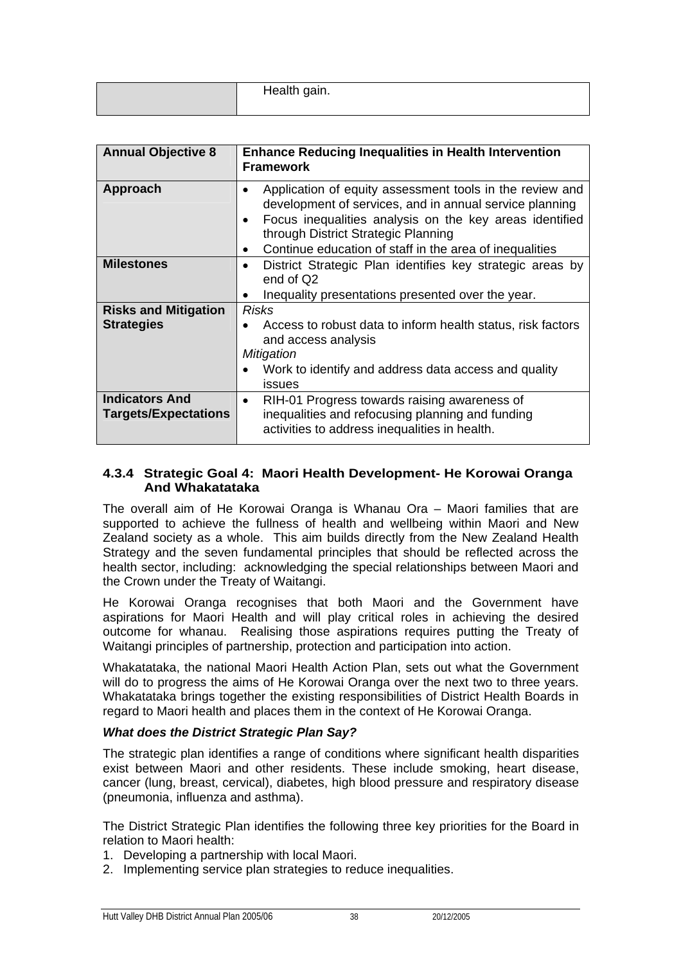| Health gain. |
|--------------|
|              |

| <b>Annual Objective 8</b>                            | <b>Enhance Reducing Inequalities in Health Intervention</b><br><b>Framework</b>                                                                                                                                                                                                  |
|------------------------------------------------------|----------------------------------------------------------------------------------------------------------------------------------------------------------------------------------------------------------------------------------------------------------------------------------|
| Approach                                             | Application of equity assessment tools in the review and<br>development of services, and in annual service planning<br>Focus inequalities analysis on the key areas identified<br>through District Strategic Planning<br>Continue education of staff in the area of inequalities |
| <b>Milestones</b>                                    | District Strategic Plan identifies key strategic areas by<br>end of Q2<br>Inequality presentations presented over the year.                                                                                                                                                      |
| <b>Risks and Mitigation</b><br><b>Strategies</b>     | <b>Risks</b><br>Access to robust data to inform health status, risk factors<br>and access analysis<br><b>Mitigation</b><br>Work to identify and address data access and quality<br>issues                                                                                        |
| <b>Indicators And</b><br><b>Targets/Expectations</b> | RIH-01 Progress towards raising awareness of<br>$\bullet$<br>inequalities and refocusing planning and funding<br>activities to address inequalities in health.                                                                                                                   |

### **4.3.4 Strategic Goal 4: Maori Health Development- He Korowai Oranga And Whakatataka**

The overall aim of He Korowai Oranga is Whanau Ora – Maori families that are supported to achieve the fullness of health and wellbeing within Maori and New Zealand society as a whole. This aim builds directly from the New Zealand Health Strategy and the seven fundamental principles that should be reflected across the health sector, including: acknowledging the special relationships between Maori and the Crown under the Treaty of Waitangi.

He Korowai Oranga recognises that both Maori and the Government have aspirations for Maori Health and will play critical roles in achieving the desired outcome for whanau. Realising those aspirations requires putting the Treaty of Waitangi principles of partnership, protection and participation into action.

Whakatataka, the national Maori Health Action Plan, sets out what the Government will do to progress the aims of He Korowai Oranga over the next two to three years. Whakatataka brings together the existing responsibilities of District Health Boards in regard to Maori health and places them in the context of He Korowai Oranga.

## *What does the District Strategic Plan Say?*

The strategic plan identifies a range of conditions where significant health disparities exist between Maori and other residents. These include smoking, heart disease, cancer (lung, breast, cervical), diabetes, high blood pressure and respiratory disease (pneumonia, influenza and asthma).

The District Strategic Plan identifies the following three key priorities for the Board in relation to Maori health:

- 1. Developing a partnership with local Maori.
- 2. Implementing service plan strategies to reduce inequalities.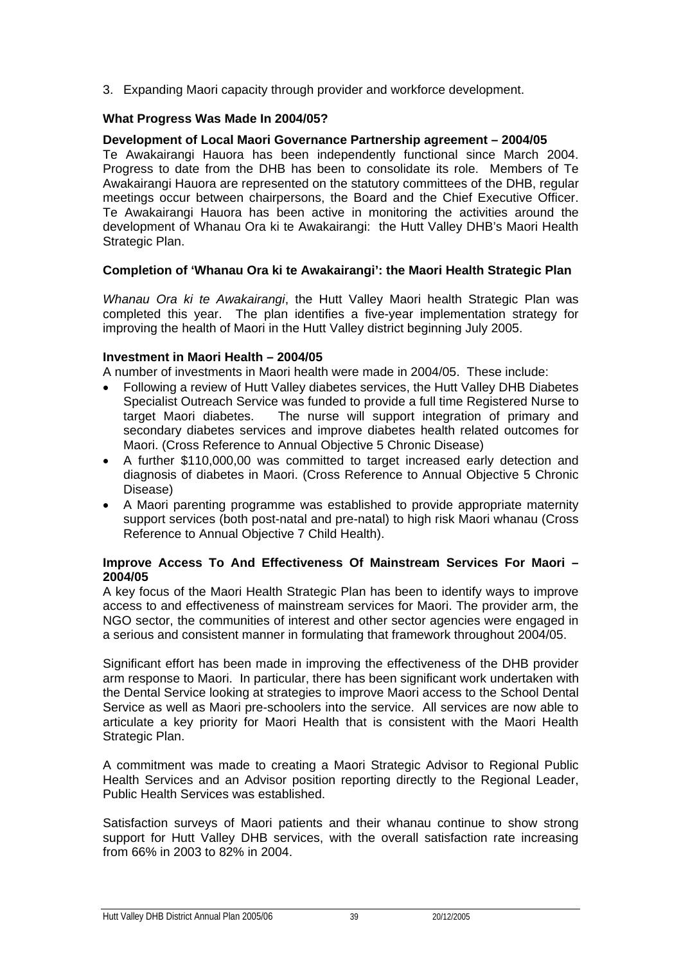3. Expanding Maori capacity through provider and workforce development.

## **What Progress Was Made In 2004/05?**

### **Development of Local Maori Governance Partnership agreement – 2004/05**

Te Awakairangi Hauora has been independently functional since March 2004. Progress to date from the DHB has been to consolidate its role. Members of Te Awakairangi Hauora are represented on the statutory committees of the DHB, regular meetings occur between chairpersons, the Board and the Chief Executive Officer. Te Awakairangi Hauora has been active in monitoring the activities around the development of Whanau Ora ki te Awakairangi: the Hutt Valley DHB's Maori Health Strategic Plan.

### **Completion of 'Whanau Ora ki te Awakairangi': the Maori Health Strategic Plan**

*Whanau Ora ki te Awakairangi*, the Hutt Valley Maori health Strategic Plan was completed this year. The plan identifies a five-year implementation strategy for improving the health of Maori in the Hutt Valley district beginning July 2005.

### **Investment in Maori Health – 2004/05**

A number of investments in Maori health were made in 2004/05. These include:

- Following a review of Hutt Valley diabetes services, the Hutt Valley DHB Diabetes Specialist Outreach Service was funded to provide a full time Registered Nurse to target Maori diabetes. The nurse will support integration of primary and secondary diabetes services and improve diabetes health related outcomes for Maori. (Cross Reference to Annual Objective 5 Chronic Disease)
- A further \$110,000,00 was committed to target increased early detection and diagnosis of diabetes in Maori. (Cross Reference to Annual Objective 5 Chronic Disease)
- A Maori parenting programme was established to provide appropriate maternity support services (both post-natal and pre-natal) to high risk Maori whanau (Cross Reference to Annual Objective 7 Child Health).

### **Improve Access To And Effectiveness Of Mainstream Services For Maori – 2004/05**

A key focus of the Maori Health Strategic Plan has been to identify ways to improve access to and effectiveness of mainstream services for Maori. The provider arm, the NGO sector, the communities of interest and other sector agencies were engaged in a serious and consistent manner in formulating that framework throughout 2004/05.

Significant effort has been made in improving the effectiveness of the DHB provider arm response to Maori. In particular, there has been significant work undertaken with the Dental Service looking at strategies to improve Maori access to the School Dental Service as well as Maori pre-schoolers into the service. All services are now able to articulate a key priority for Maori Health that is consistent with the Maori Health Strategic Plan.

A commitment was made to creating a Maori Strategic Advisor to Regional Public Health Services and an Advisor position reporting directly to the Regional Leader, Public Health Services was established.

Satisfaction surveys of Maori patients and their whanau continue to show strong support for Hutt Valley DHB services, with the overall satisfaction rate increasing from 66% in 2003 to 82% in 2004.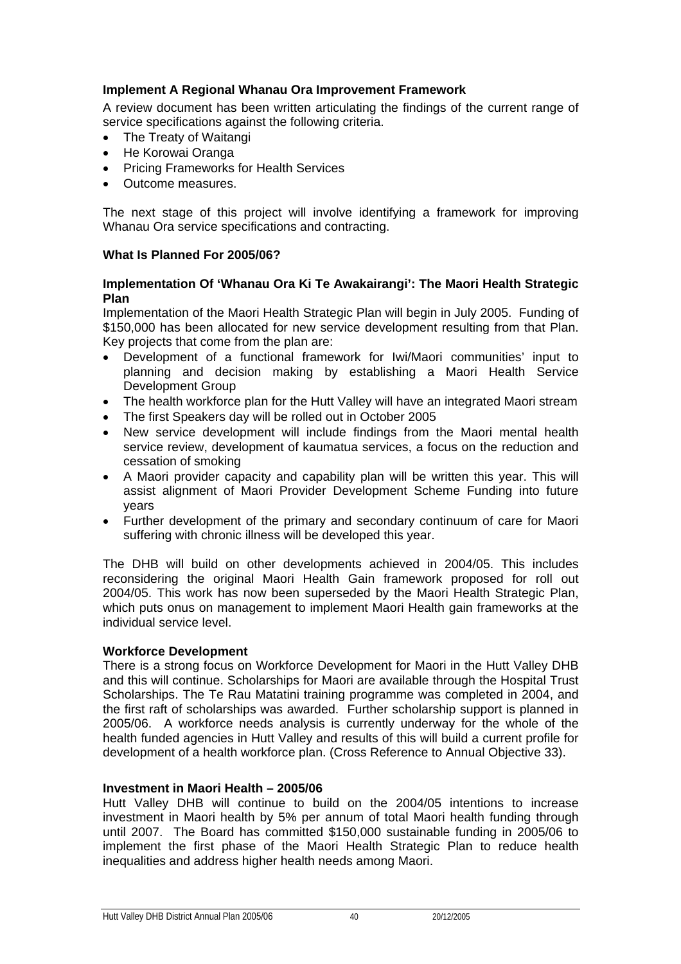## **Implement A Regional Whanau Ora Improvement Framework**

A review document has been written articulating the findings of the current range of service specifications against the following criteria.

- The Treaty of Waitangi
- He Korowai Oranga
- Pricing Frameworks for Health Services
- Outcome measures.

The next stage of this project will involve identifying a framework for improving Whanau Ora service specifications and contracting.

## **What Is Planned For 2005/06?**

### **Implementation Of 'Whanau Ora Ki Te Awakairangi': The Maori Health Strategic Plan**

Implementation of the Maori Health Strategic Plan will begin in July 2005. Funding of \$150,000 has been allocated for new service development resulting from that Plan. Key projects that come from the plan are:

- Development of a functional framework for Iwi/Maori communities' input to planning and decision making by establishing a Maori Health Service Development Group
- The health workforce plan for the Hutt Valley will have an integrated Maori stream
- The first Speakers day will be rolled out in October 2005
- New service development will include findings from the Maori mental health service review, development of kaumatua services, a focus on the reduction and cessation of smoking
- A Maori provider capacity and capability plan will be written this year. This will assist alignment of Maori Provider Development Scheme Funding into future years
- Further development of the primary and secondary continuum of care for Maori suffering with chronic illness will be developed this year.

The DHB will build on other developments achieved in 2004/05. This includes reconsidering the original Maori Health Gain framework proposed for roll out 2004/05. This work has now been superseded by the Maori Health Strategic Plan, which puts onus on management to implement Maori Health gain frameworks at the individual service level.

## **Workforce Development**

There is a strong focus on Workforce Development for Maori in the Hutt Valley DHB and this will continue. Scholarships for Maori are available through the Hospital Trust Scholarships. The Te Rau Matatini training programme was completed in 2004, and the first raft of scholarships was awarded. Further scholarship support is planned in 2005/06. A workforce needs analysis is currently underway for the whole of the health funded agencies in Hutt Valley and results of this will build a current profile for development of a health workforce plan. (Cross Reference to Annual Objective 33).

### **Investment in Maori Health – 2005/06**

Hutt Valley DHB will continue to build on the 2004/05 intentions to increase investment in Maori health by 5% per annum of total Maori health funding through until 2007. The Board has committed \$150,000 sustainable funding in 2005/06 to implement the first phase of the Maori Health Strategic Plan to reduce health inequalities and address higher health needs among Maori.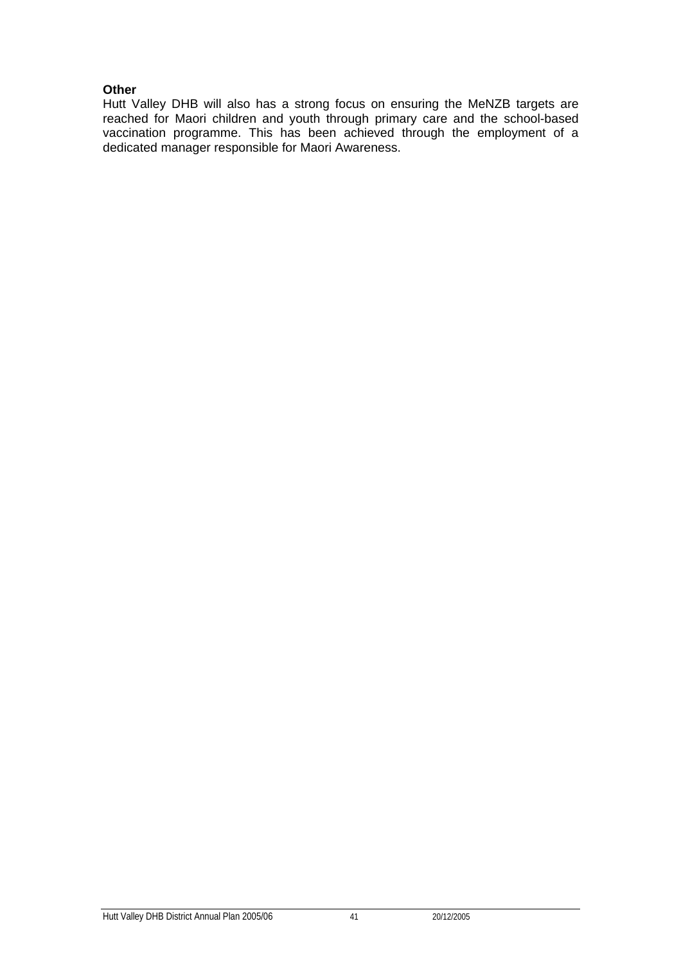### **Other**

Hutt Valley DHB will also has a strong focus on ensuring the MeNZB targets are reached for Maori children and youth through primary care and the school-based vaccination programme. This has been achieved through the employment of a dedicated manager responsible for Maori Awareness.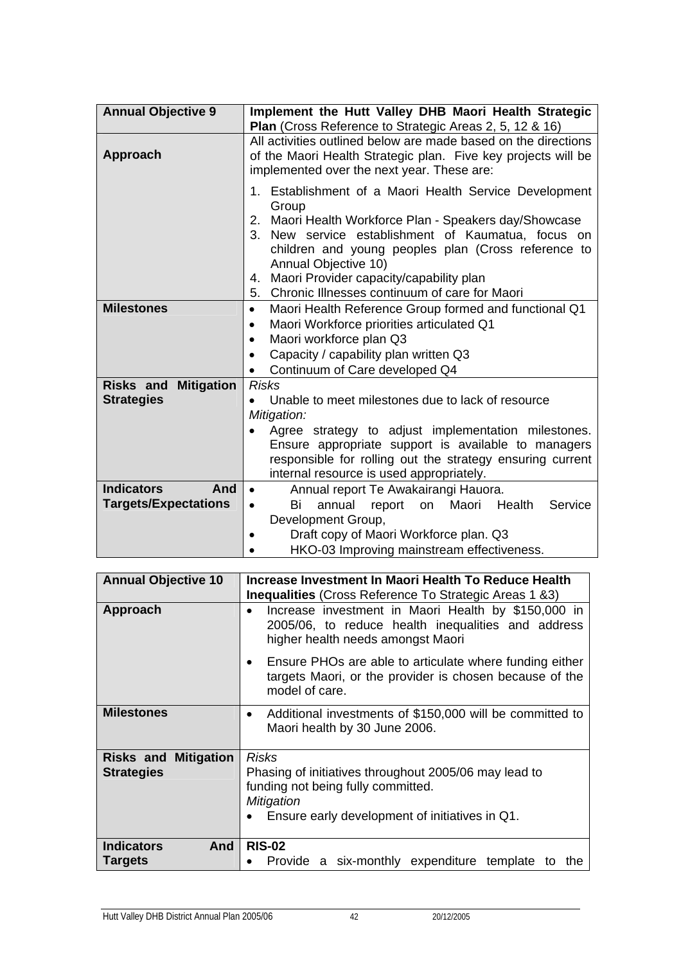| <b>Annual Objective 9</b>                        | Implement the Hutt Valley DHB Maori Health Strategic<br>Plan (Cross Reference to Strategic Areas 2, 5, 12 & 16)                                                                                                                                                                                                                                                              |
|--------------------------------------------------|------------------------------------------------------------------------------------------------------------------------------------------------------------------------------------------------------------------------------------------------------------------------------------------------------------------------------------------------------------------------------|
| Approach                                         | All activities outlined below are made based on the directions<br>of the Maori Health Strategic plan. Five key projects will be<br>implemented over the next year. These are:                                                                                                                                                                                                |
|                                                  | 1. Establishment of a Maori Health Service Development<br>Group<br>Maori Health Workforce Plan - Speakers day/Showcase<br>2.<br>3.<br>New service establishment of Kaumatua, focus on<br>children and young peoples plan (Cross reference to<br>Annual Objective 10)<br>Maori Provider capacity/capability plan<br>4.<br>Chronic Illnesses continuum of care for Maori<br>5. |
| <b>Milestones</b>                                | Maori Health Reference Group formed and functional Q1<br>$\bullet$                                                                                                                                                                                                                                                                                                           |
|                                                  | Maori Workforce priorities articulated Q1<br>$\bullet$<br>Maori workforce plan Q3<br>$\bullet$                                                                                                                                                                                                                                                                               |
|                                                  | Capacity / capability plan written Q3                                                                                                                                                                                                                                                                                                                                        |
|                                                  | Continuum of Care developed Q4<br>$\bullet$                                                                                                                                                                                                                                                                                                                                  |
| <b>Risks and Mitigation</b>                      | <b>Risks</b>                                                                                                                                                                                                                                                                                                                                                                 |
| <b>Strategies</b>                                | Unable to meet milestones due to lack of resource<br>$\bullet$<br>Mitigation:                                                                                                                                                                                                                                                                                                |
|                                                  | Agree strategy to adjust implementation milestones.                                                                                                                                                                                                                                                                                                                          |
|                                                  | Ensure appropriate support is available to managers                                                                                                                                                                                                                                                                                                                          |
|                                                  | responsible for rolling out the strategy ensuring current                                                                                                                                                                                                                                                                                                                    |
| <b>Indicators</b><br>And                         | internal resource is used appropriately.<br>Annual report Te Awakairangi Hauora.<br>$\bullet$                                                                                                                                                                                                                                                                                |
| <b>Targets/Expectations</b>                      | Maori<br>annual<br>report<br>Health<br>Service<br>Bi<br>on<br>$\bullet$                                                                                                                                                                                                                                                                                                      |
|                                                  | Development Group,                                                                                                                                                                                                                                                                                                                                                           |
|                                                  | Draft copy of Maori Workforce plan. Q3                                                                                                                                                                                                                                                                                                                                       |
|                                                  | HKO-03 Improving mainstream effectiveness.                                                                                                                                                                                                                                                                                                                                   |
| <b>Annual Objective 10</b>                       | Increase Investment In Maori Health To Reduce Health                                                                                                                                                                                                                                                                                                                         |
|                                                  | <b>Inequalities</b> (Cross Reference To Strategic Areas 1 &3)                                                                                                                                                                                                                                                                                                                |
| <b>Approach</b>                                  | Increase investment in Maori Health by \$150,000 in<br>$\bullet$<br>2005/06, to reduce health inequalities and address<br>higher health needs amongst Maori                                                                                                                                                                                                                  |
|                                                  | Ensure PHOs are able to articulate where funding either<br>$\bullet$<br>targets Maori, or the provider is chosen because of the<br>model of care.                                                                                                                                                                                                                            |
| <b>Milestones</b>                                | Additional investments of \$150,000 will be committed to<br>$\bullet$<br>Maori health by 30 June 2006.                                                                                                                                                                                                                                                                       |
| <b>Risks and Mitigation</b><br><b>Strategies</b> | <b>Risks</b><br>Phasing of initiatives throughout 2005/06 may lead to<br>funding not being fully committed.<br><b>Mitigation</b>                                                                                                                                                                                                                                             |
|                                                  | Ensure early development of initiatives in Q1.                                                                                                                                                                                                                                                                                                                               |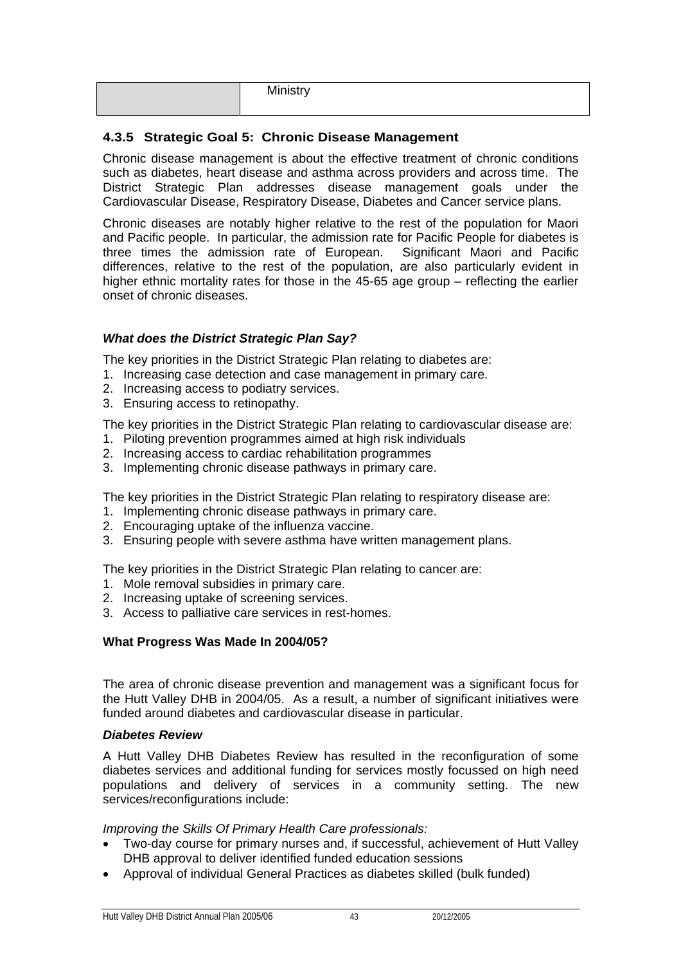| Ministry |
|----------|
|          |

## **4.3.5 Strategic Goal 5: Chronic Disease Management**

Chronic disease management is about the effective treatment of chronic conditions such as diabetes, heart disease and asthma across providers and across time. The District Strategic Plan addresses disease management goals under the Cardiovascular Disease, Respiratory Disease, Diabetes and Cancer service plans.

Chronic diseases are notably higher relative to the rest of the population for Maori and Pacific people. In particular, the admission rate for Pacific People for diabetes is three times the admission rate of European. Significant Maori and Pacific differences, relative to the rest of the population, are also particularly evident in higher ethnic mortality rates for those in the 45-65 age group – reflecting the earlier onset of chronic diseases.

## *What does the District Strategic Plan Say?*

The key priorities in the District Strategic Plan relating to diabetes are:

- 1. Increasing case detection and case management in primary care.
- 2. Increasing access to podiatry services.
- 3. Ensuring access to retinopathy.

The key priorities in the District Strategic Plan relating to cardiovascular disease are:

- 1. Piloting prevention programmes aimed at high risk individuals
- 2. Increasing access to cardiac rehabilitation programmes
- 3. Implementing chronic disease pathways in primary care.

The key priorities in the District Strategic Plan relating to respiratory disease are:

- 1. Implementing chronic disease pathways in primary care.
- 2. Encouraging uptake of the influenza vaccine.
- 3. Ensuring people with severe asthma have written management plans.

The key priorities in the District Strategic Plan relating to cancer are:

- 1. Mole removal subsidies in primary care.
- 2. Increasing uptake of screening services.
- 3. Access to palliative care services in rest-homes.

## **What Progress Was Made In 2004/05?**

The area of chronic disease prevention and management was a significant focus for the Hutt Valley DHB in 2004/05. As a result, a number of significant initiatives were funded around diabetes and cardiovascular disease in particular.

### *Diabetes Review*

A Hutt Valley DHB Diabetes Review has resulted in the reconfiguration of some diabetes services and additional funding for services mostly focussed on high need populations and delivery of services in a community setting. The new services/reconfigurations include:

*Improving the Skills Of Primary Health Care professionals:* 

- Two-day course for primary nurses and, if successful, achievement of Hutt Valley DHB approval to deliver identified funded education sessions
- Approval of individual General Practices as diabetes skilled (bulk funded)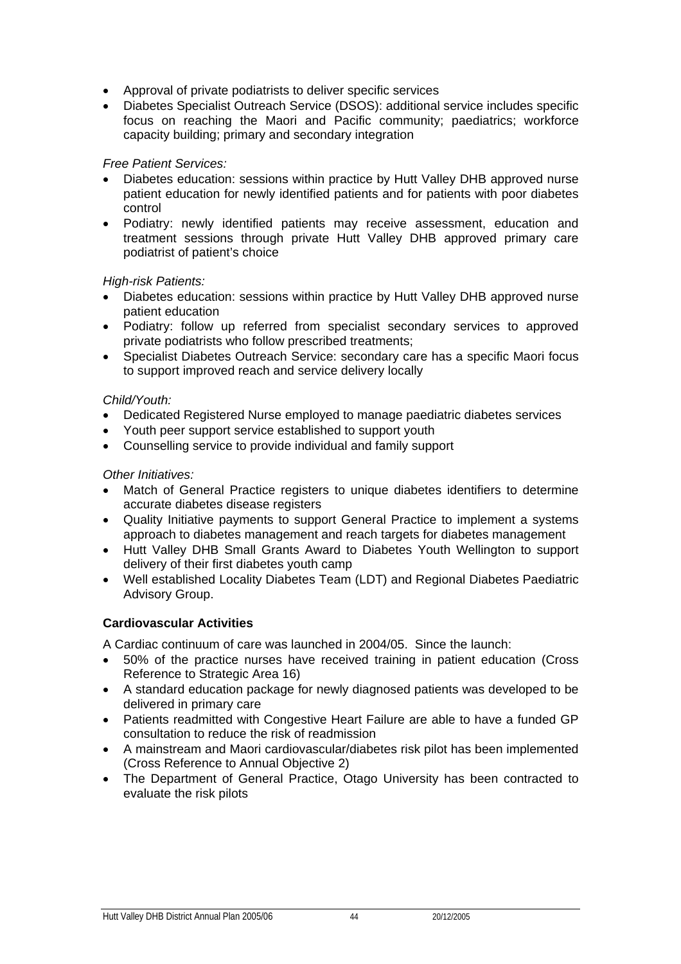- Approval of private podiatrists to deliver specific services
- Diabetes Specialist Outreach Service (DSOS): additional service includes specific focus on reaching the Maori and Pacific community; paediatrics; workforce capacity building; primary and secondary integration

### *Free Patient Services:*

- Diabetes education: sessions within practice by Hutt Valley DHB approved nurse patient education for newly identified patients and for patients with poor diabetes control
- Podiatry: newly identified patients may receive assessment, education and treatment sessions through private Hutt Valley DHB approved primary care podiatrist of patient's choice

### *High-risk Patients:*

- Diabetes education: sessions within practice by Hutt Valley DHB approved nurse patient education
- Podiatry: follow up referred from specialist secondary services to approved private podiatrists who follow prescribed treatments;
- Specialist Diabetes Outreach Service: secondary care has a specific Maori focus to support improved reach and service delivery locally

#### *Child/Youth:*

- Dedicated Registered Nurse employed to manage paediatric diabetes services
- Youth peer support service established to support youth
- Counselling service to provide individual and family support

#### *Other Initiatives:*

- Match of General Practice registers to unique diabetes identifiers to determine accurate diabetes disease registers
- Quality Initiative payments to support General Practice to implement a systems approach to diabetes management and reach targets for diabetes management
- Hutt Valley DHB Small Grants Award to Diabetes Youth Wellington to support delivery of their first diabetes youth camp
- Well established Locality Diabetes Team (LDT) and Regional Diabetes Paediatric Advisory Group.

### **Cardiovascular Activities**

A Cardiac continuum of care was launched in 2004/05. Since the launch:

- 50% of the practice nurses have received training in patient education (Cross Reference to Strategic Area 16)
- A standard education package for newly diagnosed patients was developed to be delivered in primary care
- Patients readmitted with Congestive Heart Failure are able to have a funded GP consultation to reduce the risk of readmission
- A mainstream and Maori cardiovascular/diabetes risk pilot has been implemented (Cross Reference to Annual Objective 2)
- The Department of General Practice, Otago University has been contracted to evaluate the risk pilots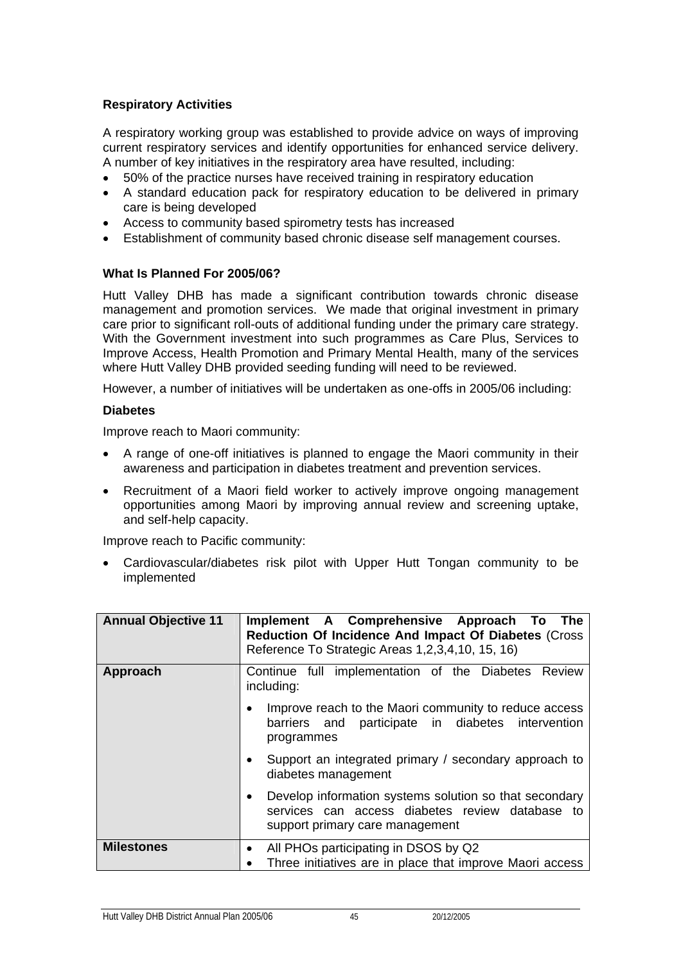## **Respiratory Activities**

A respiratory working group was established to provide advice on ways of improving current respiratory services and identify opportunities for enhanced service delivery. A number of key initiatives in the respiratory area have resulted, including:

- 50% of the practice nurses have received training in respiratory education
- A standard education pack for respiratory education to be delivered in primary care is being developed
- Access to community based spirometry tests has increased
- Establishment of community based chronic disease self management courses.

### **What Is Planned For 2005/06?**

Hutt Valley DHB has made a significant contribution towards chronic disease management and promotion services. We made that original investment in primary care prior to significant roll-outs of additional funding under the primary care strategy. With the Government investment into such programmes as Care Plus, Services to Improve Access, Health Promotion and Primary Mental Health, many of the services where Hutt Valley DHB provided seeding funding will need to be reviewed.

However, a number of initiatives will be undertaken as one-offs in 2005/06 including:

### **Diabetes**

Improve reach to Maori community:

- A range of one-off initiatives is planned to engage the Maori community in their awareness and participation in diabetes treatment and prevention services.
- Recruitment of a Maori field worker to actively improve ongoing management opportunities among Maori by improving annual review and screening uptake, and self-help capacity.

Improve reach to Pacific community:

• Cardiovascular/diabetes risk pilot with Upper Hutt Tongan community to be implemented

| <b>Annual Objective 11</b> | Implement A Comprehensive Approach To<br><b>The</b><br><b>Reduction Of Incidence And Impact Of Diabetes (Cross)</b><br>Reference To Strategic Areas 1,2,3,4,10, 15, 16) |
|----------------------------|-------------------------------------------------------------------------------------------------------------------------------------------------------------------------|
| Approach                   | Continue full implementation of the Diabetes Review<br>including:                                                                                                       |
|                            | Improve reach to the Maori community to reduce access<br>participate in diabetes intervention<br>barriers and<br>programmes                                             |
|                            | Support an integrated primary / secondary approach to<br>diabetes management                                                                                            |
|                            | Develop information systems solution so that secondary<br>services can access diabetes review database to<br>support primary care management                            |
| <b>Milestones</b>          | All PHOs participating in DSOS by Q2<br>$\bullet$<br>Three initiatives are in place that improve Maori access                                                           |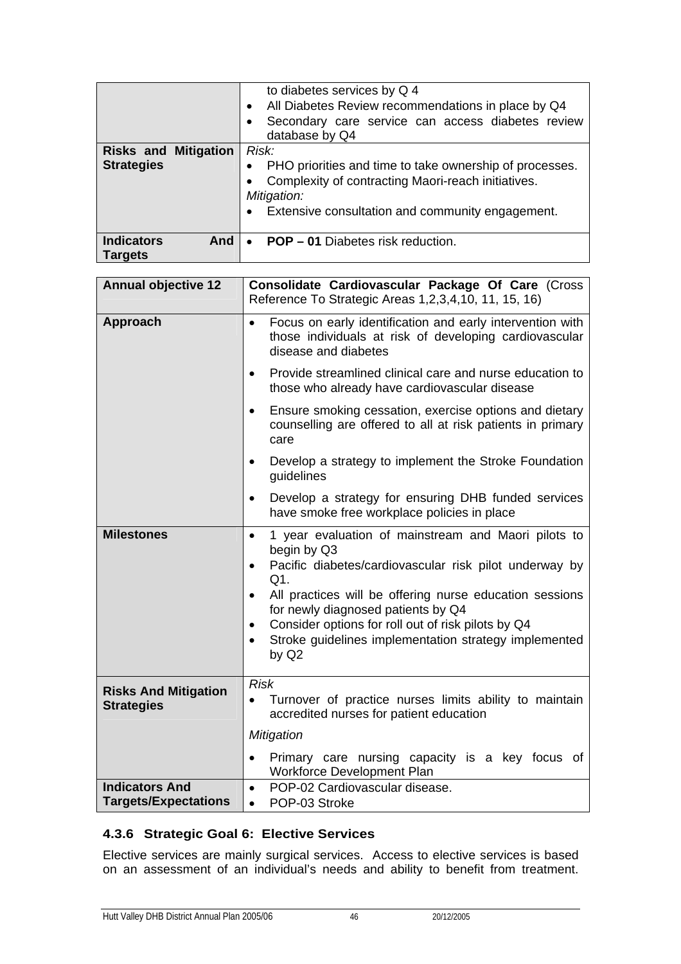|                                                  | to diabetes services by Q 4<br>All Diabetes Review recommendations in place by Q4<br>$\bullet$<br>Secondary care service can access diabetes review<br>٠<br>database by Q4                  |
|--------------------------------------------------|---------------------------------------------------------------------------------------------------------------------------------------------------------------------------------------------|
| <b>Risks and Mitigation</b><br><b>Strategies</b> | Risk:<br>PHO priorities and time to take ownership of processes.<br>Complexity of contracting Maori-reach initiatives.<br>Mitigation:<br>• Extensive consultation and community engagement. |
| <b>Indicators</b><br>And<br><b>Targets</b>       | <b>POP - 01 Diabetes risk reduction.</b>                                                                                                                                                    |

| <b>Annual objective 12</b>                           | Consolidate Cardiovascular Package Of Care (Cross<br>Reference To Strategic Areas 1, 2, 3, 4, 10, 11, 15, 16)                                                                                                                                                                                                                                                                                                               |
|------------------------------------------------------|-----------------------------------------------------------------------------------------------------------------------------------------------------------------------------------------------------------------------------------------------------------------------------------------------------------------------------------------------------------------------------------------------------------------------------|
| Approach                                             | Focus on early identification and early intervention with<br>$\bullet$<br>those individuals at risk of developing cardiovascular<br>disease and diabetes                                                                                                                                                                                                                                                                    |
|                                                      | Provide streamlined clinical care and nurse education to<br>those who already have cardiovascular disease                                                                                                                                                                                                                                                                                                                   |
|                                                      | Ensure smoking cessation, exercise options and dietary<br>$\bullet$<br>counselling are offered to all at risk patients in primary<br>care                                                                                                                                                                                                                                                                                   |
|                                                      | Develop a strategy to implement the Stroke Foundation<br>guidelines                                                                                                                                                                                                                                                                                                                                                         |
|                                                      | Develop a strategy for ensuring DHB funded services<br>have smoke free workplace policies in place                                                                                                                                                                                                                                                                                                                          |
| <b>Milestones</b>                                    | 1 year evaluation of mainstream and Maori pilots to<br>$\bullet$<br>begin by Q3<br>Pacific diabetes/cardiovascular risk pilot underway by<br>$\bullet$<br>Q <sub>1</sub><br>All practices will be offering nurse education sessions<br>$\bullet$<br>for newly diagnosed patients by Q4<br>Consider options for roll out of risk pilots by Q4<br>$\bullet$<br>Stroke guidelines implementation strategy implemented<br>by Q2 |
| <b>Risks And Mitigation</b><br><b>Strategies</b>     | <b>Risk</b><br>Turnover of practice nurses limits ability to maintain<br>accredited nurses for patient education                                                                                                                                                                                                                                                                                                            |
|                                                      | <b>Mitigation</b>                                                                                                                                                                                                                                                                                                                                                                                                           |
|                                                      | Primary care nursing capacity is a key focus of<br>Workforce Development Plan                                                                                                                                                                                                                                                                                                                                               |
| <b>Indicators And</b><br><b>Targets/Expectations</b> | POP-02 Cardiovascular disease.<br>$\bullet$<br>POP-03 Stroke<br>$\bullet$                                                                                                                                                                                                                                                                                                                                                   |

# **4.3.6 Strategic Goal 6: Elective Services**

Elective services are mainly surgical services. Access to elective services is based on an assessment of an individual's needs and ability to benefit from treatment.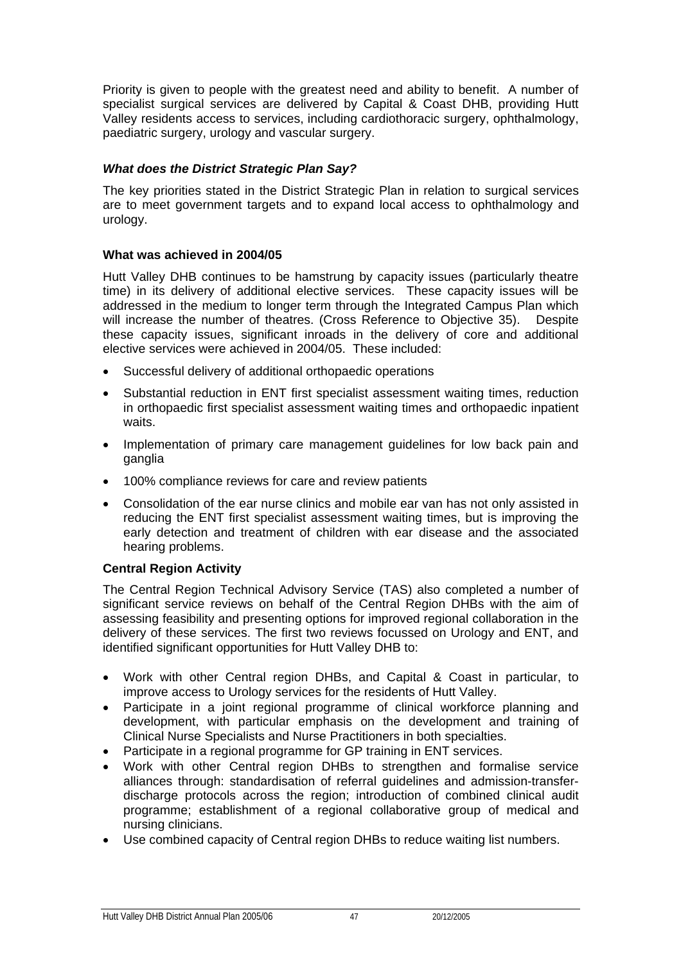Priority is given to people with the greatest need and ability to benefit. A number of specialist surgical services are delivered by Capital & Coast DHB, providing Hutt Valley residents access to services, including cardiothoracic surgery, ophthalmology, paediatric surgery, urology and vascular surgery.

## *What does the District Strategic Plan Say?*

The key priorities stated in the District Strategic Plan in relation to surgical services are to meet government targets and to expand local access to ophthalmology and urology.

### **What was achieved in 2004/05**

Hutt Valley DHB continues to be hamstrung by capacity issues (particularly theatre time) in its delivery of additional elective services. These capacity issues will be addressed in the medium to longer term through the Integrated Campus Plan which will increase the number of theatres. (Cross Reference to Objective 35). Despite these capacity issues, significant inroads in the delivery of core and additional elective services were achieved in 2004/05. These included:

- Successful delivery of additional orthopaedic operations
- Substantial reduction in ENT first specialist assessment waiting times, reduction in orthopaedic first specialist assessment waiting times and orthopaedic inpatient waits.
- Implementation of primary care management guidelines for low back pain and ganglia
- 100% compliance reviews for care and review patients
- Consolidation of the ear nurse clinics and mobile ear van has not only assisted in reducing the ENT first specialist assessment waiting times, but is improving the early detection and treatment of children with ear disease and the associated hearing problems.

### **Central Region Activity**

The Central Region Technical Advisory Service (TAS) also completed a number of significant service reviews on behalf of the Central Region DHBs with the aim of assessing feasibility and presenting options for improved regional collaboration in the delivery of these services. The first two reviews focussed on Urology and ENT, and identified significant opportunities for Hutt Valley DHB to:

- Work with other Central region DHBs, and Capital & Coast in particular, to improve access to Urology services for the residents of Hutt Valley.
- Participate in a joint regional programme of clinical workforce planning and development, with particular emphasis on the development and training of Clinical Nurse Specialists and Nurse Practitioners in both specialties.
- Participate in a regional programme for GP training in ENT services.
- Work with other Central region DHBs to strengthen and formalise service alliances through: standardisation of referral guidelines and admission-transferdischarge protocols across the region; introduction of combined clinical audit programme; establishment of a regional collaborative group of medical and nursing clinicians.
- Use combined capacity of Central region DHBs to reduce waiting list numbers.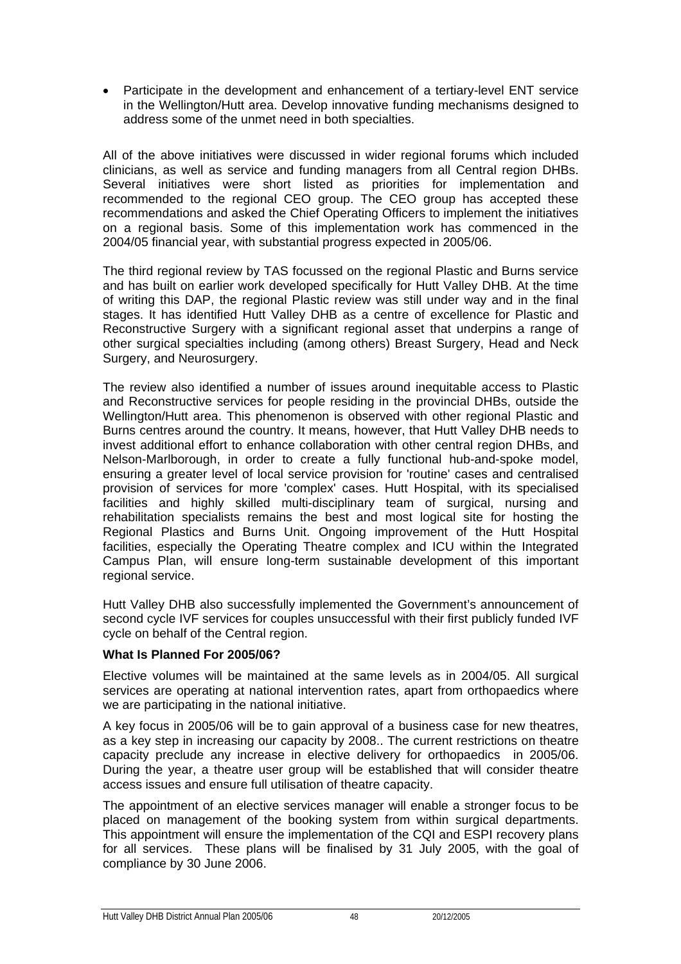• Participate in the development and enhancement of a tertiary-level ENT service in the Wellington/Hutt area. Develop innovative funding mechanisms designed to address some of the unmet need in both specialties.

All of the above initiatives were discussed in wider regional forums which included clinicians, as well as service and funding managers from all Central region DHBs. Several initiatives were short listed as priorities for implementation and recommended to the regional CEO group. The CEO group has accepted these recommendations and asked the Chief Operating Officers to implement the initiatives on a regional basis. Some of this implementation work has commenced in the 2004/05 financial year, with substantial progress expected in 2005/06.

The third regional review by TAS focussed on the regional Plastic and Burns service and has built on earlier work developed specifically for Hutt Valley DHB. At the time of writing this DAP, the regional Plastic review was still under way and in the final stages. It has identified Hutt Valley DHB as a centre of excellence for Plastic and Reconstructive Surgery with a significant regional asset that underpins a range of other surgical specialties including (among others) Breast Surgery, Head and Neck Surgery, and Neurosurgery.

The review also identified a number of issues around inequitable access to Plastic and Reconstructive services for people residing in the provincial DHBs, outside the Wellington/Hutt area. This phenomenon is observed with other regional Plastic and Burns centres around the country. It means, however, that Hutt Valley DHB needs to invest additional effort to enhance collaboration with other central region DHBs, and Nelson-Marlborough, in order to create a fully functional hub-and-spoke model, ensuring a greater level of local service provision for 'routine' cases and centralised provision of services for more 'complex' cases. Hutt Hospital, with its specialised facilities and highly skilled multi-disciplinary team of surgical, nursing and rehabilitation specialists remains the best and most logical site for hosting the Regional Plastics and Burns Unit. Ongoing improvement of the Hutt Hospital facilities, especially the Operating Theatre complex and ICU within the Integrated Campus Plan, will ensure long-term sustainable development of this important regional service.

Hutt Valley DHB also successfully implemented the Government's announcement of second cycle IVF services for couples unsuccessful with their first publicly funded IVF cycle on behalf of the Central region.

### **What Is Planned For 2005/06?**

Elective volumes will be maintained at the same levels as in 2004/05. All surgical services are operating at national intervention rates, apart from orthopaedics where we are participating in the national initiative.

A key focus in 2005/06 will be to gain approval of a business case for new theatres, as a key step in increasing our capacity by 2008.. The current restrictions on theatre capacity preclude any increase in elective delivery for orthopaedics in 2005/06. During the year, a theatre user group will be established that will consider theatre access issues and ensure full utilisation of theatre capacity.

The appointment of an elective services manager will enable a stronger focus to be placed on management of the booking system from within surgical departments. This appointment will ensure the implementation of the CQI and ESPI recovery plans for all services. These plans will be finalised by 31 July 2005, with the goal of compliance by 30 June 2006.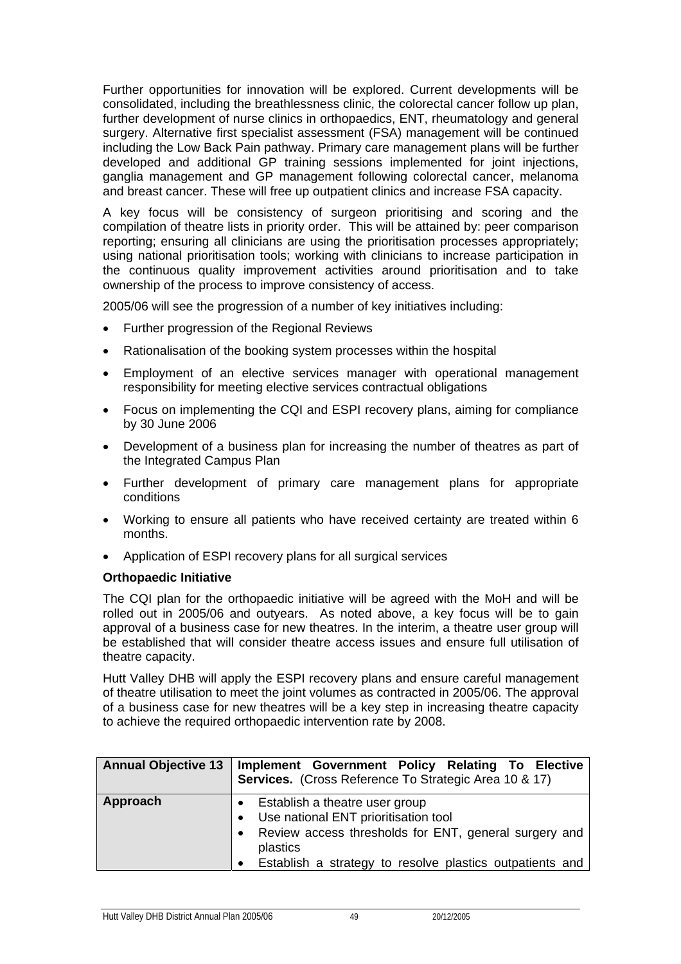Further opportunities for innovation will be explored. Current developments will be consolidated, including the breathlessness clinic, the colorectal cancer follow up plan, further development of nurse clinics in orthopaedics, ENT, rheumatology and general surgery. Alternative first specialist assessment (FSA) management will be continued including the Low Back Pain pathway. Primary care management plans will be further developed and additional GP training sessions implemented for joint injections, ganglia management and GP management following colorectal cancer, melanoma and breast cancer. These will free up outpatient clinics and increase FSA capacity.

A key focus will be consistency of surgeon prioritising and scoring and the compilation of theatre lists in priority order. This will be attained by: peer comparison reporting; ensuring all clinicians are using the prioritisation processes appropriately; using national prioritisation tools; working with clinicians to increase participation in the continuous quality improvement activities around prioritisation and to take ownership of the process to improve consistency of access.

2005/06 will see the progression of a number of key initiatives including:

- Further progression of the Regional Reviews
- Rationalisation of the booking system processes within the hospital
- Employment of an elective services manager with operational management responsibility for meeting elective services contractual obligations
- Focus on implementing the CQI and ESPI recovery plans, aiming for compliance by 30 June 2006
- Development of a business plan for increasing the number of theatres as part of the Integrated Campus Plan
- Further development of primary care management plans for appropriate conditions
- Working to ensure all patients who have received certainty are treated within 6 months.
- Application of ESPI recovery plans for all surgical services

### **Orthopaedic Initiative**

The CQI plan for the orthopaedic initiative will be agreed with the MoH and will be rolled out in 2005/06 and outyears. As noted above, a key focus will be to gain approval of a business case for new theatres. In the interim, a theatre user group will be established that will consider theatre access issues and ensure full utilisation of theatre capacity.

Hutt Valley DHB will apply the ESPI recovery plans and ensure careful management of theatre utilisation to meet the joint volumes as contracted in 2005/06. The approval of a business case for new theatres will be a key step in increasing theatre capacity to achieve the required orthopaedic intervention rate by 2008.

| <b>Annual Objective 13</b> | Implement Government Policy Relating To Elective<br>Services. (Cross Reference To Strategic Area 10 & 17)                                                                                                                  |
|----------------------------|----------------------------------------------------------------------------------------------------------------------------------------------------------------------------------------------------------------------------|
| Approach                   | • Establish a theatre user group<br>• Use national ENT prioritisation tool<br>• Review access thresholds for ENT, general surgery and<br>plastics<br>Establish a strategy to resolve plastics outpatients and<br>$\bullet$ |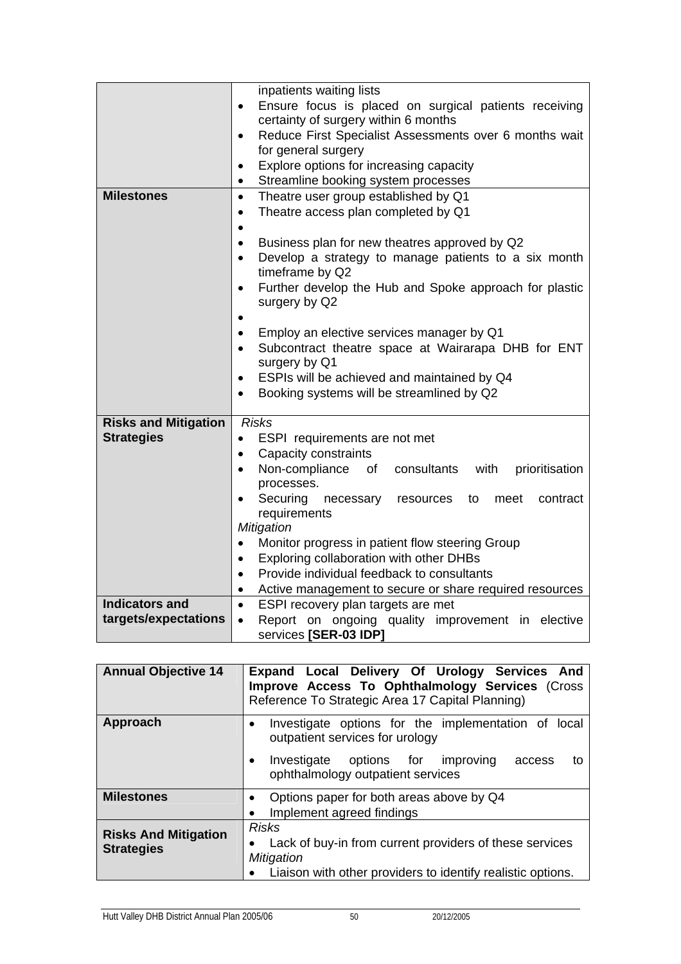|                             | inpatients waiting lists                                                  |
|-----------------------------|---------------------------------------------------------------------------|
|                             | Ensure focus is placed on surgical patients receiving<br>$\bullet$        |
|                             | certainty of surgery within 6 months                                      |
|                             | Reduce First Specialist Assessments over 6 months wait<br>$\bullet$       |
|                             | for general surgery                                                       |
|                             | Explore options for increasing capacity<br>$\bullet$                      |
|                             | Streamline booking system processes<br>$\bullet$                          |
| <b>Milestones</b>           | Theatre user group established by Q1<br>$\bullet$                         |
|                             | Theatre access plan completed by Q1<br>$\bullet$                          |
|                             | $\bullet$                                                                 |
|                             | Business plan for new theatres approved by Q2<br>$\bullet$                |
|                             | Develop a strategy to manage patients to a six month<br>$\bullet$         |
|                             | timeframe by Q2                                                           |
|                             | Further develop the Hub and Spoke approach for plastic<br>$\bullet$       |
|                             | surgery by Q2                                                             |
|                             | $\bullet$                                                                 |
|                             | Employ an elective services manager by Q1<br>$\bullet$                    |
|                             | Subcontract theatre space at Wairarapa DHB for ENT<br>$\bullet$           |
|                             | surgery by Q1                                                             |
|                             | ESPIs will be achieved and maintained by Q4<br>$\bullet$                  |
|                             | Booking systems will be streamlined by Q2<br>$\bullet$                    |
|                             |                                                                           |
| <b>Risks and Mitigation</b> | <b>Risks</b>                                                              |
| <b>Strategies</b>           | ESPI requirements are not met<br>$\bullet$                                |
|                             | Capacity constraints<br>$\bullet$                                         |
|                             | Non-compliance of consultants<br>with<br>prioritisation<br>$\bullet$      |
|                             | processes.                                                                |
|                             | Securing<br>necessary<br>resources<br>to<br>meet<br>contract<br>$\bullet$ |
|                             | requirements                                                              |
|                             | <b>Mitigation</b>                                                         |
|                             | Monitor progress in patient flow steering Group<br>$\bullet$              |
|                             | Exploring collaboration with other DHBs<br>$\bullet$                      |
|                             | Provide individual feedback to consultants<br>$\bullet$                   |
|                             | Active management to secure or share required resources<br>$\bullet$      |
| <b>Indicators and</b>       | ESPI recovery plan targets are met<br>$\bullet$                           |
| targets/expectations        | Report on ongoing quality improvement in elective<br>$\bullet$            |
|                             | services [SER-03 IDP]                                                     |

| <b>Annual Objective 14</b>                       | Expand Local Delivery Of Urology Services And<br>Improve Access To Ophthalmology Services (Cross<br>Reference To Strategic Area 17 Capital Planning)          |
|--------------------------------------------------|---------------------------------------------------------------------------------------------------------------------------------------------------------------|
| Approach                                         | Investigate options for the implementation of local<br>$\bullet$<br>outpatient services for urology                                                           |
|                                                  | Investigate options for improving<br>access<br>to<br>$\bullet$<br>ophthalmology outpatient services                                                           |
| <b>Milestones</b>                                | Options paper for both areas above by Q4<br>$\bullet$<br>Implement agreed findings<br>$\bullet$                                                               |
| <b>Risks And Mitigation</b><br><b>Strategies</b> | <b>Risks</b><br>• Lack of buy-in from current providers of these services<br><b>Mitigation</b><br>Liaison with other providers to identify realistic options. |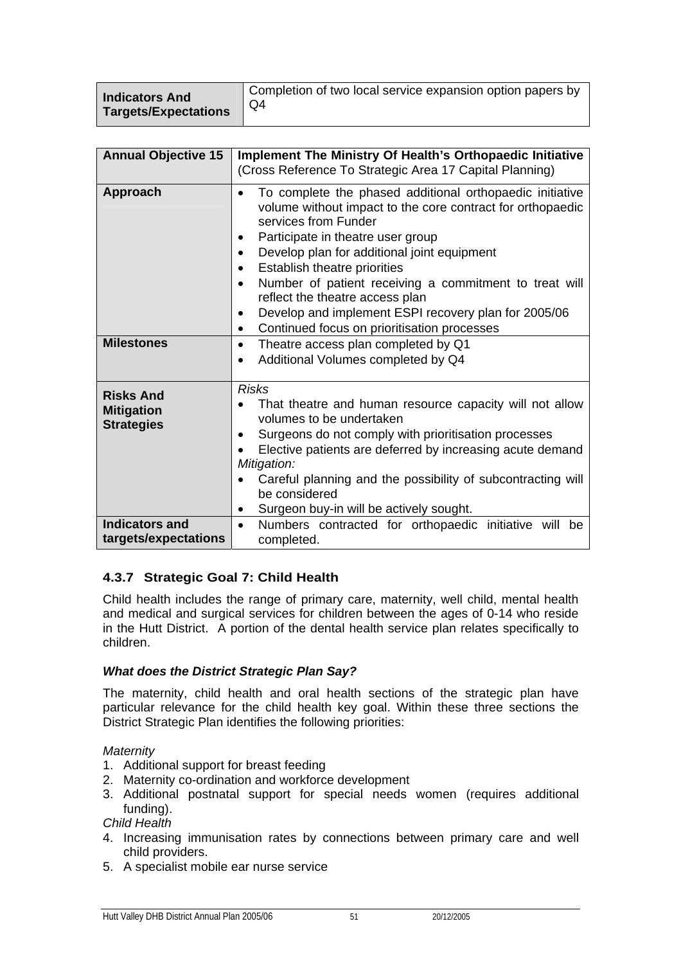| <b>Indicators And</b>       |
|-----------------------------|
| <b>Targets/Expectations</b> |

| <b>Annual Objective 15</b>                                 | <b>Implement The Ministry Of Health's Orthopaedic Initiative</b><br>(Cross Reference To Strategic Area 17 Capital Planning)                                                                                                                                                                                                                                                                                                                                                                                                     |  |  |  |  |  |
|------------------------------------------------------------|---------------------------------------------------------------------------------------------------------------------------------------------------------------------------------------------------------------------------------------------------------------------------------------------------------------------------------------------------------------------------------------------------------------------------------------------------------------------------------------------------------------------------------|--|--|--|--|--|
| Approach                                                   | To complete the phased additional orthopaedic initiative<br>volume without impact to the core contract for orthopaedic<br>services from Funder<br>Participate in theatre user group<br>٠<br>Develop plan for additional joint equipment<br>$\bullet$<br>Establish theatre priorities<br>$\bullet$<br>Number of patient receiving a commitment to treat will<br>reflect the theatre access plan<br>Develop and implement ESPI recovery plan for 2005/06<br>$\bullet$<br>Continued focus on prioritisation processes<br>$\bullet$ |  |  |  |  |  |
| <b>Milestones</b>                                          | Theatre access plan completed by Q1<br>$\bullet$<br>Additional Volumes completed by Q4<br>$\bullet$                                                                                                                                                                                                                                                                                                                                                                                                                             |  |  |  |  |  |
| <b>Risks And</b><br><b>Mitigation</b><br><b>Strategies</b> | Risks<br>That theatre and human resource capacity will not allow<br>volumes to be undertaken<br>Surgeons do not comply with prioritisation processes<br>Elective patients are deferred by increasing acute demand<br>Mitigation:<br>Careful planning and the possibility of subcontracting will<br>be considered<br>Surgeon buy-in will be actively sought.                                                                                                                                                                     |  |  |  |  |  |
| <b>Indicators and</b><br>targets/expectations              | Numbers contracted for orthopaedic initiative will<br>$\bullet$<br>be<br>completed.                                                                                                                                                                                                                                                                                                                                                                                                                                             |  |  |  |  |  |

# **4.3.7 Strategic Goal 7: Child Health**

Child health includes the range of primary care, maternity, well child, mental health and medical and surgical services for children between the ages of 0-14 who reside in the Hutt District. A portion of the dental health service plan relates specifically to children.

## *What does the District Strategic Plan Say?*

The maternity, child health and oral health sections of the strategic plan have particular relevance for the child health key goal. Within these three sections the District Strategic Plan identifies the following priorities:

## *Maternity*

- 1. Additional support for breast feeding
- 2. Maternity co-ordination and workforce development
- 3. Additional postnatal support for special needs women (requires additional funding).

*Child Health* 

- 4. Increasing immunisation rates by connections between primary care and well child providers.
- 5. A specialist mobile ear nurse service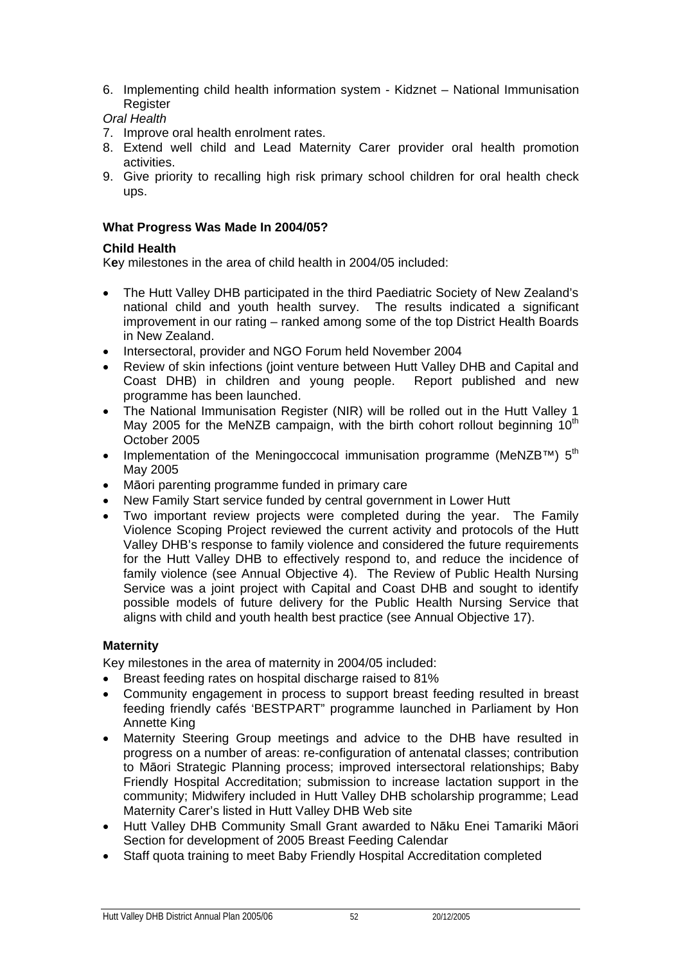6. Implementing child health information system - Kidznet – National Immunisation Register

## *Oral Health*

- 7. Improve oral health enrolment rates.
- 8. Extend well child and Lead Maternity Carer provider oral health promotion activities.
- 9. Give priority to recalling high risk primary school children for oral health check ups.

## **What Progress Was Made In 2004/05?**

## **Child Health**

K**e**y milestones in the area of child health in 2004/05 included:

- The Hutt Valley DHB participated in the third Paediatric Society of New Zealand's national child and youth health survey. The results indicated a significant improvement in our rating – ranked among some of the top District Health Boards in New Zealand.
- Intersectoral, provider and NGO Forum held November 2004
- Review of skin infections (joint venture between Hutt Valley DHB and Capital and Coast DHB) in children and young people. Report published and new programme has been launched.
- The National Immunisation Register (NIR) will be rolled out in the Hutt Valley 1 May 2005 for the MeNZB campaign, with the birth cohort rollout beginning  $10<sup>th</sup>$ October 2005
- Implementation of the Meningoccocal immunisation programme (MeNZB<sup>TM</sup>)  $5<sup>th</sup>$ May 2005
- Māori parenting programme funded in primary care
- New Family Start service funded by central government in Lower Hutt
- Two important review projects were completed during the year. The Family Violence Scoping Project reviewed the current activity and protocols of the Hutt Valley DHB's response to family violence and considered the future requirements for the Hutt Valley DHB to effectively respond to, and reduce the incidence of family violence (see Annual Objective 4). The Review of Public Health Nursing Service was a joint project with Capital and Coast DHB and sought to identify possible models of future delivery for the Public Health Nursing Service that aligns with child and youth health best practice (see Annual Objective 17).

## **Maternity**

Key milestones in the area of maternity in 2004/05 included:

- Breast feeding rates on hospital discharge raised to 81%
- Community engagement in process to support breast feeding resulted in breast feeding friendly cafés 'BESTPART" programme launched in Parliament by Hon Annette King
- Maternity Steering Group meetings and advice to the DHB have resulted in progress on a number of areas: re-configuration of antenatal classes; contribution to Māori Strategic Planning process; improved intersectoral relationships; Baby Friendly Hospital Accreditation; submission to increase lactation support in the community; Midwifery included in Hutt Valley DHB scholarship programme; Lead Maternity Carer's listed in Hutt Valley DHB Web site
- Hutt Valley DHB Community Small Grant awarded to Nāku Enei Tamariki Māori Section for development of 2005 Breast Feeding Calendar
- Staff quota training to meet Baby Friendly Hospital Accreditation completed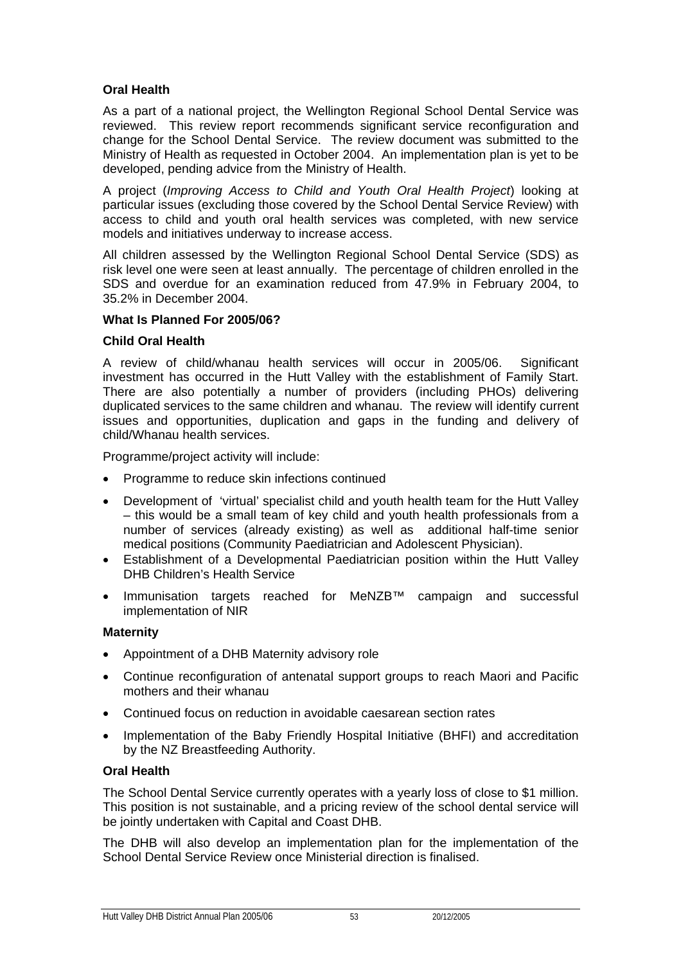## **Oral Health**

As a part of a national project, the Wellington Regional School Dental Service was reviewed. This review report recommends significant service reconfiguration and change for the School Dental Service. The review document was submitted to the Ministry of Health as requested in October 2004. An implementation plan is yet to be developed, pending advice from the Ministry of Health.

A project (*Improving Access to Child and Youth Oral Health Project*) looking at particular issues (excluding those covered by the School Dental Service Review) with access to child and youth oral health services was completed, with new service models and initiatives underway to increase access.

All children assessed by the Wellington Regional School Dental Service (SDS) as risk level one were seen at least annually. The percentage of children enrolled in the SDS and overdue for an examination reduced from 47.9% in February 2004, to 35.2% in December 2004.

### **What Is Planned For 2005/06?**

### **Child Oral Health**

A review of child/whanau health services will occur in 2005/06. Significant investment has occurred in the Hutt Valley with the establishment of Family Start. There are also potentially a number of providers (including PHOs) delivering duplicated services to the same children and whanau. The review will identify current issues and opportunities, duplication and gaps in the funding and delivery of child/Whanau health services.

Programme/project activity will include:

- Programme to reduce skin infections continued
- Development of 'virtual' specialist child and youth health team for the Hutt Valley – this would be a small team of key child and youth health professionals from a number of services (already existing) as well as additional half-time senior medical positions (Community Paediatrician and Adolescent Physician).
- Establishment of a Developmental Paediatrician position within the Hutt Valley DHB Children's Health Service
- Immunisation targets reached for MeNZB™ campaign and successful implementation of NIR

### **Maternity**

- Appointment of a DHB Maternity advisory role
- Continue reconfiguration of antenatal support groups to reach Maori and Pacific mothers and their whanau
- Continued focus on reduction in avoidable caesarean section rates
- Implementation of the Baby Friendly Hospital Initiative (BHFI) and accreditation by the NZ Breastfeeding Authority.

### **Oral Health**

The School Dental Service currently operates with a yearly loss of close to \$1 million. This position is not sustainable, and a pricing review of the school dental service will be jointly undertaken with Capital and Coast DHB.

The DHB will also develop an implementation plan for the implementation of the School Dental Service Review once Ministerial direction is finalised.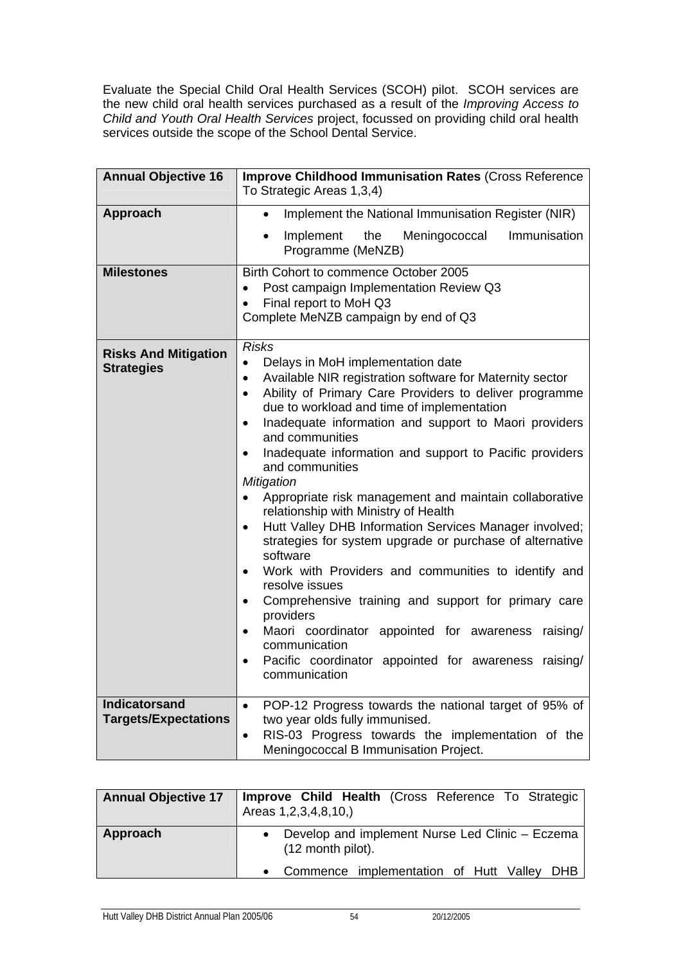Evaluate the Special Child Oral Health Services (SCOH) pilot. SCOH services are the new child oral health services purchased as a result of the *Improving Access to Child and Youth Oral Health Services* project, focussed on providing child oral health services outside the scope of the School Dental Service.

| <b>Annual Objective 16</b>                          | <b>Improve Childhood Immunisation Rates (Cross Reference</b><br>To Strategic Areas 1,3,4)                                                                                                                                                                                                                                                                                                                                                                                                                                                                                                                                                                                                                                                                                                                                                                                                                                                                                                                 |  |  |  |  |  |
|-----------------------------------------------------|-----------------------------------------------------------------------------------------------------------------------------------------------------------------------------------------------------------------------------------------------------------------------------------------------------------------------------------------------------------------------------------------------------------------------------------------------------------------------------------------------------------------------------------------------------------------------------------------------------------------------------------------------------------------------------------------------------------------------------------------------------------------------------------------------------------------------------------------------------------------------------------------------------------------------------------------------------------------------------------------------------------|--|--|--|--|--|
| <b>Approach</b>                                     | Implement the National Immunisation Register (NIR)                                                                                                                                                                                                                                                                                                                                                                                                                                                                                                                                                                                                                                                                                                                                                                                                                                                                                                                                                        |  |  |  |  |  |
|                                                     | the<br>Immunisation<br>Implement<br>Meningococcal<br>$\bullet$<br>Programme (MeNZB)                                                                                                                                                                                                                                                                                                                                                                                                                                                                                                                                                                                                                                                                                                                                                                                                                                                                                                                       |  |  |  |  |  |
| <b>Milestones</b>                                   | Birth Cohort to commence October 2005<br>Post campaign Implementation Review Q3<br>Final report to MoH Q3<br>Complete MeNZB campaign by end of Q3                                                                                                                                                                                                                                                                                                                                                                                                                                                                                                                                                                                                                                                                                                                                                                                                                                                         |  |  |  |  |  |
| <b>Risks And Mitigation</b><br><b>Strategies</b>    | <b>Risks</b><br>Delays in MoH implementation date<br>$\bullet$<br>Available NIR registration software for Maternity sector<br>$\bullet$<br>Ability of Primary Care Providers to deliver programme<br>$\bullet$<br>due to workload and time of implementation<br>Inadequate information and support to Maori providers<br>$\bullet$<br>and communities<br>Inadequate information and support to Pacific providers<br>and communities<br><b>Mitigation</b><br>Appropriate risk management and maintain collaborative<br>relationship with Ministry of Health<br>Hutt Valley DHB Information Services Manager involved;<br>strategies for system upgrade or purchase of alternative<br>software<br>Work with Providers and communities to identify and<br>resolve issues<br>Comprehensive training and support for primary care<br>providers<br>Maori coordinator appointed for awareness<br>raising/<br>$\bullet$<br>communication<br>Pacific coordinator appointed for awareness raising/<br>communication |  |  |  |  |  |
| <b>Indicatorsand</b><br><b>Targets/Expectations</b> | POP-12 Progress towards the national target of 95% of<br>$\bullet$<br>two year olds fully immunised.<br>RIS-03 Progress towards the implementation of the<br>$\bullet$<br>Meningococcal B Immunisation Project.                                                                                                                                                                                                                                                                                                                                                                                                                                                                                                                                                                                                                                                                                                                                                                                           |  |  |  |  |  |

| <b>Annual Objective 17</b> | Improve Child Health (Cross Reference To Strategic<br>Areas 1, 2, 3, 4, 8, 10, ) |  |  |  |  |
|----------------------------|----------------------------------------------------------------------------------|--|--|--|--|
| Approach                   | Develop and implement Nurse Led Clinic - Eczema<br>(12 month pilot).             |  |  |  |  |
|                            | Commence implementation of Hutt Valley DHB                                       |  |  |  |  |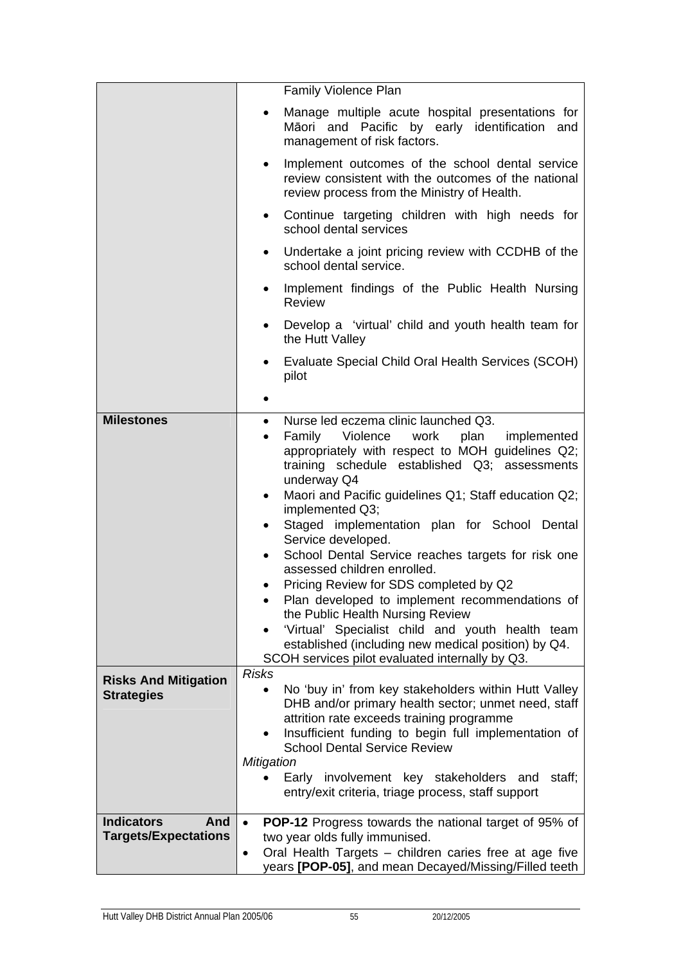|                                                         | Family Violence Plan                                                                                                                                                                                                                                                                                                                                                                                                                                                                                                                                                                                                                                                                                                                                                                                                                         |  |  |  |  |  |
|---------------------------------------------------------|----------------------------------------------------------------------------------------------------------------------------------------------------------------------------------------------------------------------------------------------------------------------------------------------------------------------------------------------------------------------------------------------------------------------------------------------------------------------------------------------------------------------------------------------------------------------------------------------------------------------------------------------------------------------------------------------------------------------------------------------------------------------------------------------------------------------------------------------|--|--|--|--|--|
|                                                         | Manage multiple acute hospital presentations for<br>$\bullet$<br>Māori and Pacific by early identification and<br>management of risk factors.                                                                                                                                                                                                                                                                                                                                                                                                                                                                                                                                                                                                                                                                                                |  |  |  |  |  |
|                                                         | Implement outcomes of the school dental service<br>$\bullet$<br>review consistent with the outcomes of the national<br>review process from the Ministry of Health.                                                                                                                                                                                                                                                                                                                                                                                                                                                                                                                                                                                                                                                                           |  |  |  |  |  |
|                                                         | Continue targeting children with high needs for<br>$\bullet$<br>school dental services                                                                                                                                                                                                                                                                                                                                                                                                                                                                                                                                                                                                                                                                                                                                                       |  |  |  |  |  |
|                                                         | Undertake a joint pricing review with CCDHB of the<br>$\bullet$<br>school dental service.                                                                                                                                                                                                                                                                                                                                                                                                                                                                                                                                                                                                                                                                                                                                                    |  |  |  |  |  |
|                                                         | Implement findings of the Public Health Nursing<br>٠<br>Review                                                                                                                                                                                                                                                                                                                                                                                                                                                                                                                                                                                                                                                                                                                                                                               |  |  |  |  |  |
|                                                         | Develop a 'virtual' child and youth health team for<br>$\bullet$<br>the Hutt Valley                                                                                                                                                                                                                                                                                                                                                                                                                                                                                                                                                                                                                                                                                                                                                          |  |  |  |  |  |
|                                                         | Evaluate Special Child Oral Health Services (SCOH)<br>pilot                                                                                                                                                                                                                                                                                                                                                                                                                                                                                                                                                                                                                                                                                                                                                                                  |  |  |  |  |  |
|                                                         |                                                                                                                                                                                                                                                                                                                                                                                                                                                                                                                                                                                                                                                                                                                                                                                                                                              |  |  |  |  |  |
| <b>Milestones</b>                                       | Nurse led eczema clinic launched Q3.<br>$\bullet$<br>Family Violence<br>work<br>plan<br>implemented<br>$\bullet$<br>appropriately with respect to MOH guidelines Q2;<br>training schedule established Q3; assessments<br>underway Q4<br>Maori and Pacific guidelines Q1; Staff education Q2;<br>$\bullet$<br>implemented Q3;<br>Staged implementation plan for School Dental<br>$\bullet$<br>Service developed.<br>School Dental Service reaches targets for risk one<br>assessed children enrolled.<br>Pricing Review for SDS completed by Q2<br>$\bullet$<br>Plan developed to implement recommendations of<br>the Public Health Nursing Review<br>'Virtual' Specialist child and youth health team<br>$\bullet$<br>established (including new medical position) by Q4.<br>SCOH services pilot evaluated internally by Q3.<br><b>Risks</b> |  |  |  |  |  |
| <b>Risks And Mitigation</b><br><b>Strategies</b>        | No 'buy in' from key stakeholders within Hutt Valley<br>$\bullet$<br>DHB and/or primary health sector; unmet need, staff<br>attrition rate exceeds training programme<br>Insufficient funding to begin full implementation of<br><b>School Dental Service Review</b><br><b>Mitigation</b><br>Early involvement key stakeholders and<br>staff;<br>entry/exit criteria, triage process, staff support                                                                                                                                                                                                                                                                                                                                                                                                                                          |  |  |  |  |  |
| <b>Indicators</b><br>And<br><b>Targets/Expectations</b> | POP-12 Progress towards the national target of 95% of<br>two year olds fully immunised.<br>Oral Health Targets - children caries free at age five<br>$\bullet$<br>years [POP-05], and mean Decayed/Missing/Filled teeth                                                                                                                                                                                                                                                                                                                                                                                                                                                                                                                                                                                                                      |  |  |  |  |  |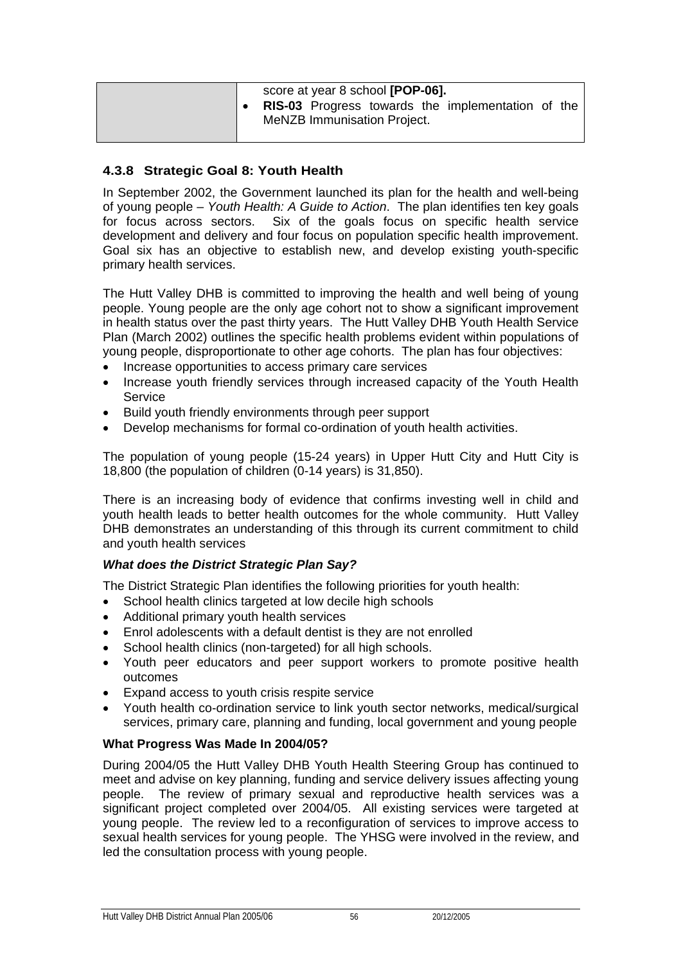| score at year 8 school [POP-06].<br><b>RIS-03</b> Progress towards the implementation of the<br><b>MeNZB Immunisation Project.</b> |
|------------------------------------------------------------------------------------------------------------------------------------|
|------------------------------------------------------------------------------------------------------------------------------------|

## **4.3.8 Strategic Goal 8: Youth Health**

In September 2002, the Government launched its plan for the health and well-being of young people – *Youth Health: A Guide to Action*. The plan identifies ten key goals for focus across sectors. Six of the goals focus on specific health service development and delivery and four focus on population specific health improvement. Goal six has an objective to establish new, and develop existing youth-specific primary health services.

The Hutt Valley DHB is committed to improving the health and well being of young people. Young people are the only age cohort not to show a significant improvement in health status over the past thirty years. The Hutt Valley DHB Youth Health Service Plan (March 2002) outlines the specific health problems evident within populations of young people, disproportionate to other age cohorts. The plan has four objectives:

- Increase opportunities to access primary care services
- Increase youth friendly services through increased capacity of the Youth Health **Service**
- Build youth friendly environments through peer support
- Develop mechanisms for formal co-ordination of youth health activities.

The population of young people (15-24 years) in Upper Hutt City and Hutt City is 18,800 (the population of children (0-14 years) is 31,850).

There is an increasing body of evidence that confirms investing well in child and youth health leads to better health outcomes for the whole community. Hutt Valley DHB demonstrates an understanding of this through its current commitment to child and youth health services

# *What does the District Strategic Plan Say?*

The District Strategic Plan identifies the following priorities for youth health:

- School health clinics targeted at low decile high schools
- Additional primary youth health services
- Enrol adolescents with a default dentist is they are not enrolled
- School health clinics (non-targeted) for all high schools.
- Youth peer educators and peer support workers to promote positive health outcomes
- Expand access to youth crisis respite service
- Youth health co-ordination service to link youth sector networks, medical/surgical services, primary care, planning and funding, local government and young people

## **What Progress Was Made In 2004/05?**

During 2004/05 the Hutt Valley DHB Youth Health Steering Group has continued to meet and advise on key planning, funding and service delivery issues affecting young people. The review of primary sexual and reproductive health services was a significant project completed over 2004/05. All existing services were targeted at young people. The review led to a reconfiguration of services to improve access to sexual health services for young people. The YHSG were involved in the review, and led the consultation process with young people.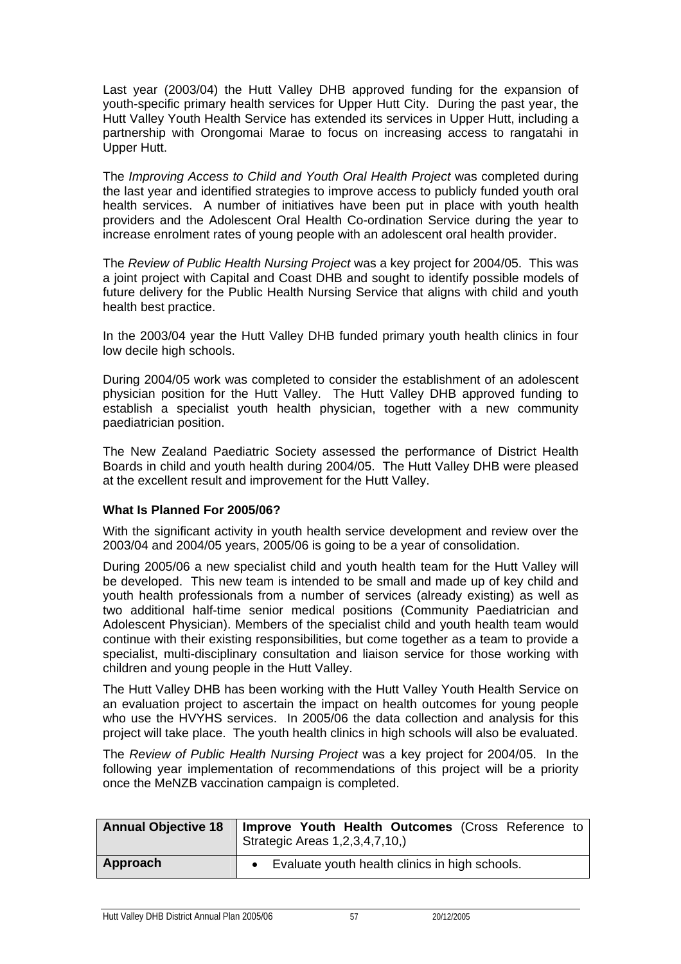Last year (2003/04) the Hutt Valley DHB approved funding for the expansion of youth-specific primary health services for Upper Hutt City. During the past year, the Hutt Valley Youth Health Service has extended its services in Upper Hutt, including a partnership with Orongomai Marae to focus on increasing access to rangatahi in Upper Hutt.

The *Improving Access to Child and Youth Oral Health Project* was completed during the last year and identified strategies to improve access to publicly funded youth oral health services. A number of initiatives have been put in place with youth health providers and the Adolescent Oral Health Co-ordination Service during the year to increase enrolment rates of young people with an adolescent oral health provider.

The *Review of Public Health Nursing Project* was a key project for 2004/05. This was a joint project with Capital and Coast DHB and sought to identify possible models of future delivery for the Public Health Nursing Service that aligns with child and youth health best practice.

In the 2003/04 year the Hutt Valley DHB funded primary youth health clinics in four low decile high schools.

During 2004/05 work was completed to consider the establishment of an adolescent physician position for the Hutt Valley. The Hutt Valley DHB approved funding to establish a specialist youth health physician, together with a new community paediatrician position.

The New Zealand Paediatric Society assessed the performance of District Health Boards in child and youth health during 2004/05. The Hutt Valley DHB were pleased at the excellent result and improvement for the Hutt Valley.

## **What Is Planned For 2005/06?**

With the significant activity in youth health service development and review over the 2003/04 and 2004/05 years, 2005/06 is going to be a year of consolidation.

During 2005/06 a new specialist child and youth health team for the Hutt Valley will be developed. This new team is intended to be small and made up of key child and youth health professionals from a number of services (already existing) as well as two additional half-time senior medical positions (Community Paediatrician and Adolescent Physician). Members of the specialist child and youth health team would continue with their existing responsibilities, but come together as a team to provide a specialist, multi-disciplinary consultation and liaison service for those working with children and young people in the Hutt Valley.

The Hutt Valley DHB has been working with the Hutt Valley Youth Health Service on an evaluation project to ascertain the impact on health outcomes for young people who use the HVYHS services. In 2005/06 the data collection and analysis for this project will take place. The youth health clinics in high schools will also be evaluated.

The *Review of Public Health Nursing Project* was a key project for 2004/05. In the following year implementation of recommendations of this project will be a priority once the MeNZB vaccination campaign is completed.

| <b>Annual Objective 18</b> | Improve Youth Health Outcomes (Cross Reference to<br>Strategic Areas 1, 2, 3, 4, 7, 10, ) |  |  |  |
|----------------------------|-------------------------------------------------------------------------------------------|--|--|--|
| Approach                   | Evaluate youth health clinics in high schools.                                            |  |  |  |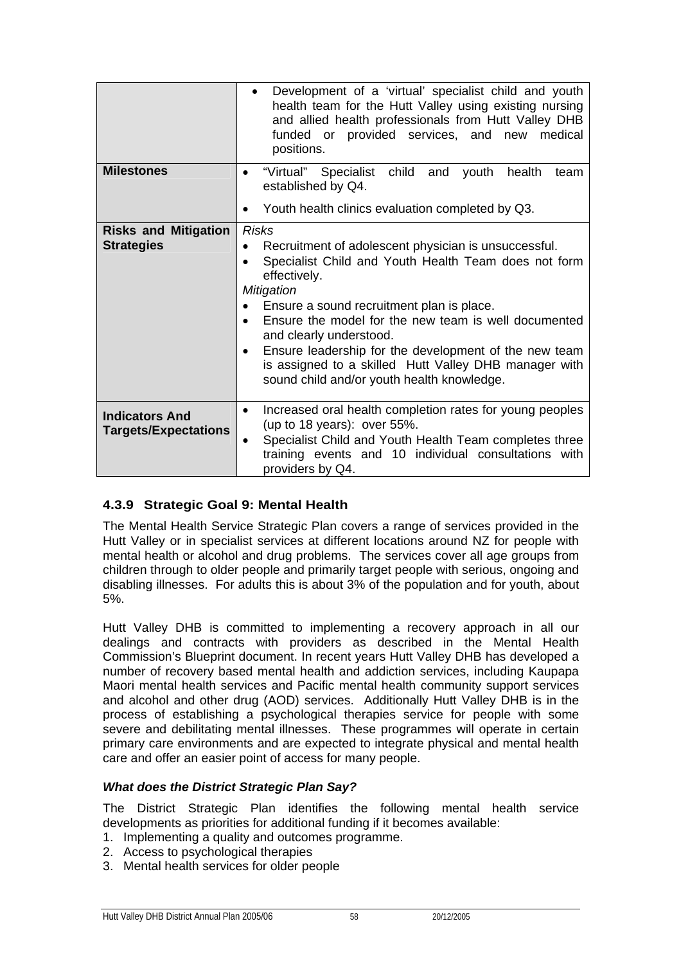|                                                      | Development of a 'virtual' specialist child and youth<br>health team for the Hutt Valley using existing nursing<br>and allied health professionals from Hutt Valley DHB<br>funded or provided services, and new medical<br>positions.                                                                                                                                                                                                                             |  |  |  |  |
|------------------------------------------------------|-------------------------------------------------------------------------------------------------------------------------------------------------------------------------------------------------------------------------------------------------------------------------------------------------------------------------------------------------------------------------------------------------------------------------------------------------------------------|--|--|--|--|
| <b>Milestones</b>                                    | "Virtual" Specialist<br>child<br>youth<br>health<br>and<br>team<br>established by Q4.<br>Youth health clinics evaluation completed by Q3.                                                                                                                                                                                                                                                                                                                         |  |  |  |  |
| <b>Risks and Mitigation</b><br><b>Strategies</b>     | <b>Risks</b><br>Recruitment of adolescent physician is unsuccessful.<br>Specialist Child and Youth Health Team does not form<br>effectively.<br><b>Mitigation</b><br>Ensure a sound recruitment plan is place.<br>Ensure the model for the new team is well documented<br>and clearly understood.<br>Ensure leadership for the development of the new team<br>is assigned to a skilled Hutt Valley DHB manager with<br>sound child and/or youth health knowledge. |  |  |  |  |
| <b>Indicators And</b><br><b>Targets/Expectations</b> | Increased oral health completion rates for young peoples<br>(up to 18 years): over 55%.<br>Specialist Child and Youth Health Team completes three<br>training events and 10 individual consultations with<br>providers by Q4.                                                                                                                                                                                                                                     |  |  |  |  |

# **4.3.9 Strategic Goal 9: Mental Health**

The Mental Health Service Strategic Plan covers a range of services provided in the Hutt Valley or in specialist services at different locations around NZ for people with mental health or alcohol and drug problems. The services cover all age groups from children through to older people and primarily target people with serious, ongoing and disabling illnesses. For adults this is about 3% of the population and for youth, about 5%.

Hutt Valley DHB is committed to implementing a recovery approach in all our dealings and contracts with providers as described in the Mental Health Commission's Blueprint document. In recent years Hutt Valley DHB has developed a number of recovery based mental health and addiction services, including Kaupapa Maori mental health services and Pacific mental health community support services and alcohol and other drug (AOD) services. Additionally Hutt Valley DHB is in the process of establishing a psychological therapies service for people with some severe and debilitating mental illnesses. These programmes will operate in certain primary care environments and are expected to integrate physical and mental health care and offer an easier point of access for many people.

## *What does the District Strategic Plan Say?*

The District Strategic Plan identifies the following mental health service developments as priorities for additional funding if it becomes available:

- 1. Implementing a quality and outcomes programme.
- 2. Access to psychological therapies
- 3. Mental health services for older people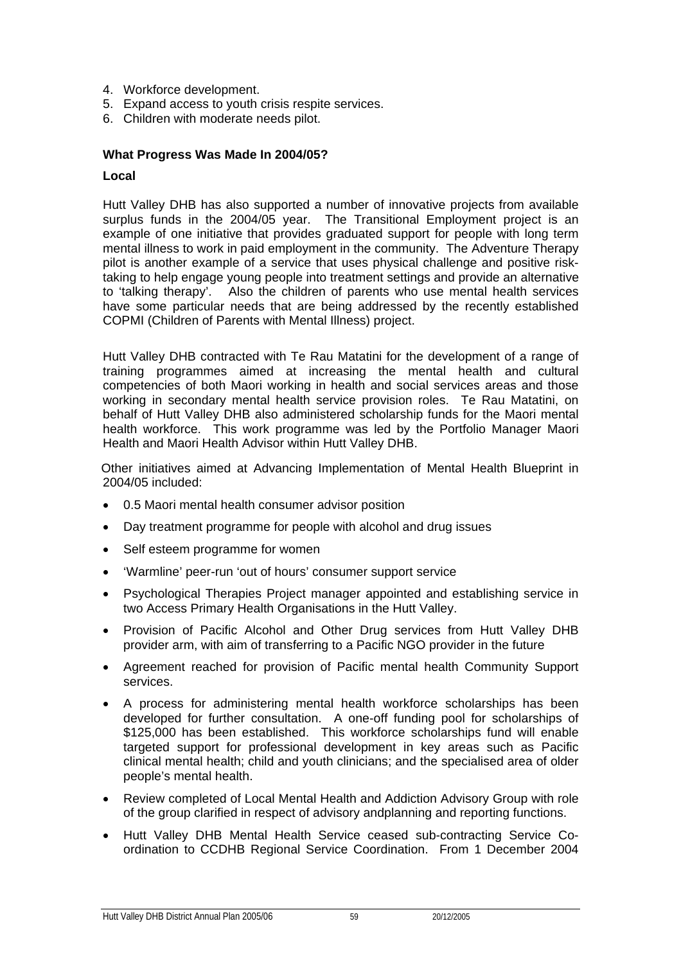- 4. Workforce development.
- 5. Expand access to youth crisis respite services.
- 6. Children with moderate needs pilot.

### **What Progress Was Made In 2004/05?**

### **Local**

Hutt Valley DHB has also supported a number of innovative projects from available surplus funds in the 2004/05 year. The Transitional Employment project is an example of one initiative that provides graduated support for people with long term mental illness to work in paid employment in the community. The Adventure Therapy pilot is another example of a service that uses physical challenge and positive risktaking to help engage young people into treatment settings and provide an alternative to 'talking therapy'. Also the children of parents who use mental health services have some particular needs that are being addressed by the recently established COPMI (Children of Parents with Mental Illness) project.

Hutt Valley DHB contracted with Te Rau Matatini for the development of a range of training programmes aimed at increasing the mental health and cultural competencies of both Maori working in health and social services areas and those working in secondary mental health service provision roles. Te Rau Matatini, on behalf of Hutt Valley DHB also administered scholarship funds for the Maori mental health workforce. This work programme was led by the Portfolio Manager Maori Health and Maori Health Advisor within Hutt Valley DHB.

Other initiatives aimed at Advancing Implementation of Mental Health Blueprint in 2004/05 included:

- 0.5 Maori mental health consumer advisor position
- Day treatment programme for people with alcohol and drug issues
- Self esteem programme for women
- 'Warmline' peer-run 'out of hours' consumer support service
- Psychological Therapies Project manager appointed and establishing service in two Access Primary Health Organisations in the Hutt Valley.
- Provision of Pacific Alcohol and Other Drug services from Hutt Valley DHB provider arm, with aim of transferring to a Pacific NGO provider in the future
- Agreement reached for provision of Pacific mental health Community Support services.
- A process for administering mental health workforce scholarships has been developed for further consultation. A one-off funding pool for scholarships of \$125,000 has been established. This workforce scholarships fund will enable targeted support for professional development in key areas such as Pacific clinical mental health; child and youth clinicians; and the specialised area of older people's mental health.
- Review completed of Local Mental Health and Addiction Advisory Group with role of the group clarified in respect of advisory andplanning and reporting functions.
- Hutt Valley DHB Mental Health Service ceased sub-contracting Service Coordination to CCDHB Regional Service Coordination. From 1 December 2004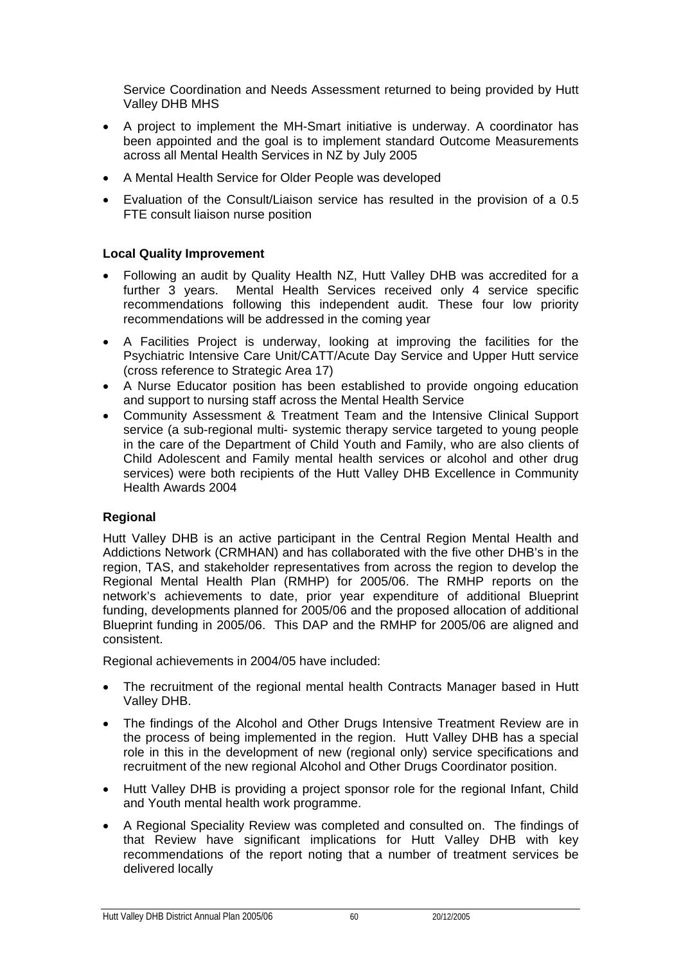Service Coordination and Needs Assessment returned to being provided by Hutt Valley DHB MHS

- A project to implement the MH-Smart initiative is underway. A coordinator has been appointed and the goal is to implement standard Outcome Measurements across all Mental Health Services in NZ by July 2005
- A Mental Health Service for Older People was developed
- Evaluation of the Consult/Liaison service has resulted in the provision of a 0.5 FTE consult liaison nurse position

### **Local Quality Improvement**

- Following an audit by Quality Health NZ, Hutt Valley DHB was accredited for a further 3 years. Mental Health Services received only 4 service specific recommendations following this independent audit. These four low priority recommendations will be addressed in the coming year
- A Facilities Project is underway, looking at improving the facilities for the Psychiatric Intensive Care Unit/CATT/Acute Day Service and Upper Hutt service (cross reference to Strategic Area 17)
- A Nurse Educator position has been established to provide ongoing education and support to nursing staff across the Mental Health Service
- Community Assessment & Treatment Team and the Intensive Clinical Support service (a sub-regional multi- systemic therapy service targeted to young people in the care of the Department of Child Youth and Family, who are also clients of Child Adolescent and Family mental health services or alcohol and other drug services) were both recipients of the Hutt Valley DHB Excellence in Community Health Awards 2004

### **Regional**

Hutt Valley DHB is an active participant in the Central Region Mental Health and Addictions Network (CRMHAN) and has collaborated with the five other DHB's in the region, TAS, and stakeholder representatives from across the region to develop the Regional Mental Health Plan (RMHP) for 2005/06. The RMHP reports on the network's achievements to date, prior year expenditure of additional Blueprint funding, developments planned for 2005/06 and the proposed allocation of additional Blueprint funding in 2005/06. This DAP and the RMHP for 2005/06 are aligned and consistent.

Regional achievements in 2004/05 have included:

- The recruitment of the regional mental health Contracts Manager based in Hutt Valley DHB.
- The findings of the Alcohol and Other Drugs Intensive Treatment Review are in the process of being implemented in the region. Hutt Valley DHB has a special role in this in the development of new (regional only) service specifications and recruitment of the new regional Alcohol and Other Drugs Coordinator position.
- Hutt Valley DHB is providing a project sponsor role for the regional Infant, Child and Youth mental health work programme.
- A Regional Speciality Review was completed and consulted on. The findings of that Review have significant implications for Hutt Valley DHB with key recommendations of the report noting that a number of treatment services be delivered locally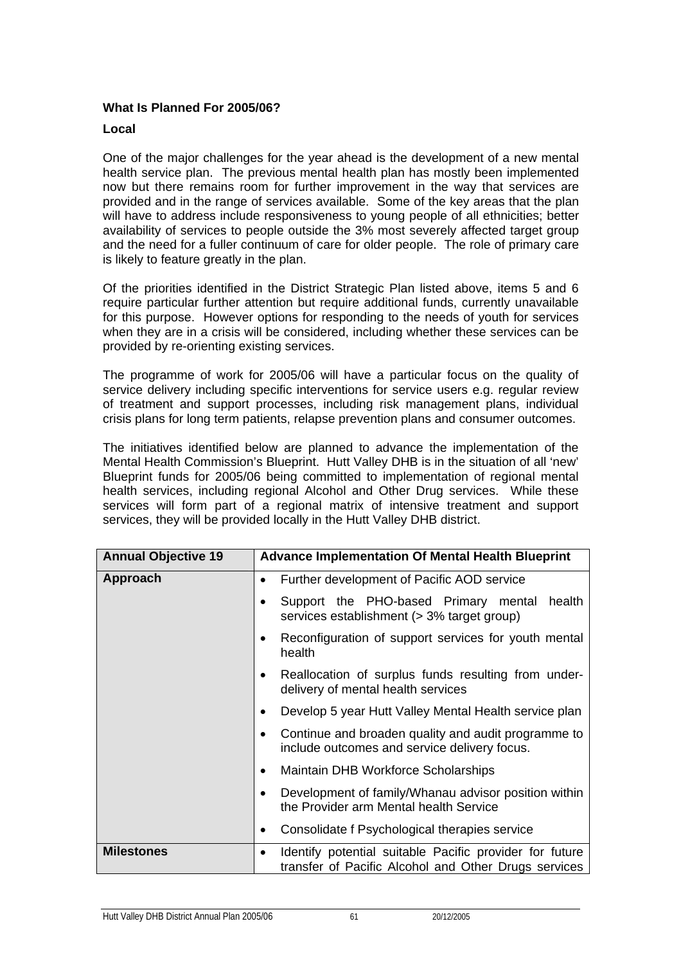### **What Is Planned For 2005/06?**

### **Local**

One of the major challenges for the year ahead is the development of a new mental health service plan. The previous mental health plan has mostly been implemented now but there remains room for further improvement in the way that services are provided and in the range of services available. Some of the key areas that the plan will have to address include responsiveness to young people of all ethnicities; better availability of services to people outside the 3% most severely affected target group and the need for a fuller continuum of care for older people. The role of primary care is likely to feature greatly in the plan.

Of the priorities identified in the District Strategic Plan listed above, items 5 and 6 require particular further attention but require additional funds, currently unavailable for this purpose. However options for responding to the needs of youth for services when they are in a crisis will be considered, including whether these services can be provided by re-orienting existing services.

The programme of work for 2005/06 will have a particular focus on the quality of service delivery including specific interventions for service users e.g. regular review of treatment and support processes, including risk management plans, individual crisis plans for long term patients, relapse prevention plans and consumer outcomes.

The initiatives identified below are planned to advance the implementation of the Mental Health Commission's Blueprint. Hutt Valley DHB is in the situation of all 'new' Blueprint funds for 2005/06 being committed to implementation of regional mental health services, including regional Alcohol and Other Drug services. While these services will form part of a regional matrix of intensive treatment and support services, they will be provided locally in the Hutt Valley DHB district.

| <b>Annual Objective 19</b> | <b>Advance Implementation Of Mental Health Blueprint</b>                                                                     |  |  |  |  |  |
|----------------------------|------------------------------------------------------------------------------------------------------------------------------|--|--|--|--|--|
| Approach                   | Further development of Pacific AOD service<br>$\bullet$                                                                      |  |  |  |  |  |
|                            | Support the PHO-based Primary mental<br>health<br>$\bullet$<br>services establishment (> 3% target group)                    |  |  |  |  |  |
|                            | Reconfiguration of support services for youth mental<br>health                                                               |  |  |  |  |  |
|                            | Reallocation of surplus funds resulting from under-<br>delivery of mental health services                                    |  |  |  |  |  |
|                            | Develop 5 year Hutt Valley Mental Health service plan                                                                        |  |  |  |  |  |
|                            | Continue and broaden quality and audit programme to<br>include outcomes and service delivery focus.                          |  |  |  |  |  |
|                            | Maintain DHB Workforce Scholarships<br>$\bullet$                                                                             |  |  |  |  |  |
|                            | Development of family/Whanau advisor position within<br>$\bullet$<br>the Provider arm Mental health Service                  |  |  |  |  |  |
|                            | Consolidate f Psychological therapies service<br>٠                                                                           |  |  |  |  |  |
| <b>Milestones</b>          | Identify potential suitable Pacific provider for future<br>$\bullet$<br>transfer of Pacific Alcohol and Other Drugs services |  |  |  |  |  |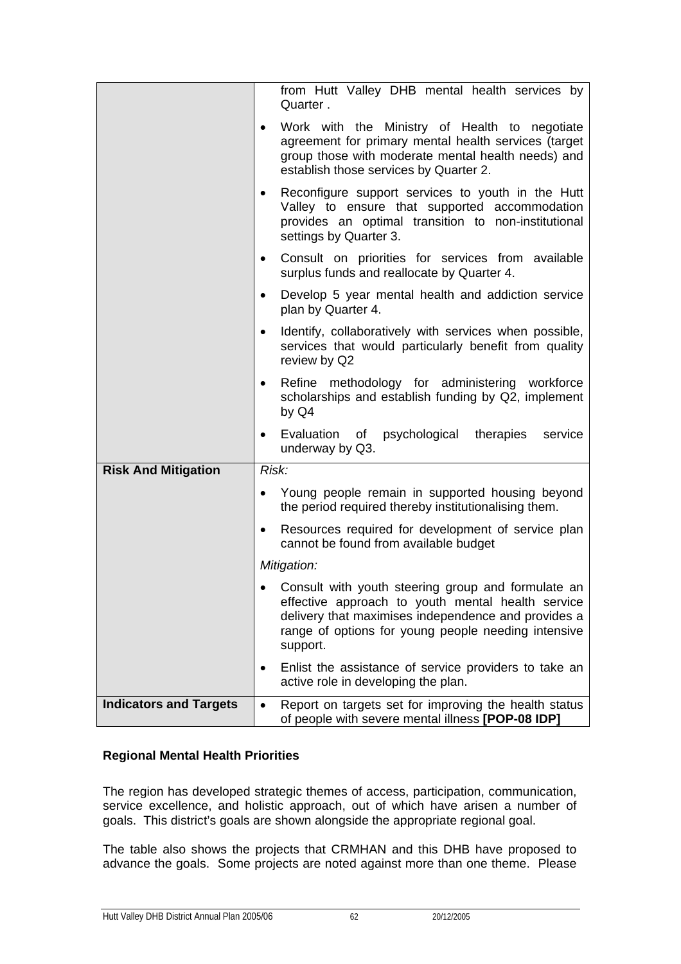|                               | from Hutt Valley DHB mental health services by<br>Quarter.                                                                                                                                                                        |  |  |  |  |  |
|-------------------------------|-----------------------------------------------------------------------------------------------------------------------------------------------------------------------------------------------------------------------------------|--|--|--|--|--|
|                               | Work with the Ministry of Health to negotiate<br>٠<br>agreement for primary mental health services (target<br>group those with moderate mental health needs) and<br>establish those services by Quarter 2.                        |  |  |  |  |  |
|                               | Reconfigure support services to youth in the Hutt<br>$\bullet$<br>Valley to ensure that supported accommodation<br>provides an optimal transition to non-institutional<br>settings by Quarter 3.                                  |  |  |  |  |  |
|                               | Consult on priorities for services from available<br>$\bullet$<br>surplus funds and reallocate by Quarter 4.                                                                                                                      |  |  |  |  |  |
|                               | Develop 5 year mental health and addiction service<br>$\bullet$<br>plan by Quarter 4.                                                                                                                                             |  |  |  |  |  |
|                               | Identify, collaboratively with services when possible,<br>$\bullet$<br>services that would particularly benefit from quality<br>review by Q2                                                                                      |  |  |  |  |  |
|                               | Refine methodology for administering workforce<br>$\bullet$<br>scholarships and establish funding by Q2, implement<br>by Q4                                                                                                       |  |  |  |  |  |
|                               | Evaluation of psychological therapies<br>service<br>$\bullet$<br>underway by Q3.                                                                                                                                                  |  |  |  |  |  |
| <b>Risk And Mitigation</b>    | Risk:                                                                                                                                                                                                                             |  |  |  |  |  |
|                               | Young people remain in supported housing beyond<br>٠<br>the period required thereby institutionalising them.                                                                                                                      |  |  |  |  |  |
|                               | Resources required for development of service plan<br>$\bullet$<br>cannot be found from available budget                                                                                                                          |  |  |  |  |  |
|                               | Mitigation:                                                                                                                                                                                                                       |  |  |  |  |  |
|                               | Consult with youth steering group and formulate an<br>effective approach to youth mental health service<br>delivery that maximises independence and provides a<br>range of options for young people needing intensive<br>support. |  |  |  |  |  |
|                               | Enlist the assistance of service providers to take an<br>active role in developing the plan.                                                                                                                                      |  |  |  |  |  |
| <b>Indicators and Targets</b> | Report on targets set for improving the health status<br>$\bullet$<br>of people with severe mental illness [POP-08 IDP]                                                                                                           |  |  |  |  |  |

## **Regional Mental Health Priorities**

The region has developed strategic themes of access, participation, communication, service excellence, and holistic approach, out of which have arisen a number of goals. This district's goals are shown alongside the appropriate regional goal.

The table also shows the projects that CRMHAN and this DHB have proposed to advance the goals. Some projects are noted against more than one theme. Please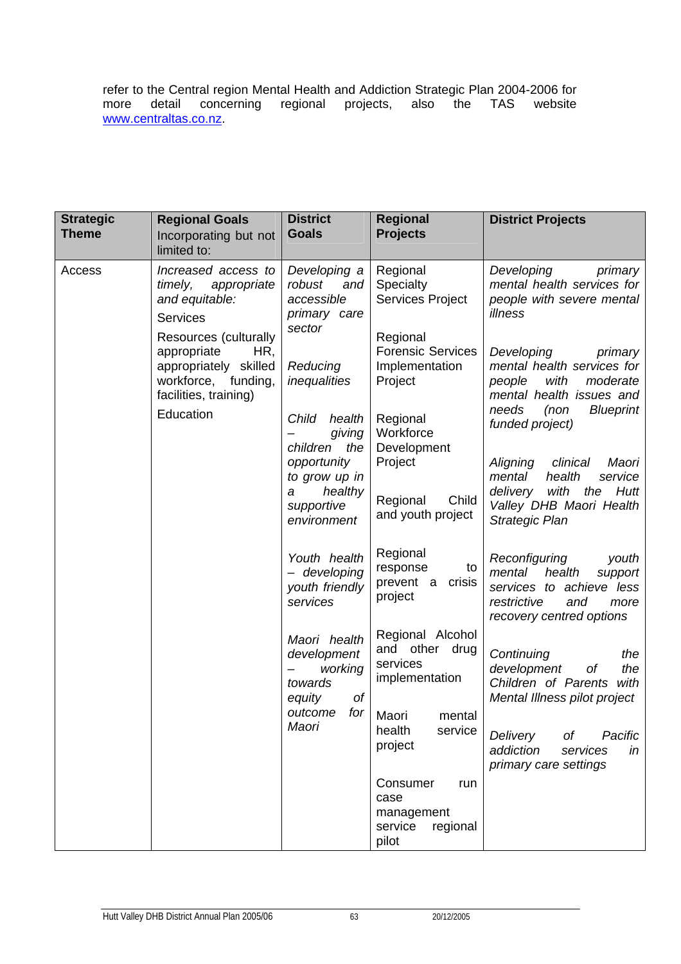refer to the Central region Mental Health and Addiction Strategic Plan 2004-2006 for<br>more detail concerning regional projects, also the TAS website more detail concerning regional projects, also the TAS website www.centraltas.co.nz.

| <b>Strategic</b><br><b>Theme</b> | <b>Regional Goals</b><br>Incorporating but not<br>limited to:                                                        | <b>District</b><br><b>Goals</b>                                    | <b>Regional</b><br><b>Projects</b>                                    | <b>District Projects</b>                                                                                                                 |
|----------------------------------|----------------------------------------------------------------------------------------------------------------------|--------------------------------------------------------------------|-----------------------------------------------------------------------|------------------------------------------------------------------------------------------------------------------------------------------|
| Access                           | Increased access to<br>timely,<br>appropriate<br>and equitable:<br><b>Services</b>                                   | Developing a<br>robust<br>and<br>accessible<br>primary care        | Regional<br>Specialty<br>Services Project                             | Developing<br>primary<br>mental health services for<br>people with severe mental<br>illness                                              |
|                                  | Resources (culturally<br>appropriate<br>HR,<br>appropriately skilled<br>workforce, funding,<br>facilities, training) | sector<br>Reducing<br>inequalities                                 | Regional<br><b>Forensic Services</b><br>Implementation<br>Project     | Developing<br>primary<br>mental health services for<br>with<br>moderate<br>people<br>mental health issues and                            |
| Education                        |                                                                                                                      | <b>Child</b><br>health<br>giving<br>children<br>the<br>opportunity | Regional<br>Workforce<br>Development<br>Project                       | (non<br><b>Blueprint</b><br>needs<br>funded project)<br>clinical<br>Maori<br>Aligning                                                    |
|                                  |                                                                                                                      | to grow up in<br>healthy<br>a<br>supportive<br>environment         | Regional<br>Child<br>and youth project                                | mental<br>health<br>service<br>with<br>the<br>Hutt<br>delivery<br>Valley DHB Maori Health<br>Strategic Plan                              |
|                                  |                                                                                                                      | Youth health<br>- developing<br>youth friendly<br>services         | Regional<br>response<br>to<br>prevent a<br>crisis<br>project          | Reconfiguring<br>youth<br>mental health<br>support<br>services to achieve less<br>restrictive<br>and<br>more<br>recovery centred options |
|                                  |                                                                                                                      | Maori health<br>development<br>working<br>towards<br>of<br>equity  | Regional Alcohol<br>and other<br>drug<br>services<br>implementation   | Continuing<br>the<br>development<br>the<br>оf<br>Children of Parents<br>with<br>Mental Illness pilot project                             |
|                                  |                                                                                                                      | for<br>outcome<br>Maori                                            | Maori<br>mental<br>health<br>service<br>project                       | Delivery<br>Pacific<br>оf<br>addiction<br>services<br>in<br>primary care settings                                                        |
|                                  |                                                                                                                      |                                                                    | Consumer<br>run<br>case<br>management<br>service<br>regional<br>pilot |                                                                                                                                          |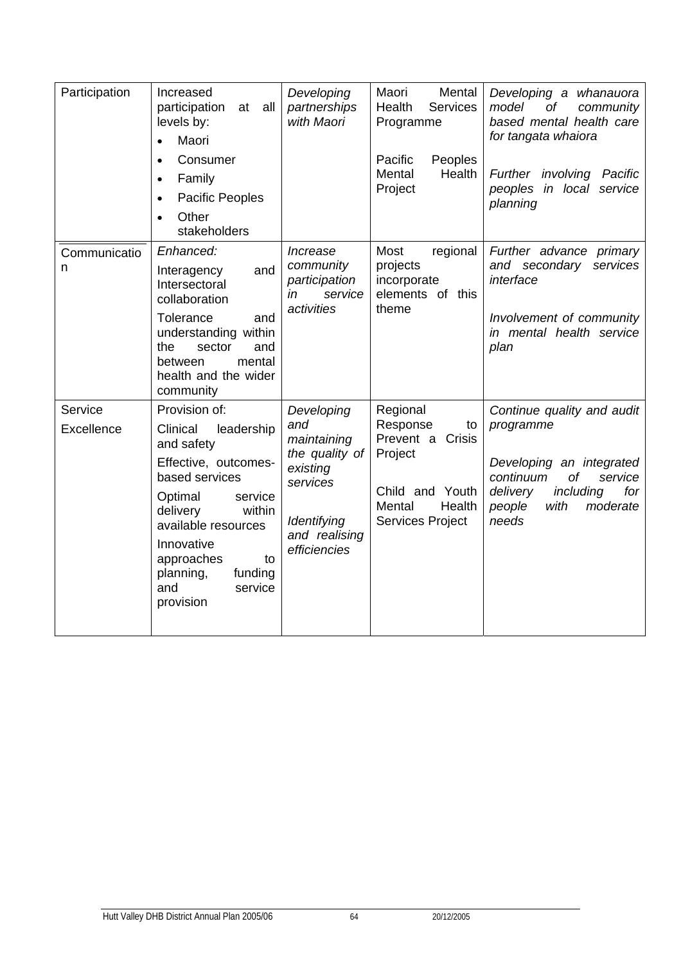| Participation         | Increased<br>participation<br>at<br>all<br>levels by:<br>Maori<br>$\bullet$<br>Consumer<br>$\bullet$                                                                                                                                                        | Developing<br>partnerships<br>with Maori                                                                                   | Maori<br>Mental<br><b>Services</b><br>Health<br>Programme<br>Pacific<br>Peoples                                      | Developing a whanauora<br>model<br>of<br>community<br>based mental health care<br>for tangata whaiora                                                                    |
|-----------------------|-------------------------------------------------------------------------------------------------------------------------------------------------------------------------------------------------------------------------------------------------------------|----------------------------------------------------------------------------------------------------------------------------|----------------------------------------------------------------------------------------------------------------------|--------------------------------------------------------------------------------------------------------------------------------------------------------------------------|
|                       | Family<br>$\bullet$<br>Pacific Peoples<br>$\bullet$<br>Other<br>$\bullet$<br>stakeholders                                                                                                                                                                   |                                                                                                                            | Health<br>Mental<br>Project                                                                                          | Further involving Pacific<br>peoples in local service<br>planning                                                                                                        |
| Communicatio<br>n     | Enhanced:<br>Interagency<br>and<br>Intersectoral<br>collaboration<br>Tolerance<br>and<br>understanding within<br>the<br>sector<br>and<br>mental<br>between<br>health and the wider<br>community                                                             | Increase<br>community<br>participation<br>service<br>in<br>activities                                                      | Most<br>regional<br>projects<br>incorporate<br>elements of this<br>theme                                             | Further advance primary<br>and secondary<br>services<br>interface<br>Involvement of community<br>in mental health service<br>plan                                        |
| Service<br>Excellence | Provision of:<br>Clinical<br>leadership<br>and safety<br>Effective, outcomes-<br>based services<br>Optimal<br>service<br>delivery<br>within<br>available resources<br>Innovative<br>approaches<br>to<br>funding<br>planning,<br>service<br>and<br>provision | Developing<br>and<br>maintaining<br>the quality of<br>existing<br>services<br>Identifying<br>and realising<br>efficiencies | Regional<br>Response<br>to<br>Prevent a Crisis<br>Project<br>Child and Youth<br>Mental<br>Health<br>Services Project | Continue quality and audit<br>programme<br>Developing an integrated<br>continuum<br>of<br>service<br>delivery<br>including<br>for<br>people<br>with<br>moderate<br>needs |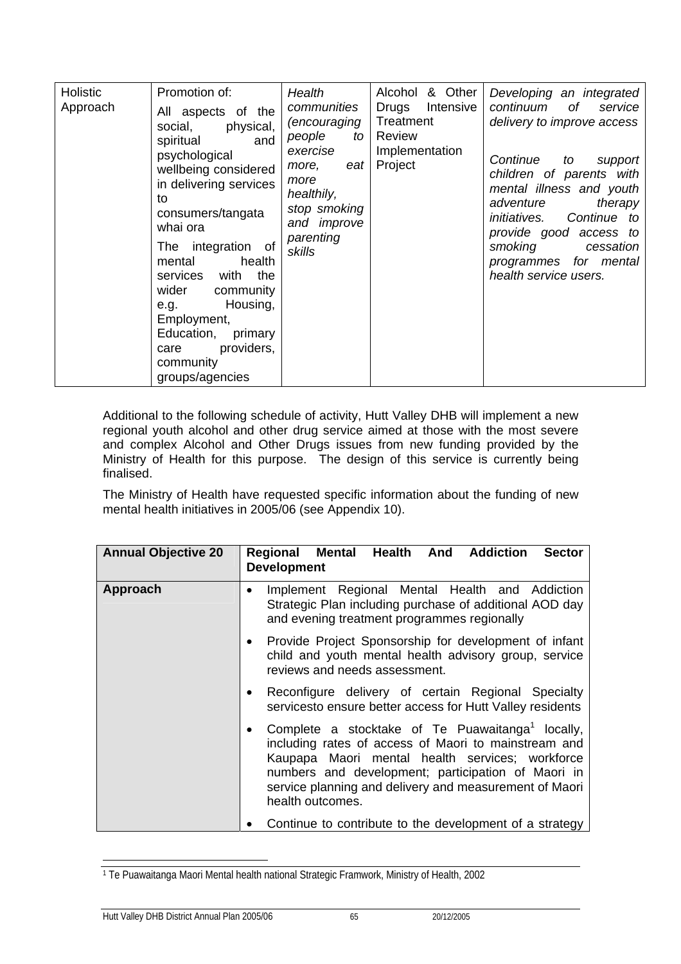| Holistic<br>Approach | Promotion of:<br>All aspects of the<br>physical,<br>social,<br>spiritual<br>and<br>psychological<br>wellbeing considered<br>in delivering services<br>to<br>consumers/tangata<br>whai ora<br>The integration<br>0f<br>health<br>mental<br>the<br>with<br>services<br>wider<br>community<br>Housing,<br>e.g.<br>Employment,<br>Education,<br>primary<br>providers,<br>care<br>community<br>groups/agencies | Health<br>communities<br>(encouraging<br>people<br>to I<br>exercise<br>eat<br>more,<br>more<br>healthily,<br>stop smoking<br>and <i>improve</i><br>parenting<br>skills | & Other<br>Alcohol<br>Drugs Intensive<br>Treatment<br>Review<br>Implementation<br>Project | Developing an integrated<br>continuum<br>of<br>service<br>delivery to improve access<br>Continue<br>to<br>support<br>children of parents with<br>mental illness and youth<br>adventure<br>therapy<br>Continue to<br><i>initiatives.</i><br>provide good access to<br>smoking<br>cessation<br>for mental<br>programmes<br>health service users. |
|----------------------|-----------------------------------------------------------------------------------------------------------------------------------------------------------------------------------------------------------------------------------------------------------------------------------------------------------------------------------------------------------------------------------------------------------|------------------------------------------------------------------------------------------------------------------------------------------------------------------------|-------------------------------------------------------------------------------------------|------------------------------------------------------------------------------------------------------------------------------------------------------------------------------------------------------------------------------------------------------------------------------------------------------------------------------------------------|
|----------------------|-----------------------------------------------------------------------------------------------------------------------------------------------------------------------------------------------------------------------------------------------------------------------------------------------------------------------------------------------------------------------------------------------------------|------------------------------------------------------------------------------------------------------------------------------------------------------------------------|-------------------------------------------------------------------------------------------|------------------------------------------------------------------------------------------------------------------------------------------------------------------------------------------------------------------------------------------------------------------------------------------------------------------------------------------------|

Additional to the following schedule of activity, Hutt Valley DHB will implement a new regional youth alcohol and other drug service aimed at those with the most severe and complex Alcohol and Other Drugs issues from new funding provided by the Ministry of Health for this purpose. The design of this service is currently being finalised.

The Ministry of Health have requested specific information about the funding of new mental health initiatives in 2005/06 (see Appendix 10).

| <b>Annual Objective 20</b> | Regional Mental Health And Addiction<br><b>Sector</b><br><b>Development</b>                                                                                                                                                                                                                                              |
|----------------------------|--------------------------------------------------------------------------------------------------------------------------------------------------------------------------------------------------------------------------------------------------------------------------------------------------------------------------|
| Approach                   | Implement Regional Mental Health and Addiction<br>Strategic Plan including purchase of additional AOD day<br>and evening treatment programmes regionally                                                                                                                                                                 |
|                            | • Provide Project Sponsorship for development of infant<br>child and youth mental health advisory group, service<br>reviews and needs assessment.                                                                                                                                                                        |
|                            | Reconfigure delivery of certain Regional Specialty<br>servicesto ensure better access for Hutt Valley residents                                                                                                                                                                                                          |
|                            | Complete a stocktake of Te Puawaitanga <sup>1</sup> locally,<br>$\bullet$<br>including rates of access of Maori to mainstream and<br>Kaupapa Maori mental health services; workforce<br>numbers and development; participation of Maori in<br>service planning and delivery and measurement of Maori<br>health outcomes. |
|                            | Continue to contribute to the development of a strategy                                                                                                                                                                                                                                                                  |

<sup>1</sup> Te Puawaitanga Maori Mental health national Strategic Framwork, Ministry of Health, 2002

 $\overline{a}$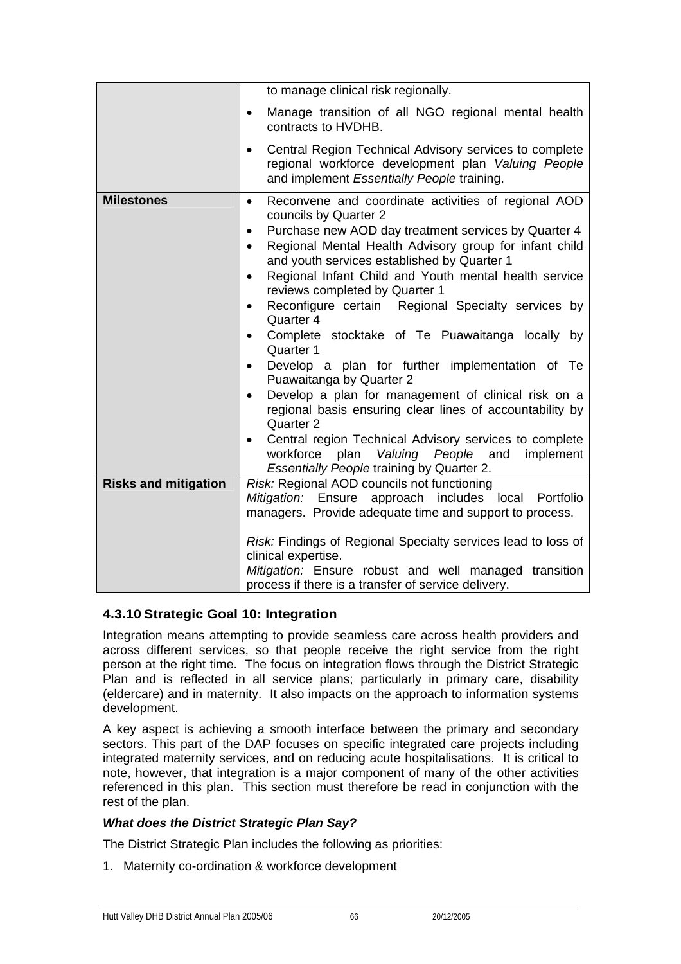|                             | to manage clinical risk regionally.                                                                                                                                                                                                                                                                                                                                                                                                                                                                                                                                                                                                                                                                                                                                                                                                                                                                                                                                        |
|-----------------------------|----------------------------------------------------------------------------------------------------------------------------------------------------------------------------------------------------------------------------------------------------------------------------------------------------------------------------------------------------------------------------------------------------------------------------------------------------------------------------------------------------------------------------------------------------------------------------------------------------------------------------------------------------------------------------------------------------------------------------------------------------------------------------------------------------------------------------------------------------------------------------------------------------------------------------------------------------------------------------|
|                             | Manage transition of all NGO regional mental health<br>$\bullet$<br>contracts to HVDHB.                                                                                                                                                                                                                                                                                                                                                                                                                                                                                                                                                                                                                                                                                                                                                                                                                                                                                    |
|                             | Central Region Technical Advisory services to complete<br>٠<br>regional workforce development plan Valuing People<br>and implement Essentially People training.                                                                                                                                                                                                                                                                                                                                                                                                                                                                                                                                                                                                                                                                                                                                                                                                            |
| <b>Milestones</b>           | Reconvene and coordinate activities of regional AOD<br>$\bullet$<br>councils by Quarter 2<br>Purchase new AOD day treatment services by Quarter 4<br>$\bullet$<br>Regional Mental Health Advisory group for infant child<br>$\bullet$<br>and youth services established by Quarter 1<br>Regional Infant Child and Youth mental health service<br>$\bullet$<br>reviews completed by Quarter 1<br>Reconfigure certain Regional Specialty services by<br>٠<br>Quarter 4<br>Complete stocktake of Te Puawaitanga locally<br>by<br>$\bullet$<br>Quarter 1<br>Develop a plan for further implementation of Te<br>$\bullet$<br>Puawaitanga by Quarter 2<br>Develop a plan for management of clinical risk on a<br>$\bullet$<br>regional basis ensuring clear lines of accountability by<br>Quarter 2<br>Central region Technical Advisory services to complete<br>$\bullet$<br>workforce plan Valuing People and<br>implement<br><b>Essentially People training by Quarter 2.</b> |
| <b>Risks and mitigation</b> | Risk: Regional AOD councils not functioning<br>Mitigation: Ensure approach includes local Portfolio<br>managers. Provide adequate time and support to process.                                                                                                                                                                                                                                                                                                                                                                                                                                                                                                                                                                                                                                                                                                                                                                                                             |
|                             | Risk: Findings of Regional Specialty services lead to loss of<br>clinical expertise.<br>Mitigation: Ensure robust and well managed transition<br>process if there is a transfer of service delivery.                                                                                                                                                                                                                                                                                                                                                                                                                                                                                                                                                                                                                                                                                                                                                                       |

## **4.3.10 Strategic Goal 10: Integration**

Integration means attempting to provide seamless care across health providers and across different services, so that people receive the right service from the right person at the right time. The focus on integration flows through the District Strategic Plan and is reflected in all service plans; particularly in primary care, disability (eldercare) and in maternity. It also impacts on the approach to information systems development.

A key aspect is achieving a smooth interface between the primary and secondary sectors. This part of the DAP focuses on specific integrated care projects including integrated maternity services, and on reducing acute hospitalisations. It is critical to note, however, that integration is a major component of many of the other activities referenced in this plan. This section must therefore be read in conjunction with the rest of the plan.

## *What does the District Strategic Plan Say?*

The District Strategic Plan includes the following as priorities:

1. Maternity co-ordination & workforce development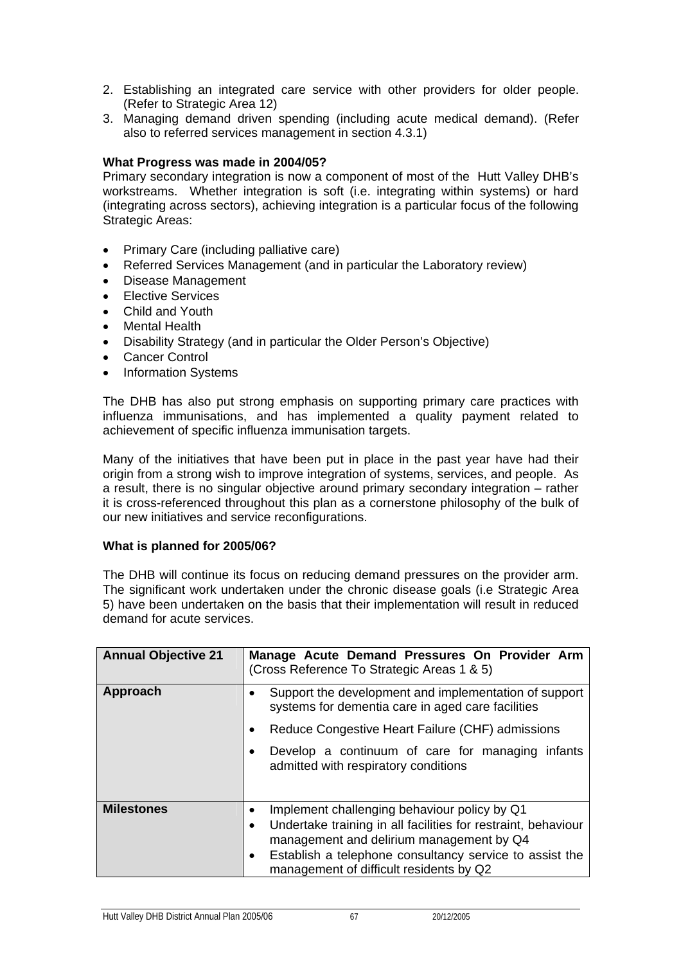- 2. Establishing an integrated care service with other providers for older people. (Refer to Strategic Area 12)
- 3. Managing demand driven spending (including acute medical demand). (Refer also to referred services management in section 4.3.1)

### **What Progress was made in 2004/05?**

Primary secondary integration is now a component of most of the Hutt Valley DHB's workstreams. Whether integration is soft (i.e. integrating within systems) or hard (integrating across sectors), achieving integration is a particular focus of the following Strategic Areas:

- Primary Care (including palliative care)
- Referred Services Management (and in particular the Laboratory review)
- Disease Management
- **Elective Services**
- Child and Youth
- **Mental Health**
- Disability Strategy (and in particular the Older Person's Objective)
- Cancer Control
- Information Systems

The DHB has also put strong emphasis on supporting primary care practices with influenza immunisations, and has implemented a quality payment related to achievement of specific influenza immunisation targets.

Many of the initiatives that have been put in place in the past year have had their origin from a strong wish to improve integration of systems, services, and people. As a result, there is no singular objective around primary secondary integration – rather it is cross-referenced throughout this plan as a cornerstone philosophy of the bulk of our new initiatives and service reconfigurations.

### **What is planned for 2005/06?**

The DHB will continue its focus on reducing demand pressures on the provider arm. The significant work undertaken under the chronic disease goals (i.e Strategic Area 5) have been undertaken on the basis that their implementation will result in reduced demand for acute services.

| <b>Annual Objective 21</b> | Manage Acute Demand Pressures On Provider Arm<br>(Cross Reference To Strategic Areas 1 & 5)                                                                                                                                                                          |
|----------------------------|----------------------------------------------------------------------------------------------------------------------------------------------------------------------------------------------------------------------------------------------------------------------|
| Approach                   | Support the development and implementation of support<br>systems for dementia care in aged care facilities                                                                                                                                                           |
|                            | Reduce Congestive Heart Failure (CHF) admissions<br>٠                                                                                                                                                                                                                |
|                            | Develop a continuum of care for managing infants<br>admitted with respiratory conditions                                                                                                                                                                             |
| <b>Milestones</b>          | Implement challenging behaviour policy by Q1<br>Undertake training in all facilities for restraint, behaviour<br>٠<br>management and delirium management by Q4<br>Establish a telephone consultancy service to assist the<br>management of difficult residents by Q2 |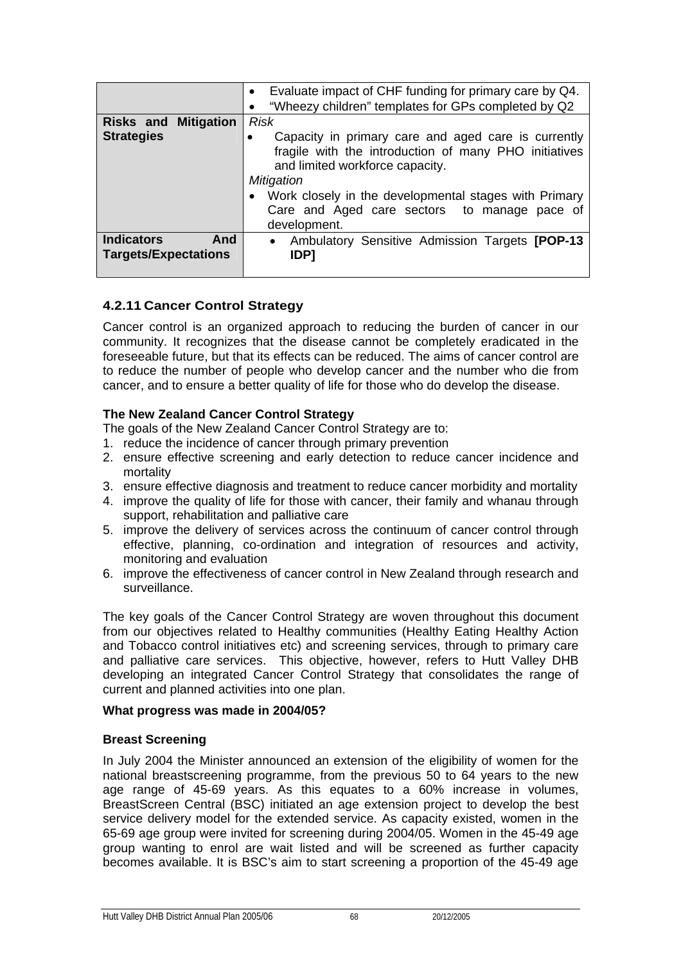|                                                         | Evaluate impact of CHF funding for primary care by Q4.<br>$\bullet$<br>"Wheezy children" templates for GPs completed by Q2<br>$\bullet$                                                                                                                                                                                     |
|---------------------------------------------------------|-----------------------------------------------------------------------------------------------------------------------------------------------------------------------------------------------------------------------------------------------------------------------------------------------------------------------------|
| <b>Risks and Mitigation</b><br><b>Strategies</b>        | <b>Risk</b><br>Capacity in primary care and aged care is currently<br>$\bullet$<br>fragile with the introduction of many PHO initiatives<br>and limited workforce capacity.<br><b>Mitigation</b><br>• Work closely in the developmental stages with Primary<br>Care and Aged care sectors to manage pace of<br>development. |
| <b>Indicators</b><br>And<br><b>Targets/Expectations</b> | • Ambulatory Sensitive Admission Targets [POP-13<br><b>IDP1</b>                                                                                                                                                                                                                                                             |

## **4.2.11 Cancer Control Strategy**

Cancer control is an organized approach to reducing the burden of cancer in our community. It recognizes that the disease cannot be completely eradicated in the foreseeable future, but that its effects can be reduced. The aims of cancer control are to reduce the number of people who develop cancer and the number who die from cancer, and to ensure a better quality of life for those who do develop the disease.

## **The New Zealand Cancer Control Strategy**

The goals of the New Zealand Cancer Control Strategy are to:

- 1. reduce the incidence of cancer through primary prevention
- 2. ensure effective screening and early detection to reduce cancer incidence and mortality
- 3. ensure effective diagnosis and treatment to reduce cancer morbidity and mortality
- 4. improve the quality of life for those with cancer, their family and whanau through support, rehabilitation and palliative care
- 5. improve the delivery of services across the continuum of cancer control through effective, planning, co-ordination and integration of resources and activity, monitoring and evaluation
- 6. improve the effectiveness of cancer control in New Zealand through research and surveillance.

The key goals of the Cancer Control Strategy are woven throughout this document from our objectives related to Healthy communities (Healthy Eating Healthy Action and Tobacco control initiatives etc) and screening services, through to primary care and palliative care services. This objective, however, refers to Hutt Valley DHB developing an integrated Cancer Control Strategy that consolidates the range of current and planned activities into one plan.

### **What progress was made in 2004/05?**

### **Breast Screening**

In July 2004 the Minister announced an extension of the eligibility of women for the national breastscreening programme, from the previous 50 to 64 years to the new age range of 45-69 years. As this equates to a 60% increase in volumes, BreastScreen Central (BSC) initiated an age extension project to develop the best service delivery model for the extended service. As capacity existed, women in the 65-69 age group were invited for screening during 2004/05. Women in the 45-49 age group wanting to enrol are wait listed and will be screened as further capacity becomes available. It is BSC's aim to start screening a proportion of the 45-49 age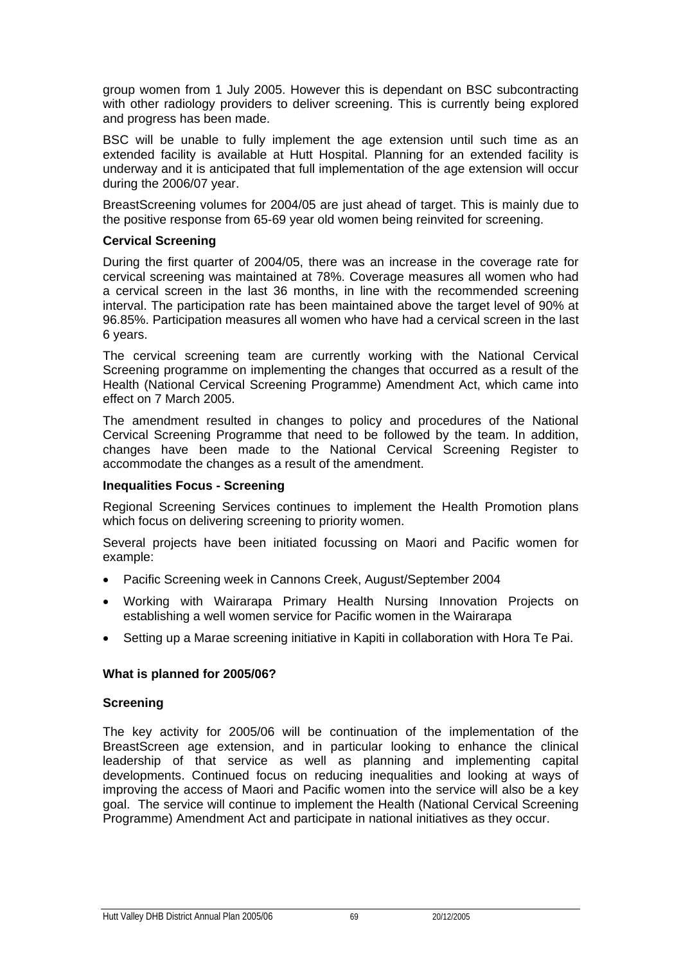group women from 1 July 2005. However this is dependant on BSC subcontracting with other radiology providers to deliver screening. This is currently being explored and progress has been made.

BSC will be unable to fully implement the age extension until such time as an extended facility is available at Hutt Hospital. Planning for an extended facility is underway and it is anticipated that full implementation of the age extension will occur during the 2006/07 year.

BreastScreening volumes for 2004/05 are just ahead of target. This is mainly due to the positive response from 65-69 year old women being reinvited for screening.

### **Cervical Screening**

During the first quarter of 2004/05, there was an increase in the coverage rate for cervical screening was maintained at 78%. Coverage measures all women who had a cervical screen in the last 36 months, in line with the recommended screening interval. The participation rate has been maintained above the target level of 90% at 96.85%. Participation measures all women who have had a cervical screen in the last 6 years.

The cervical screening team are currently working with the National Cervical Screening programme on implementing the changes that occurred as a result of the Health (National Cervical Screening Programme) Amendment Act, which came into effect on 7 March 2005.

The amendment resulted in changes to policy and procedures of the National Cervical Screening Programme that need to be followed by the team. In addition, changes have been made to the National Cervical Screening Register to accommodate the changes as a result of the amendment.

## **Inequalities Focus - Screening**

Regional Screening Services continues to implement the Health Promotion plans which focus on delivering screening to priority women.

Several projects have been initiated focussing on Maori and Pacific women for example:

- Pacific Screening week in Cannons Creek, August/September 2004
- Working with Wairarapa Primary Health Nursing Innovation Projects on establishing a well women service for Pacific women in the Wairarapa
- Setting up a Marae screening initiative in Kapiti in collaboration with Hora Te Pai.

## **What is planned for 2005/06?**

### **Screening**

The key activity for 2005/06 will be continuation of the implementation of the BreastScreen age extension, and in particular looking to enhance the clinical leadership of that service as well as planning and implementing capital developments. Continued focus on reducing inequalities and looking at ways of improving the access of Maori and Pacific women into the service will also be a key goal. The service will continue to implement the Health (National Cervical Screening Programme) Amendment Act and participate in national initiatives as they occur.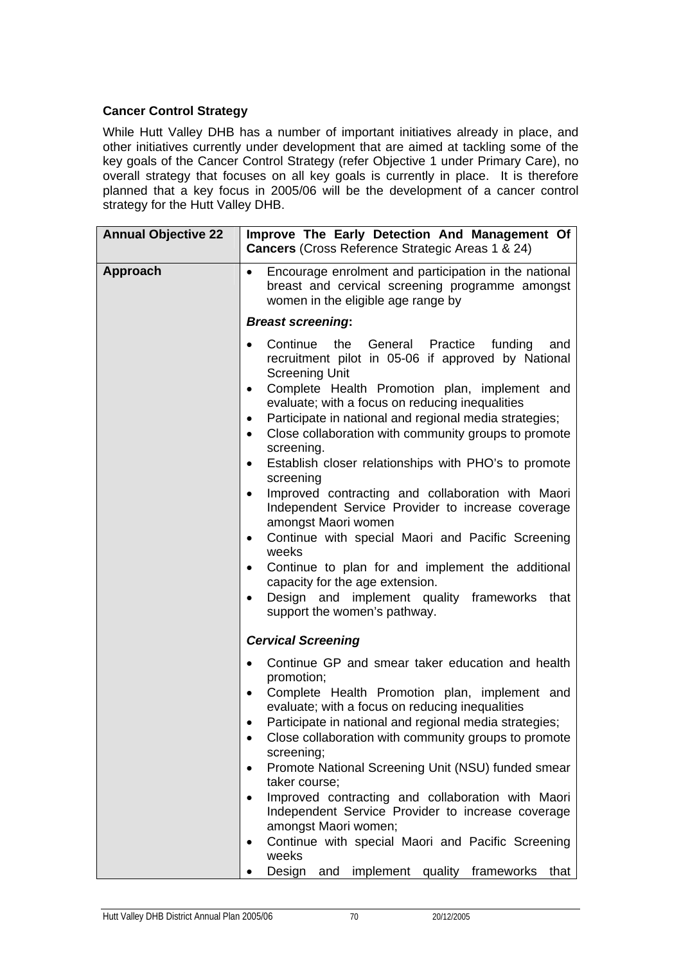### **Cancer Control Strategy**

While Hutt Valley DHB has a number of important initiatives already in place, and other initiatives currently under development that are aimed at tackling some of the key goals of the Cancer Control Strategy (refer Objective 1 under Primary Care), no overall strategy that focuses on all key goals is currently in place. It is therefore planned that a key focus in 2005/06 will be the development of a cancer control strategy for the Hutt Valley DHB.

| <b>Annual Objective 22</b> | Improve The Early Detection And Management Of<br>Cancers (Cross Reference Strategic Areas 1 & 24)                                                                                                                                                                                                                                                                                                                                                                                                                                                                                                                                                                                                                                                                                                                                                                                                                      |
|----------------------------|------------------------------------------------------------------------------------------------------------------------------------------------------------------------------------------------------------------------------------------------------------------------------------------------------------------------------------------------------------------------------------------------------------------------------------------------------------------------------------------------------------------------------------------------------------------------------------------------------------------------------------------------------------------------------------------------------------------------------------------------------------------------------------------------------------------------------------------------------------------------------------------------------------------------|
| Approach                   | Encourage enrolment and participation in the national<br>$\bullet$<br>breast and cervical screening programme amongst<br>women in the eligible age range by                                                                                                                                                                                                                                                                                                                                                                                                                                                                                                                                                                                                                                                                                                                                                            |
|                            | <b>Breast screening:</b>                                                                                                                                                                                                                                                                                                                                                                                                                                                                                                                                                                                                                                                                                                                                                                                                                                                                                               |
|                            | Continue<br>the General Practice funding<br>and<br>recruitment pilot in 05-06 if approved by National<br><b>Screening Unit</b><br>Complete Health Promotion plan, implement and<br>$\bullet$<br>evaluate; with a focus on reducing inequalities<br>Participate in national and regional media strategies;<br>$\bullet$<br>Close collaboration with community groups to promote<br>$\bullet$<br>screening.<br>Establish closer relationships with PHO's to promote<br>$\bullet$<br>screening<br>Improved contracting and collaboration with Maori<br>$\bullet$<br>Independent Service Provider to increase coverage<br>amongst Maori women<br>Continue with special Maori and Pacific Screening<br>$\bullet$<br>weeks<br>Continue to plan for and implement the additional<br>$\bullet$<br>capacity for the age extension.<br>Design and implement quality frameworks that<br>$\bullet$<br>support the women's pathway. |
|                            | <b>Cervical Screening</b>                                                                                                                                                                                                                                                                                                                                                                                                                                                                                                                                                                                                                                                                                                                                                                                                                                                                                              |
|                            | Continue GP and smear taker education and health<br>$\bullet$<br>promotion;<br>Complete Health Promotion plan, implement and<br>$\bullet$<br>evaluate; with a focus on reducing inequalities<br>Participate in national and regional media strategies;<br>Close collaboration with community groups to promote<br>screening;<br>Promote National Screening Unit (NSU) funded smear<br>taker course;<br>Improved contracting and collaboration with Maori<br>Independent Service Provider to increase coverage<br>amongst Maori women;<br>Continue with special Maori and Pacific Screening<br>weeks<br>Design and implement quality frameworks that                                                                                                                                                                                                                                                                    |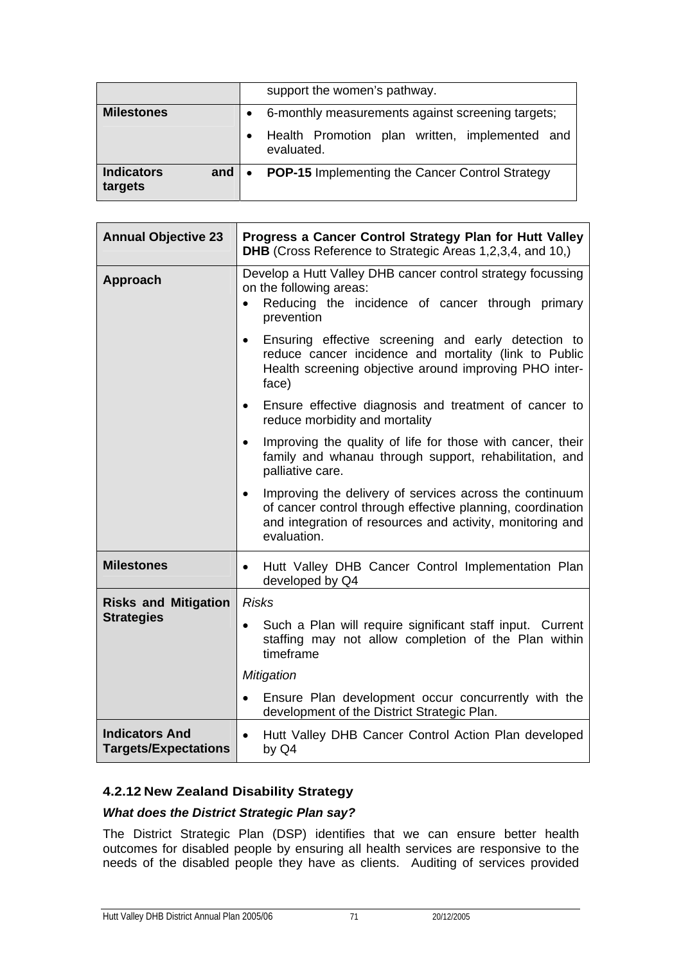|                                             | support the women's pathway.                                        |
|---------------------------------------------|---------------------------------------------------------------------|
| <b>Milestones</b>                           | 6-monthly measurements against screening targets;<br>$\bullet$      |
|                                             | Health Promotion plan written, implemented and<br>evaluated.        |
| <b>Indicators</b><br>and $\vert$<br>targets | <b>POP-15</b> Implementing the Cancer Control Strategy<br>$\bullet$ |

| <b>Annual Objective 23</b>                           | Progress a Cancer Control Strategy Plan for Hutt Valley<br><b>DHB</b> (Cross Reference to Strategic Areas 1,2,3,4, and 10,)                                                                                    |
|------------------------------------------------------|----------------------------------------------------------------------------------------------------------------------------------------------------------------------------------------------------------------|
| <b>Approach</b>                                      | Develop a Hutt Valley DHB cancer control strategy focussing<br>on the following areas:<br>Reducing the incidence of cancer through primary<br>$\bullet$<br>prevention                                          |
|                                                      | Ensuring effective screening and early detection to<br>$\bullet$<br>reduce cancer incidence and mortality (link to Public<br>Health screening objective around improving PHO inter-<br>face)                   |
|                                                      | Ensure effective diagnosis and treatment of cancer to<br>$\bullet$<br>reduce morbidity and mortality                                                                                                           |
|                                                      | Improving the quality of life for those with cancer, their<br>$\bullet$<br>family and whanau through support, rehabilitation, and<br>palliative care.                                                          |
|                                                      | Improving the delivery of services across the continuum<br>$\bullet$<br>of cancer control through effective planning, coordination<br>and integration of resources and activity, monitoring and<br>evaluation. |
| <b>Milestones</b>                                    | Hutt Valley DHB Cancer Control Implementation Plan<br>$\bullet$<br>developed by Q4                                                                                                                             |
| <b>Risks and Mitigation</b>                          | <b>Risks</b>                                                                                                                                                                                                   |
| <b>Strategies</b>                                    | Such a Plan will require significant staff input. Current<br>$\bullet$<br>staffing may not allow completion of the Plan within<br>timeframe                                                                    |
|                                                      | <b>Mitigation</b>                                                                                                                                                                                              |
|                                                      | Ensure Plan development occur concurrently with the<br>$\bullet$<br>development of the District Strategic Plan.                                                                                                |
| <b>Indicators And</b><br><b>Targets/Expectations</b> | Hutt Valley DHB Cancer Control Action Plan developed<br>$\bullet$<br>by Q4                                                                                                                                     |

## **4.2.12 New Zealand Disability Strategy**

# *What does the District Strategic Plan say?*

The District Strategic Plan (DSP) identifies that we can ensure better health outcomes for disabled people by ensuring all health services are responsive to the needs of the disabled people they have as clients. Auditing of services provided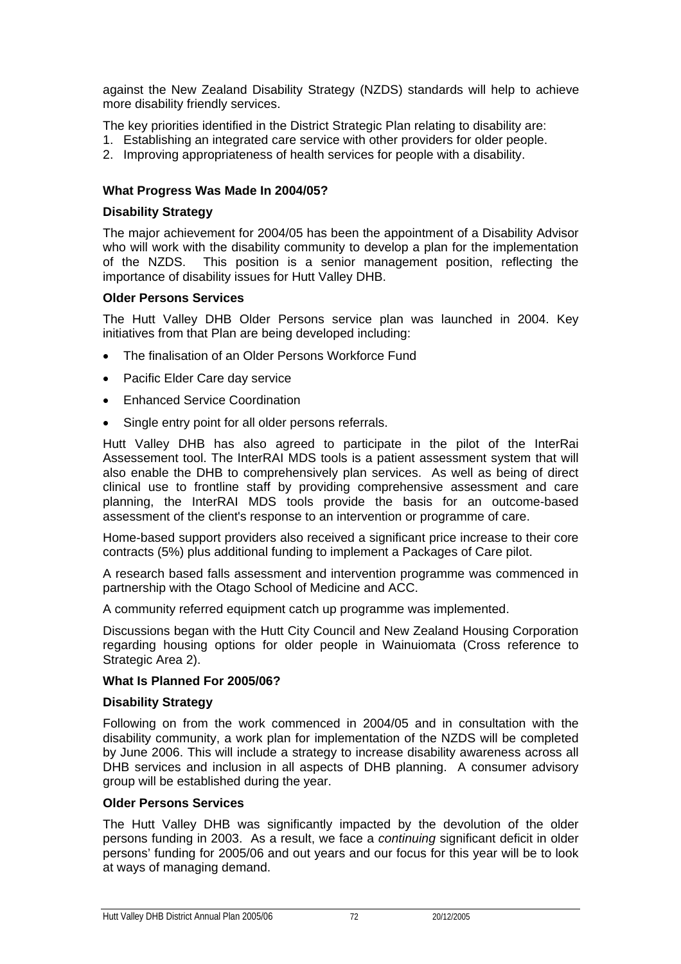against the New Zealand Disability Strategy (NZDS) standards will help to achieve more disability friendly services.

The key priorities identified in the District Strategic Plan relating to disability are:

- 1. Establishing an integrated care service with other providers for older people.
- 2. Improving appropriateness of health services for people with a disability.

#### **What Progress Was Made In 2004/05?**

#### **Disability Strategy**

The major achievement for 2004/05 has been the appointment of a Disability Advisor who will work with the disability community to develop a plan for the implementation of the NZDS. This position is a senior management position, reflecting the importance of disability issues for Hutt Valley DHB.

#### **Older Persons Services**

The Hutt Valley DHB Older Persons service plan was launched in 2004. Key initiatives from that Plan are being developed including:

- The finalisation of an Older Persons Workforce Fund
- Pacific Elder Care day service
- Enhanced Service Coordination
- Single entry point for all older persons referrals.

Hutt Valley DHB has also agreed to participate in the pilot of the InterRai Assessement tool. The InterRAI MDS tools is a patient assessment system that will also enable the DHB to comprehensively plan services. As well as being of direct clinical use to frontline staff by providing comprehensive assessment and care planning, the InterRAI MDS tools provide the basis for an outcome-based assessment of the client's response to an intervention or programme of care.

Home-based support providers also received a significant price increase to their core contracts (5%) plus additional funding to implement a Packages of Care pilot.

A research based falls assessment and intervention programme was commenced in partnership with the Otago School of Medicine and ACC.

A community referred equipment catch up programme was implemented.

Discussions began with the Hutt City Council and New Zealand Housing Corporation regarding housing options for older people in Wainuiomata (Cross reference to Strategic Area 2).

#### **What Is Planned For 2005/06?**

#### **Disability Strategy**

Following on from the work commenced in 2004/05 and in consultation with the disability community, a work plan for implementation of the NZDS will be completed by June 2006. This will include a strategy to increase disability awareness across all DHB services and inclusion in all aspects of DHB planning. A consumer advisory group will be established during the year.

#### **Older Persons Services**

The Hutt Valley DHB was significantly impacted by the devolution of the older persons funding in 2003. As a result, we face a *continuing* significant deficit in older persons' funding for 2005/06 and out years and our focus for this year will be to look at ways of managing demand.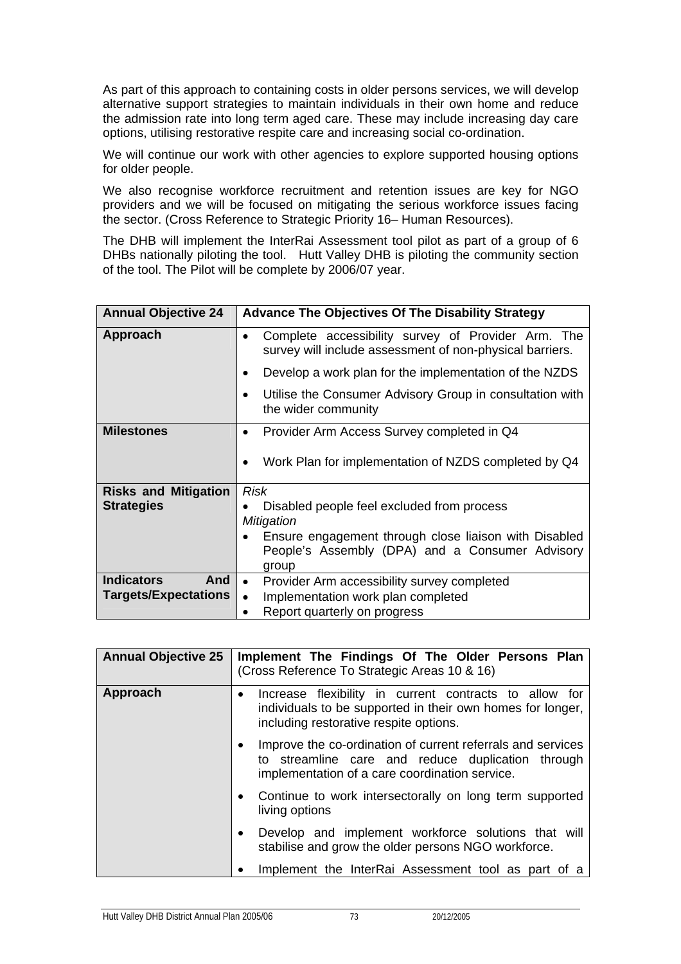As part of this approach to containing costs in older persons services, we will develop alternative support strategies to maintain individuals in their own home and reduce the admission rate into long term aged care. These may include increasing day care options, utilising restorative respite care and increasing social co-ordination.

We will continue our work with other agencies to explore supported housing options for older people.

We also recognise workforce recruitment and retention issues are key for NGO providers and we will be focused on mitigating the serious workforce issues facing the sector. (Cross Reference to Strategic Priority 16– Human Resources).

The DHB will implement the InterRai Assessment tool pilot as part of a group of 6 DHBs nationally piloting the tool. Hutt Valley DHB is piloting the community section of the tool. The Pilot will be complete by 2006/07 year.

| <b>Annual Objective 24</b>  | <b>Advance The Objectives Of The Disability Strategy</b>                                                       |
|-----------------------------|----------------------------------------------------------------------------------------------------------------|
| Approach                    | Complete accessibility survey of Provider Arm. The<br>survey will include assessment of non-physical barriers. |
|                             | Develop a work plan for the implementation of the NZDS                                                         |
|                             | Utilise the Consumer Advisory Group in consultation with<br>the wider community                                |
| <b>Milestones</b>           | Provider Arm Access Survey completed in Q4<br>$\bullet$                                                        |
|                             | Work Plan for implementation of NZDS completed by Q4                                                           |
| <b>Risks and Mitigation</b> | <b>Risk</b>                                                                                                    |
| <b>Strategies</b>           | Disabled people feel excluded from process                                                                     |
|                             | <b>Mitigation</b>                                                                                              |
|                             | Ensure engagement through close liaison with Disabled                                                          |
|                             | People's Assembly (DPA) and a Consumer Advisory                                                                |
|                             | group                                                                                                          |
| <b>Indicators</b><br>And    | Provider Arm accessibility survey completed<br>$\bullet$                                                       |
| <b>Targets/Expectations</b> | Implementation work plan completed<br>$\bullet$                                                                |
|                             | Report quarterly on progress                                                                                   |

| <b>Annual Objective 25</b> | Implement The Findings Of The Older Persons Plan<br>(Cross Reference To Strategic Areas 10 & 16)                                                                                |
|----------------------------|---------------------------------------------------------------------------------------------------------------------------------------------------------------------------------|
| Approach                   | Increase flexibility in current contracts to allow for<br>$\bullet$<br>individuals to be supported in their own homes for longer,<br>including restorative respite options.     |
|                            | Improve the co-ordination of current referrals and services<br>$\bullet$<br>to streamline care and reduce duplication through<br>implementation of a care coordination service. |
|                            | Continue to work intersectorally on long term supported<br>$\bullet$<br>living options                                                                                          |
|                            | Develop and implement workforce solutions that will<br>$\bullet$<br>stabilise and grow the older persons NGO workforce.                                                         |
|                            | Implement the InterRai Assessment tool as part of a                                                                                                                             |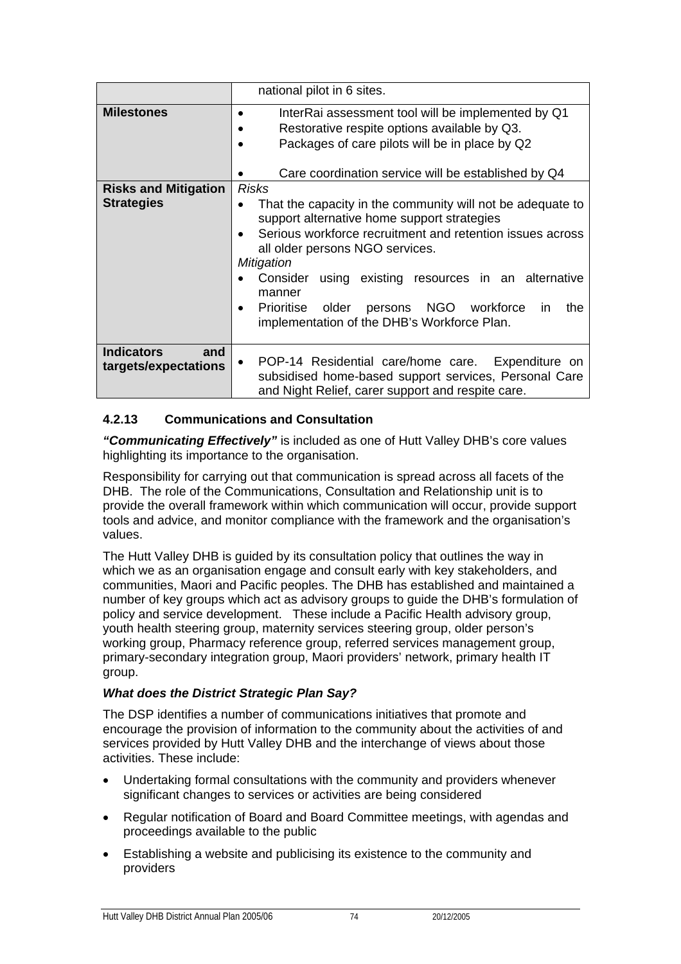|                                                                       | national pilot in 6 sites.                                                                                                                                                                                                                                                                                                                                                                                                                                                                                                                                                                     |
|-----------------------------------------------------------------------|------------------------------------------------------------------------------------------------------------------------------------------------------------------------------------------------------------------------------------------------------------------------------------------------------------------------------------------------------------------------------------------------------------------------------------------------------------------------------------------------------------------------------------------------------------------------------------------------|
| <b>Milestones</b><br><b>Risks and Mitigation</b><br><b>Strategies</b> | InterRai assessment tool will be implemented by Q1<br>Restorative respite options available by Q3.<br>Packages of care pilots will be in place by Q2<br>Care coordination service will be established by Q4<br><b>Risks</b><br>That the capacity in the community will not be adequate to<br>support alternative home support strategies<br>Serious workforce recruitment and retention issues across<br>all older persons NGO services.<br><b>Mitigation</b><br>using existing resources in an alternative<br>Consider<br>manner<br>Prioritise older persons NGO workforce<br>in.<br>the<br>٠ |
|                                                                       | implementation of the DHB's Workforce Plan.                                                                                                                                                                                                                                                                                                                                                                                                                                                                                                                                                    |
| <b>Indicators</b><br>and<br>targets/expectations                      | POP-14 Residential care/home care. Expenditure on<br>subsidised home-based support services, Personal Care<br>and Night Relief, carer support and respite care.                                                                                                                                                                                                                                                                                                                                                                                                                                |

# **4.2.13 Communications and Consultation**

*"Communicating Effectively"* is included as one of Hutt Valley DHB's core values highlighting its importance to the organisation.

Responsibility for carrying out that communication is spread across all facets of the DHB. The role of the Communications, Consultation and Relationship unit is to provide the overall framework within which communication will occur, provide support tools and advice, and monitor compliance with the framework and the organisation's values.

The Hutt Valley DHB is guided by its consultation policy that outlines the way in which we as an organisation engage and consult early with key stakeholders, and communities, Maori and Pacific peoples. The DHB has established and maintained a number of key groups which act as advisory groups to guide the DHB's formulation of policy and service development. These include a Pacific Health advisory group, youth health steering group, maternity services steering group, older person's working group, Pharmacy reference group, referred services management group, primary-secondary integration group, Maori providers' network, primary health IT group.

## *What does the District Strategic Plan Say?*

The DSP identifies a number of communications initiatives that promote and encourage the provision of information to the community about the activities of and services provided by Hutt Valley DHB and the interchange of views about those activities. These include:

- Undertaking formal consultations with the community and providers whenever significant changes to services or activities are being considered
- Regular notification of Board and Board Committee meetings, with agendas and proceedings available to the public
- Establishing a website and publicising its existence to the community and providers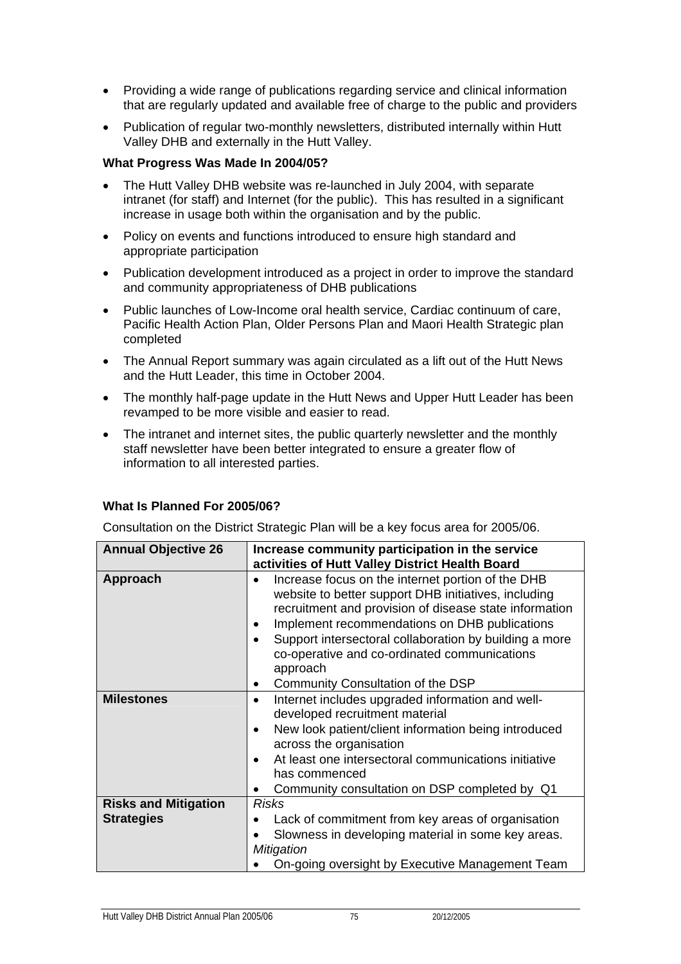- Providing a wide range of publications regarding service and clinical information that are regularly updated and available free of charge to the public and providers
- Publication of regular two-monthly newsletters, distributed internally within Hutt Valley DHB and externally in the Hutt Valley.

#### **What Progress Was Made In 2004/05?**

- The Hutt Valley DHB website was re-launched in July 2004, with separate intranet (for staff) and Internet (for the public). This has resulted in a significant increase in usage both within the organisation and by the public.
- Policy on events and functions introduced to ensure high standard and appropriate participation
- Publication development introduced as a project in order to improve the standard and community appropriateness of DHB publications
- Public launches of Low-Income oral health service, Cardiac continuum of care, Pacific Health Action Plan, Older Persons Plan and Maori Health Strategic plan completed
- The Annual Report summary was again circulated as a lift out of the Hutt News and the Hutt Leader, this time in October 2004.
- The monthly half-page update in the Hutt News and Upper Hutt Leader has been revamped to be more visible and easier to read.
- The intranet and internet sites, the public quarterly newsletter and the monthly staff newsletter have been better integrated to ensure a greater flow of information to all interested parties.

#### **What Is Planned For 2005/06?**

Consultation on the District Strategic Plan will be a key focus area for 2005/06.

| <b>Annual Objective 26</b>  | Increase community participation in the service                                                                                                                                                                                                                                                                                                                                                                        |
|-----------------------------|------------------------------------------------------------------------------------------------------------------------------------------------------------------------------------------------------------------------------------------------------------------------------------------------------------------------------------------------------------------------------------------------------------------------|
|                             | activities of Hutt Valley District Health Board                                                                                                                                                                                                                                                                                                                                                                        |
| Approach                    | Increase focus on the internet portion of the DHB<br>website to better support DHB initiatives, including<br>recruitment and provision of disease state information<br>Implement recommendations on DHB publications<br>$\bullet$<br>Support intersectoral collaboration by building a more<br>$\bullet$<br>co-operative and co-ordinated communications<br>approach<br>Community Consultation of the DSP<br>$\bullet$ |
| <b>Milestones</b>           | Internet includes upgraded information and well-<br>٠<br>developed recruitment material<br>New look patient/client information being introduced<br>$\bullet$<br>across the organisation<br>At least one intersectoral communications initiative<br>has commenced<br>Community consultation on DSP completed by Q1                                                                                                      |
| <b>Risks and Mitigation</b> | <b>Risks</b>                                                                                                                                                                                                                                                                                                                                                                                                           |
| <b>Strategies</b>           | Lack of commitment from key areas of organisation                                                                                                                                                                                                                                                                                                                                                                      |
|                             | Slowness in developing material in some key areas.                                                                                                                                                                                                                                                                                                                                                                     |
|                             | <b>Mitigation</b>                                                                                                                                                                                                                                                                                                                                                                                                      |
|                             | On-going oversight by Executive Management Team                                                                                                                                                                                                                                                                                                                                                                        |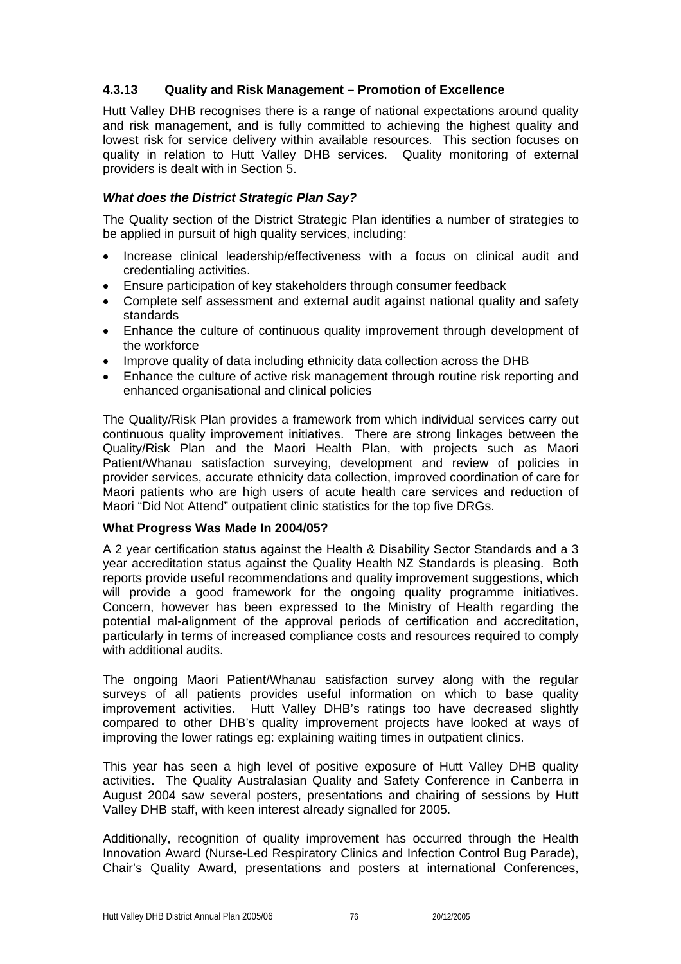## **4.3.13 Quality and Risk Management – Promotion of Excellence**

Hutt Valley DHB recognises there is a range of national expectations around quality and risk management, and is fully committed to achieving the highest quality and lowest risk for service delivery within available resources. This section focuses on quality in relation to Hutt Valley DHB services. Quality monitoring of external providers is dealt with in Section 5.

## *What does the District Strategic Plan Say?*

The Quality section of the District Strategic Plan identifies a number of strategies to be applied in pursuit of high quality services, including:

- Increase clinical leadership/effectiveness with a focus on clinical audit and credentialing activities.
- Ensure participation of key stakeholders through consumer feedback
- Complete self assessment and external audit against national quality and safety standards
- Enhance the culture of continuous quality improvement through development of the workforce
- Improve quality of data including ethnicity data collection across the DHB
- Enhance the culture of active risk management through routine risk reporting and enhanced organisational and clinical policies

The Quality/Risk Plan provides a framework from which individual services carry out continuous quality improvement initiatives. There are strong linkages between the Quality/Risk Plan and the Maori Health Plan, with projects such as Maori Patient/Whanau satisfaction surveying, development and review of policies in provider services, accurate ethnicity data collection, improved coordination of care for Maori patients who are high users of acute health care services and reduction of Maori "Did Not Attend" outpatient clinic statistics for the top five DRGs.

#### **What Progress Was Made In 2004/05?**

A 2 year certification status against the Health & Disability Sector Standards and a 3 year accreditation status against the Quality Health NZ Standards is pleasing. Both reports provide useful recommendations and quality improvement suggestions, which will provide a good framework for the ongoing quality programme initiatives. Concern, however has been expressed to the Ministry of Health regarding the potential mal-alignment of the approval periods of certification and accreditation, particularly in terms of increased compliance costs and resources required to comply with additional audits.

The ongoing Maori Patient/Whanau satisfaction survey along with the regular surveys of all patients provides useful information on which to base quality improvement activities. Hutt Valley DHB's ratings too have decreased slightly compared to other DHB's quality improvement projects have looked at ways of improving the lower ratings eg: explaining waiting times in outpatient clinics.

This year has seen a high level of positive exposure of Hutt Valley DHB quality activities. The Quality Australasian Quality and Safety Conference in Canberra in August 2004 saw several posters, presentations and chairing of sessions by Hutt Valley DHB staff, with keen interest already signalled for 2005.

Additionally, recognition of quality improvement has occurred through the Health Innovation Award (Nurse-Led Respiratory Clinics and Infection Control Bug Parade), Chair's Quality Award, presentations and posters at international Conferences,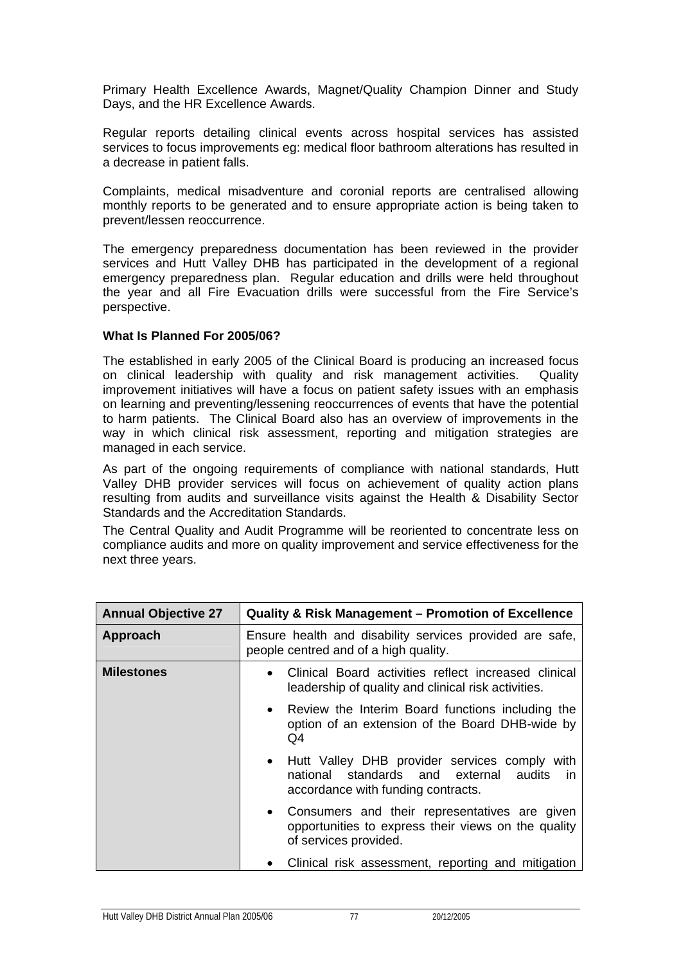Primary Health Excellence Awards, Magnet/Quality Champion Dinner and Study Days, and the HR Excellence Awards.

Regular reports detailing clinical events across hospital services has assisted services to focus improvements eg: medical floor bathroom alterations has resulted in a decrease in patient falls.

Complaints, medical misadventure and coronial reports are centralised allowing monthly reports to be generated and to ensure appropriate action is being taken to prevent/lessen reoccurrence.

The emergency preparedness documentation has been reviewed in the provider services and Hutt Valley DHB has participated in the development of a regional emergency preparedness plan. Regular education and drills were held throughout the year and all Fire Evacuation drills were successful from the Fire Service's perspective.

#### **What Is Planned For 2005/06?**

The established in early 2005 of the Clinical Board is producing an increased focus on clinical leadership with quality and risk management activities. Quality improvement initiatives will have a focus on patient safety issues with an emphasis on learning and preventing/lessening reoccurrences of events that have the potential to harm patients. The Clinical Board also has an overview of improvements in the way in which clinical risk assessment, reporting and mitigation strategies are managed in each service.

As part of the ongoing requirements of compliance with national standards, Hutt Valley DHB provider services will focus on achievement of quality action plans resulting from audits and surveillance visits against the Health & Disability Sector Standards and the Accreditation Standards.

The Central Quality and Audit Programme will be reoriented to concentrate less on compliance audits and more on quality improvement and service effectiveness for the next three years.

| <b>Annual Objective 27</b> | <b>Quality &amp; Risk Management - Promotion of Excellence</b>                                                                          |
|----------------------------|-----------------------------------------------------------------------------------------------------------------------------------------|
| Approach                   | Ensure health and disability services provided are safe,<br>people centred and of a high quality.                                       |
| <b>Milestones</b>          | Clinical Board activities reflect increased clinical<br>leadership of quality and clinical risk activities.                             |
|                            | • Review the Interim Board functions including the<br>option of an extension of the Board DHB-wide by<br>Q4                             |
|                            | • Hutt Valley DHB provider services comply with<br>national standards and external audits<br>- in<br>accordance with funding contracts. |
|                            | • Consumers and their representatives are given<br>opportunities to express their views on the quality<br>of services provided.         |
|                            | Clinical risk assessment, reporting and mitigation                                                                                      |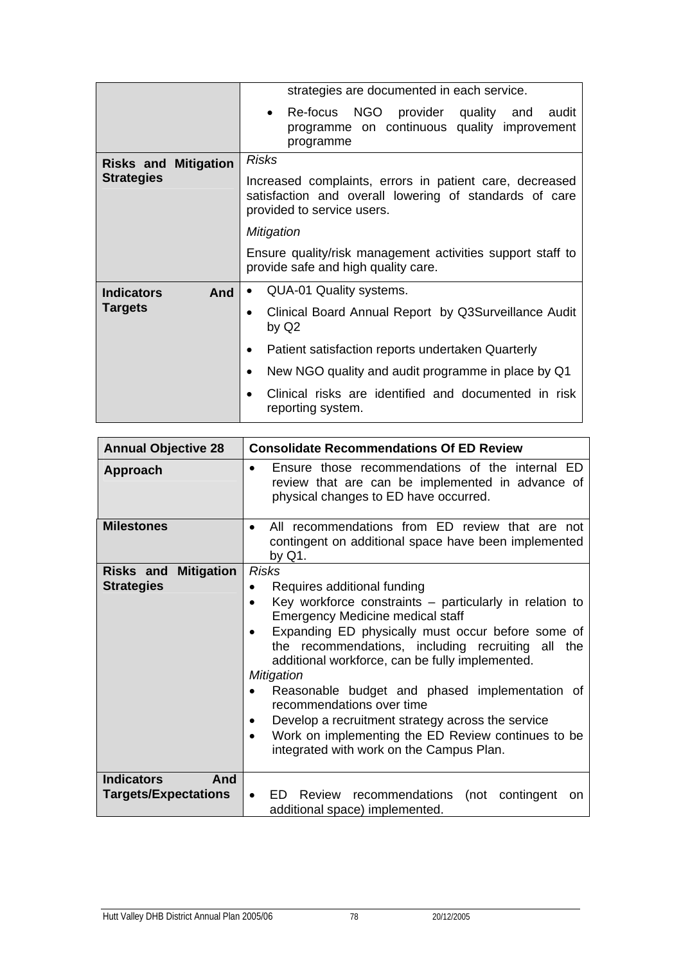|                             | strategies are documented in each service.                                                                                                      |
|-----------------------------|-------------------------------------------------------------------------------------------------------------------------------------------------|
|                             | • Re-focus NGO provider quality and audit<br>programme on continuous quality improvement<br>programme                                           |
| <b>Risks and Mitigation</b> | <b>Risks</b>                                                                                                                                    |
| <b>Strategies</b>           | Increased complaints, errors in patient care, decreased<br>satisfaction and overall lowering of standards of care<br>provided to service users. |
|                             | <b>Mitigation</b>                                                                                                                               |
|                             | Ensure quality/risk management activities support staff to<br>provide safe and high quality care.                                               |
| <b>Indicators</b><br>And    | QUA-01 Quality systems.                                                                                                                         |
| <b>Targets</b>              | Clinical Board Annual Report by Q3Surveillance Audit<br>by Q2                                                                                   |
|                             | Patient satisfaction reports undertaken Quarterly                                                                                               |
|                             | New NGO quality and audit programme in place by Q1                                                                                              |
|                             | Clinical risks are identified and documented in risk<br>reporting system.                                                                       |

| <b>Annual Objective 28</b>                              | <b>Consolidate Recommendations Of ED Review</b>                                                                                                                                                                                                                                                                                                                                                                                                                                                                                                                                                                     |
|---------------------------------------------------------|---------------------------------------------------------------------------------------------------------------------------------------------------------------------------------------------------------------------------------------------------------------------------------------------------------------------------------------------------------------------------------------------------------------------------------------------------------------------------------------------------------------------------------------------------------------------------------------------------------------------|
| Approach                                                | Ensure those recommendations of the internal ED<br>$\bullet$<br>review that are can be implemented in advance of<br>physical changes to ED have occurred.                                                                                                                                                                                                                                                                                                                                                                                                                                                           |
| <b>Milestones</b>                                       | All recommendations from ED review that are not<br>$\bullet$<br>contingent on additional space have been implemented<br>by Q1.                                                                                                                                                                                                                                                                                                                                                                                                                                                                                      |
| <b>Mitigation</b><br>Risks and<br><b>Strategies</b>     | <b>Risks</b><br>Requires additional funding<br>$\bullet$<br>Key workforce constraints - particularly in relation to<br><b>Emergency Medicine medical staff</b><br>Expanding ED physically must occur before some of<br>the recommendations, including recruiting<br>all the<br>additional workforce, can be fully implemented.<br><b>Mitigation</b><br>Reasonable budget and phased implementation of<br>recommendations over time<br>Develop a recruitment strategy across the service<br>$\bullet$<br>Work on implementing the ED Review continues to be<br>$\bullet$<br>integrated with work on the Campus Plan. |
| <b>Indicators</b><br>And<br><b>Targets/Expectations</b> | ED Review recommendations<br>(not contingent<br>on.<br>$\bullet$<br>additional space) implemented.                                                                                                                                                                                                                                                                                                                                                                                                                                                                                                                  |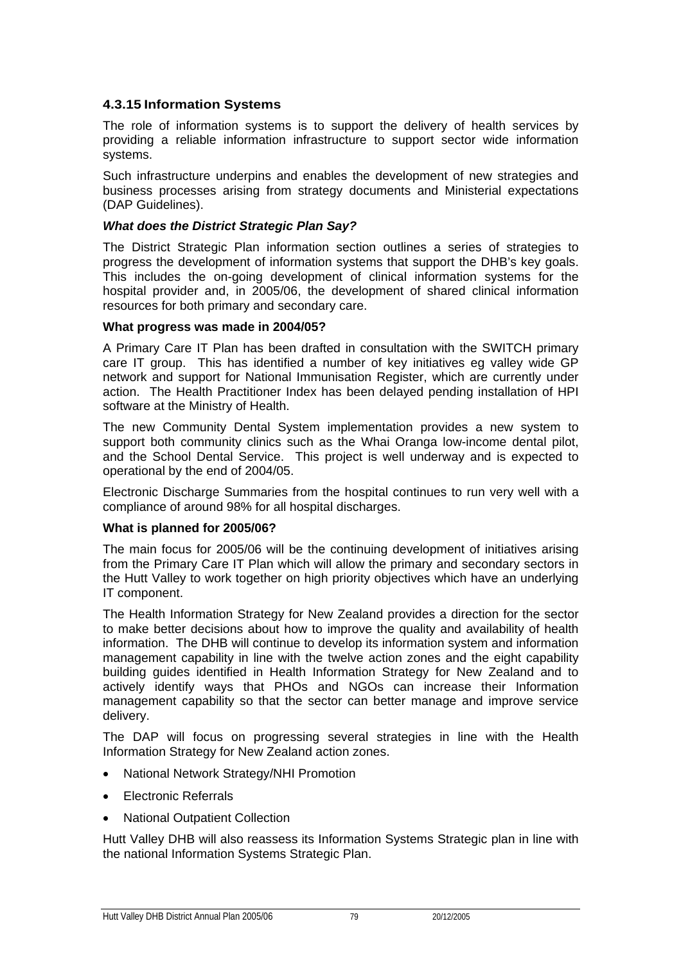## **4.3.15 Information Systems**

The role of information systems is to support the delivery of health services by providing a reliable information infrastructure to support sector wide information systems.

Such infrastructure underpins and enables the development of new strategies and business processes arising from strategy documents and Ministerial expectations (DAP Guidelines).

#### *What does the District Strategic Plan Say?*

The District Strategic Plan information section outlines a series of strategies to progress the development of information systems that support the DHB's key goals. This includes the on-going development of clinical information systems for the hospital provider and, in 2005/06, the development of shared clinical information resources for both primary and secondary care.

#### **What progress was made in 2004/05?**

A Primary Care IT Plan has been drafted in consultation with the SWITCH primary care IT group. This has identified a number of key initiatives eg valley wide GP network and support for National Immunisation Register, which are currently under action. The Health Practitioner Index has been delayed pending installation of HPI software at the Ministry of Health.

The new Community Dental System implementation provides a new system to support both community clinics such as the Whai Oranga low-income dental pilot, and the School Dental Service. This project is well underway and is expected to operational by the end of 2004/05.

Electronic Discharge Summaries from the hospital continues to run very well with a compliance of around 98% for all hospital discharges.

#### **What is planned for 2005/06?**

The main focus for 2005/06 will be the continuing development of initiatives arising from the Primary Care IT Plan which will allow the primary and secondary sectors in the Hutt Valley to work together on high priority objectives which have an underlying IT component.

The Health Information Strategy for New Zealand provides a direction for the sector to make better decisions about how to improve the quality and availability of health information. The DHB will continue to develop its information system and information management capability in line with the twelve action zones and the eight capability building guides identified in Health Information Strategy for New Zealand and to actively identify ways that PHOs and NGOs can increase their Information management capability so that the sector can better manage and improve service delivery.

The DAP will focus on progressing several strategies in line with the Health Information Strategy for New Zealand action zones.

- National Network Strategy/NHI Promotion
- Electronic Referrals
- National Outpatient Collection

Hutt Valley DHB will also reassess its Information Systems Strategic plan in line with the national Information Systems Strategic Plan.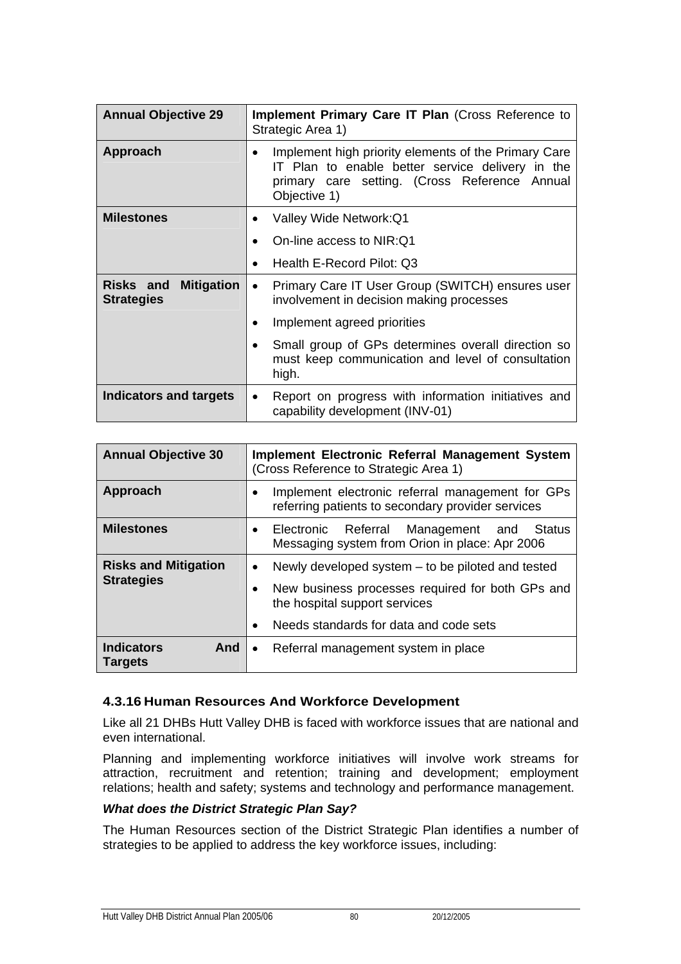| <b>Annual Objective 29</b>                          | Implement Primary Care IT Plan (Cross Reference to<br>Strategic Area 1)                                                                                                   |
|-----------------------------------------------------|---------------------------------------------------------------------------------------------------------------------------------------------------------------------------|
| Approach                                            | Implement high priority elements of the Primary Care<br>IT Plan to enable better service delivery in the<br>primary care setting. (Cross Reference Annual<br>Objective 1) |
| <b>Milestones</b>                                   | Valley Wide Network: Q1                                                                                                                                                   |
|                                                     | On-line access to NIR:Q1                                                                                                                                                  |
|                                                     | Health E-Record Pilot: Q3                                                                                                                                                 |
| <b>Mitigation</b><br>Risks and<br><b>Strategies</b> | Primary Care IT User Group (SWITCH) ensures user<br>$\bullet$<br>involvement in decision making processes                                                                 |
|                                                     | Implement agreed priorities                                                                                                                                               |
|                                                     | Small group of GPs determines overall direction so<br>must keep communication and level of consultation<br>high.                                                          |
| Indicators and targets                              | Report on progress with information initiatives and<br>$\bullet$<br>capability development (INV-01)                                                                       |

| <b>Annual Objective 30</b>                       | <b>Implement Electronic Referral Management System</b><br>(Cross Reference to Strategic Area 1)                                                     |
|--------------------------------------------------|-----------------------------------------------------------------------------------------------------------------------------------------------------|
| Approach                                         | Implement electronic referral management for GPs<br>referring patients to secondary provider services                                               |
| <b>Milestones</b>                                | Electronic Referral<br>Management<br><b>Status</b><br>and<br>Messaging system from Orion in place: Apr 2006                                         |
| <b>Risks and Mitigation</b><br><b>Strategies</b> | Newly developed system – to be piloted and tested<br>$\bullet$<br>New business processes required for both GPs and<br>the hospital support services |
|                                                  | Needs standards for data and code sets                                                                                                              |
| <b>Indicators</b><br>And<br>Targets              | Referral management system in place<br>$\bullet$                                                                                                    |

## **4.3.16 Human Resources And Workforce Development**

Like all 21 DHBs Hutt Valley DHB is faced with workforce issues that are national and even international.

Planning and implementing workforce initiatives will involve work streams for attraction, recruitment and retention; training and development; employment relations; health and safety; systems and technology and performance management.

## *What does the District Strategic Plan Say?*

The Human Resources section of the District Strategic Plan identifies a number of strategies to be applied to address the key workforce issues, including: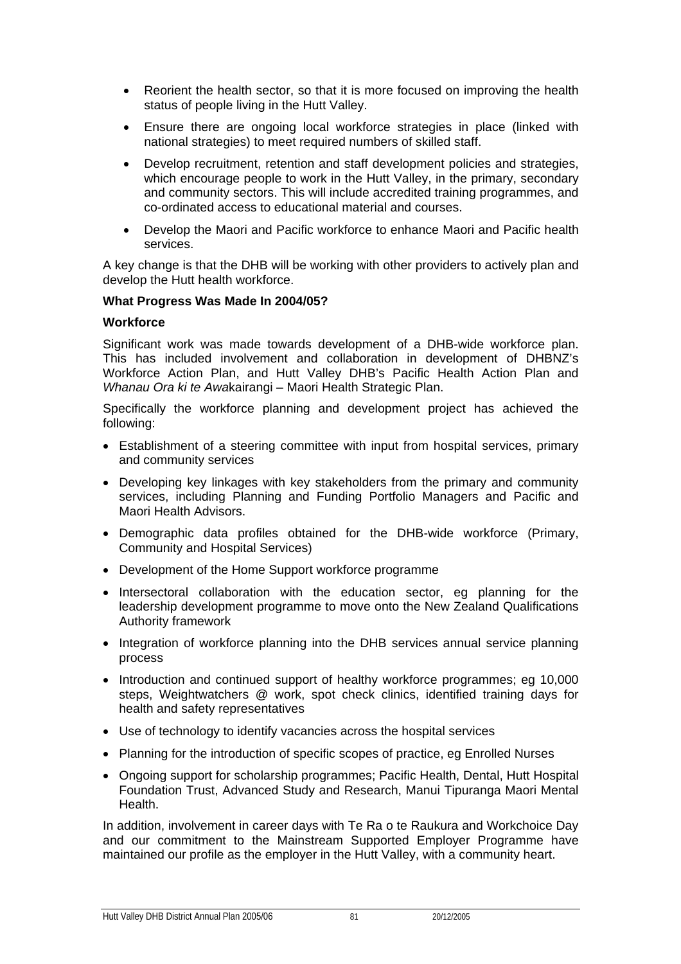- Reorient the health sector, so that it is more focused on improving the health status of people living in the Hutt Valley.
- Ensure there are ongoing local workforce strategies in place (linked with national strategies) to meet required numbers of skilled staff.
- Develop recruitment, retention and staff development policies and strategies, which encourage people to work in the Hutt Valley, in the primary, secondary and community sectors. This will include accredited training programmes, and co-ordinated access to educational material and courses.
- Develop the Maori and Pacific workforce to enhance Maori and Pacific health services.

A key change is that the DHB will be working with other providers to actively plan and develop the Hutt health workforce.

#### **What Progress Was Made In 2004/05?**

#### **Workforce**

Significant work was made towards development of a DHB-wide workforce plan. This has included involvement and collaboration in development of DHBNZ's Workforce Action Plan, and Hutt Valley DHB's Pacific Health Action Plan and *Whanau Ora ki te Awa*kairangi – Maori Health Strategic Plan.

Specifically the workforce planning and development project has achieved the following:

- Establishment of a steering committee with input from hospital services, primary and community services
- Developing key linkages with key stakeholders from the primary and community services, including Planning and Funding Portfolio Managers and Pacific and Maori Health Advisors.
- Demographic data profiles obtained for the DHB-wide workforce (Primary, Community and Hospital Services)
- Development of the Home Support workforce programme
- Intersectoral collaboration with the education sector, eg planning for the leadership development programme to move onto the New Zealand Qualifications Authority framework
- Integration of workforce planning into the DHB services annual service planning process
- Introduction and continued support of healthy workforce programmes; eg 10,000 steps, Weightwatchers @ work, spot check clinics, identified training days for health and safety representatives
- Use of technology to identify vacancies across the hospital services
- Planning for the introduction of specific scopes of practice, eg Enrolled Nurses
- Ongoing support for scholarship programmes; Pacific Health, Dental, Hutt Hospital Foundation Trust, Advanced Study and Research, Manui Tipuranga Maori Mental Health.

In addition, involvement in career days with Te Ra o te Raukura and Workchoice Day and our commitment to the Mainstream Supported Employer Programme have maintained our profile as the employer in the Hutt Valley, with a community heart.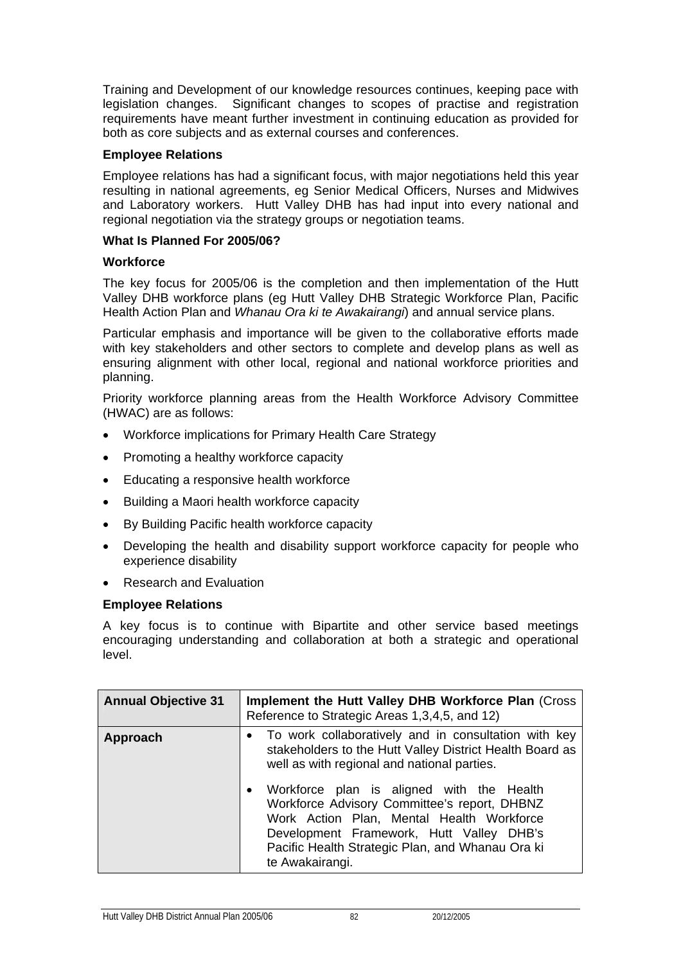Training and Development of our knowledge resources continues, keeping pace with legislation changes. Significant changes to scopes of practise and registration requirements have meant further investment in continuing education as provided for both as core subjects and as external courses and conferences.

### **Employee Relations**

Employee relations has had a significant focus, with major negotiations held this year resulting in national agreements, eg Senior Medical Officers, Nurses and Midwives and Laboratory workers. Hutt Valley DHB has had input into every national and regional negotiation via the strategy groups or negotiation teams.

## **What Is Planned For 2005/06?**

## **Workforce**

The key focus for 2005/06 is the completion and then implementation of the Hutt Valley DHB workforce plans (eg Hutt Valley DHB Strategic Workforce Plan, Pacific Health Action Plan and *Whanau Ora ki te Awakairangi*) and annual service plans.

Particular emphasis and importance will be given to the collaborative efforts made with key stakeholders and other sectors to complete and develop plans as well as ensuring alignment with other local, regional and national workforce priorities and planning.

Priority workforce planning areas from the Health Workforce Advisory Committee (HWAC) are as follows:

- Workforce implications for Primary Health Care Strategy
- Promoting a healthy workforce capacity
- Educating a responsive health workforce
- Building a Maori health workforce capacity
- By Building Pacific health workforce capacity
- Developing the health and disability support workforce capacity for people who experience disability
- Research and Evaluation

#### **Employee Relations**

A key focus is to continue with Bipartite and other service based meetings encouraging understanding and collaboration at both a strategic and operational level.

| <b>Annual Objective 31</b> | Implement the Hutt Valley DHB Workforce Plan (Cross)<br>Reference to Strategic Areas 1,3,4,5, and 12)                                                                                                                                                                                                                                                                                                                                       |
|----------------------------|---------------------------------------------------------------------------------------------------------------------------------------------------------------------------------------------------------------------------------------------------------------------------------------------------------------------------------------------------------------------------------------------------------------------------------------------|
| Approach                   | • To work collaboratively and in consultation with key<br>stakeholders to the Hutt Valley District Health Board as<br>well as with regional and national parties.<br>Workforce plan is aligned with the Health<br>$\bullet$<br>Workforce Advisory Committee's report, DHBNZ<br>Work Action Plan, Mental Health Workforce<br>Development Framework, Hutt Valley DHB's<br>Pacific Health Strategic Plan, and Whanau Ora ki<br>te Awakairangi. |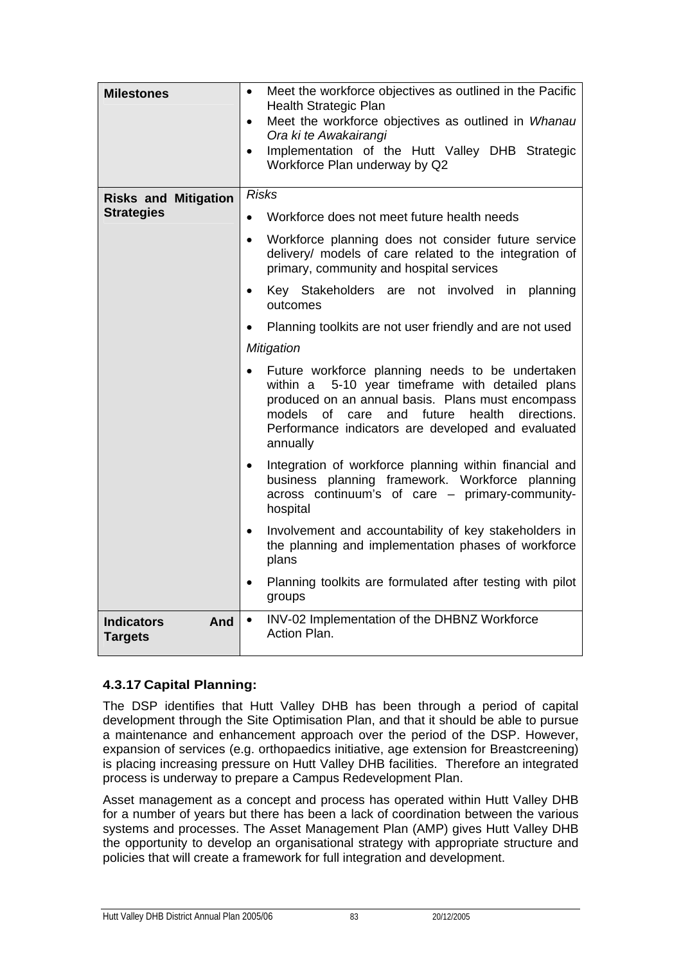| <b>Milestones</b>                          | Meet the workforce objectives as outlined in the Pacific<br><b>Health Strategic Plan</b><br>Meet the workforce objectives as outlined in Whanau<br>$\bullet$<br>Ora ki te Awakairangi<br>Implementation of the Hutt Valley DHB Strategic<br>$\bullet$<br>Workforce Plan underway by Q2  |
|--------------------------------------------|-----------------------------------------------------------------------------------------------------------------------------------------------------------------------------------------------------------------------------------------------------------------------------------------|
| <b>Risks and Mitigation</b>                | <b>Risks</b>                                                                                                                                                                                                                                                                            |
| <b>Strategies</b>                          | Workforce does not meet future health needs<br>$\bullet$                                                                                                                                                                                                                                |
|                                            | Workforce planning does not consider future service<br>delivery/ models of care related to the integration of<br>primary, community and hospital services                                                                                                                               |
|                                            | Key Stakeholders are not involved in planning<br>$\bullet$<br>outcomes                                                                                                                                                                                                                  |
|                                            | Planning toolkits are not user friendly and are not used                                                                                                                                                                                                                                |
|                                            | <b>Mitigation</b>                                                                                                                                                                                                                                                                       |
|                                            | Future workforce planning needs to be undertaken<br>within a 5-10 year timeframe with detailed plans<br>produced on an annual basis. Plans must encompass<br>of<br>and future health<br>directions.<br>models<br>care<br>Performance indicators are developed and evaluated<br>annually |
|                                            | Integration of workforce planning within financial and<br>$\bullet$<br>business planning framework. Workforce planning<br>across continuum's of care - primary-community-<br>hospital                                                                                                   |
|                                            | Involvement and accountability of key stakeholders in<br>the planning and implementation phases of workforce<br>plans                                                                                                                                                                   |
|                                            | Planning toolkits are formulated after testing with pilot<br>$\bullet$<br>groups                                                                                                                                                                                                        |
| <b>Indicators</b><br>And<br><b>Targets</b> | INV-02 Implementation of the DHBNZ Workforce<br>$\bullet$<br>Action Plan.                                                                                                                                                                                                               |

# **4.3.17 Capital Planning:**

The DSP identifies that Hutt Valley DHB has been through a period of capital development through the Site Optimisation Plan, and that it should be able to pursue a maintenance and enhancement approach over the period of the DSP. However, expansion of services (e.g. orthopaedics initiative, age extension for Breastcreening) is placing increasing pressure on Hutt Valley DHB facilities. Therefore an integrated process is underway to prepare a Campus Redevelopment Plan.

Asset management as a concept and process has operated within Hutt Valley DHB for a number of years but there has been a lack of coordination between the various systems and processes. The Asset Management Plan (AMP) gives Hutt Valley DHB the opportunity to develop an organisational strategy with appropriate structure and policies that will create a framework for full integration and development.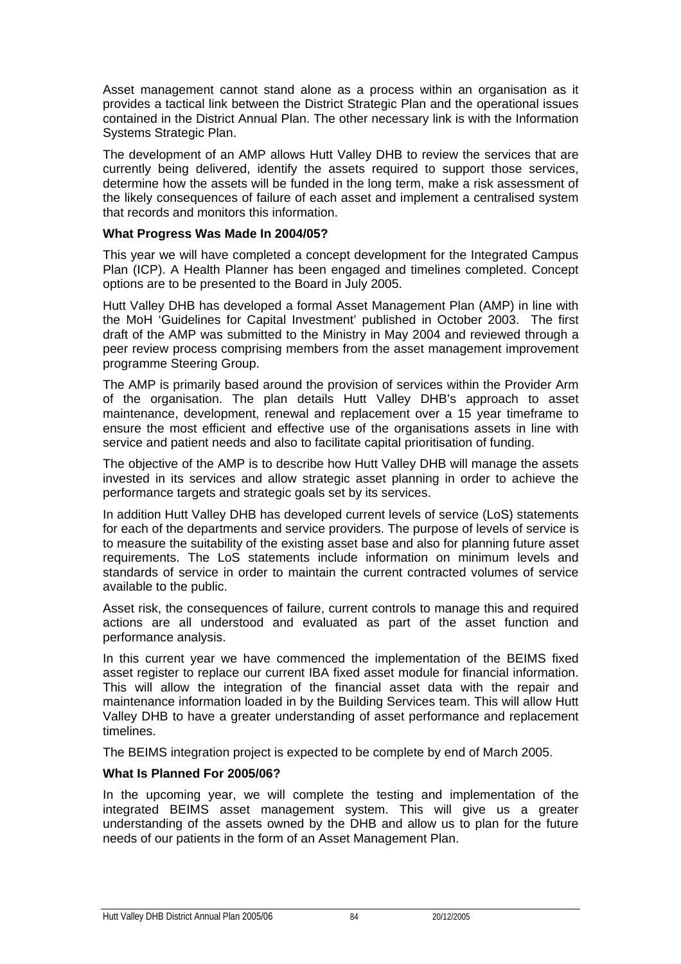Asset management cannot stand alone as a process within an organisation as it provides a tactical link between the District Strategic Plan and the operational issues contained in the District Annual Plan. The other necessary link is with the Information Systems Strategic Plan.

The development of an AMP allows Hutt Valley DHB to review the services that are currently being delivered, identify the assets required to support those services, determine how the assets will be funded in the long term, make a risk assessment of the likely consequences of failure of each asset and implement a centralised system that records and monitors this information.

### **What Progress Was Made In 2004/05?**

This year we will have completed a concept development for the Integrated Campus Plan (ICP). A Health Planner has been engaged and timelines completed. Concept options are to be presented to the Board in July 2005.

Hutt Valley DHB has developed a formal Asset Management Plan (AMP) in line with the MoH 'Guidelines for Capital Investment' published in October 2003. The first draft of the AMP was submitted to the Ministry in May 2004 and reviewed through a peer review process comprising members from the asset management improvement programme Steering Group.

The AMP is primarily based around the provision of services within the Provider Arm of the organisation. The plan details Hutt Valley DHB's approach to asset maintenance, development, renewal and replacement over a 15 year timeframe to ensure the most efficient and effective use of the organisations assets in line with service and patient needs and also to facilitate capital prioritisation of funding.

The objective of the AMP is to describe how Hutt Valley DHB will manage the assets invested in its services and allow strategic asset planning in order to achieve the performance targets and strategic goals set by its services.

In addition Hutt Valley DHB has developed current levels of service (LoS) statements for each of the departments and service providers. The purpose of levels of service is to measure the suitability of the existing asset base and also for planning future asset requirements. The LoS statements include information on minimum levels and standards of service in order to maintain the current contracted volumes of service available to the public.

Asset risk, the consequences of failure, current controls to manage this and required actions are all understood and evaluated as part of the asset function and performance analysis.

In this current year we have commenced the implementation of the BEIMS fixed asset register to replace our current IBA fixed asset module for financial information. This will allow the integration of the financial asset data with the repair and maintenance information loaded in by the Building Services team. This will allow Hutt Valley DHB to have a greater understanding of asset performance and replacement timelines.

The BEIMS integration project is expected to be complete by end of March 2005.

## **What Is Planned For 2005/06?**

In the upcoming year, we will complete the testing and implementation of the integrated BEIMS asset management system. This will give us a greater understanding of the assets owned by the DHB and allow us to plan for the future needs of our patients in the form of an Asset Management Plan.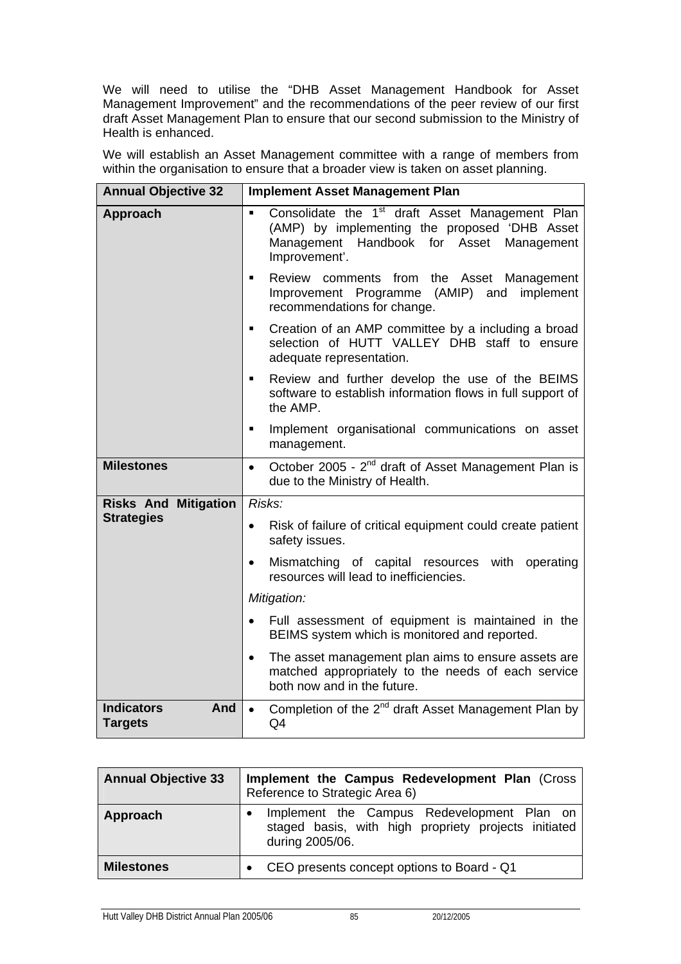We will need to utilise the "DHB Asset Management Handbook for Asset Management Improvement" and the recommendations of the peer review of our first draft Asset Management Plan to ensure that our second submission to the Ministry of Health is enhanced.

We will establish an Asset Management committee with a range of members from within the organisation to ensure that a broader view is taken on asset planning.

| <b>Annual Objective 32</b>  | <b>Implement Asset Management Plan</b>                                                                                                                                             |
|-----------------------------|------------------------------------------------------------------------------------------------------------------------------------------------------------------------------------|
| <b>Approach</b>             | Consolidate the 1 <sup>st</sup> draft Asset Management Plan<br>×.<br>(AMP) by implementing the proposed 'DHB Asset<br>Management Handbook for Asset<br>Management<br>Improvement'. |
|                             | Review comments from the Asset Management<br>$\blacksquare$<br>Improvement Programme (AMIP) and implement<br>recommendations for change.                                           |
|                             | Creation of an AMP committee by a including a broad<br>selection of HUTT VALLEY DHB staff to ensure<br>adequate representation.                                                    |
|                             | Review and further develop the use of the BEIMS<br>$\blacksquare$<br>software to establish information flows in full support of<br>the AMP.                                        |
|                             | Implement organisational communications on asset<br>٠<br>management.                                                                                                               |
| <b>Milestones</b>           | October 2005 - 2 <sup>nd</sup> draft of Asset Management Plan is<br>$\bullet$                                                                                                      |
|                             | due to the Ministry of Health.                                                                                                                                                     |
| <b>Risks And Mitigation</b> | Risks:                                                                                                                                                                             |
| <b>Strategies</b>           | Risk of failure of critical equipment could create patient<br>$\bullet$<br>safety issues.                                                                                          |
|                             | Mismatching of capital resources with operating<br>$\bullet$<br>resources will lead to inefficiencies.                                                                             |
|                             | Mitigation:                                                                                                                                                                        |
|                             | Full assessment of equipment is maintained in the<br>$\bullet$<br>BEIMS system which is monitored and reported.                                                                    |
|                             | The asset management plan aims to ensure assets are<br>$\bullet$<br>matched appropriately to the needs of each service<br>both now and in the future.                              |

| <b>Annual Objective 33</b> | Implement the Campus Redevelopment Plan (Cross)<br>Reference to Strategic Area 6)                                                  |
|----------------------------|------------------------------------------------------------------------------------------------------------------------------------|
| Approach                   | Implement the Campus Redevelopment Plan on<br>$\bullet$<br>staged basis, with high propriety projects initiated<br>during 2005/06. |
| <b>Milestones</b>          | CEO presents concept options to Board - Q1                                                                                         |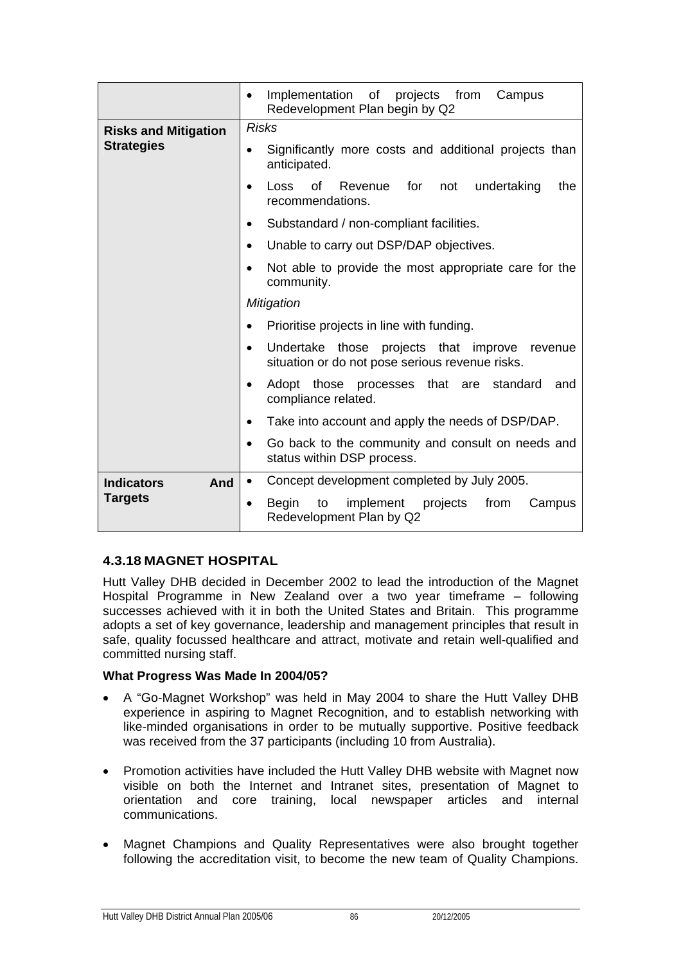|                             | Implementation of<br>projects<br>from<br>Campus<br>$\bullet$<br>Redevelopment Plan begin by Q2                   |
|-----------------------------|------------------------------------------------------------------------------------------------------------------|
| <b>Risks and Mitigation</b> | <b>Risks</b>                                                                                                     |
| <b>Strategies</b>           | Significantly more costs and additional projects than<br>anticipated.                                            |
|                             | 0f<br>Revenue<br>for<br>undertaking<br>Loss<br>not<br>the<br>recommendations.                                    |
|                             | Substandard / non-compliant facilities.<br>٠                                                                     |
|                             | Unable to carry out DSP/DAP objectives.<br>$\bullet$                                                             |
|                             | Not able to provide the most appropriate care for the<br>community.                                              |
|                             | <b>Mitigation</b>                                                                                                |
|                             | Prioritise projects in line with funding.                                                                        |
|                             | Undertake those projects that improve<br>revenue<br>$\bullet$<br>situation or do not pose serious revenue risks. |
|                             | Adopt those processes that are<br>standard<br>and<br>$\bullet$<br>compliance related.                            |
|                             | Take into account and apply the needs of DSP/DAP.<br>$\bullet$                                                   |
|                             | Go back to the community and consult on needs and<br>$\bullet$<br>status within DSP process.                     |
| <b>Indicators</b><br>And    | Concept development completed by July 2005.<br>٠                                                                 |
| <b>Targets</b>              | <b>Begin</b><br>implement<br>projects<br>from<br>to<br>Campus<br>$\bullet$<br>Redevelopment Plan by Q2           |

## **4.3.18 MAGNET HOSPITAL**

Hutt Valley DHB decided in December 2002 to lead the introduction of the Magnet Hospital Programme in New Zealand over a two year timeframe – following successes achieved with it in both the United States and Britain. This programme adopts a set of key governance, leadership and management principles that result in safe, quality focussed healthcare and attract, motivate and retain well-qualified and committed nursing staff.

## **What Progress Was Made In 2004/05?**

- A "Go-Magnet Workshop" was held in May 2004 to share the Hutt Valley DHB experience in aspiring to Magnet Recognition, and to establish networking with like-minded organisations in order to be mutually supportive. Positive feedback was received from the 37 participants (including 10 from Australia).
- Promotion activities have included the Hutt Valley DHB website with Magnet now visible on both the Internet and Intranet sites, presentation of Magnet to orientation and core training, local newspaper articles and internal communications.
- Magnet Champions and Quality Representatives were also brought together following the accreditation visit, to become the new team of Quality Champions.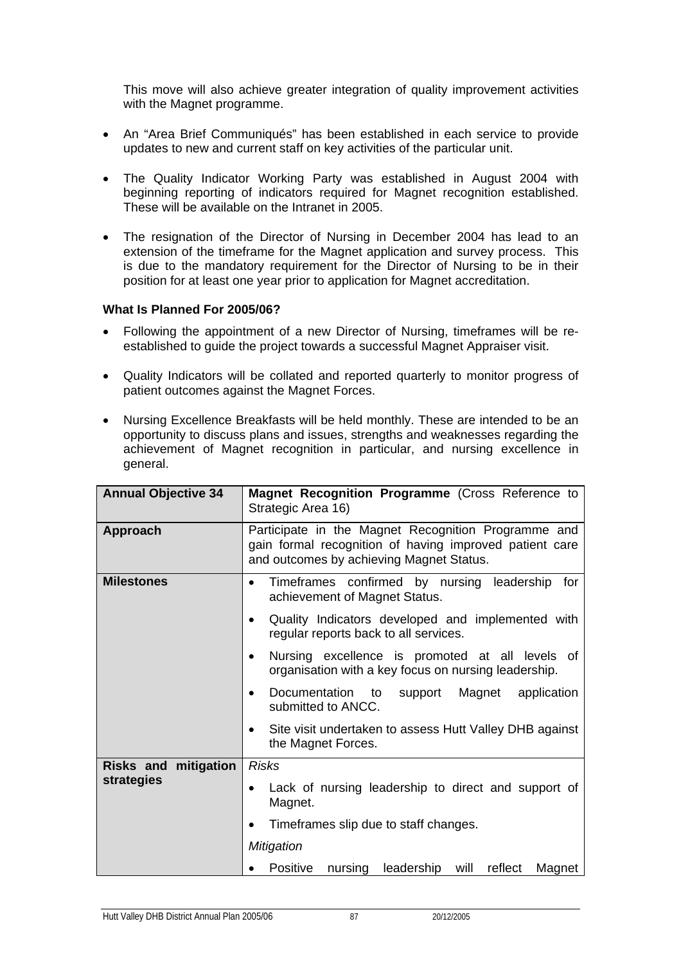This move will also achieve greater integration of quality improvement activities with the Magnet programme.

- An "Area Brief Communiqués" has been established in each service to provide updates to new and current staff on key activities of the particular unit.
- The Quality Indicator Working Party was established in August 2004 with beginning reporting of indicators required for Magnet recognition established. These will be available on the Intranet in 2005.
- The resignation of the Director of Nursing in December 2004 has lead to an extension of the timeframe for the Magnet application and survey process. This is due to the mandatory requirement for the Director of Nursing to be in their position for at least one year prior to application for Magnet accreditation.

#### **What Is Planned For 2005/06?**

- Following the appointment of a new Director of Nursing, timeframes will be reestablished to guide the project towards a successful Magnet Appraiser visit.
- Quality Indicators will be collated and reported quarterly to monitor progress of patient outcomes against the Magnet Forces.
- Nursing Excellence Breakfasts will be held monthly. These are intended to be an opportunity to discuss plans and issues, strengths and weaknesses regarding the achievement of Magnet recognition in particular, and nursing excellence in general.

| <b>Annual Objective 34</b> | <b>Magnet Recognition Programme (Cross Reference to</b><br>Strategic Area 16)                                                                              |  |  |
|----------------------------|------------------------------------------------------------------------------------------------------------------------------------------------------------|--|--|
| <b>Approach</b>            | Participate in the Magnet Recognition Programme and<br>gain formal recognition of having improved patient care<br>and outcomes by achieving Magnet Status. |  |  |
| <b>Milestones</b>          | Timeframes confirmed by nursing leadership for<br>$\bullet$<br>achievement of Magnet Status.                                                               |  |  |
|                            | Quality Indicators developed and implemented with<br>$\bullet$<br>regular reports back to all services.                                                    |  |  |
|                            | Nursing excellence is promoted at all levels of<br>$\bullet$<br>organisation with a key focus on nursing leadership.                                       |  |  |
|                            | Documentation to support<br>Magnet application<br>submitted to ANCC.                                                                                       |  |  |
|                            | Site visit undertaken to assess Hutt Valley DHB against<br>$\bullet$<br>the Magnet Forces.                                                                 |  |  |
| Risks and mitigation       | <b>Risks</b>                                                                                                                                               |  |  |
| strategies                 | Lack of nursing leadership to direct and support of<br>$\bullet$<br>Magnet.                                                                                |  |  |
|                            | Timeframes slip due to staff changes.                                                                                                                      |  |  |
|                            | <b>Mitigation</b>                                                                                                                                          |  |  |
|                            | Positive nursing<br>leadership<br>reflect<br>will<br>Magnet                                                                                                |  |  |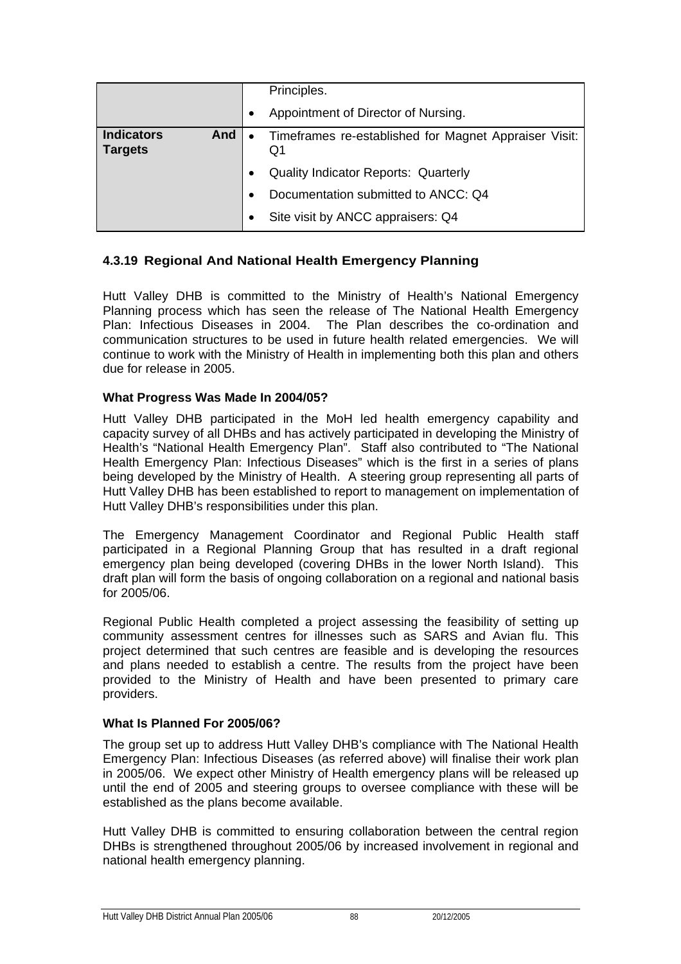|                                     |     |           | Principles.                                                 |
|-------------------------------------|-----|-----------|-------------------------------------------------------------|
|                                     |     |           | Appointment of Director of Nursing.                         |
| <b>Indicators</b><br><b>Targets</b> | And | $\bullet$ | Timeframes re-established for Magnet Appraiser Visit:<br>Q1 |
|                                     |     |           | <b>Quality Indicator Reports: Quarterly</b>                 |
|                                     |     |           | Documentation submitted to ANCC: Q4                         |
|                                     |     |           | Site visit by ANCC appraisers: Q4                           |

## **4.3.19 Regional And National Health Emergency Planning**

Hutt Valley DHB is committed to the Ministry of Health's National Emergency Planning process which has seen the release of The National Health Emergency Plan: Infectious Diseases in 2004. The Plan describes the co-ordination and communication structures to be used in future health related emergencies. We will continue to work with the Ministry of Health in implementing both this plan and others due for release in 2005.

#### **What Progress Was Made In 2004/05?**

Hutt Valley DHB participated in the MoH led health emergency capability and capacity survey of all DHBs and has actively participated in developing the Ministry of Health's "National Health Emergency Plan". Staff also contributed to "The National Health Emergency Plan: Infectious Diseases" which is the first in a series of plans being developed by the Ministry of Health. A steering group representing all parts of Hutt Valley DHB has been established to report to management on implementation of Hutt Valley DHB's responsibilities under this plan.

The Emergency Management Coordinator and Regional Public Health staff participated in a Regional Planning Group that has resulted in a draft regional emergency plan being developed (covering DHBs in the lower North Island). This draft plan will form the basis of ongoing collaboration on a regional and national basis for 2005/06.

Regional Public Health completed a project assessing the feasibility of setting up community assessment centres for illnesses such as SARS and Avian flu. This project determined that such centres are feasible and is developing the resources and plans needed to establish a centre. The results from the project have been provided to the Ministry of Health and have been presented to primary care providers.

#### **What Is Planned For 2005/06?**

The group set up to address Hutt Valley DHB's compliance with The National Health Emergency Plan: Infectious Diseases (as referred above) will finalise their work plan in 2005/06. We expect other Ministry of Health emergency plans will be released up until the end of 2005 and steering groups to oversee compliance with these will be established as the plans become available.

Hutt Valley DHB is committed to ensuring collaboration between the central region DHBs is strengthened throughout 2005/06 by increased involvement in regional and national health emergency planning.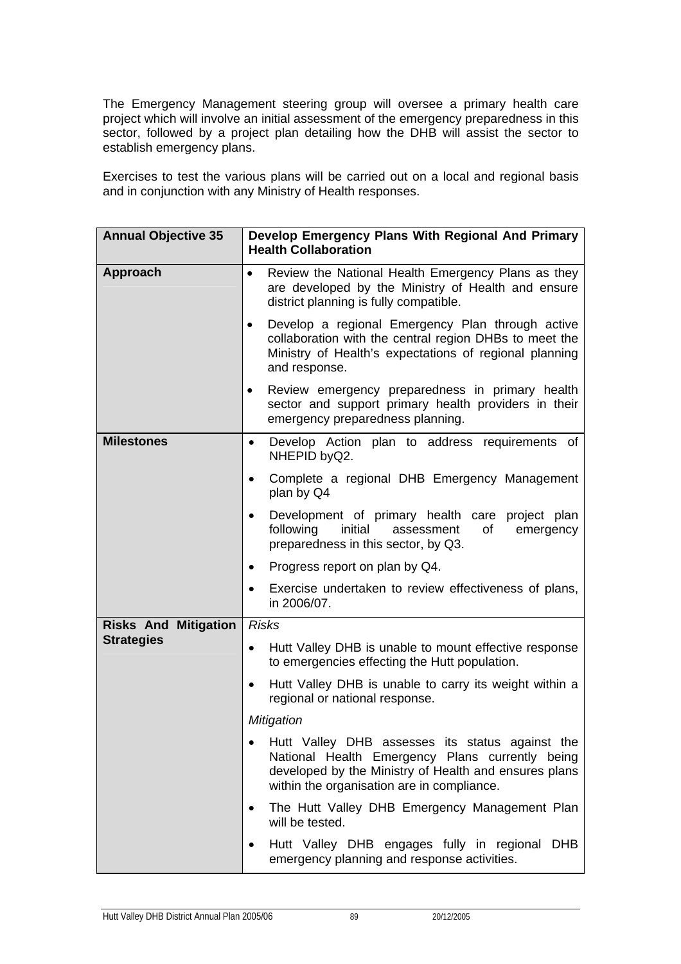The Emergency Management steering group will oversee a primary health care project which will involve an initial assessment of the emergency preparedness in this sector, followed by a project plan detailing how the DHB will assist the sector to establish emergency plans.

Exercises to test the various plans will be carried out on a local and regional basis and in conjunction with any Ministry of Health responses.

| <b>Annual Objective 35</b>  | Develop Emergency Plans With Regional And Primary<br><b>Health Collaboration</b>                                                                                                                          |
|-----------------------------|-----------------------------------------------------------------------------------------------------------------------------------------------------------------------------------------------------------|
| Approach                    | Review the National Health Emergency Plans as they<br>$\bullet$<br>are developed by the Ministry of Health and ensure<br>district planning is fully compatible.                                           |
|                             | Develop a regional Emergency Plan through active<br>$\bullet$<br>collaboration with the central region DHBs to meet the<br>Ministry of Health's expectations of regional planning<br>and response.        |
|                             | Review emergency preparedness in primary health<br>$\bullet$<br>sector and support primary health providers in their<br>emergency preparedness planning.                                                  |
| <b>Milestones</b>           | Develop Action plan to address requirements of<br>$\bullet$<br>NHEPID byQ2.                                                                                                                               |
|                             | Complete a regional DHB Emergency Management<br>$\bullet$<br>plan by Q4                                                                                                                                   |
|                             | Development of primary health care project plan<br>following<br>initial<br>assessment<br>of<br>emergency<br>preparedness in this sector, by Q3.                                                           |
|                             | Progress report on plan by Q4.<br>$\bullet$                                                                                                                                                               |
|                             | Exercise undertaken to review effectiveness of plans,<br>in 2006/07.                                                                                                                                      |
| <b>Risks And Mitigation</b> | <b>Risks</b>                                                                                                                                                                                              |
| <b>Strategies</b>           | Hutt Valley DHB is unable to mount effective response<br>$\bullet$<br>to emergencies effecting the Hutt population.                                                                                       |
|                             | Hutt Valley DHB is unable to carry its weight within a<br>$\bullet$<br>regional or national response.                                                                                                     |
|                             | <b>Mitigation</b>                                                                                                                                                                                         |
|                             | Hutt Valley DHB assesses its status against the<br>National Health Emergency Plans currently being<br>developed by the Ministry of Health and ensures plans<br>within the organisation are in compliance. |
|                             | The Hutt Valley DHB Emergency Management Plan<br>$\bullet$<br>will be tested.                                                                                                                             |
|                             | Hutt Valley DHB engages fully in regional<br>DHB<br>emergency planning and response activities.                                                                                                           |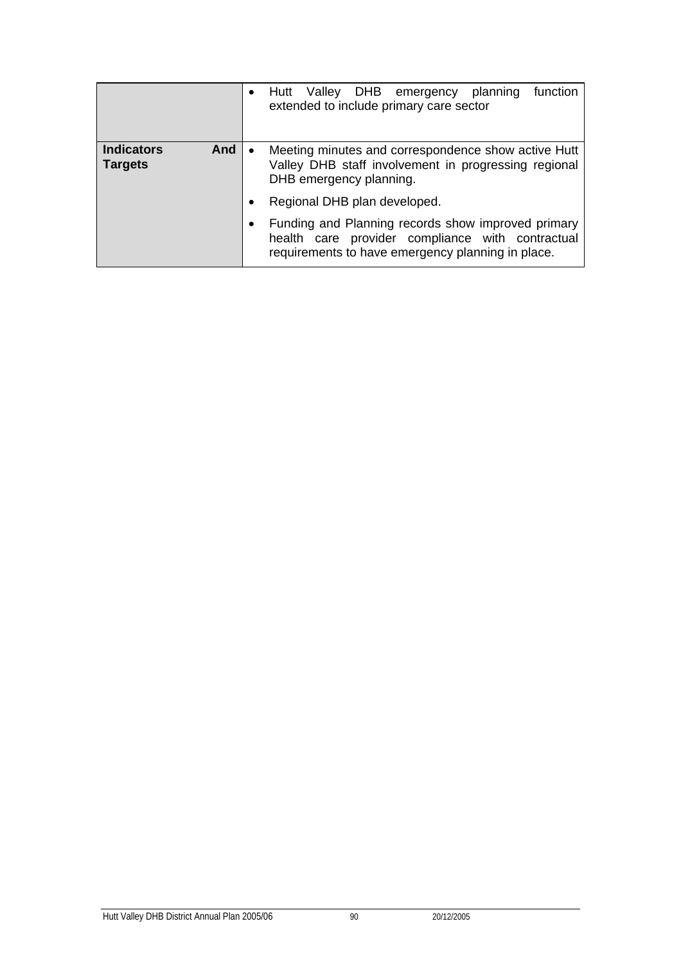|                                            |           | function<br>Valley DHB emergency planning<br>Hutt<br>extended to include primary care sector                                                                |
|--------------------------------------------|-----------|-------------------------------------------------------------------------------------------------------------------------------------------------------------|
| <b>Indicators</b><br>And<br><b>Targets</b> | $\bullet$ | Meeting minutes and correspondence show active Hutt<br>Valley DHB staff involvement in progressing regional<br>DHB emergency planning.                      |
|                                            |           | Regional DHB plan developed.                                                                                                                                |
|                                            | $\bullet$ | Funding and Planning records show improved primary<br>health care provider compliance with contractual<br>requirements to have emergency planning in place. |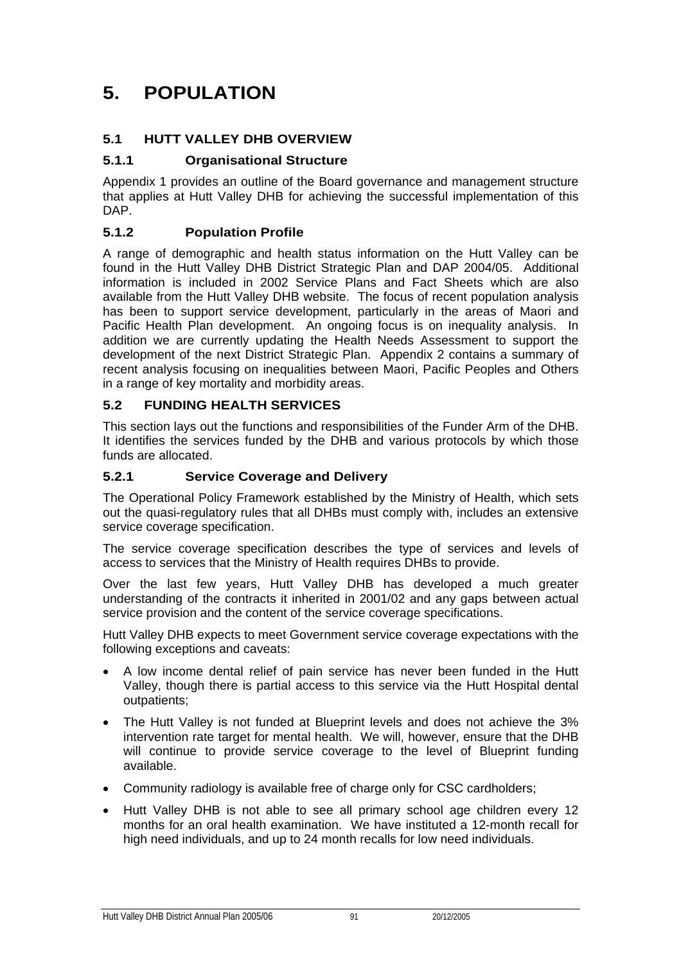# **5. POPULATION**

# **5.1 HUTT VALLEY DHB OVERVIEW**

## **5.1.1 Organisational Structure**

Appendix 1 provides an outline of the Board governance and management structure that applies at Hutt Valley DHB for achieving the successful implementation of this DAP.

# **5.1.2 Population Profile**

A range of demographic and health status information on the Hutt Valley can be found in the Hutt Valley DHB District Strategic Plan and DAP 2004/05. Additional information is included in 2002 Service Plans and Fact Sheets which are also available from the Hutt Valley DHB website. The focus of recent population analysis has been to support service development, particularly in the areas of Maori and Pacific Health Plan development. An ongoing focus is on inequality analysis. In addition we are currently updating the Health Needs Assessment to support the development of the next District Strategic Plan. Appendix 2 contains a summary of recent analysis focusing on inequalities between Maori, Pacific Peoples and Others in a range of key mortality and morbidity areas.

## **5.2 FUNDING HEALTH SERVICES**

This section lays out the functions and responsibilities of the Funder Arm of the DHB. It identifies the services funded by the DHB and various protocols by which those funds are allocated.

# **5.2.1 Service Coverage and Delivery**

The Operational Policy Framework established by the Ministry of Health, which sets out the quasi-regulatory rules that all DHBs must comply with, includes an extensive service coverage specification.

The service coverage specification describes the type of services and levels of access to services that the Ministry of Health requires DHBs to provide.

Over the last few years, Hutt Valley DHB has developed a much greater understanding of the contracts it inherited in 2001/02 and any gaps between actual service provision and the content of the service coverage specifications.

Hutt Valley DHB expects to meet Government service coverage expectations with the following exceptions and caveats:

- A low income dental relief of pain service has never been funded in the Hutt Valley, though there is partial access to this service via the Hutt Hospital dental outpatients;
- The Hutt Valley is not funded at Blueprint levels and does not achieve the 3% intervention rate target for mental health. We will, however, ensure that the DHB will continue to provide service coverage to the level of Blueprint funding available.
- Community radiology is available free of charge only for CSC cardholders;
- Hutt Valley DHB is not able to see all primary school age children every 12 months for an oral health examination. We have instituted a 12-month recall for high need individuals, and up to 24 month recalls for low need individuals.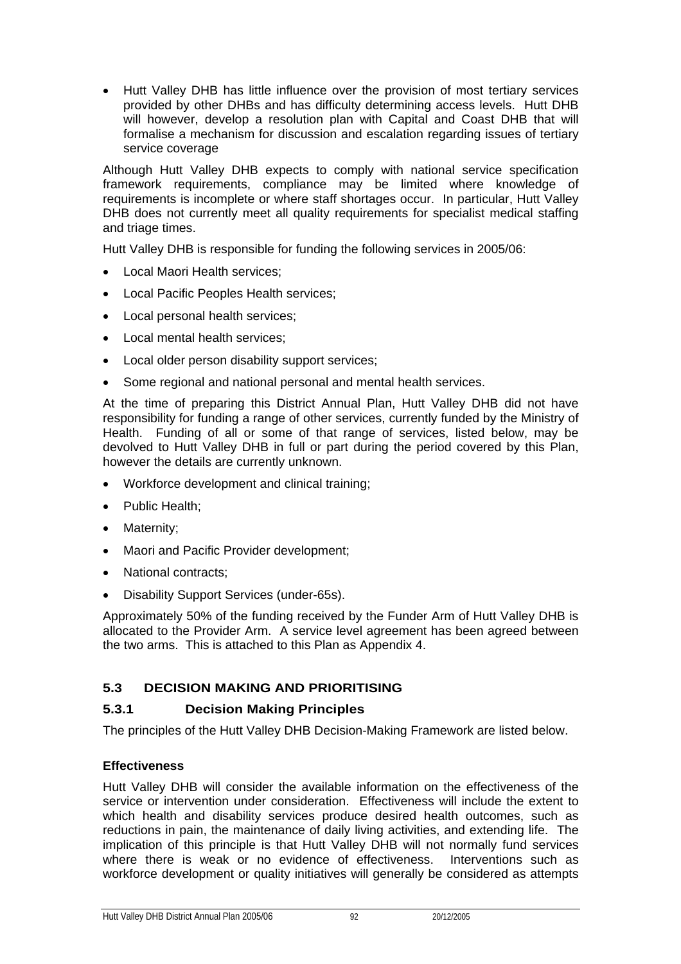• Hutt Valley DHB has little influence over the provision of most tertiary services provided by other DHBs and has difficulty determining access levels. Hutt DHB will however, develop a resolution plan with Capital and Coast DHB that will formalise a mechanism for discussion and escalation regarding issues of tertiary service coverage

Although Hutt Valley DHB expects to comply with national service specification framework requirements, compliance may be limited where knowledge of requirements is incomplete or where staff shortages occur. In particular, Hutt Valley DHB does not currently meet all quality requirements for specialist medical staffing and triage times.

Hutt Valley DHB is responsible for funding the following services in 2005/06:

- Local Maori Health services:
- Local Pacific Peoples Health services;
- Local personal health services;
- Local mental health services;
- Local older person disability support services;
- Some regional and national personal and mental health services.

At the time of preparing this District Annual Plan, Hutt Valley DHB did not have responsibility for funding a range of other services, currently funded by the Ministry of Health. Funding of all or some of that range of services, listed below, may be devolved to Hutt Valley DHB in full or part during the period covered by this Plan, however the details are currently unknown.

- Workforce development and clinical training;
- Public Health;
- Maternity;
- Maori and Pacific Provider development;
- National contracts;
- Disability Support Services (under-65s).

Approximately 50% of the funding received by the Funder Arm of Hutt Valley DHB is allocated to the Provider Arm. A service level agreement has been agreed between the two arms. This is attached to this Plan as Appendix 4.

## **5.3 DECISION MAKING AND PRIORITISING**

## **5.3.1 Decision Making Principles**

The principles of the Hutt Valley DHB Decision-Making Framework are listed below.

#### **Effectiveness**

Hutt Valley DHB will consider the available information on the effectiveness of the service or intervention under consideration. Effectiveness will include the extent to which health and disability services produce desired health outcomes, such as reductions in pain, the maintenance of daily living activities, and extending life. The implication of this principle is that Hutt Valley DHB will not normally fund services where there is weak or no evidence of effectiveness. Interventions such as workforce development or quality initiatives will generally be considered as attempts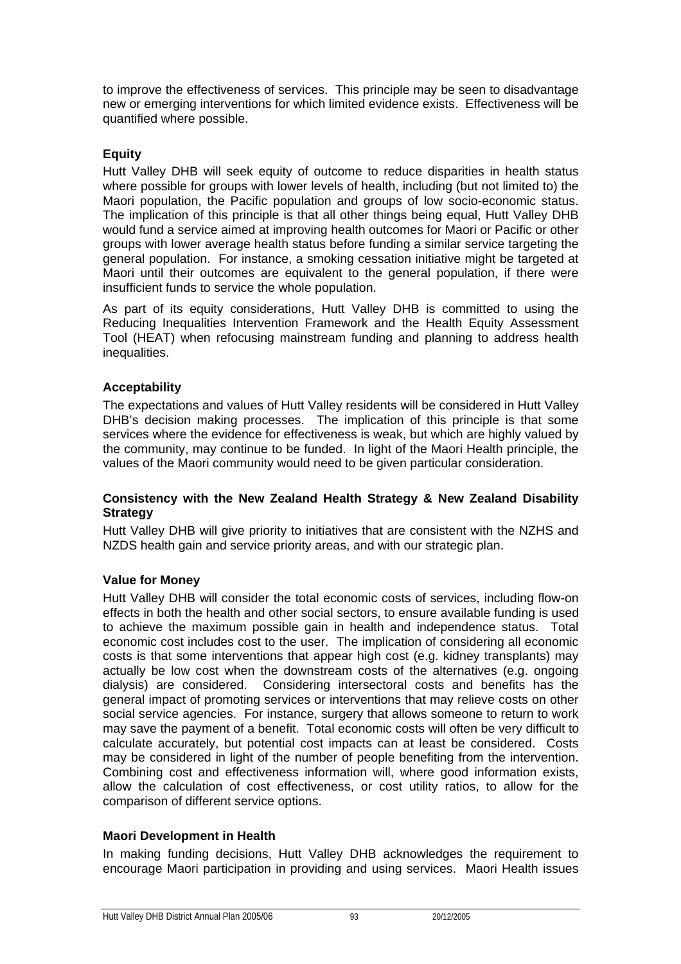to improve the effectiveness of services. This principle may be seen to disadvantage new or emerging interventions for which limited evidence exists. Effectiveness will be quantified where possible.

# **Equity**

Hutt Valley DHB will seek equity of outcome to reduce disparities in health status where possible for groups with lower levels of health, including (but not limited to) the Maori population, the Pacific population and groups of low socio-economic status. The implication of this principle is that all other things being equal, Hutt Valley DHB would fund a service aimed at improving health outcomes for Maori or Pacific or other groups with lower average health status before funding a similar service targeting the general population. For instance, a smoking cessation initiative might be targeted at Maori until their outcomes are equivalent to the general population, if there were insufficient funds to service the whole population.

As part of its equity considerations, Hutt Valley DHB is committed to using the Reducing Inequalities Intervention Framework and the Health Equity Assessment Tool (HEAT) when refocusing mainstream funding and planning to address health inequalities.

## **Acceptability**

The expectations and values of Hutt Valley residents will be considered in Hutt Valley DHB's decision making processes. The implication of this principle is that some services where the evidence for effectiveness is weak, but which are highly valued by the community, may continue to be funded. In light of the Maori Health principle, the values of the Maori community would need to be given particular consideration.

## **Consistency with the New Zealand Health Strategy & New Zealand Disability Strategy**

Hutt Valley DHB will give priority to initiatives that are consistent with the NZHS and NZDS health gain and service priority areas, and with our strategic plan.

# **Value for Money**

Hutt Valley DHB will consider the total economic costs of services, including flow-on effects in both the health and other social sectors, to ensure available funding is used to achieve the maximum possible gain in health and independence status. Total economic cost includes cost to the user. The implication of considering all economic costs is that some interventions that appear high cost (e.g. kidney transplants) may actually be low cost when the downstream costs of the alternatives (e.g. ongoing dialysis) are considered. Considering intersectoral costs and benefits has the general impact of promoting services or interventions that may relieve costs on other social service agencies. For instance, surgery that allows someone to return to work may save the payment of a benefit. Total economic costs will often be very difficult to calculate accurately, but potential cost impacts can at least be considered. Costs may be considered in light of the number of people benefiting from the intervention. Combining cost and effectiveness information will, where good information exists, allow the calculation of cost effectiveness, or cost utility ratios, to allow for the comparison of different service options.

## **Maori Development in Health**

In making funding decisions, Hutt Valley DHB acknowledges the requirement to encourage Maori participation in providing and using services. Maori Health issues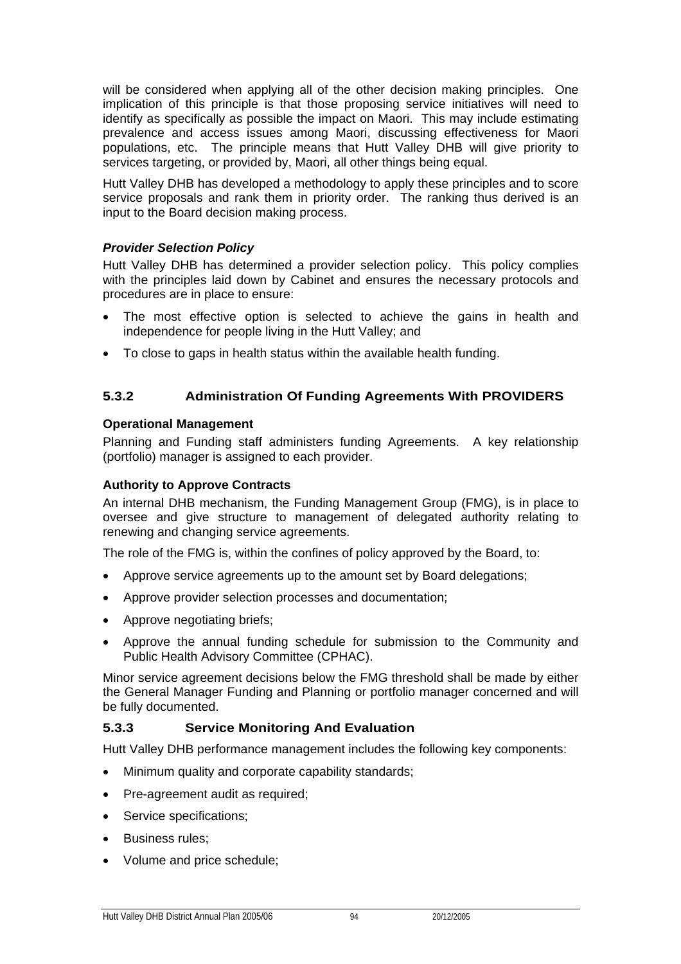will be considered when applying all of the other decision making principles. One implication of this principle is that those proposing service initiatives will need to identify as specifically as possible the impact on Maori. This may include estimating prevalence and access issues among Maori, discussing effectiveness for Maori populations, etc. The principle means that Hutt Valley DHB will give priority to services targeting, or provided by, Maori, all other things being equal.

Hutt Valley DHB has developed a methodology to apply these principles and to score service proposals and rank them in priority order. The ranking thus derived is an input to the Board decision making process.

## *Provider Selection Policy*

Hutt Valley DHB has determined a provider selection policy. This policy complies with the principles laid down by Cabinet and ensures the necessary protocols and procedures are in place to ensure:

- The most effective option is selected to achieve the gains in health and independence for people living in the Hutt Valley; and
- To close to gaps in health status within the available health funding.

## **5.3.2 Administration Of Funding Agreements With PROVIDERS**

#### **Operational Management**

Planning and Funding staff administers funding Agreements. A key relationship (portfolio) manager is assigned to each provider.

## **Authority to Approve Contracts**

An internal DHB mechanism, the Funding Management Group (FMG), is in place to oversee and give structure to management of delegated authority relating to renewing and changing service agreements.

The role of the FMG is, within the confines of policy approved by the Board, to:

- Approve service agreements up to the amount set by Board delegations;
- Approve provider selection processes and documentation;
- Approve negotiating briefs;
- Approve the annual funding schedule for submission to the Community and Public Health Advisory Committee (CPHAC).

Minor service agreement decisions below the FMG threshold shall be made by either the General Manager Funding and Planning or portfolio manager concerned and will be fully documented.

## **5.3.3 Service Monitoring And Evaluation**

Hutt Valley DHB performance management includes the following key components:

- Minimum quality and corporate capability standards;
- Pre-agreement audit as required;
- Service specifications;
- Business rules;
- Volume and price schedule;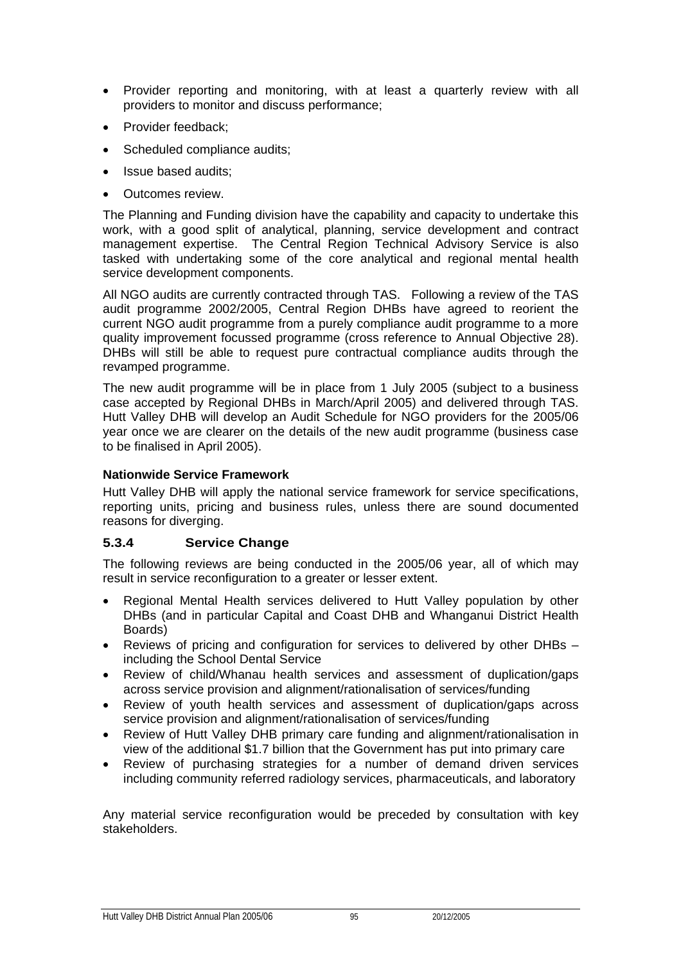- Provider reporting and monitoring, with at least a quarterly review with all providers to monitor and discuss performance;
- Provider feedback:
- Scheduled compliance audits:
- Issue based audits:
- Outcomes review.

The Planning and Funding division have the capability and capacity to undertake this work, with a good split of analytical, planning, service development and contract management expertise. The Central Region Technical Advisory Service is also tasked with undertaking some of the core analytical and regional mental health service development components.

All NGO audits are currently contracted through TAS. Following a review of the TAS audit programme 2002/2005, Central Region DHBs have agreed to reorient the current NGO audit programme from a purely compliance audit programme to a more quality improvement focussed programme (cross reference to Annual Objective 28). DHBs will still be able to request pure contractual compliance audits through the revamped programme.

The new audit programme will be in place from 1 July 2005 (subject to a business case accepted by Regional DHBs in March/April 2005) and delivered through TAS. Hutt Valley DHB will develop an Audit Schedule for NGO providers for the 2005/06 year once we are clearer on the details of the new audit programme (business case to be finalised in April 2005).

## **Nationwide Service Framework**

Hutt Valley DHB will apply the national service framework for service specifications, reporting units, pricing and business rules, unless there are sound documented reasons for diverging.

#### **5.3.4 Service Change**

The following reviews are being conducted in the 2005/06 year, all of which may result in service reconfiguration to a greater or lesser extent.

- Regional Mental Health services delivered to Hutt Valley population by other DHBs (and in particular Capital and Coast DHB and Whanganui District Health Boards)
- Reviews of pricing and configuration for services to delivered by other DHBs including the School Dental Service
- Review of child/Whanau health services and assessment of duplication/gaps across service provision and alignment/rationalisation of services/funding
- Review of youth health services and assessment of duplication/gaps across service provision and alignment/rationalisation of services/funding
- Review of Hutt Valley DHB primary care funding and alignment/rationalisation in view of the additional \$1.7 billion that the Government has put into primary care
- Review of purchasing strategies for a number of demand driven services including community referred radiology services, pharmaceuticals, and laboratory

Any material service reconfiguration would be preceded by consultation with key stakeholders.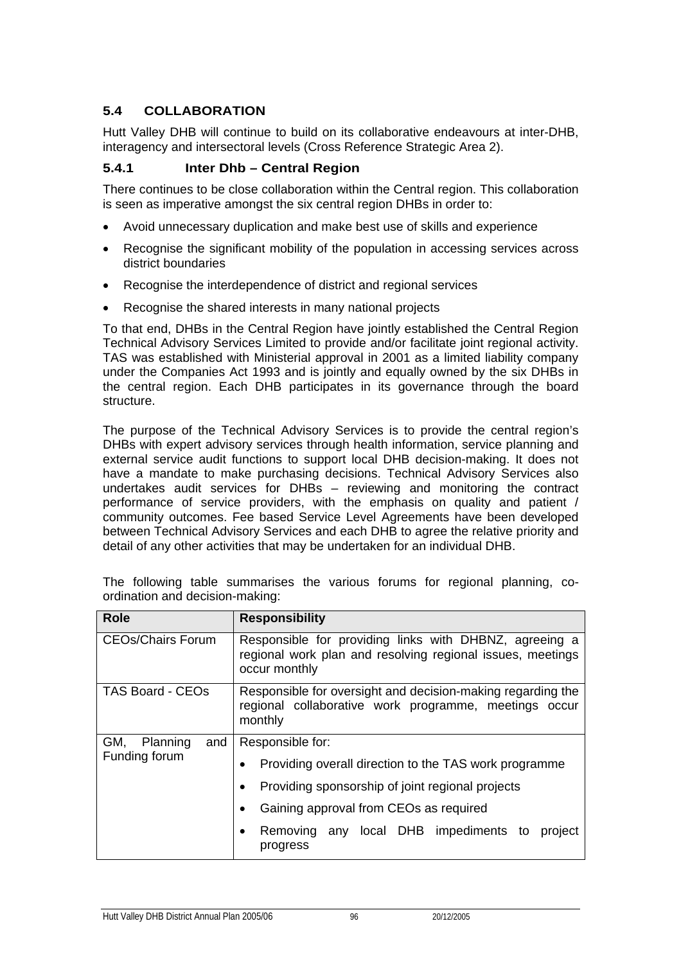# **5.4 COLLABORATION**

Hutt Valley DHB will continue to build on its collaborative endeavours at inter-DHB, interagency and intersectoral levels (Cross Reference Strategic Area 2).

## **5.4.1 Inter Dhb – Central Region**

There continues to be close collaboration within the Central region. This collaboration is seen as imperative amongst the six central region DHBs in order to:

- Avoid unnecessary duplication and make best use of skills and experience
- Recognise the significant mobility of the population in accessing services across district boundaries
- Recognise the interdependence of district and regional services
- Recognise the shared interests in many national projects

To that end, DHBs in the Central Region have jointly established the Central Region Technical Advisory Services Limited to provide and/or facilitate joint regional activity. TAS was established with Ministerial approval in 2001 as a limited liability company under the Companies Act 1993 and is jointly and equally owned by the six DHBs in the central region. Each DHB participates in its governance through the board structure.

The purpose of the Technical Advisory Services is to provide the central region's DHBs with expert advisory services through health information, service planning and external service audit functions to support local DHB decision-making. It does not have a mandate to make purchasing decisions. Technical Advisory Services also undertakes audit services for DHBs – reviewing and monitoring the contract performance of service providers, with the emphasis on quality and patient / community outcomes. Fee based Service Level Agreements have been developed between Technical Advisory Services and each DHB to agree the relative priority and detail of any other activities that may be undertaken for an individual DHB.

| <b>Role</b>                             | <b>Responsibility</b>                                                                                                                 |  |  |  |
|-----------------------------------------|---------------------------------------------------------------------------------------------------------------------------------------|--|--|--|
| <b>CEOs/Chairs Forum</b>                | Responsible for providing links with DHBNZ, agreeing a<br>regional work plan and resolving regional issues, meetings<br>occur monthly |  |  |  |
| <b>TAS Board - CEOs</b>                 | Responsible for oversight and decision-making regarding the<br>regional collaborative work programme, meetings occur<br>monthly       |  |  |  |
| Planning<br>GM,<br>and<br>Funding forum | Responsible for:                                                                                                                      |  |  |  |
|                                         | Providing overall direction to the TAS work programme<br>٠                                                                            |  |  |  |
|                                         | Providing sponsorship of joint regional projects                                                                                      |  |  |  |
|                                         | Gaining approval from CEOs as required                                                                                                |  |  |  |
|                                         | Removing any local DHB impediments to project<br>$\bullet$<br>progress                                                                |  |  |  |

The following table summarises the various forums for regional planning, coordination and decision-making: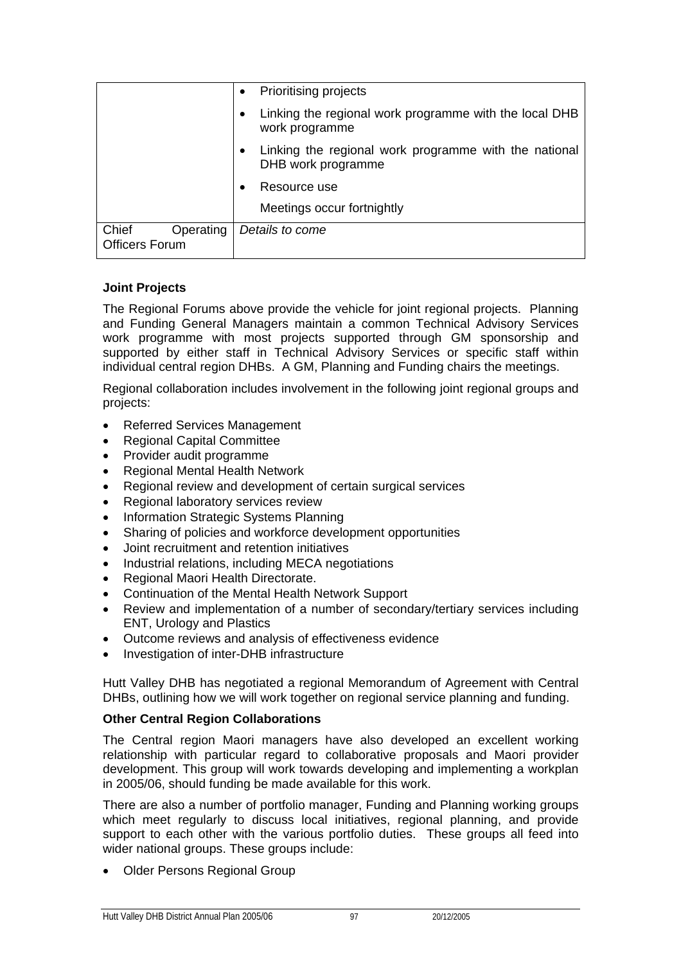|                                             | $\bullet$ | <b>Prioritising projects</b>                                                |
|---------------------------------------------|-----------|-----------------------------------------------------------------------------|
|                                             | $\bullet$ | Linking the regional work programme with the local DHB<br>work programme    |
|                                             | $\bullet$ | Linking the regional work programme with the national<br>DHB work programme |
|                                             |           | Resource use                                                                |
|                                             |           | Meetings occur fortnightly                                                  |
| Chief<br>Operating<br><b>Officers Forum</b> |           | Details to come                                                             |

## **Joint Projects**

The Regional Forums above provide the vehicle for joint regional projects. Planning and Funding General Managers maintain a common Technical Advisory Services work programme with most projects supported through GM sponsorship and supported by either staff in Technical Advisory Services or specific staff within individual central region DHBs. A GM, Planning and Funding chairs the meetings.

Regional collaboration includes involvement in the following joint regional groups and projects:

- Referred Services Management
- Regional Capital Committee
- Provider audit programme
- Regional Mental Health Network
- Regional review and development of certain surgical services
- Regional laboratory services review
- Information Strategic Systems Planning
- Sharing of policies and workforce development opportunities
- Joint recruitment and retention initiatives
- Industrial relations, including MECA negotiations
- Regional Maori Health Directorate.
- Continuation of the Mental Health Network Support
- Review and implementation of a number of secondary/tertiary services including ENT, Urology and Plastics
- Outcome reviews and analysis of effectiveness evidence
- Investigation of inter-DHB infrastructure

Hutt Valley DHB has negotiated a regional Memorandum of Agreement with Central DHBs, outlining how we will work together on regional service planning and funding.

#### **Other Central Region Collaborations**

The Central region Maori managers have also developed an excellent working relationship with particular regard to collaborative proposals and Maori provider development. This group will work towards developing and implementing a workplan in 2005/06, should funding be made available for this work.

There are also a number of portfolio manager, Funding and Planning working groups which meet regularly to discuss local initiatives, regional planning, and provide support to each other with the various portfolio duties. These groups all feed into wider national groups. These groups include:

• Older Persons Regional Group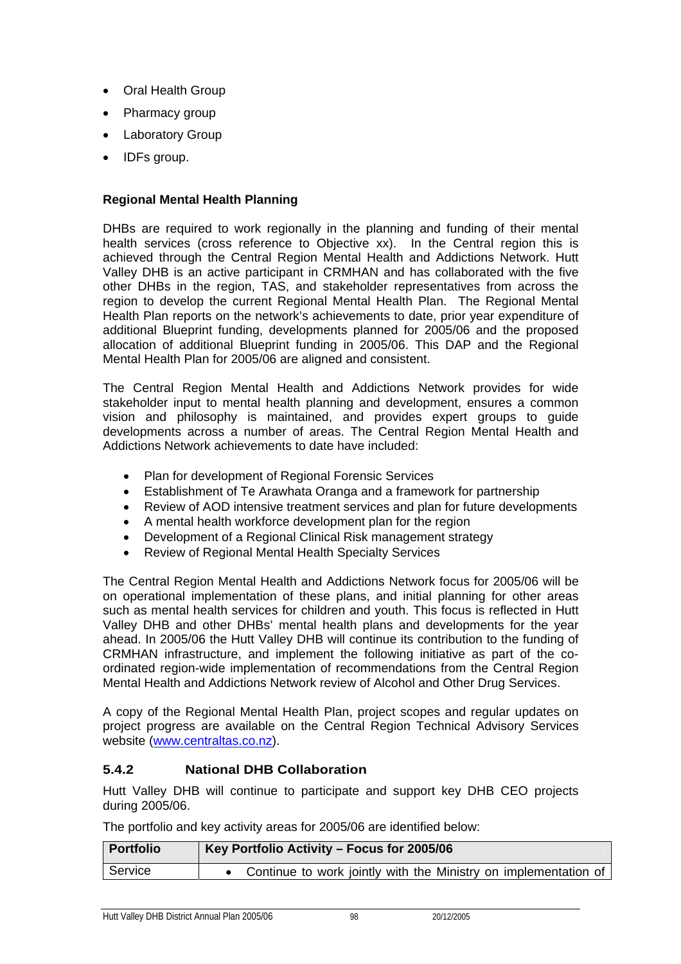- Oral Health Group
- Pharmacy group
- Laboratory Group
- IDFs group.

## **Regional Mental Health Planning**

DHBs are required to work regionally in the planning and funding of their mental health services (cross reference to Objective xx). In the Central region this is achieved through the Central Region Mental Health and Addictions Network. Hutt Valley DHB is an active participant in CRMHAN and has collaborated with the five other DHBs in the region, TAS, and stakeholder representatives from across the region to develop the current Regional Mental Health Plan. The Regional Mental Health Plan reports on the network's achievements to date, prior year expenditure of additional Blueprint funding, developments planned for 2005/06 and the proposed allocation of additional Blueprint funding in 2005/06. This DAP and the Regional Mental Health Plan for 2005/06 are aligned and consistent.

The Central Region Mental Health and Addictions Network provides for wide stakeholder input to mental health planning and development, ensures a common vision and philosophy is maintained, and provides expert groups to guide developments across a number of areas. The Central Region Mental Health and Addictions Network achievements to date have included:

- Plan for development of Regional Forensic Services
- Establishment of Te Arawhata Oranga and a framework for partnership
- Review of AOD intensive treatment services and plan for future developments
- A mental health workforce development plan for the region
- Development of a Regional Clinical Risk management strategy
- Review of Regional Mental Health Specialty Services

The Central Region Mental Health and Addictions Network focus for 2005/06 will be on operational implementation of these plans, and initial planning for other areas such as mental health services for children and youth. This focus is reflected in Hutt Valley DHB and other DHBs' mental health plans and developments for the year ahead. In 2005/06 the Hutt Valley DHB will continue its contribution to the funding of CRMHAN infrastructure, and implement the following initiative as part of the coordinated region-wide implementation of recommendations from the Central Region Mental Health and Addictions Network review of Alcohol and Other Drug Services.

A copy of the Regional Mental Health Plan, project scopes and regular updates on project progress are available on the Central Region Technical Advisory Services website (www.centraltas.co.nz).

## **5.4.2 National DHB Collaboration**

Hutt Valley DHB will continue to participate and support key DHB CEO projects during 2005/06.

The portfolio and key activity areas for 2005/06 are identified below:

| <b>Portfolio</b> | Key Portfolio Activity - Focus for 2005/06                      |
|------------------|-----------------------------------------------------------------|
| Service          | Continue to work jointly with the Ministry on implementation of |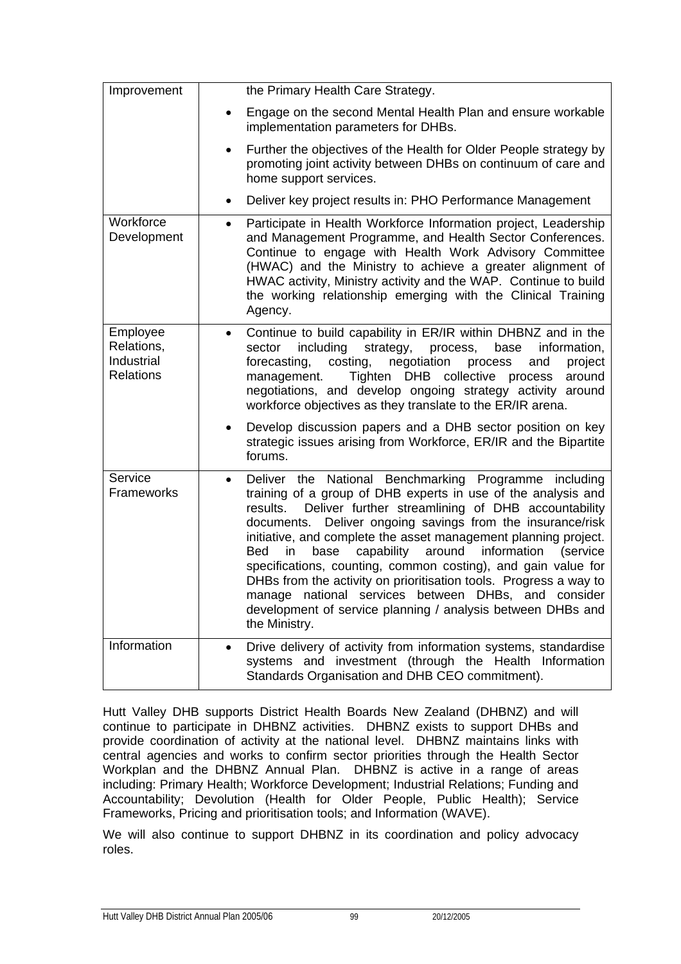| Improvement                                              | the Primary Health Care Strategy.                                                                                                                                                                                                                                                                                                                                                                                                                                                                                                                                                                                                                                                     |
|----------------------------------------------------------|---------------------------------------------------------------------------------------------------------------------------------------------------------------------------------------------------------------------------------------------------------------------------------------------------------------------------------------------------------------------------------------------------------------------------------------------------------------------------------------------------------------------------------------------------------------------------------------------------------------------------------------------------------------------------------------|
|                                                          | Engage on the second Mental Health Plan and ensure workable<br>$\bullet$<br>implementation parameters for DHBs.                                                                                                                                                                                                                                                                                                                                                                                                                                                                                                                                                                       |
|                                                          | Further the objectives of the Health for Older People strategy by<br>$\bullet$<br>promoting joint activity between DHBs on continuum of care and<br>home support services.                                                                                                                                                                                                                                                                                                                                                                                                                                                                                                            |
|                                                          | Deliver key project results in: PHO Performance Management<br>٠                                                                                                                                                                                                                                                                                                                                                                                                                                                                                                                                                                                                                       |
| Workforce<br>Development                                 | Participate in Health Workforce Information project, Leadership<br>$\bullet$<br>and Management Programme, and Health Sector Conferences.<br>Continue to engage with Health Work Advisory Committee<br>(HWAC) and the Ministry to achieve a greater alignment of<br>HWAC activity, Ministry activity and the WAP. Continue to build<br>the working relationship emerging with the Clinical Training<br>Agency.                                                                                                                                                                                                                                                                         |
| Employee<br>Relations,<br>Industrial<br><b>Relations</b> | Continue to build capability in ER/IR within DHBNZ and in the<br>$\bullet$<br>including<br>strategy,<br>base<br>sector<br>process,<br>information,<br>negotiation<br>costing,<br>forecasting,<br>process<br>and<br>project<br>Tighten DHB collective process<br>management.<br>around<br>negotiations, and develop ongoing strategy activity around<br>workforce objectives as they translate to the ER/IR arena.<br>Develop discussion papers and a DHB sector position on key<br>$\bullet$                                                                                                                                                                                          |
|                                                          | strategic issues arising from Workforce, ER/IR and the Bipartite<br>forums.                                                                                                                                                                                                                                                                                                                                                                                                                                                                                                                                                                                                           |
| Service<br><b>Frameworks</b>                             | Deliver the National Benchmarking Programme including<br>$\bullet$<br>training of a group of DHB experts in use of the analysis and<br>Deliver further streamlining of DHB accountability<br>results.<br>Deliver ongoing savings from the insurance/risk<br>documents.<br>initiative, and complete the asset management planning project.<br>capability around information (service<br>Bed<br>in<br>base<br>specifications, counting, common costing), and gain value for<br>DHBs from the activity on prioritisation tools. Progress a way to<br>manage national services between DHBs, and consider<br>development of service planning / analysis between DHBs and<br>the Ministry. |
| Information                                              | Drive delivery of activity from information systems, standardise<br>$\bullet$<br>systems and investment (through the Health Information<br>Standards Organisation and DHB CEO commitment).                                                                                                                                                                                                                                                                                                                                                                                                                                                                                            |

Hutt Valley DHB supports District Health Boards New Zealand (DHBNZ) and will continue to participate in DHBNZ activities. DHBNZ exists to support DHBs and provide coordination of activity at the national level. DHBNZ maintains links with central agencies and works to confirm sector priorities through the Health Sector Workplan and the DHBNZ Annual Plan. DHBNZ is active in a range of areas including: Primary Health; Workforce Development; Industrial Relations; Funding and Accountability; Devolution (Health for Older People, Public Health); Service Frameworks, Pricing and prioritisation tools; and Information (WAVE).

We will also continue to support DHBNZ in its coordination and policy advocacy roles.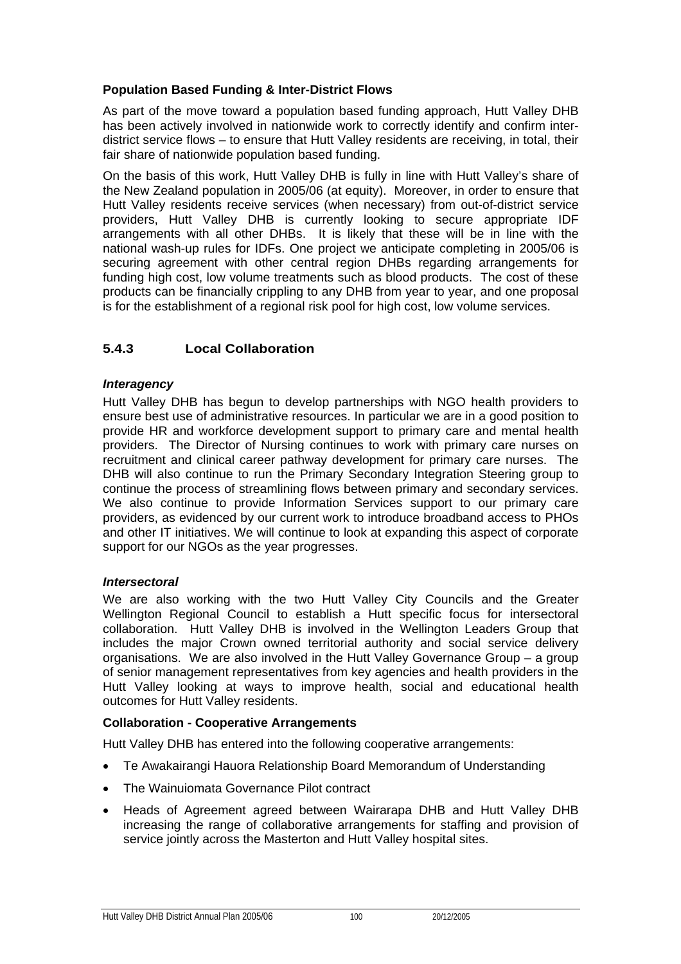## **Population Based Funding & Inter-District Flows**

As part of the move toward a population based funding approach, Hutt Valley DHB has been actively involved in nationwide work to correctly identify and confirm interdistrict service flows – to ensure that Hutt Valley residents are receiving, in total, their fair share of nationwide population based funding.

On the basis of this work, Hutt Valley DHB is fully in line with Hutt Valley's share of the New Zealand population in 2005/06 (at equity). Moreover, in order to ensure that Hutt Valley residents receive services (when necessary) from out-of-district service providers, Hutt Valley DHB is currently looking to secure appropriate IDF arrangements with all other DHBs. It is likely that these will be in line with the national wash-up rules for IDFs. One project we anticipate completing in 2005/06 is securing agreement with other central region DHBs regarding arrangements for funding high cost, low volume treatments such as blood products. The cost of these products can be financially crippling to any DHB from year to year, and one proposal is for the establishment of a regional risk pool for high cost, low volume services.

## **5.4.3 Local Collaboration**

## *Interagency*

Hutt Valley DHB has begun to develop partnerships with NGO health providers to ensure best use of administrative resources. In particular we are in a good position to provide HR and workforce development support to primary care and mental health providers. The Director of Nursing continues to work with primary care nurses on recruitment and clinical career pathway development for primary care nurses. The DHB will also continue to run the Primary Secondary Integration Steering group to continue the process of streamlining flows between primary and secondary services. We also continue to provide Information Services support to our primary care providers, as evidenced by our current work to introduce broadband access to PHOs and other IT initiatives. We will continue to look at expanding this aspect of corporate support for our NGOs as the year progresses.

#### *Intersectoral*

We are also working with the two Hutt Valley City Councils and the Greater Wellington Regional Council to establish a Hutt specific focus for intersectoral collaboration. Hutt Valley DHB is involved in the Wellington Leaders Group that includes the major Crown owned territorial authority and social service delivery organisations. We are also involved in the Hutt Valley Governance Group – a group of senior management representatives from key agencies and health providers in the Hutt Valley looking at ways to improve health, social and educational health outcomes for Hutt Valley residents.

#### **Collaboration - Cooperative Arrangements**

Hutt Valley DHB has entered into the following cooperative arrangements:

- Te Awakairangi Hauora Relationship Board Memorandum of Understanding
- The Wainuiomata Governance Pilot contract
- Heads of Agreement agreed between Wairarapa DHB and Hutt Valley DHB increasing the range of collaborative arrangements for staffing and provision of service jointly across the Masterton and Hutt Valley hospital sites.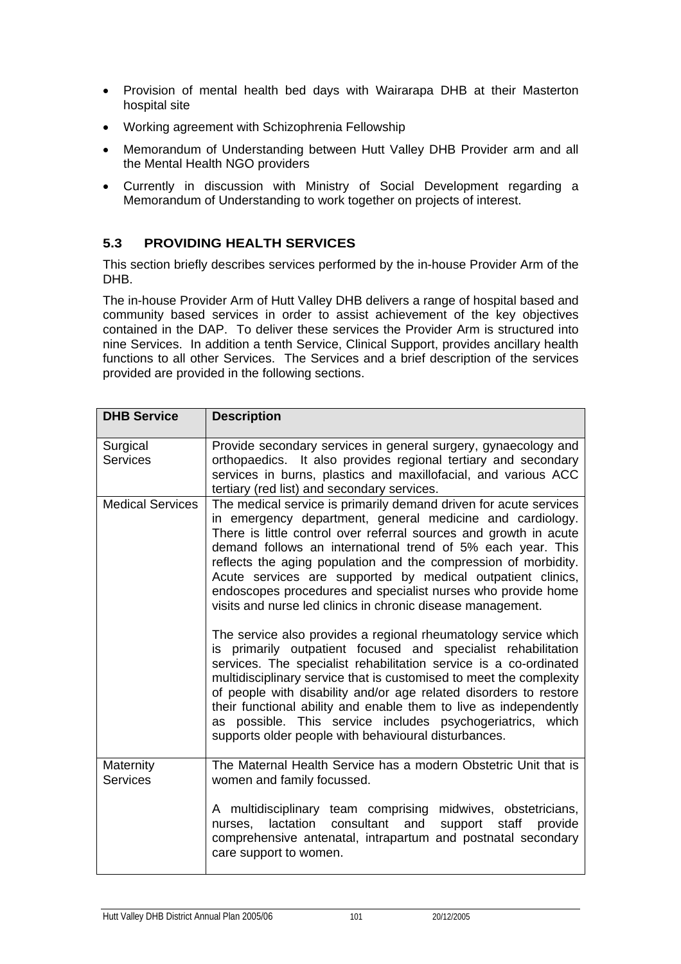- Provision of mental health bed days with Wairarapa DHB at their Masterton hospital site
- Working agreement with Schizophrenia Fellowship
- Memorandum of Understanding between Hutt Valley DHB Provider arm and all the Mental Health NGO providers
- Currently in discussion with Ministry of Social Development regarding a Memorandum of Understanding to work together on projects of interest.

# **5.3 PROVIDING HEALTH SERVICES**

This section briefly describes services performed by the in-house Provider Arm of the DHB.

The in-house Provider Arm of Hutt Valley DHB delivers a range of hospital based and community based services in order to assist achievement of the key objectives contained in the DAP. To deliver these services the Provider Arm is structured into nine Services. In addition a tenth Service, Clinical Support, provides ancillary health functions to all other Services. The Services and a brief description of the services provided are provided in the following sections.

| <b>DHB Service</b>           | <b>Description</b>                                                                                                                                                                                                                                                                                                                                                                                                                                                                                                                           |  |  |  |  |
|------------------------------|----------------------------------------------------------------------------------------------------------------------------------------------------------------------------------------------------------------------------------------------------------------------------------------------------------------------------------------------------------------------------------------------------------------------------------------------------------------------------------------------------------------------------------------------|--|--|--|--|
| Surgical<br><b>Services</b>  | Provide secondary services in general surgery, gynaecology and<br>orthopaedics. It also provides regional tertiary and secondary<br>services in burns, plastics and maxillofacial, and various ACC<br>tertiary (red list) and secondary services.                                                                                                                                                                                                                                                                                            |  |  |  |  |
| <b>Medical Services</b>      | The medical service is primarily demand driven for acute services<br>in emergency department, general medicine and cardiology.<br>There is little control over referral sources and growth in acute<br>demand follows an international trend of 5% each year. This<br>reflects the aging population and the compression of morbidity.<br>Acute services are supported by medical outpatient clinics,<br>endoscopes procedures and specialist nurses who provide home<br>visits and nurse led clinics in chronic disease management.          |  |  |  |  |
|                              | The service also provides a regional rheumatology service which<br>is primarily outpatient focused and specialist rehabilitation<br>services. The specialist rehabilitation service is a co-ordinated<br>multidisciplinary service that is customised to meet the complexity<br>of people with disability and/or age related disorders to restore<br>their functional ability and enable them to live as independently<br>as possible. This service includes psychogeriatrics, which<br>supports older people with behavioural disturbances. |  |  |  |  |
| Maternity<br><b>Services</b> | The Maternal Health Service has a modern Obstetric Unit that is<br>women and family focussed.                                                                                                                                                                                                                                                                                                                                                                                                                                                |  |  |  |  |
|                              | A multidisciplinary team comprising midwives, obstetricians,<br>consultant and<br>nurses, lactation<br>staff<br>provide<br>support<br>comprehensive antenatal, intrapartum and postnatal secondary<br>care support to women.                                                                                                                                                                                                                                                                                                                 |  |  |  |  |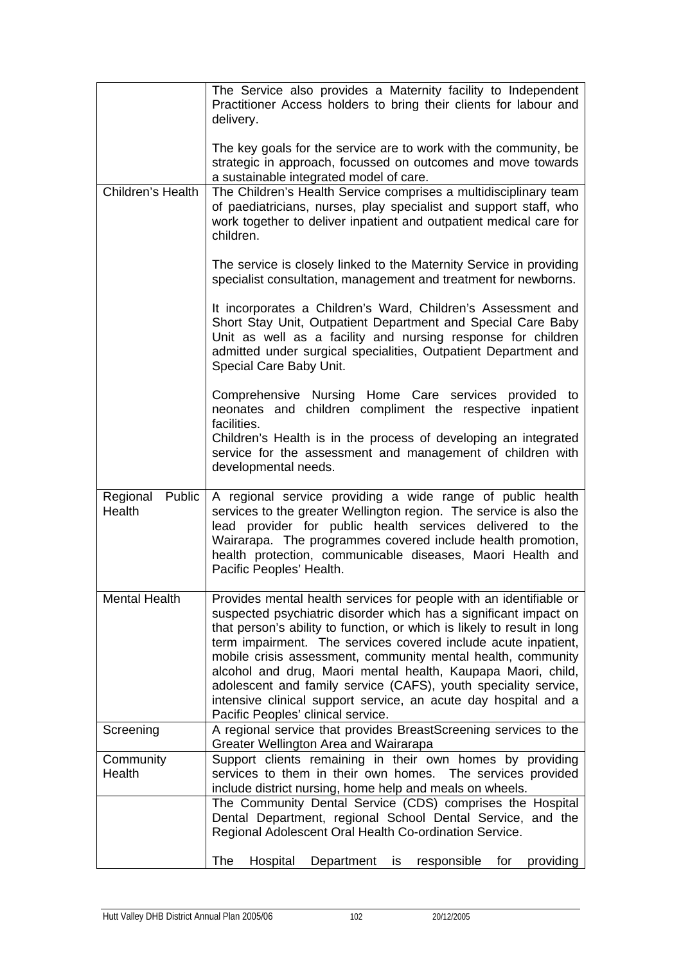|                                     | The Service also provides a Maternity facility to Independent<br>Practitioner Access holders to bring their clients for labour and<br>delivery.                                                                                                                                                                                                                                                                                                                                                                                                                                                 |  |  |  |
|-------------------------------------|-------------------------------------------------------------------------------------------------------------------------------------------------------------------------------------------------------------------------------------------------------------------------------------------------------------------------------------------------------------------------------------------------------------------------------------------------------------------------------------------------------------------------------------------------------------------------------------------------|--|--|--|
|                                     | The key goals for the service are to work with the community, be<br>strategic in approach, focussed on outcomes and move towards<br>a sustainable integrated model of care.                                                                                                                                                                                                                                                                                                                                                                                                                     |  |  |  |
| Children's Health                   | The Children's Health Service comprises a multidisciplinary team<br>of paediatricians, nurses, play specialist and support staff, who<br>work together to deliver inpatient and outpatient medical care for<br>children.                                                                                                                                                                                                                                                                                                                                                                        |  |  |  |
|                                     | The service is closely linked to the Maternity Service in providing<br>specialist consultation, management and treatment for newborns.                                                                                                                                                                                                                                                                                                                                                                                                                                                          |  |  |  |
|                                     | It incorporates a Children's Ward, Children's Assessment and<br>Short Stay Unit, Outpatient Department and Special Care Baby<br>Unit as well as a facility and nursing response for children<br>admitted under surgical specialities, Outpatient Department and<br>Special Care Baby Unit.                                                                                                                                                                                                                                                                                                      |  |  |  |
|                                     | Comprehensive Nursing Home Care services provided to<br>neonates and children compliment the respective inpatient<br>facilities.<br>Children's Health is in the process of developing an integrated<br>service for the assessment and management of children with                                                                                                                                                                                                                                                                                                                               |  |  |  |
|                                     | developmental needs.                                                                                                                                                                                                                                                                                                                                                                                                                                                                                                                                                                            |  |  |  |
| <b>Public</b><br>Regional<br>Health | A regional service providing a wide range of public health<br>services to the greater Wellington region. The service is also the<br>lead provider for public health services delivered to the<br>Wairarapa. The programmes covered include health promotion,<br>health protection, communicable diseases, Maori Health and<br>Pacific Peoples' Health.                                                                                                                                                                                                                                          |  |  |  |
| <b>Mental Health</b>                | Provides mental health services for people with an identifiable or<br>suspected psychiatric disorder which has a significant impact on<br>that person's ability to function, or which is likely to result in long<br>term impairment. The services covered include acute inpatient,<br>mobile crisis assessment, community mental health, community<br>alcohol and drug, Maori mental health, Kaupapa Maori, child,<br>adolescent and family service (CAFS), youth speciality service,<br>intensive clinical support service, an acute day hospital and a<br>Pacific Peoples' clinical service. |  |  |  |
| Screening                           | A regional service that provides BreastScreening services to the<br>Greater Wellington Area and Wairarapa                                                                                                                                                                                                                                                                                                                                                                                                                                                                                       |  |  |  |
| Community<br>Health                 | Support clients remaining in their own homes by providing<br>services to them in their own homes.<br>The services provided<br>include district nursing, home help and meals on wheels.                                                                                                                                                                                                                                                                                                                                                                                                          |  |  |  |
|                                     | The Community Dental Service (CDS) comprises the Hospital<br>Dental Department, regional School Dental Service, and the<br>Regional Adolescent Oral Health Co-ordination Service.                                                                                                                                                                                                                                                                                                                                                                                                               |  |  |  |
|                                     | The<br>Hospital<br>responsible<br>Department<br>for<br>providing<br>is                                                                                                                                                                                                                                                                                                                                                                                                                                                                                                                          |  |  |  |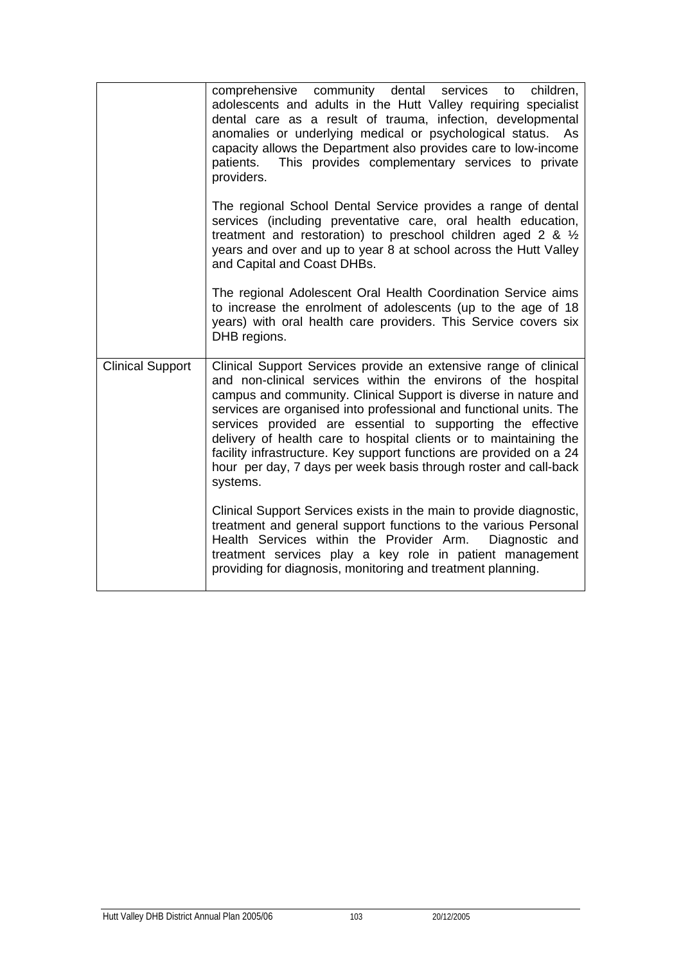|                         | comprehensive community dental services to children,<br>adolescents and adults in the Hutt Valley requiring specialist<br>dental care as a result of trauma, infection, developmental<br>anomalies or underlying medical or psychological status. As<br>capacity allows the Department also provides care to low-income<br>This provides complementary services to private<br>patients.<br>providers.                                                                                                                                                                 |
|-------------------------|-----------------------------------------------------------------------------------------------------------------------------------------------------------------------------------------------------------------------------------------------------------------------------------------------------------------------------------------------------------------------------------------------------------------------------------------------------------------------------------------------------------------------------------------------------------------------|
|                         | The regional School Dental Service provides a range of dental<br>services (including preventative care, oral health education,<br>treatment and restoration) to preschool children aged 2 & 1/2<br>years and over and up to year 8 at school across the Hutt Valley<br>and Capital and Coast DHBs.                                                                                                                                                                                                                                                                    |
|                         | The regional Adolescent Oral Health Coordination Service aims<br>to increase the enrolment of adolescents (up to the age of 18<br>years) with oral health care providers. This Service covers six<br>DHB regions.                                                                                                                                                                                                                                                                                                                                                     |
| <b>Clinical Support</b> | Clinical Support Services provide an extensive range of clinical<br>and non-clinical services within the environs of the hospital<br>campus and community. Clinical Support is diverse in nature and<br>services are organised into professional and functional units. The<br>services provided are essential to supporting the effective<br>delivery of health care to hospital clients or to maintaining the<br>facility infrastructure. Key support functions are provided on a 24<br>hour per day, 7 days per week basis through roster and call-back<br>systems. |
|                         | Clinical Support Services exists in the main to provide diagnostic,<br>treatment and general support functions to the various Personal<br>Health Services within the Provider Arm.<br>Diagnostic and<br>treatment services play a key role in patient management<br>providing for diagnosis, monitoring and treatment planning.                                                                                                                                                                                                                                       |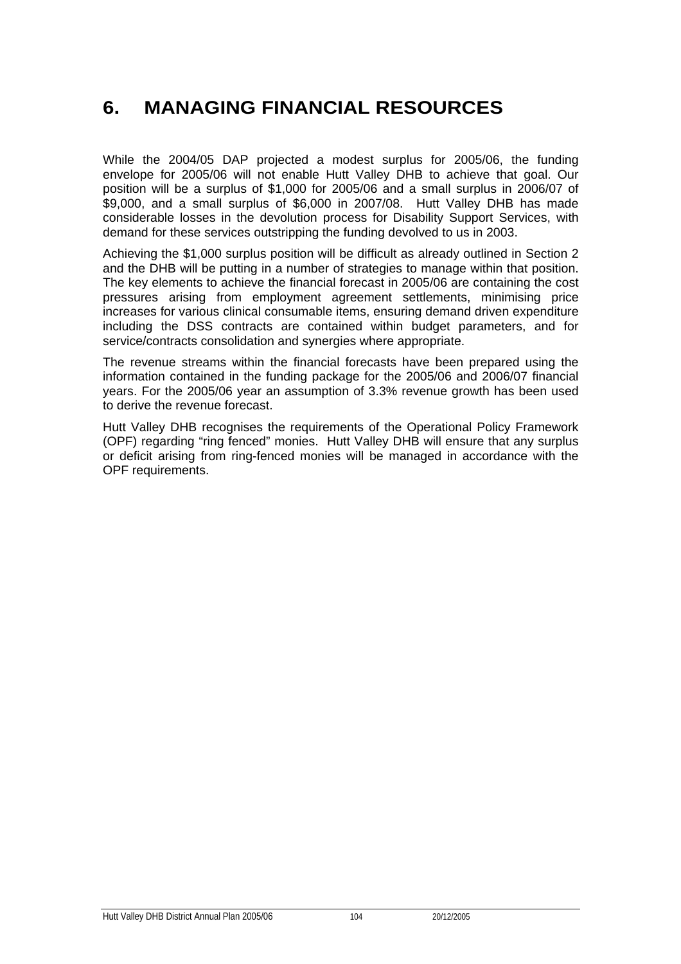# **6. MANAGING FINANCIAL RESOURCES**

While the 2004/05 DAP projected a modest surplus for 2005/06, the funding envelope for 2005/06 will not enable Hutt Valley DHB to achieve that goal. Our position will be a surplus of \$1,000 for 2005/06 and a small surplus in 2006/07 of \$9,000, and a small surplus of \$6,000 in 2007/08. Hutt Valley DHB has made considerable losses in the devolution process for Disability Support Services, with demand for these services outstripping the funding devolved to us in 2003.

Achieving the \$1,000 surplus position will be difficult as already outlined in Section 2 and the DHB will be putting in a number of strategies to manage within that position. The key elements to achieve the financial forecast in 2005/06 are containing the cost pressures arising from employment agreement settlements, minimising price increases for various clinical consumable items, ensuring demand driven expenditure including the DSS contracts are contained within budget parameters, and for service/contracts consolidation and synergies where appropriate.

The revenue streams within the financial forecasts have been prepared using the information contained in the funding package for the 2005/06 and 2006/07 financial years. For the 2005/06 year an assumption of 3.3% revenue growth has been used to derive the revenue forecast.

Hutt Valley DHB recognises the requirements of the Operational Policy Framework (OPF) regarding "ring fenced" monies. Hutt Valley DHB will ensure that any surplus or deficit arising from ring-fenced monies will be managed in accordance with the OPF requirements.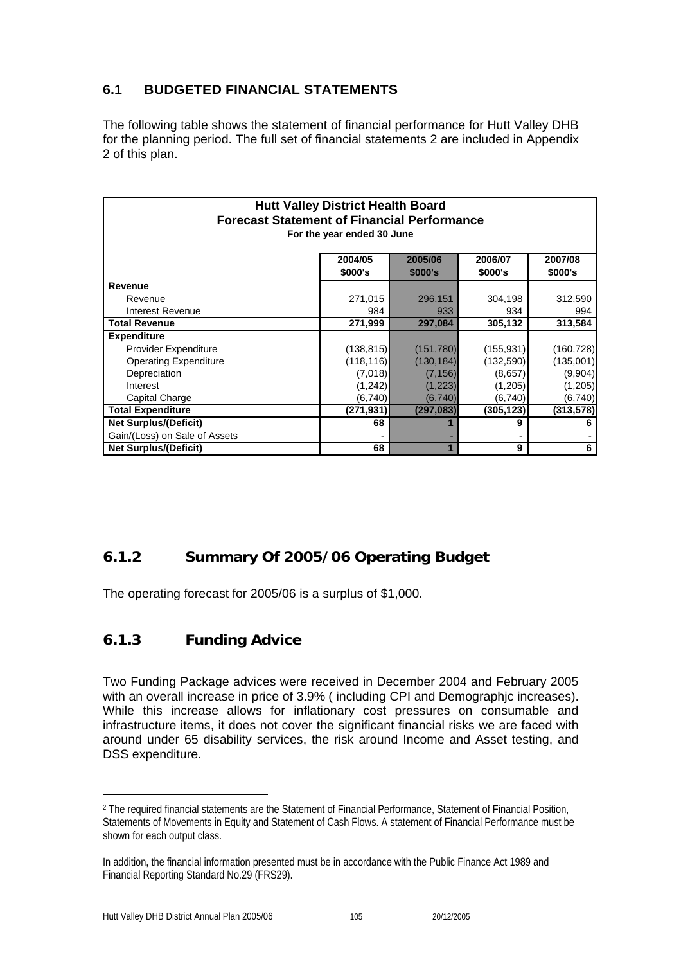# **6.1 BUDGETED FINANCIAL STATEMENTS**

The following table shows the statement of financial performance for Hutt Valley DHB for the planning period. The full set of financial statements 2 are included in Appendix 2 of this plan.

| <b>Hutt Valley District Health Board</b><br><b>Forecast Statement of Financial Performance</b> |                    |                    |                    |                    |  |  |  |
|------------------------------------------------------------------------------------------------|--------------------|--------------------|--------------------|--------------------|--|--|--|
| For the year ended 30 June                                                                     |                    |                    |                    |                    |  |  |  |
|                                                                                                | 2004/05<br>\$000's | 2005/06<br>\$000's | 2006/07<br>\$000's | 2007/08<br>\$000's |  |  |  |
| Revenue                                                                                        |                    |                    |                    |                    |  |  |  |
| Revenue                                                                                        | 271,015            | 296,151            | 304,198            | 312,590            |  |  |  |
| Interest Revenue                                                                               | 984                | 933                | 934                | 994                |  |  |  |
| <b>Total Revenue</b>                                                                           | 271,999            | 297,084            | 305,132            | 313,584            |  |  |  |
| <b>Expenditure</b>                                                                             |                    |                    |                    |                    |  |  |  |
| Provider Expenditure                                                                           | (138, 815)         | (151, 780)         | (155, 931)         | (160, 728)         |  |  |  |
| <b>Operating Expenditure</b>                                                                   | (118, 116)         | (130, 184)         | (132, 590)         | (135,001)          |  |  |  |
| Depreciation                                                                                   | (7,018)            | (7, 156)           | (8,657)            | (9,904)            |  |  |  |
| Interest                                                                                       | (1,242)            | (1,223)            | (1,205)            | (1,205)            |  |  |  |
| Capital Charge                                                                                 | (6,740)            | (6, 740)           | (6, 740)           | (6, 740)           |  |  |  |
| <b>Total Expenditure</b>                                                                       | (271, 931)         | (297, 083)         | (305,123)          | (313,578)          |  |  |  |
| <b>Net Surplus/(Deficit)</b>                                                                   | 68                 |                    | 9                  | 6                  |  |  |  |
| Gain/(Loss) on Sale of Assets                                                                  |                    |                    |                    |                    |  |  |  |
| <b>Net Surplus/(Deficit)</b>                                                                   | 68                 | 1                  | 9                  | 6                  |  |  |  |

# **6.1.2 Summary Of 2005/06 Operating Budget**

The operating forecast for 2005/06 is a surplus of \$1,000.

# **6.1.3 Funding Advice**

Two Funding Package advices were received in December 2004 and February 2005 with an overall increase in price of 3.9% ( including CPI and Demographjc increases). While this increase allows for inflationary cost pressures on consumable and infrastructure items, it does not cover the significant financial risks we are faced with around under 65 disability services, the risk around Income and Asset testing, and DSS expenditure.

 $\overline{a}$ 

<sup>&</sup>lt;sup>2</sup> The required financial statements are the Statement of Financial Performance, Statement of Financial Position, Statements of Movements in Equity and Statement of Cash Flows. A statement of Financial Performance must be shown for each output class.

In addition, the financial information presented must be in accordance with the Public Finance Act 1989 and Financial Reporting Standard No.29 (FRS29).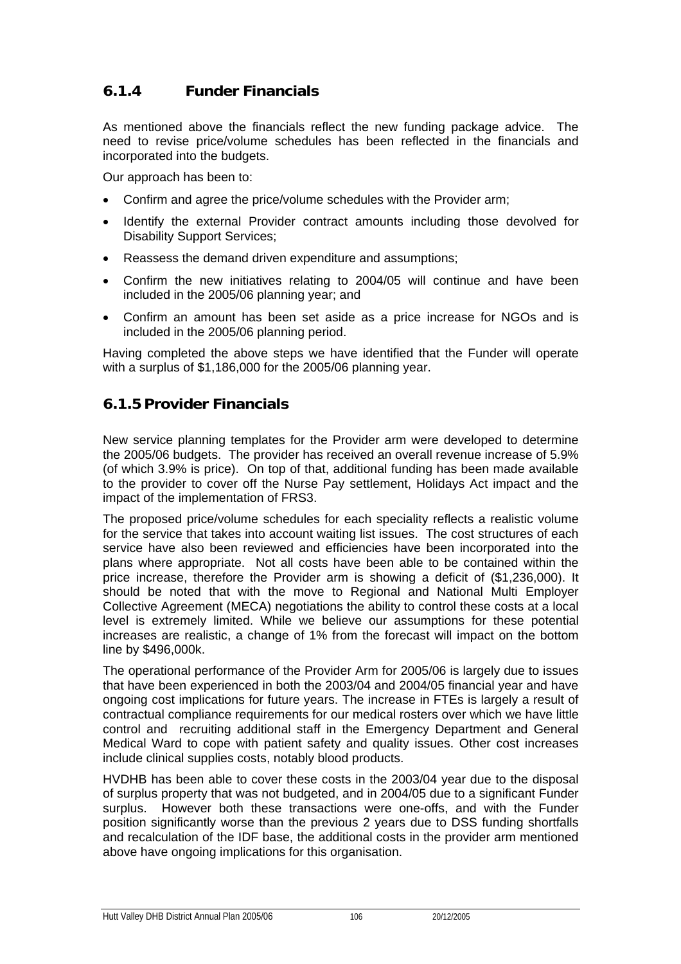# **6.1.4 Funder Financials**

As mentioned above the financials reflect the new funding package advice. The need to revise price/volume schedules has been reflected in the financials and incorporated into the budgets.

Our approach has been to:

- Confirm and agree the price/volume schedules with the Provider arm;
- Identify the external Provider contract amounts including those devolved for Disability Support Services;
- Reassess the demand driven expenditure and assumptions;
- Confirm the new initiatives relating to 2004/05 will continue and have been included in the 2005/06 planning year; and
- Confirm an amount has been set aside as a price increase for NGOs and is included in the 2005/06 planning period.

Having completed the above steps we have identified that the Funder will operate with a surplus of \$1,186,000 for the 2005/06 planning year.

# **6.1.5 Provider Financials**

New service planning templates for the Provider arm were developed to determine the 2005/06 budgets. The provider has received an overall revenue increase of 5.9% (of which 3.9% is price). On top of that, additional funding has been made available to the provider to cover off the Nurse Pay settlement, Holidays Act impact and the impact of the implementation of FRS3.

The proposed price/volume schedules for each speciality reflects a realistic volume for the service that takes into account waiting list issues. The cost structures of each service have also been reviewed and efficiencies have been incorporated into the plans where appropriate. Not all costs have been able to be contained within the price increase, therefore the Provider arm is showing a deficit of (\$1,236,000). It should be noted that with the move to Regional and National Multi Employer Collective Agreement (MECA) negotiations the ability to control these costs at a local level is extremely limited. While we believe our assumptions for these potential increases are realistic, a change of 1% from the forecast will impact on the bottom line by \$496,000k.

The operational performance of the Provider Arm for 2005/06 is largely due to issues that have been experienced in both the 2003/04 and 2004/05 financial year and have ongoing cost implications for future years. The increase in FTEs is largely a result of contractual compliance requirements for our medical rosters over which we have little control and recruiting additional staff in the Emergency Department and General Medical Ward to cope with patient safety and quality issues. Other cost increases include clinical supplies costs, notably blood products.

HVDHB has been able to cover these costs in the 2003/04 year due to the disposal of surplus property that was not budgeted, and in 2004/05 due to a significant Funder surplus. However both these transactions were one-offs, and with the Funder position significantly worse than the previous 2 years due to DSS funding shortfalls and recalculation of the IDF base, the additional costs in the provider arm mentioned above have ongoing implications for this organisation.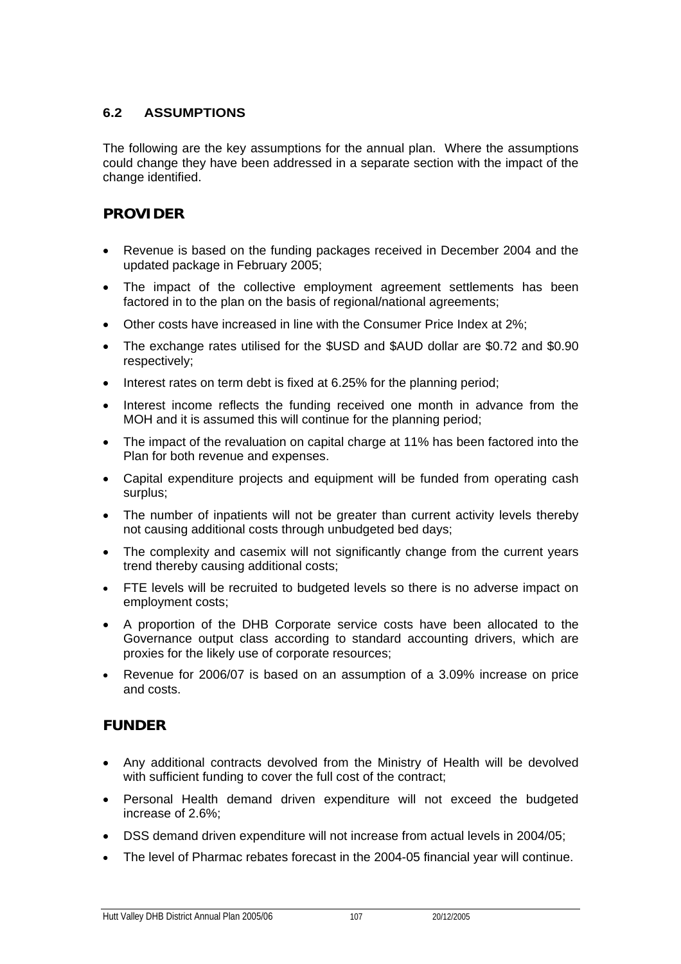## **6.2 ASSUMPTIONS**

The following are the key assumptions for the annual plan. Where the assumptions could change they have been addressed in a separate section with the impact of the change identified.

## **PROVIDER**

- Revenue is based on the funding packages received in December 2004 and the updated package in February 2005;
- The impact of the collective employment agreement settlements has been factored in to the plan on the basis of regional/national agreements;
- Other costs have increased in line with the Consumer Price Index at 2%;
- The exchange rates utilised for the \$USD and \$AUD dollar are \$0.72 and \$0.90 respectively;
- Interest rates on term debt is fixed at 6.25% for the planning period;
- Interest income reflects the funding received one month in advance from the MOH and it is assumed this will continue for the planning period;
- The impact of the revaluation on capital charge at 11% has been factored into the Plan for both revenue and expenses.
- Capital expenditure projects and equipment will be funded from operating cash surplus;
- The number of inpatients will not be greater than current activity levels thereby not causing additional costs through unbudgeted bed days;
- The complexity and casemix will not significantly change from the current years trend thereby causing additional costs;
- FTE levels will be recruited to budgeted levels so there is no adverse impact on employment costs;
- A proportion of the DHB Corporate service costs have been allocated to the Governance output class according to standard accounting drivers, which are proxies for the likely use of corporate resources;
- Revenue for 2006/07 is based on an assumption of a 3.09% increase on price and costs.

## **FUNDER**

- Any additional contracts devolved from the Ministry of Health will be devolved with sufficient funding to cover the full cost of the contract;
- Personal Health demand driven expenditure will not exceed the budgeted increase of 2.6%;
- DSS demand driven expenditure will not increase from actual levels in 2004/05;
- The level of Pharmac rebates forecast in the 2004-05 financial year will continue.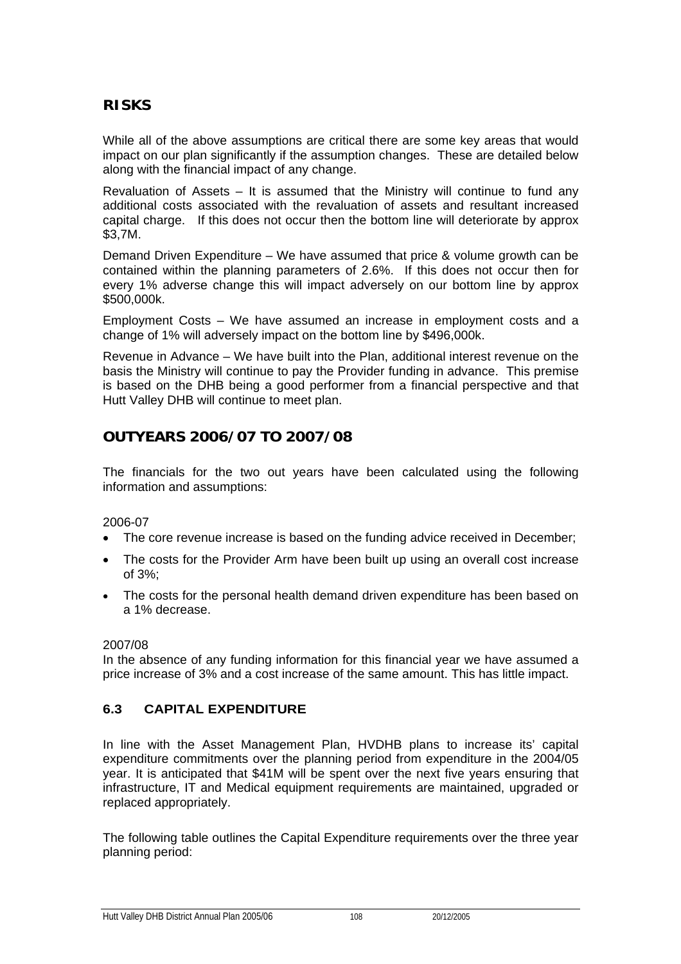# **RISKS**

While all of the above assumptions are critical there are some key areas that would impact on our plan significantly if the assumption changes. These are detailed below along with the financial impact of any change.

Revaluation of Assets – It is assumed that the Ministry will continue to fund any additional costs associated with the revaluation of assets and resultant increased capital charge. If this does not occur then the bottom line will deteriorate by approx \$3,7M.

Demand Driven Expenditure – We have assumed that price & volume growth can be contained within the planning parameters of 2.6%. If this does not occur then for every 1% adverse change this will impact adversely on our bottom line by approx \$500,000k.

Employment Costs – We have assumed an increase in employment costs and a change of 1% will adversely impact on the bottom line by \$496,000k.

Revenue in Advance – We have built into the Plan, additional interest revenue on the basis the Ministry will continue to pay the Provider funding in advance. This premise is based on the DHB being a good performer from a financial perspective and that Hutt Valley DHB will continue to meet plan.

## **OUTYEARS 2006/07 TO 2007/08**

The financials for the two out years have been calculated using the following information and assumptions:

#### 2006-07

- The core revenue increase is based on the funding advice received in December;
- The costs for the Provider Arm have been built up using an overall cost increase of 3%;
- The costs for the personal health demand driven expenditure has been based on a 1% decrease.

#### 2007/08

In the absence of any funding information for this financial year we have assumed a price increase of 3% and a cost increase of the same amount. This has little impact.

#### **6.3 CAPITAL EXPENDITURE**

In line with the Asset Management Plan, HVDHB plans to increase its' capital expenditure commitments over the planning period from expenditure in the 2004/05 year. It is anticipated that \$41M will be spent over the next five years ensuring that infrastructure, IT and Medical equipment requirements are maintained, upgraded or replaced appropriately.

The following table outlines the Capital Expenditure requirements over the three year planning period: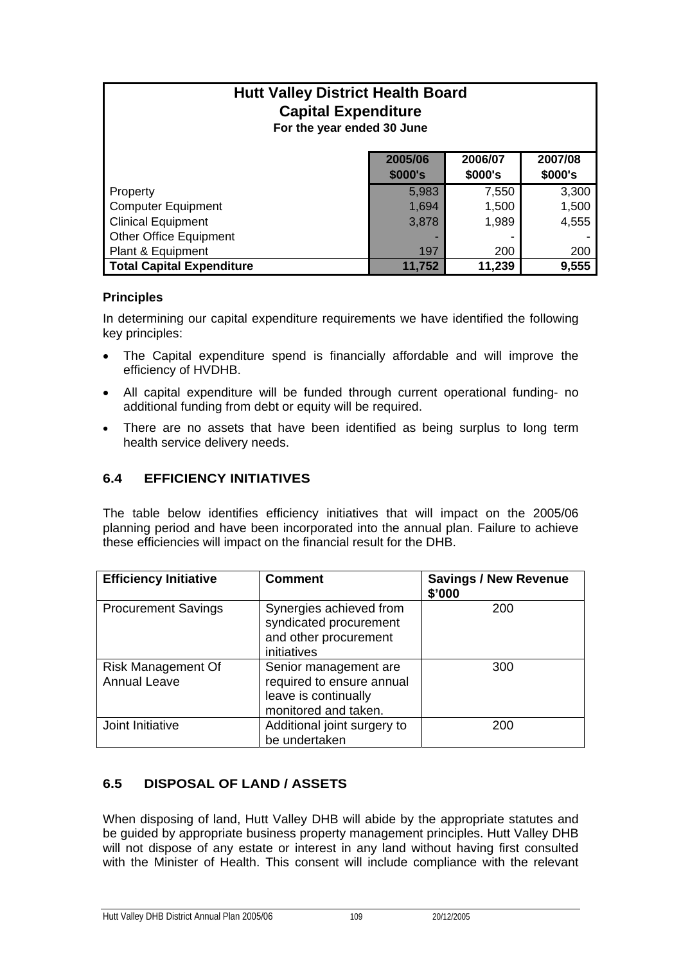| <b>Hutt Valley District Health Board</b><br><b>Capital Expenditure</b><br>For the year ended 30 June |                    |                    |                    |  |  |  |  |  |  |
|------------------------------------------------------------------------------------------------------|--------------------|--------------------|--------------------|--|--|--|--|--|--|
|                                                                                                      | 2005/06<br>\$000's | 2006/07<br>\$000's | 2007/08<br>\$000's |  |  |  |  |  |  |
|                                                                                                      |                    |                    |                    |  |  |  |  |  |  |
| Property                                                                                             | 5,983              | 7,550              | 3,300              |  |  |  |  |  |  |
| <b>Computer Equipment</b>                                                                            | 1,694              | 1,500              | 1,500              |  |  |  |  |  |  |
| <b>Clinical Equipment</b>                                                                            | 3,878              | 1,989              | 4,555              |  |  |  |  |  |  |
| <b>Other Office Equipment</b>                                                                        |                    |                    |                    |  |  |  |  |  |  |
| Plant & Equipment                                                                                    | 200<br>200<br>197  |                    |                    |  |  |  |  |  |  |
| <b>Total Capital Expenditure</b>                                                                     | 11,752             | 11,239             | 9,555              |  |  |  |  |  |  |

#### **Principles**

In determining our capital expenditure requirements we have identified the following key principles:

- The Capital expenditure spend is financially affordable and will improve the efficiency of HVDHB.
- All capital expenditure will be funded through current operational funding- no additional funding from debt or equity will be required.
- There are no assets that have been identified as being surplus to long term health service delivery needs.

#### **6.4 EFFICIENCY INITIATIVES**

The table below identifies efficiency initiatives that will impact on the 2005/06 planning period and have been incorporated into the annual plan. Failure to achieve these efficiencies will impact on the financial result for the DHB.

| <b>Efficiency Initiative</b>                     | <b>Comment</b>                                                                                     | <b>Savings / New Revenue</b><br>\$'000 |
|--------------------------------------------------|----------------------------------------------------------------------------------------------------|----------------------------------------|
| <b>Procurement Savings</b>                       | Synergies achieved from<br>syndicated procurement<br>and other procurement<br>initiatives          | 200                                    |
| <b>Risk Management Of</b><br><b>Annual Leave</b> | Senior management are<br>required to ensure annual<br>leave is continually<br>monitored and taken. | 300                                    |
| Joint Initiative                                 | Additional joint surgery to<br>be undertaken                                                       | 200                                    |

#### **6.5 DISPOSAL OF LAND / ASSETS**

When disposing of land, Hutt Valley DHB will abide by the appropriate statutes and be guided by appropriate business property management principles. Hutt Valley DHB will not dispose of any estate or interest in any land without having first consulted with the Minister of Health. This consent will include compliance with the relevant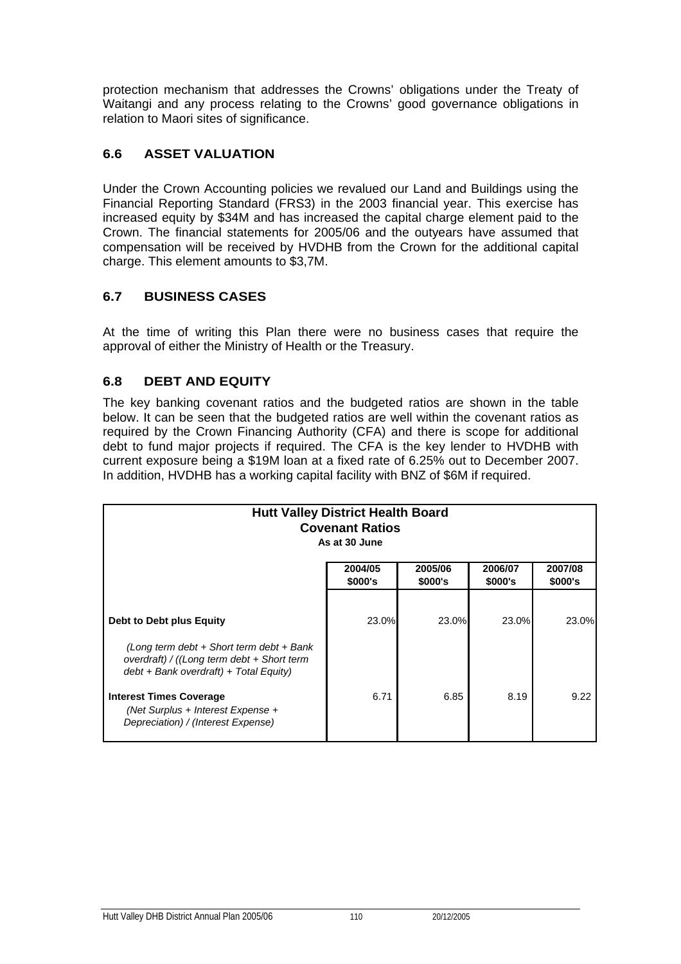protection mechanism that addresses the Crowns' obligations under the Treaty of Waitangi and any process relating to the Crowns' good governance obligations in relation to Maori sites of significance.

### **6.6 ASSET VALUATION**

Under the Crown Accounting policies we revalued our Land and Buildings using the Financial Reporting Standard (FRS3) in the 2003 financial year. This exercise has increased equity by \$34M and has increased the capital charge element paid to the Crown. The financial statements for 2005/06 and the outyears have assumed that compensation will be received by HVDHB from the Crown for the additional capital charge. This element amounts to \$3,7M.

#### **6.7 BUSINESS CASES**

At the time of writing this Plan there were no business cases that require the approval of either the Ministry of Health or the Treasury.

#### **6.8 DEBT AND EQUITY**

The key banking covenant ratios and the budgeted ratios are shown in the table below. It can be seen that the budgeted ratios are well within the covenant ratios as required by the Crown Financing Authority (CFA) and there is scope for additional debt to fund major projects if required. The CFA is the key lender to HVDHB with current exposure being a \$19M loan at a fixed rate of 6.25% out to December 2007. In addition, HVDHB has a working capital facility with BNZ of \$6M if required.

| <b>Hutt Valley District Health Board</b><br><b>Covenant Ratios</b><br>As at 30 June                       |                    |                    |                    |                    |  |  |  |  |  |  |
|-----------------------------------------------------------------------------------------------------------|--------------------|--------------------|--------------------|--------------------|--|--|--|--|--|--|
|                                                                                                           | 2004/05<br>\$000's | 2005/06<br>\$000's | 2006/07<br>\$000's | 2007/08<br>\$000's |  |  |  |  |  |  |
| Debt to Debt plus Equity<br>(Long term debt $+$ Short term debt $+$ Bank                                  | 23.0%              | 23.0%              | 23.0%              | 23.0%              |  |  |  |  |  |  |
| overdraft) / ((Long term debt + Short term<br>$debt + Bank overdraft) + Total Equity)$                    |                    |                    |                    |                    |  |  |  |  |  |  |
| <b>Interest Times Coverage</b><br>(Net Surplus + Interest Expense +<br>Depreciation) / (Interest Expense) | 6.71               | 6.85               | 8.19               | 9.22               |  |  |  |  |  |  |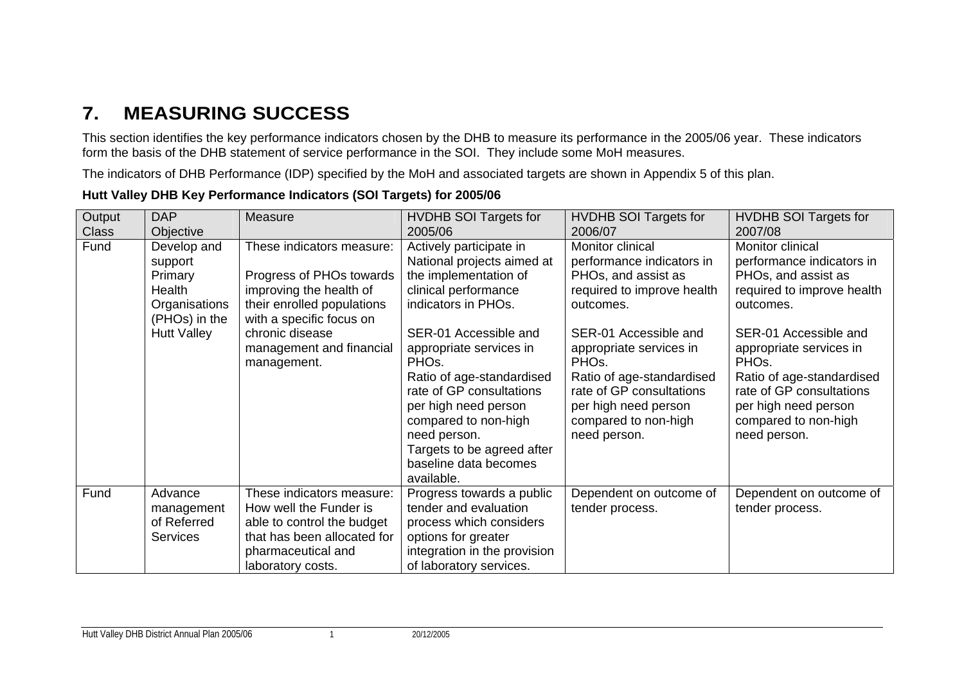# **7. MEASURING SUCCESS**

This section identifies the key performance indicators chosen by the DHB to measure its performance in the 2005/06 year. These indicators form the basis of the DHB statement of service performance in the SOI. They include some MoH measures.

The indicators of DHB Performance (IDP) specified by the MoH and associated targets are shown in Appendix 5 of this plan.

| Output       | <b>DAP</b>                                                                                          | Measure                                                                                                                                                       | HVDHB SOI Targets for                                                                                                                                                                                                                       | <b>HVDHB SOI Targets for</b>                                                                                                                                          | <b>HVDHB SOI Targets for</b>                                                                                                                                          |
|--------------|-----------------------------------------------------------------------------------------------------|---------------------------------------------------------------------------------------------------------------------------------------------------------------|---------------------------------------------------------------------------------------------------------------------------------------------------------------------------------------------------------------------------------------------|-----------------------------------------------------------------------------------------------------------------------------------------------------------------------|-----------------------------------------------------------------------------------------------------------------------------------------------------------------------|
| <b>Class</b> | Objective                                                                                           |                                                                                                                                                               | 2005/06                                                                                                                                                                                                                                     | 2006/07                                                                                                                                                               | 2007/08                                                                                                                                                               |
| Fund         | Develop and<br>support<br>Primary<br>Health<br>Organisations<br>(PHOs) in the<br><b>Hutt Valley</b> | These indicators measure:<br>Progress of PHOs towards<br>improving the health of<br>their enrolled populations<br>with a specific focus on<br>chronic disease | Actively participate in<br>National projects aimed at<br>the implementation of<br>clinical performance<br>indicators in PHOs.<br>SER-01 Accessible and                                                                                      | Monitor clinical<br>performance indicators in<br>PHOs, and assist as<br>required to improve health<br>outcomes.<br>SER-01 Accessible and                              | Monitor clinical<br>performance indicators in<br>PHOs, and assist as<br>required to improve health<br>outcomes.<br>SER-01 Accessible and                              |
|              |                                                                                                     | management and financial<br>management.                                                                                                                       | appropriate services in<br>PHO <sub>s</sub> .<br>Ratio of age-standardised<br>rate of GP consultations<br>per high need person<br>compared to non-high<br>need person.<br>Targets to be agreed after<br>baseline data becomes<br>available. | appropriate services in<br>PHO <sub>s.</sub><br>Ratio of age-standardised<br>rate of GP consultations<br>per high need person<br>compared to non-high<br>need person. | appropriate services in<br>PHO <sub>s.</sub><br>Ratio of age-standardised<br>rate of GP consultations<br>per high need person<br>compared to non-high<br>need person. |
| Fund         | Advance<br>management<br>of Referred<br><b>Services</b>                                             | These indicators measure:<br>How well the Funder is<br>able to control the budget<br>that has been allocated for<br>pharmaceutical and<br>laboratory costs.   | Progress towards a public<br>tender and evaluation<br>process which considers<br>options for greater<br>integration in the provision<br>of laboratory services.                                                                             | Dependent on outcome of<br>tender process.                                                                                                                            | Dependent on outcome of<br>tender process.                                                                                                                            |

**Hutt Valley DHB Key Performance Indicators (SOI Targets) for 2005/06**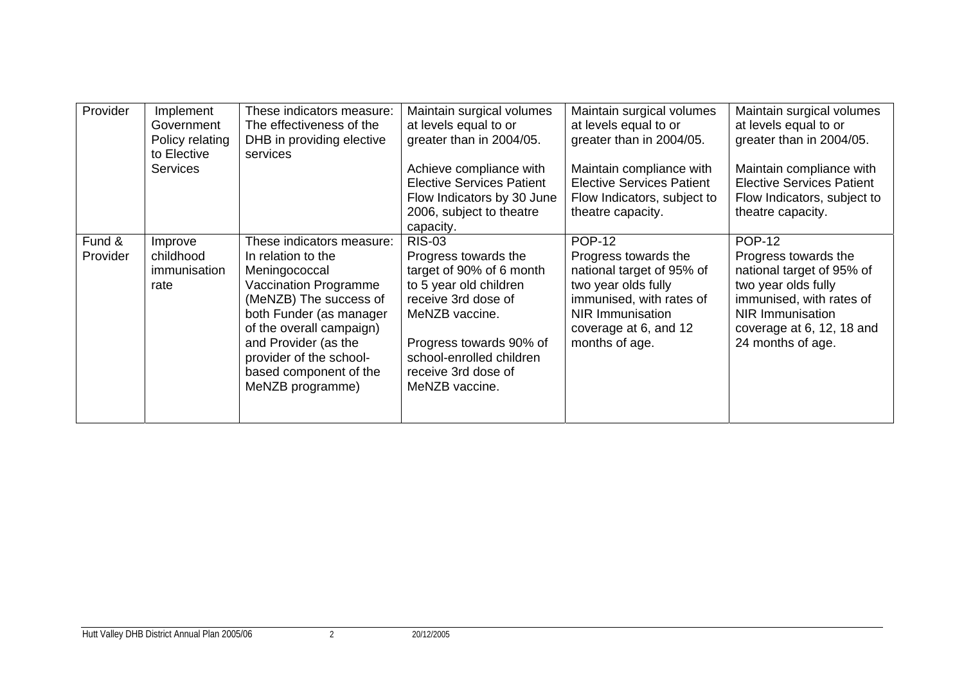| Provider           | Implement<br>Government<br>Policy relating<br>to Elective<br><b>Services</b> | These indicators measure:<br>The effectiveness of the<br>DHB in providing elective<br>services                                                                                                                                                                                     | Maintain surgical volumes<br>at levels equal to or<br>greater than in 2004/05.<br>Achieve compliance with                                                                                                                            | Maintain surgical volumes<br>at levels equal to or<br>greater than in 2004/05.<br>Maintain compliance with                                                                           | Maintain surgical volumes<br>at levels equal to or<br>greater than in 2004/05.<br>Maintain compliance with                                                                                         |
|--------------------|------------------------------------------------------------------------------|------------------------------------------------------------------------------------------------------------------------------------------------------------------------------------------------------------------------------------------------------------------------------------|--------------------------------------------------------------------------------------------------------------------------------------------------------------------------------------------------------------------------------------|--------------------------------------------------------------------------------------------------------------------------------------------------------------------------------------|----------------------------------------------------------------------------------------------------------------------------------------------------------------------------------------------------|
|                    |                                                                              |                                                                                                                                                                                                                                                                                    | <b>Elective Services Patient</b><br>Flow Indicators by 30 June<br>2006, subject to theatre<br>capacity.                                                                                                                              | <b>Elective Services Patient</b><br>Flow Indicators, subject to<br>theatre capacity.                                                                                                 | <b>Elective Services Patient</b><br>Flow Indicators, subject to<br>theatre capacity.                                                                                                               |
| Fund &<br>Provider | Improve<br>childhood<br>immunisation<br>rate                                 | These indicators measure:<br>In relation to the<br>Meningococcal<br><b>Vaccination Programme</b><br>(MeNZB) The success of<br>both Funder (as manager<br>of the overall campaign)<br>and Provider (as the<br>provider of the school-<br>based component of the<br>MeNZB programme) | <b>RIS-03</b><br>Progress towards the<br>target of 90% of 6 month<br>to 5 year old children<br>receive 3rd dose of<br>MeNZB vaccine.<br>Progress towards 90% of<br>school-enrolled children<br>receive 3rd dose of<br>MeNZB vaccine. | <b>POP-12</b><br>Progress towards the<br>national target of 95% of<br>two year olds fully<br>immunised, with rates of<br>NIR Immunisation<br>coverage at 6, and 12<br>months of age. | <b>POP-12</b><br>Progress towards the<br>national target of 95% of<br>two year olds fully<br>immunised, with rates of<br><b>NIR Immunisation</b><br>coverage at 6, 12, 18 and<br>24 months of age. |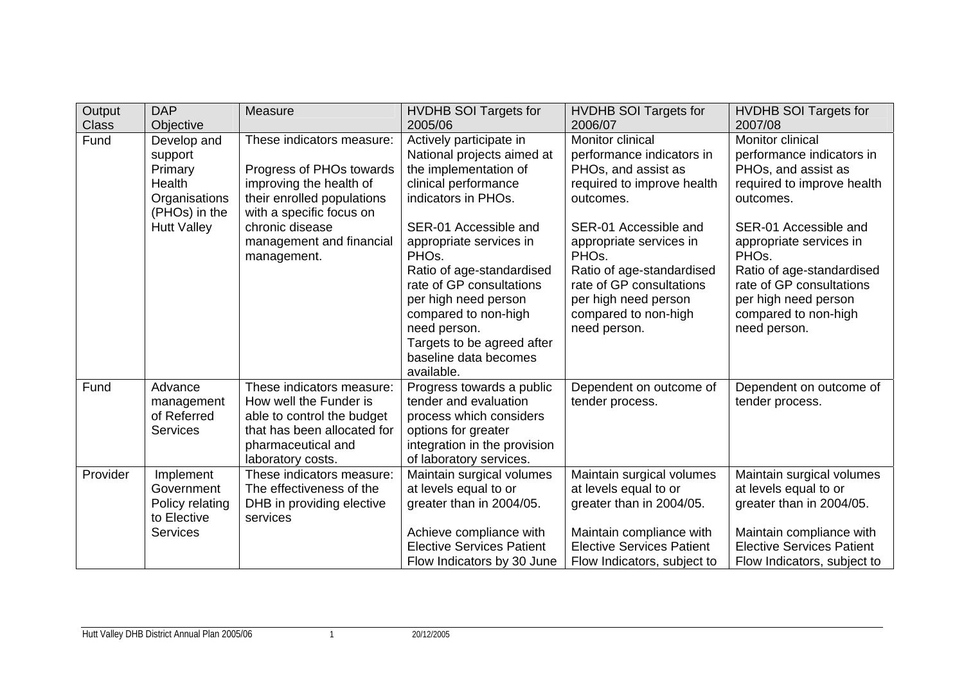| Output<br><b>Class</b> | <b>DAP</b><br>Objective                                                                             | Measure                                                                                                                                                                                                  | <b>HVDHB SOI Targets for</b><br>2005/06                                                                                                                                                                                                                                                                                                                                                               | <b>HVDHB SOI Targets for</b><br>2006/07                                                                                                                                                                                                                                                                                   | <b>HVDHB SOI Targets for</b><br>2007/08                                                                                                                                                                                                                                                                           |
|------------------------|-----------------------------------------------------------------------------------------------------|----------------------------------------------------------------------------------------------------------------------------------------------------------------------------------------------------------|-------------------------------------------------------------------------------------------------------------------------------------------------------------------------------------------------------------------------------------------------------------------------------------------------------------------------------------------------------------------------------------------------------|---------------------------------------------------------------------------------------------------------------------------------------------------------------------------------------------------------------------------------------------------------------------------------------------------------------------------|-------------------------------------------------------------------------------------------------------------------------------------------------------------------------------------------------------------------------------------------------------------------------------------------------------------------|
| Fund                   | Develop and<br>support<br>Primary<br>Health<br>Organisations<br>(PHOs) in the<br><b>Hutt Valley</b> | These indicators measure:<br>Progress of PHOs towards<br>improving the health of<br>their enrolled populations<br>with a specific focus on<br>chronic disease<br>management and financial<br>management. | Actively participate in<br>National projects aimed at<br>the implementation of<br>clinical performance<br>indicators in PHOs.<br>SER-01 Accessible and<br>appropriate services in<br>PHO <sub>s</sub> .<br>Ratio of age-standardised<br>rate of GP consultations<br>per high need person<br>compared to non-high<br>need person.<br>Targets to be agreed after<br>baseline data becomes<br>available. | <b>Monitor clinical</b><br>performance indicators in<br>PHOs, and assist as<br>required to improve health<br>outcomes.<br>SER-01 Accessible and<br>appropriate services in<br>PHO <sub>s</sub> .<br>Ratio of age-standardised<br>rate of GP consultations<br>per high need person<br>compared to non-high<br>need person. | Monitor clinical<br>performance indicators in<br>PHOs, and assist as<br>required to improve health<br>outcomes.<br>SER-01 Accessible and<br>appropriate services in<br>PHO <sub>s.</sub><br>Ratio of age-standardised<br>rate of GP consultations<br>per high need person<br>compared to non-high<br>need person. |
| Fund                   | Advance<br>management<br>of Referred<br><b>Services</b>                                             | These indicators measure:<br>How well the Funder is<br>able to control the budget<br>that has been allocated for<br>pharmaceutical and<br>laboratory costs.                                              | Progress towards a public<br>tender and evaluation<br>process which considers<br>options for greater<br>integration in the provision<br>of laboratory services.                                                                                                                                                                                                                                       | Dependent on outcome of<br>tender process.                                                                                                                                                                                                                                                                                | Dependent on outcome of<br>tender process.                                                                                                                                                                                                                                                                        |
| Provider               | Implement<br>Government<br>Policy relating<br>to Elective<br><b>Services</b>                        | These indicators measure:<br>The effectiveness of the<br>DHB in providing elective<br>services                                                                                                           | Maintain surgical volumes<br>at levels equal to or<br>greater than in 2004/05.<br>Achieve compliance with<br><b>Elective Services Patient</b><br>Flow Indicators by 30 June                                                                                                                                                                                                                           | Maintain surgical volumes<br>at levels equal to or<br>greater than in 2004/05.<br>Maintain compliance with<br><b>Elective Services Patient</b><br>Flow Indicators, subject to                                                                                                                                             | Maintain surgical volumes<br>at levels equal to or<br>greater than in 2004/05.<br>Maintain compliance with<br><b>Elective Services Patient</b><br>Flow Indicators, subject to                                                                                                                                     |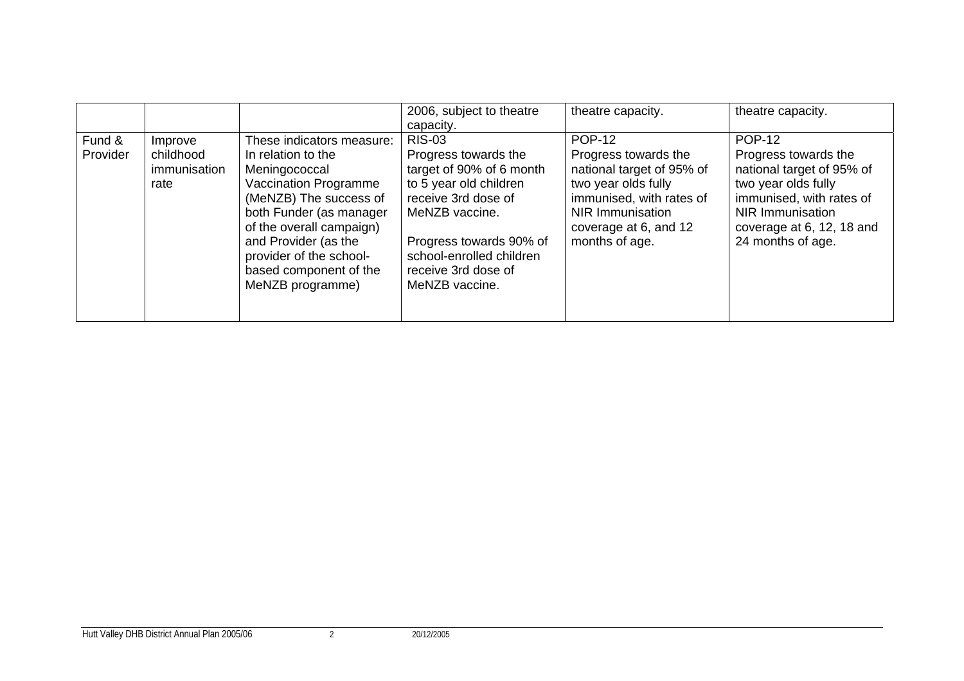|                    |                                              |                                                                                                                                                                                                                                                                             | 2006, subject to theatre<br>capacity.                                                                                                                                                                                                | theatre capacity.                                                                                                                                                                    | theatre capacity.                                                                                                                                                                                  |
|--------------------|----------------------------------------------|-----------------------------------------------------------------------------------------------------------------------------------------------------------------------------------------------------------------------------------------------------------------------------|--------------------------------------------------------------------------------------------------------------------------------------------------------------------------------------------------------------------------------------|--------------------------------------------------------------------------------------------------------------------------------------------------------------------------------------|----------------------------------------------------------------------------------------------------------------------------------------------------------------------------------------------------|
| Fund &<br>Provider | Improve<br>childhood<br>immunisation<br>rate | These indicators measure:<br>In relation to the<br>Meningococcal<br>Vaccination Programme<br>(MeNZB) The success of<br>both Funder (as manager<br>of the overall campaign)<br>and Provider (as the<br>provider of the school-<br>based component of the<br>MeNZB programme) | <b>RIS-03</b><br>Progress towards the<br>target of 90% of 6 month<br>to 5 year old children<br>receive 3rd dose of<br>MeNZB vaccine.<br>Progress towards 90% of<br>school-enrolled children<br>receive 3rd dose of<br>MeNZB vaccine. | <b>POP-12</b><br>Progress towards the<br>national target of 95% of<br>two year olds fully<br>immunised, with rates of<br>NIR Immunisation<br>coverage at 6, and 12<br>months of age. | <b>POP-12</b><br>Progress towards the<br>national target of 95% of<br>two year olds fully<br>immunised, with rates of<br><b>NIR Immunisation</b><br>coverage at 6, 12, 18 and<br>24 months of age. |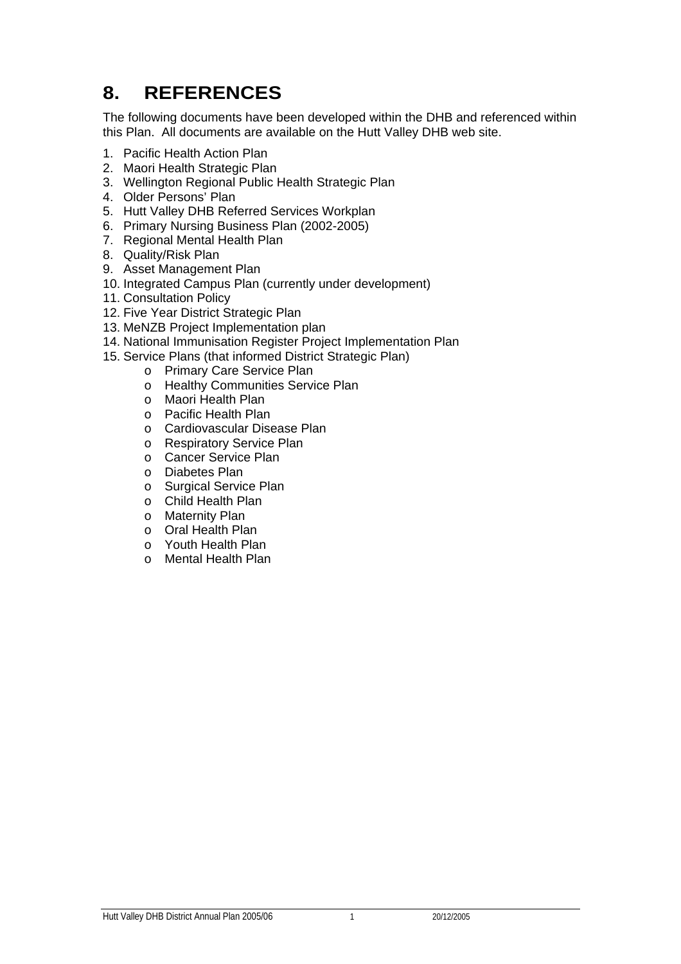# **8. REFERENCES**

The following documents have been developed within the DHB and referenced within this Plan. All documents are available on the Hutt Valley DHB web site.

- 1. Pacific Health Action Plan
- 2. Maori Health Strategic Plan
- 3. Wellington Regional Public Health Strategic Plan
- 4. Older Persons' Plan
- 5. Hutt Valley DHB Referred Services Workplan
- 6. Primary Nursing Business Plan (2002-2005)
- 7. Regional Mental Health Plan
- 8. Quality/Risk Plan
- 9. Asset Management Plan
- 10. Integrated Campus Plan (currently under development)
- 11. Consultation Policy
- 12. Five Year District Strategic Plan
- 13. MeNZB Project Implementation plan
- 14. National Immunisation Register Project Implementation Plan
- 15. Service Plans (that informed District Strategic Plan)
	- o Primary Care Service Plan
	- o Healthy Communities Service Plan
	- o Maori Health Plan
	- o Pacific Health Plan
	- o Cardiovascular Disease Plan
	- o Respiratory Service Plan
	- o Cancer Service Plan
	- o Diabetes Plan
	- o Surgical Service Plan
	- o Child Health Plan
	- o Maternity Plan
	- o Oral Health Plan
	- o Youth Health Plan
	- o Mental Health Plan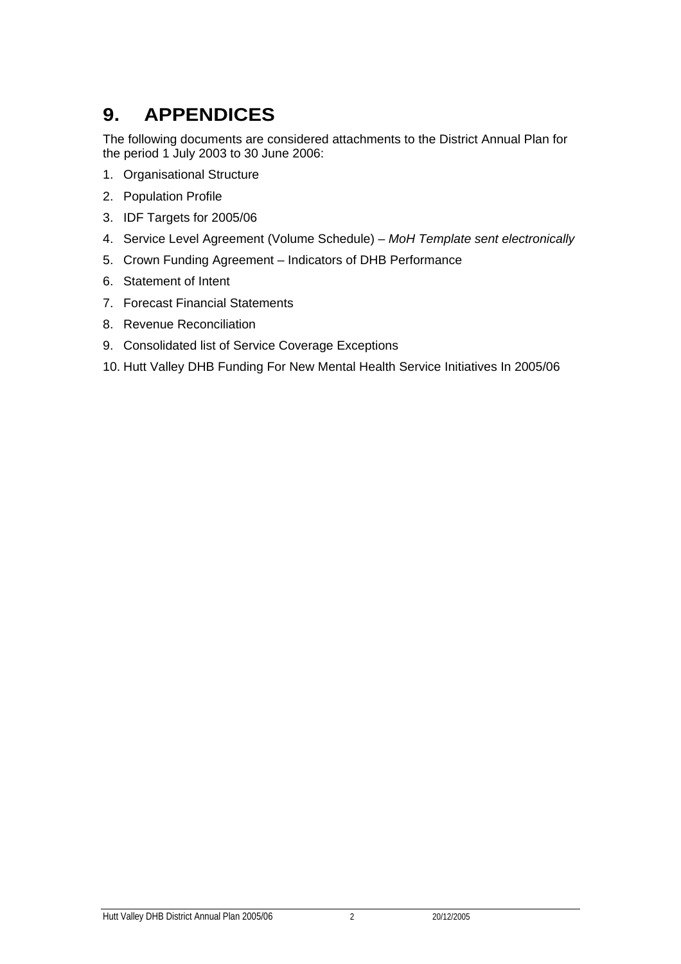# **9. APPENDICES**

The following documents are considered attachments to the District Annual Plan for the period 1 July 2003 to 30 June 2006:

- 1. Organisational Structure
- 2. Population Profile
- 3. IDF Targets for 2005/06
- 4. Service Level Agreement (Volume Schedule) *MoH Template sent electronically*
- 5. Crown Funding Agreement Indicators of DHB Performance
- 6. Statement of Intent
- 7. Forecast Financial Statements
- 8. Revenue Reconciliation
- 9. Consolidated list of Service Coverage Exceptions
- 10. Hutt Valley DHB Funding For New Mental Health Service Initiatives In 2005/06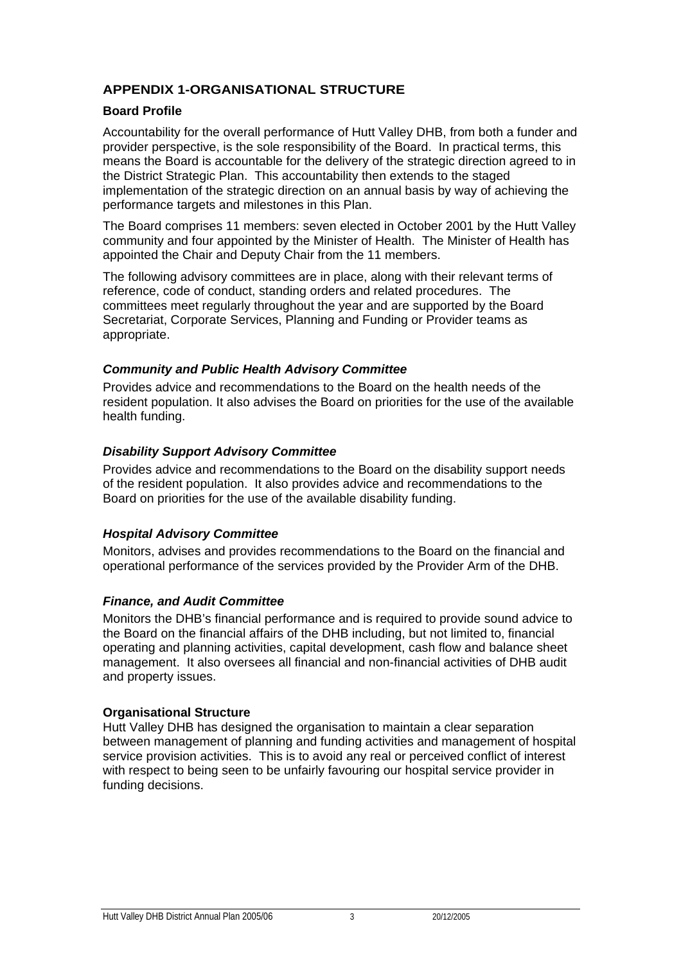#### **APPENDIX 1-ORGANISATIONAL STRUCTURE**

#### **Board Profile**

Accountability for the overall performance of Hutt Valley DHB, from both a funder and provider perspective, is the sole responsibility of the Board. In practical terms, this means the Board is accountable for the delivery of the strategic direction agreed to in the District Strategic Plan. This accountability then extends to the staged implementation of the strategic direction on an annual basis by way of achieving the performance targets and milestones in this Plan.

The Board comprises 11 members: seven elected in October 2001 by the Hutt Valley community and four appointed by the Minister of Health. The Minister of Health has appointed the Chair and Deputy Chair from the 11 members.

The following advisory committees are in place, along with their relevant terms of reference, code of conduct, standing orders and related procedures. The committees meet regularly throughout the year and are supported by the Board Secretariat, Corporate Services, Planning and Funding or Provider teams as appropriate.

#### *Community and Public Health Advisory Committee*

Provides advice and recommendations to the Board on the health needs of the resident population. It also advises the Board on priorities for the use of the available health funding.

#### *Disability Support Advisory Committee*

Provides advice and recommendations to the Board on the disability support needs of the resident population. It also provides advice and recommendations to the Board on priorities for the use of the available disability funding.

#### *Hospital Advisory Committee*

Monitors, advises and provides recommendations to the Board on the financial and operational performance of the services provided by the Provider Arm of the DHB.

#### *Finance, and Audit Committee*

Monitors the DHB's financial performance and is required to provide sound advice to the Board on the financial affairs of the DHB including, but not limited to, financial operating and planning activities, capital development, cash flow and balance sheet management. It also oversees all financial and non-financial activities of DHB audit and property issues.

#### **Organisational Structure**

Hutt Valley DHB has designed the organisation to maintain a clear separation between management of planning and funding activities and management of hospital service provision activities. This is to avoid any real or perceived conflict of interest with respect to being seen to be unfairly favouring our hospital service provider in funding decisions.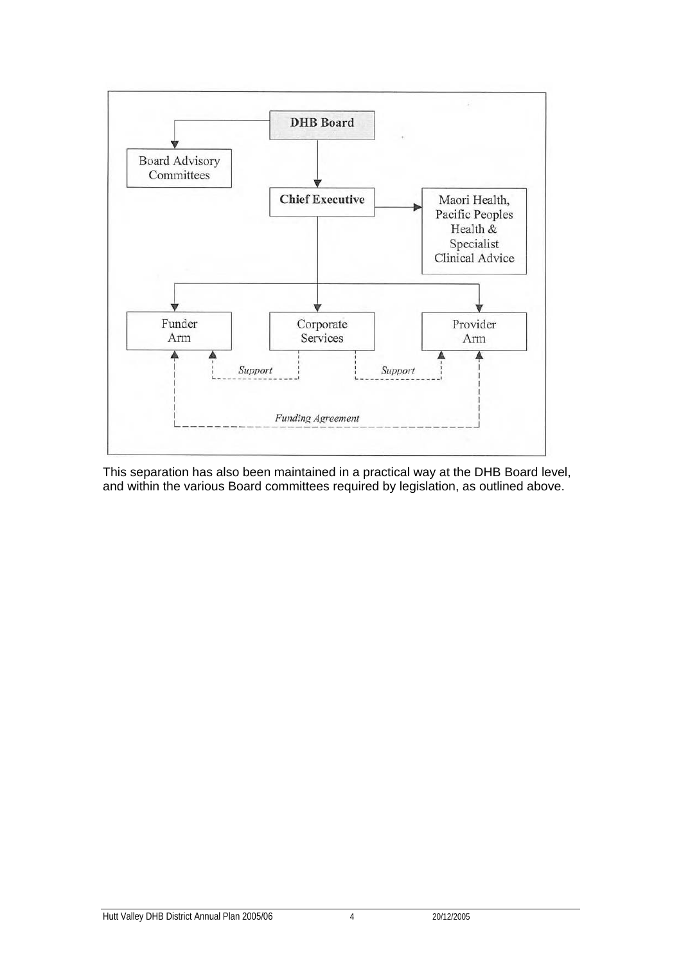

This separation has also been maintained in a practical way at the DHB Board level, and within the various Board committees required by legislation, as outlined above.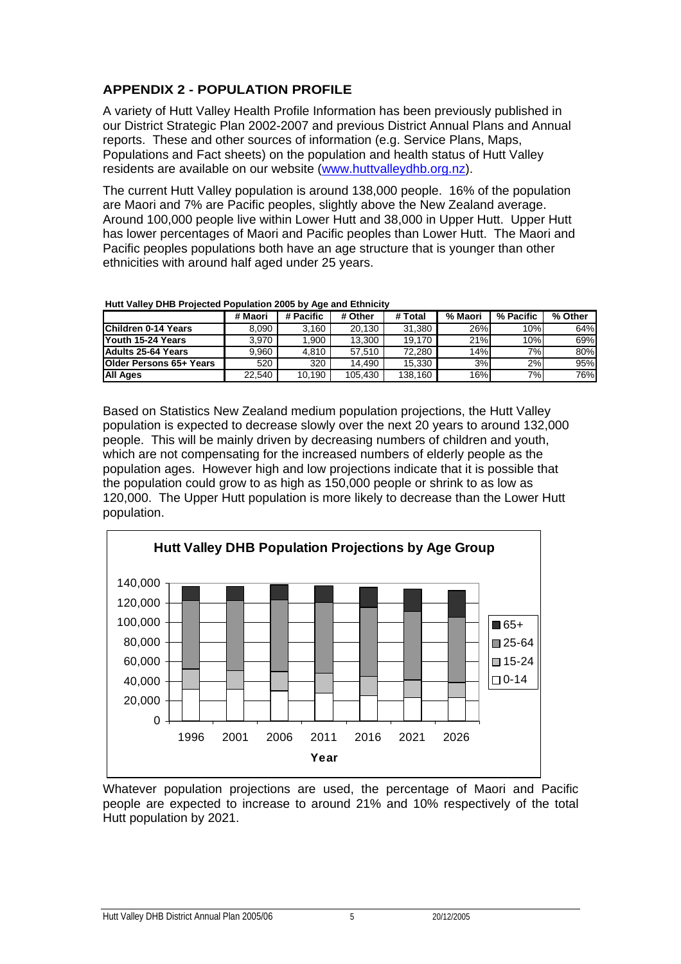### **APPENDIX 2 - POPULATION PROFILE**

A variety of Hutt Valley Health Profile Information has been previously published in our District Strategic Plan 2002-2007 and previous District Annual Plans and Annual reports. These and other sources of information (e.g. Service Plans, Maps, Populations and Fact sheets) on the population and health status of Hutt Valley residents are available on our website (www.huttvalleydhb.org.nz).

The current Hutt Valley population is around 138,000 people. 16% of the population are Maori and 7% are Pacific peoples, slightly above the New Zealand average. Around 100,000 people live within Lower Hutt and 38,000 in Upper Hutt. Upper Hutt has lower percentages of Maori and Pacific peoples than Lower Hutt. The Maori and Pacific peoples populations both have an age structure that is younger than other ethnicities with around half aged under 25 years.

| $11000$ valley brib Hoppotou I operation Eveo by Ago and Europhy |         |           |         |         |         |           |         |  |  |  |
|------------------------------------------------------------------|---------|-----------|---------|---------|---------|-----------|---------|--|--|--|
|                                                                  | # Maori | # Pacific | # Other | # Total | % Maori | % Pacific | % Other |  |  |  |
| Children 0-14 Years                                              | 8.090   | 3.160     | 20.130  | 31.380  | 26%     | 10%       | 64%     |  |  |  |
| Youth 15-24 Years                                                | 3.970   | 1.900     | 13.300  | 19.170  | 21%     | 10%       | 69%     |  |  |  |
| Adults 25-64 Years                                               | 9.960   | 4.810     | 57.510  | 72.280  | 14%l    | 7%I       | 80%     |  |  |  |
| <b>Older Persons 65+ Years</b>                                   | 520     | 320       | 14.490  | 15.330  | 3%      | 2%        | 95%     |  |  |  |
| <b>All Ages</b>                                                  | 22.540  | 10.190    | 105.430 | 138.160 | 16%     | 7%        | 76%     |  |  |  |

**Hutt Valley DHB Projected Population 2005 by Age and Ethnicity**

Based on Statistics New Zealand medium population projections, the Hutt Valley population is expected to decrease slowly over the next 20 years to around 132,000 people. This will be mainly driven by decreasing numbers of children and youth, which are not compensating for the increased numbers of elderly people as the population ages. However high and low projections indicate that it is possible that the population could grow to as high as 150,000 people or shrink to as low as 120,000. The Upper Hutt population is more likely to decrease than the Lower Hutt population.



Whatever population projections are used, the percentage of Maori and Pacific people are expected to increase to around 21% and 10% respectively of the total Hutt population by 2021.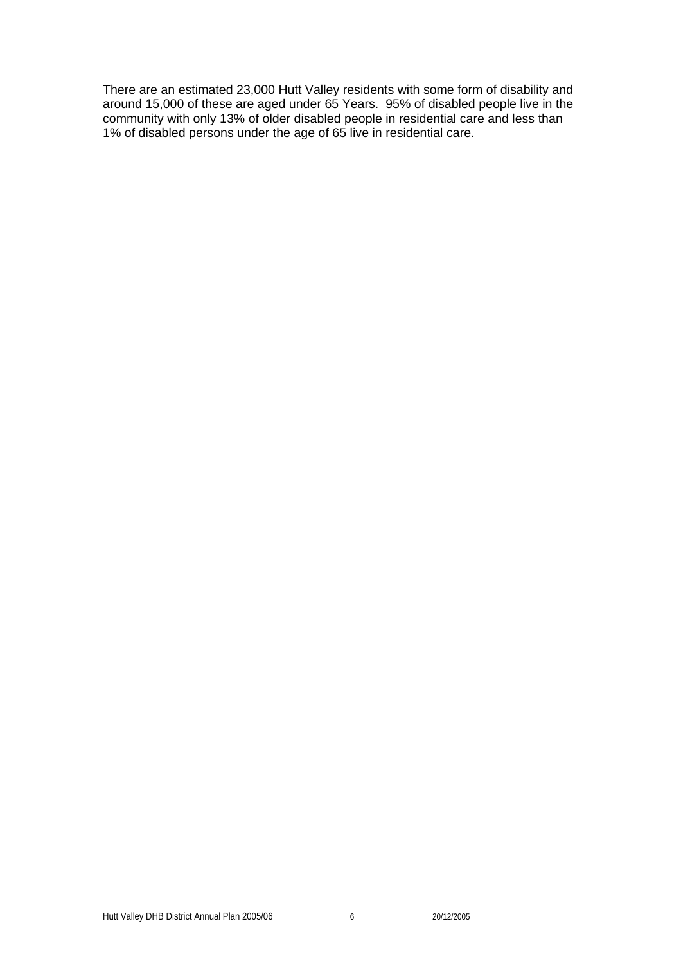There are an estimated 23,000 Hutt Valley residents with some form of disability and around 15,000 of these are aged under 65 Years. 95% of disabled people live in the community with only 13% of older disabled people in residential care and less than 1% of disabled persons under the age of 65 live in residential care.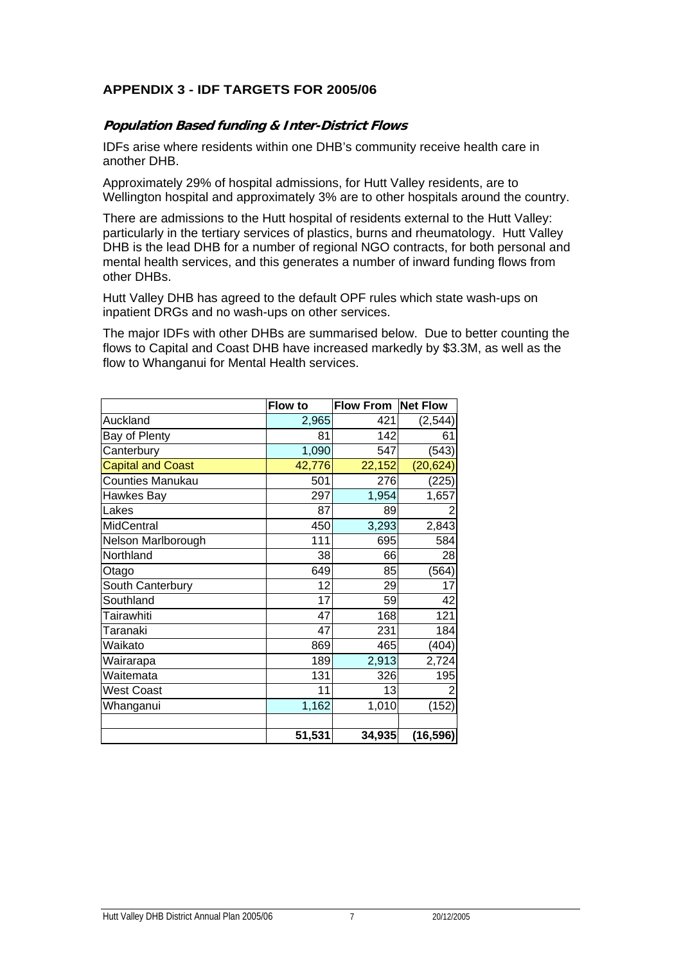#### **APPENDIX 3 - IDF TARGETS FOR 2005/06**

#### **Population Based funding & Inter-District Flows**

IDFs arise where residents within one DHB's community receive health care in another DHB.

Approximately 29% of hospital admissions, for Hutt Valley residents, are to Wellington hospital and approximately 3% are to other hospitals around the country.

There are admissions to the Hutt hospital of residents external to the Hutt Valley: particularly in the tertiary services of plastics, burns and rheumatology. Hutt Valley DHB is the lead DHB for a number of regional NGO contracts, for both personal and mental health services, and this generates a number of inward funding flows from other DHBs.

Hutt Valley DHB has agreed to the default OPF rules which state wash-ups on inpatient DRGs and no wash-ups on other services.

The major IDFs with other DHBs are summarised below. Due to better counting the flows to Capital and Coast DHB have increased markedly by \$3.3M, as well as the flow to Whanganui for Mental Health services.

|                          | <b>Flow to</b> | Flow From Net Flow |           |
|--------------------------|----------------|--------------------|-----------|
| Auckland                 | 2,965          | 421                | (2, 544)  |
| Bay of Plenty            | 81             | 142                | 61        |
| Canterbury               | 1,090          | 547                | (543)     |
| <b>Capital and Coast</b> | 42,776         | 22,152             | (20, 624) |
| Counties Manukau         | 501            | 276                | (225)     |
| Hawkes Bay               | 297            | 1,954              | 1,657     |
| Lakes                    | 87             | 89                 |           |
| MidCentral               | 450            | 3,293              | 2,843     |
| Nelson Marlborough       | 111            | 695                | 584       |
| Northland                | 38             | 66                 | 28        |
| Otago                    | 649            | 85                 | (564)     |
| South Canterbury         | 12             | 29                 | 17        |
| Southland                | 17             | 59                 | 42        |
| Tairawhiti               | 47             | 168                | 121       |
| Taranaki                 | 47             | 231                | 184       |
| Waikato                  | 869            | 465                | (404)     |
| Wairarapa                | 189            | 2,913              | 2,724     |
| Waitemata                | 131            | 326                | 195       |
| <b>West Coast</b>        | 11             | 13                 |           |
| Whanganui                | 1,162          | 1,010              | (152)     |
|                          |                |                    |           |
|                          | 51,531         | 34,935             | (16, 596) |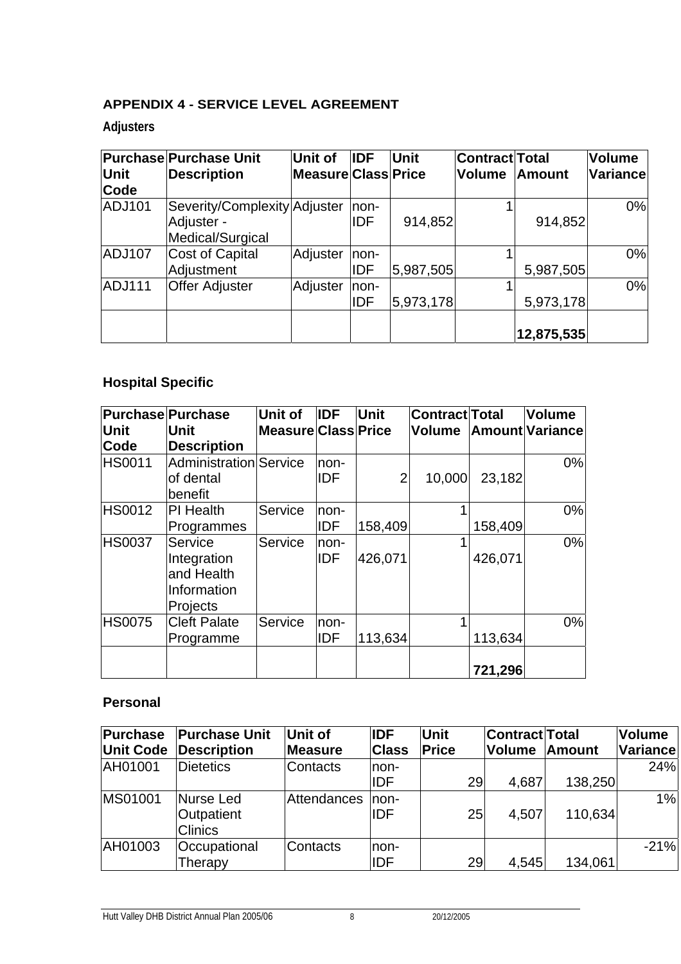## **APPENDIX 4 - SERVICE LEVEL AGREEMENT**

# **Adjusters**

|               | <b>Purchase Purchase Unit</b> | Unit of             | <b>IDF</b> | Unit      | Contract Total |            | <b>Volume</b>   |
|---------------|-------------------------------|---------------------|------------|-----------|----------------|------------|-----------------|
| Unit          | <b>Description</b>            | Measure Class Price |            |           | <b>Volume</b>  | Amount     | <b>Variance</b> |
| Code          |                               |                     |            |           |                |            |                 |
| <b>ADJ101</b> | Severity/Complexity Adjuster  |                     | non-       |           |                |            | 0%              |
|               | Adjuster -                    |                     | <b>IDF</b> | 914,852   |                | 914,852    |                 |
|               | Medical/Surgical              |                     |            |           |                |            |                 |
| ADJ107        | Cost of Capital               | Adjuster            | non-       |           |                |            | 0%              |
|               | Adjustment                    |                     | <b>IDF</b> | 5,987,505 |                | 5,987,505  |                 |
| <b>ADJ111</b> | <b>Offer Adjuster</b>         | Adjuster            | non-       |           |                |            | 0%              |
|               |                               |                     | <b>IDF</b> | 5,973,178 |                | 5,973,178  |                 |
|               |                               |                     |            |           |                |            |                 |
|               |                               |                     |            |           |                | 12,875,535 |                 |

# **Hospital Specific**

|               | <b>Purchase Purchase</b>      | Unit of                    | <b>IDF</b> | <b>Unit</b>    | <b>Contract Total</b> |         | <b>Volume</b>          |
|---------------|-------------------------------|----------------------------|------------|----------------|-----------------------|---------|------------------------|
| <b>Unit</b>   | Unit                          | <b>Measure Class Price</b> |            |                |                       |         | Volume Amount Variance |
| <b>Code</b>   | <b>Description</b>            |                            |            |                |                       |         |                        |
| <b>HS0011</b> | <b>Administration Service</b> |                            | non-       |                |                       |         | 0%                     |
|               | of dental                     |                            | <b>IDF</b> | $\overline{2}$ | 10,000                | 23,182  |                        |
|               | benefit                       |                            |            |                |                       |         |                        |
| <b>HS0012</b> | <b>PI</b> Health              | Service                    | non-       |                |                       |         | 0%                     |
|               | Programmes                    |                            | IDF        | 158,409        |                       | 158,409 |                        |
| <b>HS0037</b> | Service                       | Service                    | non-       |                |                       |         | 0%                     |
|               | Integration                   |                            | <b>IDF</b> | 426,071        |                       | 426,071 |                        |
|               | and Health                    |                            |            |                |                       |         |                        |
|               | Information                   |                            |            |                |                       |         |                        |
|               | Projects                      |                            |            |                |                       |         |                        |
| <b>HS0075</b> | <b>Cleft Palate</b>           | Service                    | non-       |                |                       |         | 0%                     |
|               | Programme                     |                            | IDF        | 113,634        |                       | 113,634 |                        |
|               |                               |                            |            |                |                       |         |                        |
|               |                               |                            |            |                |                       | 721,296 |                        |

# **Personal**

| <b>Purchase</b><br><b>Unit Code</b> | <b>Purchase Unit</b><br><b>Description</b> | Unit of<br><b>Measure</b> | <b>IDF</b><br><b>Class</b> | Unit<br>Price |    | <b>Contract Total</b><br>Volume | Amount  | <b>Volume</b><br>Variance |
|-------------------------------------|--------------------------------------------|---------------------------|----------------------------|---------------|----|---------------------------------|---------|---------------------------|
| AH01001                             | <b>Dietetics</b>                           | <b>Contacts</b>           | non-                       |               |    |                                 |         | 24%                       |
|                                     |                                            |                           | <b>IDF</b>                 |               | 29 | 4,687                           | 138,250 |                           |
| MS01001                             | Nurse Led                                  | Attendances               | non-                       |               |    |                                 |         | 1%                        |
|                                     | Outpatient                                 |                           | lIDF                       |               | 25 | 4.507                           | 110,634 |                           |
|                                     | <b>Clinics</b>                             |                           |                            |               |    |                                 |         |                           |
| AH01003                             | Occupational                               | <b>Contacts</b>           | non-                       |               |    |                                 |         | $-21%$                    |
|                                     | Therapy                                    |                           | <b>IDF</b>                 |               | 29 | 4,545                           | 134,061 |                           |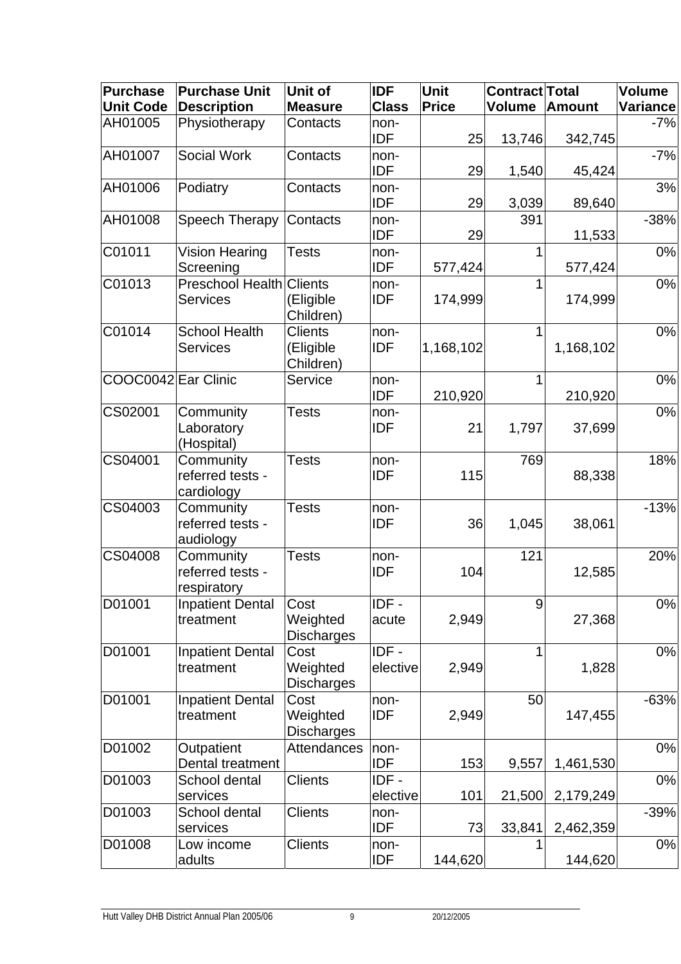| Purchase            | <b>Purchase Unit</b>                               | <b>Unit of</b>                           | <b>IDF</b>         | Unit         | Contract Total |               | <b>Volume</b>   |
|---------------------|----------------------------------------------------|------------------------------------------|--------------------|--------------|----------------|---------------|-----------------|
| <b>Unit Code</b>    | <b>Description</b>                                 | <b>Measure</b>                           | <b>Class</b>       | <b>Price</b> | <b>Volume</b>  | <b>Amount</b> | <b>Variance</b> |
| AH01005             | Physiotherapy                                      | Contacts                                 | non-<br><b>IDF</b> | 25           | 13,746         | 342,745       | $-7%$           |
| AH01007             | Social Work                                        | Contacts                                 | non-<br><b>IDF</b> | 29           | 1,540          | 45,424        | $-7%$           |
| AH01006             | Podiatry                                           | Contacts                                 | non-<br>IDF        | 29           | 3,039          | 89,640        | 3%              |
| AH01008             | Speech Therapy Contacts                            |                                          | non-<br><b>IDF</b> | 29           | 391            | 11,533        | $-38%$          |
| C01011              | <b>Vision Hearing</b><br>Screening                 | <b>Tests</b>                             | non-<br><b>IDF</b> | 577,424      |                | 577,424       | 0%              |
| C01013              | <b>Preschool Health Clients</b><br><b>Services</b> | (Eligible<br>Children)                   | non-<br><b>IDF</b> | 174,999      |                | 174,999       | 0%              |
| $\overline{C01014}$ | <b>School Health</b><br><b>Services</b>            | <b>Clients</b><br>(Eligible<br>Children) | non-<br><b>IDF</b> | 1,168,102    |                | 1,168,102     | 0%              |
| COOC0042 Ear Clinic |                                                    | <b>Service</b>                           | non-<br><b>IDF</b> | 210,920      |                | 210,920       | 0%              |
| CS02001             | Community<br>Laboratory<br>(Hospital)              | <b>Tests</b>                             | non-<br><b>IDF</b> | 21           | 1,797          | 37,699        | 0%              |
| CS04001             | Community<br>referred tests -<br>cardiology        | <b>Tests</b>                             | non-<br><b>IDF</b> | 115          | 769            | 88,338        | 18%             |
| CS04003             | Community<br>referred tests -<br>audiology         | Tests                                    | non-<br><b>IDF</b> | 36           | 1,045          | 38,061        | $-13%$          |
| CS04008             | Community<br>referred tests -<br>respiratory       | <b>Tests</b>                             | non-<br><b>IDF</b> | 104          | 121            | 12,585        | 20%             |
| D01001              | <b>Inpatient Dental</b><br>treatment               | Cost<br>Weighted<br><b>Discharges</b>    | IDF-<br>acute      | 2,949        | 9              | 27,368        | 0%              |
| D01001              | <b>Inpatient Dental</b><br>treatment               | Cost<br>Weighted<br>Discharges           | IDF-<br>elective   | 2,949        |                | 1,828         | 0%              |
| D01001              | <b>Inpatient Dental</b><br>treatment               | Cost<br>Weighted<br><b>Discharges</b>    | non-<br><b>IDF</b> | 2,949        | 50             | 147,455       | $-63%$          |
| D01002              | Outpatient<br>Dental treatment                     | <b>Attendances</b>                       | non-<br><b>IDF</b> | 153          | 9,557          | 1,461,530     | 0%              |
| D01003              | School dental<br>services                          | <b>Clients</b>                           | IDF-<br>elective   | 101          | 21,500         | 2,179,249     | 0%              |
| D01003              | School dental<br>services                          | <b>Clients</b>                           | non-<br><b>IDF</b> | 73           | 33,841         | 2,462,359     | $-39%$          |
| D01008              | Low income<br>adults                               | <b>Clients</b>                           | non-<br><b>IDF</b> | 144,620      |                | 144,620       | 0%              |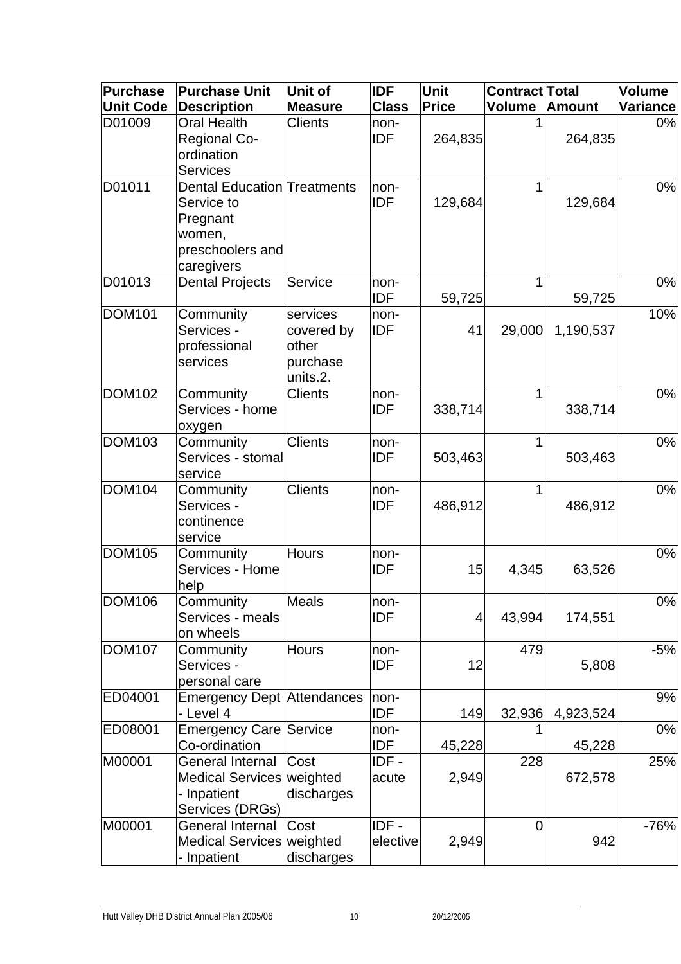| Purchase         | <b>Purchase Unit</b>                                                                                     | Unit of                                                 | <b>IDF</b>         | Unit           | <b>Contract Total</b> |           | <b>Volume</b> |
|------------------|----------------------------------------------------------------------------------------------------------|---------------------------------------------------------|--------------------|----------------|-----------------------|-----------|---------------|
| <b>Unit Code</b> | <b>Description</b>                                                                                       | <b>Measure</b>                                          | <b>Class</b>       | <b>Price</b>   | Volume Amount         |           | Variance      |
| D01009           | <b>Oral Health</b><br><b>Regional Co-</b><br>ordination<br><b>Services</b>                               | <b>Clients</b>                                          | non-<br><b>IDF</b> | 264,835        |                       | 264,835   | 0%            |
| D01011           | <b>Dental Education Treatments</b><br>Service to<br>Pregnant<br>women,<br>preschoolers and<br>caregivers |                                                         | non-<br><b>IDF</b> | 129,684        | 1                     | 129,684   | 0%            |
| D01013           | <b>Dental Projects</b>                                                                                   | Service                                                 | non-<br><b>IDF</b> | 59,725         | 1                     | 59,725    | 0%            |
| <b>DOM101</b>    | Community<br>Services -<br>professional<br>services                                                      | services<br>covered by<br>other<br>purchase<br>units.2. | non-<br>IDF        | 41             | 29,000                | 1,190,537 | 10%           |
| <b>DOM102</b>    | Community<br>Services - home<br>oxygen                                                                   | <b>Clients</b>                                          | non-<br><b>IDF</b> | 338,714        | 1                     | 338,714   | 0%            |
| <b>DOM103</b>    | Community<br>Services - stomal<br>service                                                                | <b>Clients</b>                                          | non-<br><b>IDF</b> | 503,463        | 1                     | 503,463   | 0%            |
| <b>DOM104</b>    | Community<br>Services -<br>continence<br>service                                                         | <b>Clients</b>                                          | non-<br><b>IDF</b> | 486,912        | 1                     | 486,912   | 0%            |
| <b>DOM105</b>    | Community<br>Services - Home<br>help                                                                     | Hours                                                   | non-<br><b>IDF</b> | 15             | 4,345                 | 63,526    | 0%            |
| <b>DOM106</b>    | Community<br>Services - meals<br>on wheels                                                               | Meals                                                   | non-<br><b>IDF</b> | $\overline{4}$ | 43,994                | 174,551   | 0%            |
| <b>DOM107</b>    | Community<br>Services -<br>personal care                                                                 | Hours                                                   | non-<br><b>IDF</b> | 12             | 479                   | 5,808     | $-5%$         |
| ED04001          | <b>Emergency Dept Attendances</b><br>- Level 4                                                           |                                                         | non-<br><b>IDF</b> | 149            | 32,936                | 4,923,524 | 9%            |
| ED08001          | <b>Emergency Care Service</b><br>Co-ordination                                                           |                                                         | non-<br>IDF        | 45,228         |                       | 45,228    | 0%            |
| M00001           | <b>General Internal</b><br>Medical Services weighted<br>- Inpatient<br>Services (DRGs)                   | Cost<br>discharges                                      | IDF-<br>acute      | 2,949          | 228                   | 672,578   | 25%           |
| M00001           | General Internal<br>Medical Services weighted<br>- Inpatient                                             | Cost<br>discharges                                      | IDF-<br>elective   | 2,949          | $\overline{0}$        | 942       | $-76%$        |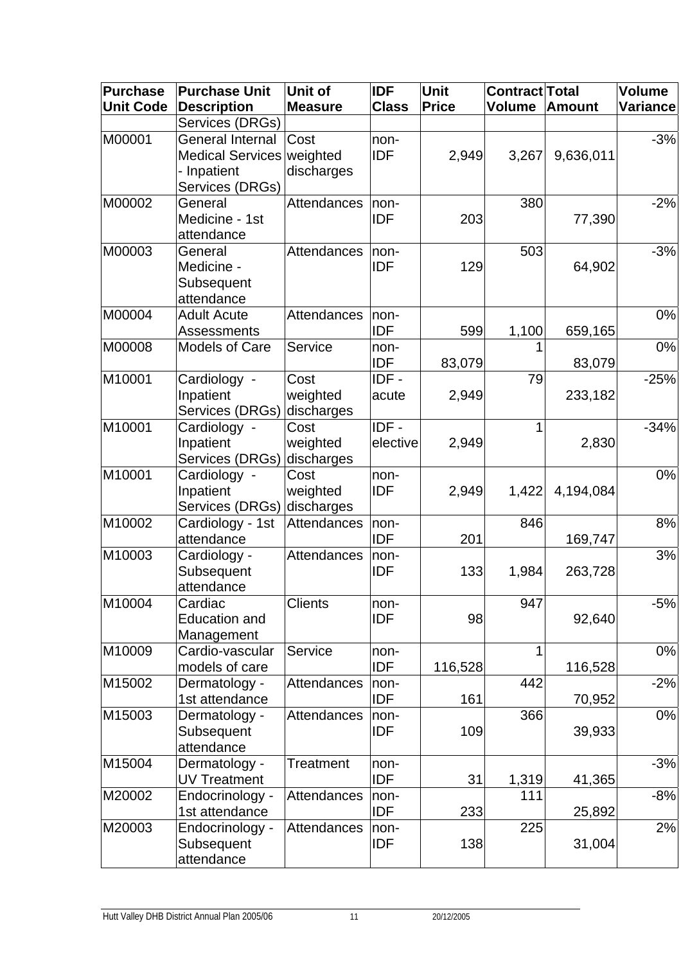| Purchase<br><b>Unit Code</b> | <b>Purchase Unit</b><br><b>Description</b>                                                    | Unit of<br><b>Measure</b>      | <b>IDF</b><br><b>Class</b> | Unit<br><b>Price</b> | <b>Contract Total</b><br>Volume | Amount    | <b>Volume</b><br>Variance |
|------------------------------|-----------------------------------------------------------------------------------------------|--------------------------------|----------------------------|----------------------|---------------------------------|-----------|---------------------------|
|                              | Services (DRGs)                                                                               |                                |                            |                      |                                 |           |                           |
| M00001                       | <b>General Internal</b><br><b>Medical Services weighted</b><br>- Inpatient<br>Services (DRGs) | Cost<br>discharges             | non-<br><b>IDF</b>         | 2,949                | 3,267                           | 9,636,011 | $-3%$                     |
| M00002                       | General<br>Medicine - 1st<br>attendance                                                       | Attendances                    | non-<br><b>IDF</b>         | 203                  | 380                             | 77,390    | $-2%$                     |
| M00003                       | General<br>Medicine -<br>Subsequent<br>attendance                                             | Attendances                    | non-<br><b>IDF</b>         | 129                  | 503                             | 64,902    | $-3%$                     |
| M00004                       | <b>Adult Acute</b><br><b>Assessments</b>                                                      | Attendances                    | non-<br><b>IDF</b>         | 599                  | 1,100                           | 659,165   | 0%                        |
| M00008                       | Models of Care                                                                                | Service                        | non-<br><b>IDF</b>         | 83,079               |                                 | 83,079    | 0%                        |
| M10001                       | Cardiology -<br>Inpatient<br>Services (DRGs)                                                  | Cost<br>weighted<br>discharges | $IDF -$<br>acute           | 2,949                | 79                              | 233,182   | $-25%$                    |
| M10001                       | Cardiology -<br>Inpatient<br>Services (DRGs)                                                  | Cost<br>weighted<br>discharges | $IDF -$<br>elective        | 2,949                | 1                               | 2,830     | $-34%$                    |
| M10001                       | Cardiology -<br>Inpatient<br>Services (DRGs)                                                  | Cost<br>weighted<br>discharges | non-<br><b>IDF</b>         | 2,949                | 1,422                           | 4,194,084 | 0%                        |
| M10002                       | Cardiology - 1st<br>attendance                                                                | Attendances                    | Inon-<br><b>IDF</b>        | 201                  | 846                             | 169,747   | 8%                        |
| M10003                       | Cardiology -<br>Subsequent<br>attendance                                                      | Attendances                    | non-<br><b>IDF</b>         | 133                  | 1,984                           | 263,728   | 3%                        |
| M10004                       | Cardiac<br><b>Education and</b><br>Management                                                 | <b>Clients</b>                 | non-<br><b>IDF</b>         | 98                   | 947                             | 92,640    | $-5%$                     |
| M10009                       | Cardio-vascular<br>models of care                                                             | Service                        | non-<br><b>IDF</b>         | 116,528              | 1                               | 116,528   | 0%                        |
| M15002                       | Dermatology -<br>1st attendance                                                               | Attendances                    | non-<br><b>IDF</b>         | 161                  | 442                             | 70,952    | $-2%$                     |
| M15003                       | Dermatology -<br>Subsequent<br>attendance                                                     | Attendances                    | non-<br><b>IDF</b>         | 109                  | 366                             | 39,933    | 0%                        |
| M15004                       | Dermatology -<br><b>UV Treatment</b>                                                          | Treatment                      | non-<br><b>IDF</b>         | 31                   | 1,319                           | 41,365    | $-3%$                     |
| M20002                       | Endocrinology -<br>1st attendance                                                             | Attendances                    | non-<br><b>IDF</b>         | 233                  | 111                             | 25,892    | $-8%$                     |
| M20003                       | Endocrinology -<br>Subsequent<br>attendance                                                   | Attendances                    | non-<br><b>IDF</b>         | 138                  | 225                             | 31,004    | 2%                        |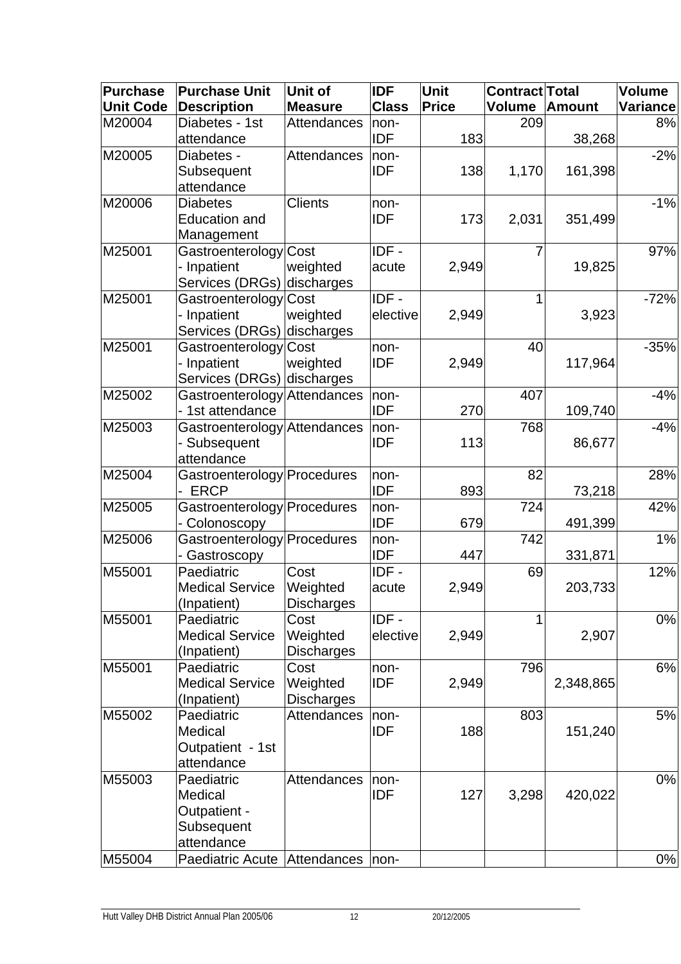| <b>Purchase</b><br><b>Unit Code</b> | <b>Purchase Unit</b><br><b>Description</b>                        | <b>Unit of</b><br><b>Measure</b>      | <b>IDF</b><br><b>Class</b> | Unit<br><b>Price</b> | Contract Total<br><b>Volume</b> | <b>Amount</b> | <b>Volume</b><br>Variance |
|-------------------------------------|-------------------------------------------------------------------|---------------------------------------|----------------------------|----------------------|---------------------------------|---------------|---------------------------|
| M20004                              | Diabetes - 1st                                                    | Attendances                           | non-                       |                      | 209                             |               | 8%                        |
|                                     | attendance                                                        |                                       | <b>IDF</b>                 | 183                  |                                 | 38,268        |                           |
| M20005                              | Diabetes -<br>Subsequent<br>attendance                            | <b>Attendances</b>                    | Inon-<br><b>IDF</b>        | 138                  | 1,170                           | 161,398       | $-2%$                     |
| M20006                              | <b>Diabetes</b><br><b>Education and</b><br>Management             | <b>Clients</b>                        | non-<br><b>IDF</b>         | 173                  | 2,031                           | 351,499       | $-1%$                     |
| M25001                              | Gastroenterology<br>- Inpatient<br>Services (DRGs) discharges     | Cost<br>weighted                      | IDF-<br>acute              | 2,949                |                                 | 19,825        | 97%                       |
| M25001                              | Gastroenterology<br>- Inpatient<br>Services (DRGs) discharges     | Cost<br>weighted                      | $IDF -$<br>elective        | 2,949                |                                 | 3,923         | $-72%$                    |
| M25001                              | Gastroenterology<br>- Inpatient<br>Services (DRGs) discharges     | Cost<br>weighted                      | non-<br><b>IDF</b>         | 2,949                | 40                              | 117,964       | $-35%$                    |
| M25002                              | Gastroenterology<br>1st attendance                                | Attendances                           | non-<br><b>IDF</b>         | 270                  | 407                             | 109,740       | $-4%$                     |
| M25003                              | Gastroenterology Attendances<br>- Subsequent<br>attendance        |                                       | non-<br><b>IDF</b>         | 113                  | 768                             | 86,677        | $-4%$                     |
| M25004                              | Gastroenterology Procedures<br><b>ERCP</b>                        |                                       | non-<br><b>IDF</b>         | 893                  | 82                              | 73,218        | 28%                       |
| M25005                              | Gastroenterology Procedures<br>Colonoscopy                        |                                       | non-<br><b>IDF</b>         | 679                  | 724                             | 491,399       | 42%                       |
| M25006                              | Gastroenterology Procedures<br>Gastroscopy                        |                                       | non-<br>IDF                | 447                  | 742                             | 331,871       | 1%                        |
| M55001                              | Paediatric<br><b>Medical Service</b><br>(Inpatient)               | Cost<br>Weighted<br><b>Discharges</b> | IDF-<br>acute              | 2,949                | 69                              | 203,733       | 12%                       |
| M55001                              | Paediatric<br><b>Medical Service</b><br>(Inpatient)               | Cost<br>Weighted<br><b>Discharges</b> | $IDF -$<br>elective        | 2,949                |                                 | 2,907         | 0%                        |
| M55001                              | Paediatric<br><b>Medical Service</b><br>(Inpatient)               | Cost<br>Weighted<br><b>Discharges</b> | non-<br><b>IDF</b>         | 2,949                | 796                             | 2,348,865     | 6%                        |
| M55002                              | Paediatric<br>Medical<br>Outpatient - 1st<br>attendance           | Attendances                           | non-<br><b>IDF</b>         | 188                  | 803                             | 151,240       | 5%                        |
| M55003                              | Paediatric<br>Medical<br>Outpatient -<br>Subsequent<br>attendance | <b>Attendances</b>                    | non-<br><b>IDF</b>         | 127                  | 3,298                           | 420,022       | 0%                        |
| M55004                              | Paediatric Acute                                                  | Attendances                           | Inon-                      |                      |                                 |               | 0%                        |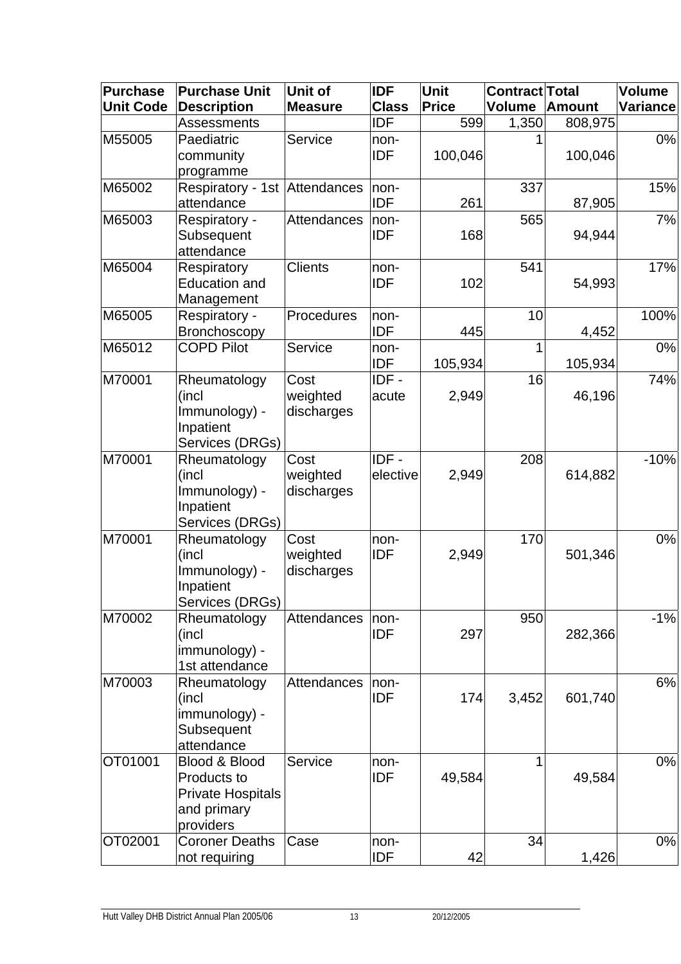| Purchase         | <b>Purchase Unit</b>                                                                 | Unit of                        | <b>IDF</b>            | Unit         | <b>Contract Total</b> |               | <b>Volume</b> |
|------------------|--------------------------------------------------------------------------------------|--------------------------------|-----------------------|--------------|-----------------------|---------------|---------------|
| <b>Unit Code</b> | <b>Description</b>                                                                   | <b>Measure</b>                 | <b>Class</b>          | <b>Price</b> | <b>Volume</b>         | <b>Amount</b> | Variance      |
|                  | <b>Assessments</b>                                                                   |                                | <b>IDF</b>            | 599          | 1,350                 | 808,975       |               |
| M55005           | Paediatric<br>community<br>programme                                                 | Service                        | non-<br><b>IDF</b>    | 100,046      |                       | 100,046       | 0%            |
| M65002           | Respiratory - 1st Attendances<br>attendance                                          |                                | Inon-<br><b>IDF</b>   | 261          | 337                   | 87,905        | 15%           |
| M65003           | Respiratory -<br>Subsequent<br>attendance                                            | Attendances                    | Inon-<br><b>IDF</b>   | 168          | 565                   | 94,944        | 7%            |
| M65004           | Respiratory<br><b>Education and</b><br>Management                                    | <b>Clients</b>                 | non-<br><b>IDF</b>    | 102          | 541                   | 54,993        | 17%           |
| M65005           | Respiratory -<br><b>Bronchoscopy</b>                                                 | Procedures                     | non-<br><b>IDF</b>    | 445          | 10                    | 4,452         | 100%          |
| M65012           | <b>COPD Pilot</b>                                                                    | <b>Service</b>                 | non-<br><b>IDF</b>    | 105,934      |                       | 105,934       | 0%            |
| M70001           | Rheumatology<br>(incl<br>Immunology) -<br>Inpatient<br>Services (DRGs)               | Cost<br>weighted<br>discharges | IDF-<br>acute         | 2,949        | 16                    | 46,196        | 74%           |
| M70001           | Rheumatology<br>(incl<br>Immunology) -<br>Inpatient<br>Services (DRGs)               | Cost<br>weighted<br>discharges | IDF-<br>elective      | 2,949        | 208                   | 614,882       | $-10%$        |
| M70001           | Rheumatology<br>(incl<br>Immunology) -<br>Inpatient<br>Services (DRGs)               | Cost<br>weighted<br>discharges | non-<br><b>IDF</b>    | 2,949        | 170                   | 501,346       | $0\%$         |
| M70002           | Rheumatology<br>(incl<br>immunology) -<br>1st attendance                             | <b>Attendances</b>             | $ non-$<br><b>IDF</b> | 297          | 950                   | 282,366       | $-1%$         |
| M70003           | Rheumatology<br>(incl<br>immunology) -<br>Subsequent<br>attendance                   | Attendances  non-              | <b>IDF</b>            | 174          | 3,452                 | 601,740       | 6%            |
| OT01001          | Blood & Blood<br>Products to<br><b>Private Hospitals</b><br>and primary<br>providers | Service                        | non-<br><b>IDF</b>    | 49,584       |                       | 49,584        | 0%            |
| OT02001          | <b>Coroner Deaths</b><br>not requiring                                               | Case                           | non-<br><b>IDF</b>    | 42           | 34                    | 1,426         | 0%            |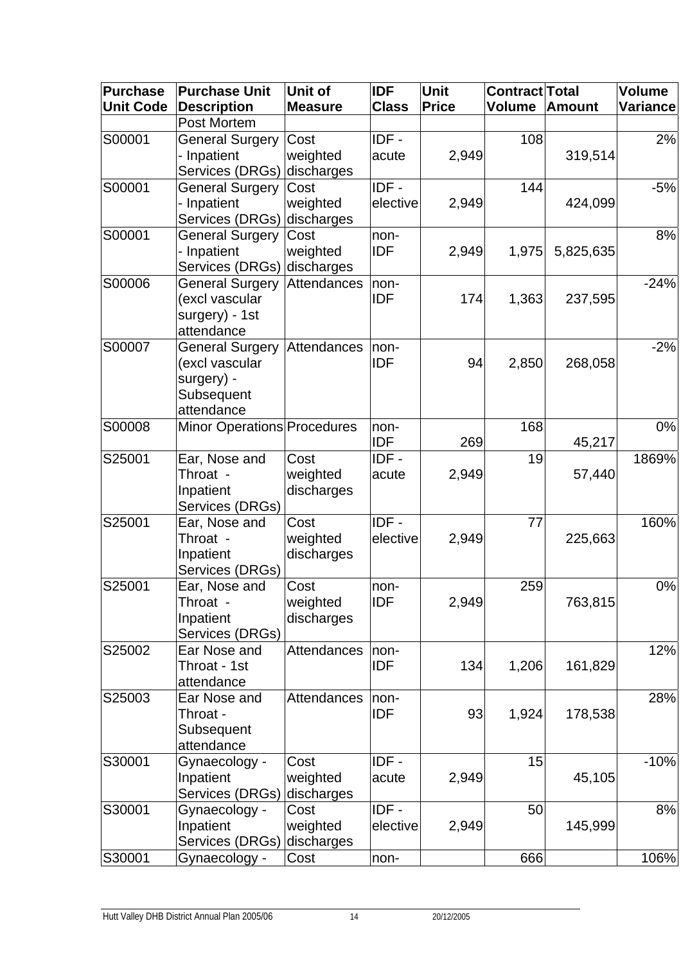| Purchase         | <b>Purchase Unit</b>             | Unit of            | <b>IDF</b>   | Unit         | <b>Contract Total</b> |               | <b>Volume</b> |
|------------------|----------------------------------|--------------------|--------------|--------------|-----------------------|---------------|---------------|
| <b>Unit Code</b> | <b>Description</b>               | <b>Measure</b>     | <b>Class</b> | <b>Price</b> | <b>Volume</b>         | <b>Amount</b> | Variance      |
|                  | Post Mortem                      |                    |              |              |                       |               |               |
| S00001           | <b>General Surgery</b>           | Cost               | IDF-         |              | 108                   |               | 2%            |
|                  | - Inpatient                      | weighted           | acute        | 2,949        |                       | 319,514       |               |
|                  | Services (DRGs)                  | discharges         | IDF-         |              |                       |               |               |
| S00001           | <b>General Surgery</b>           | Cost               |              |              | 144                   |               | $-5%$         |
|                  | - Inpatient                      | weighted           | elective     | 2,949        |                       | 424,099       |               |
|                  | Services (DRGs)                  | discharges         |              |              |                       |               |               |
| S00001           | <b>General Surgery</b>           | Cost               | non-         |              |                       |               | 8%            |
|                  | - Inpatient                      | weighted           | <b>IDF</b>   | 2,949        | 1,975                 | 5,825,635     |               |
|                  | Services (DRGs)                  | discharges         |              |              |                       |               |               |
| S00006           | <b>General Surgery</b>           | <b>Attendances</b> | non-         |              |                       |               | $-24%$        |
|                  | (excl vascular                   |                    | <b>IDF</b>   | 174          | 1,363                 | 237,595       |               |
|                  | surgery) - 1st                   |                    |              |              |                       |               |               |
|                  | attendance                       |                    |              |              |                       |               |               |
| S00007           | <b>General Surgery</b>           | Attendances        | Inon-        |              |                       |               | $-2%$         |
|                  | (excl vascular                   |                    | <b>IDF</b>   | 94           | 2,850                 | 268,058       |               |
|                  | surgery) -                       |                    |              |              |                       |               |               |
|                  | Subsequent                       |                    |              |              |                       |               |               |
| S00008           | attendance                       |                    |              |              |                       |               | 0%            |
|                  | Minor Operations Procedures      |                    | non-         |              | 168                   |               |               |
|                  |                                  |                    | <b>IDF</b>   | 269          |                       | 45,217        |               |
| S25001           | Ear, Nose and<br>Throat -        | Cost               | IDF-         |              | 19                    |               | 1869%         |
|                  |                                  | weighted           | acute        | 2,949        |                       | 57,440        |               |
|                  | Inpatient                        | discharges         |              |              |                       |               |               |
| S25001           | Services (DRGs)<br>Ear, Nose and | Cost               | IDF-         |              | 77                    |               | 160%          |
|                  | Throat -                         | weighted           | elective     | 2,949        |                       | 225,663       |               |
|                  | Inpatient                        | discharges         |              |              |                       |               |               |
|                  | Services (DRGs)                  |                    |              |              |                       |               |               |
| S25001           | Ear, Nose and                    | Cost               | non-         |              | 259                   |               | 0%            |
|                  | Throat -                         | weighted           | <b>IDF</b>   | 2,949        |                       | 763,815       |               |
|                  | Inpatient                        | discharges         |              |              |                       |               |               |
|                  | Services (DRGs)                  |                    |              |              |                       |               |               |
| S25002           | Ear Nose and                     | Attendances        | non-         |              |                       |               | 12%           |
|                  | Throat - 1st                     |                    | <b>IDF</b>   | 134          | 1,206                 | 161,829       |               |
|                  | attendance                       |                    |              |              |                       |               |               |
| S25003           | Ear Nose and                     | Attendances        | non-         |              |                       |               | 28%           |
|                  | Throat -                         |                    | <b>IDF</b>   | 93           | 1,924                 | 178,538       |               |
|                  | Subsequent                       |                    |              |              |                       |               |               |
|                  | attendance                       |                    |              |              |                       |               |               |
| S30001           | Gynaecology -                    | Cost               | IDF-         |              | 15                    |               | $-10%$        |
|                  | Inpatient                        | weighted           | acute        | 2,949        |                       | 45,105        |               |
|                  | Services (DRGs)                  | discharges         |              |              |                       |               |               |
| S30001           | Gynaecology -                    | Cost               | IDF-         |              | 50                    |               | 8%            |
|                  | Inpatient                        | weighted           | elective     | 2,949        |                       | 145,999       |               |
|                  | Services (DRGs)                  | discharges         |              |              |                       |               |               |
| S30001           | Gynaecology -                    | Cost               | non-         |              | 666                   |               | 106%          |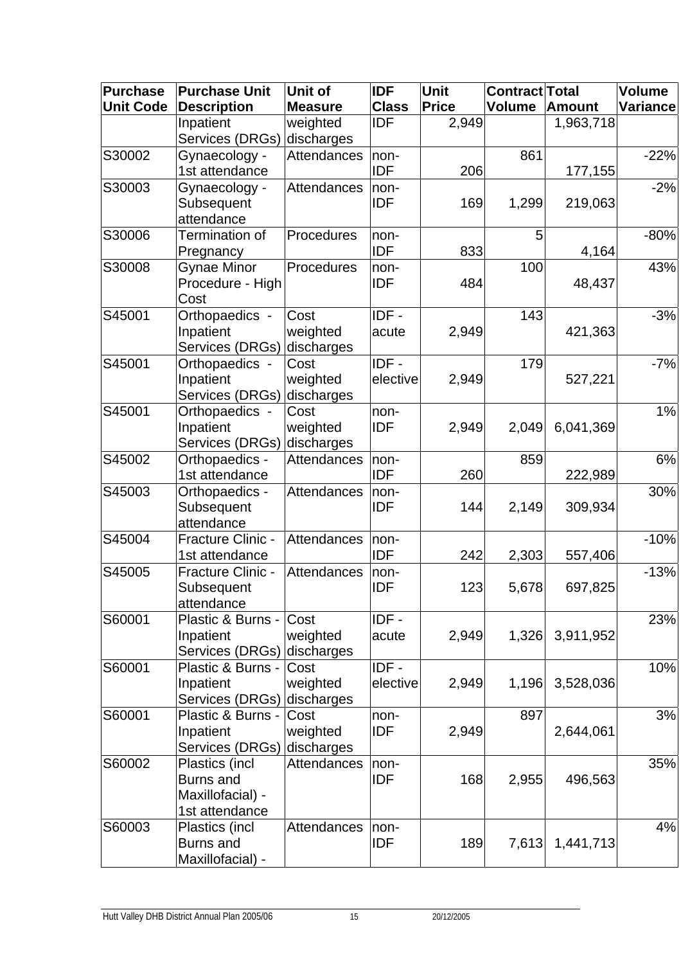| Purchase         | <b>Purchase Unit</b>                                                            | <b>Unit of</b>                 | <b>IDF</b>          | <b>Unit</b> | <b>Contract Total</b> |           | <b>Volume</b>   |
|------------------|---------------------------------------------------------------------------------|--------------------------------|---------------------|-------------|-----------------------|-----------|-----------------|
| <b>Unit Code</b> | <b>Description</b>                                                              | <b>Measure</b>                 | <b>Class</b>        | Price       | <b>Volume</b>         | Amount    | <b>Variance</b> |
|                  | Inpatient<br>Services (DRGs)                                                    | weighted<br>discharges         | <b>IDF</b>          | 2,949       |                       | 1,963,718 |                 |
| S30002           | Gynaecology -<br>1st attendance                                                 | <b>Attendances</b>             | non-<br><b>IDF</b>  | 206         | 861                   | 177,155   | $-22%$          |
| S30003           | Gynaecology -<br>Subsequent<br>attendance                                       | Attendances                    | Inon-<br><b>IDF</b> | 169         | 1,299                 | 219,063   | $-2%$           |
| S30006           | Termination of<br>Pregnancy                                                     | Procedures                     | non-<br><b>IDF</b>  | 833         | 5                     | 4,164     | $-80%$          |
| S30008           | Gynae Minor<br>Procedure - High<br>Cost                                         | Procedures                     | non-<br><b>IDF</b>  | 484         | 100                   | 48,437    | 43%             |
| S45001           | Orthopaedics -<br>Inpatient<br>Services (DRGs) discharges                       | Cost<br>weighted               | IDF-<br>acute       | 2,949       | 143                   | 421,363   | $-3%$           |
| S45001           | Orthopaedics -<br>Inpatient<br>Services (DRGs) discharges                       | Cost<br>weighted               | IDF-<br>elective    | 2,949       | 179                   | 527,221   | $-7%$           |
| S45001           | Orthopaedics -<br>Inpatient<br>Services (DRGs)                                  | Cost<br>weighted<br>discharges | non-<br><b>IDF</b>  | 2,949       | 2,049                 | 6,041,369 | 1%              |
| S45002           | Orthopaedics -<br>1st attendance                                                | Attendances                    | non-<br><b>IDF</b>  | 260         | 859                   | 222,989   | 6%              |
| S45003           | Orthopaedics -<br>Subsequent<br>attendance                                      | Attendances                    | non-<br><b>IDF</b>  | 144         | 2,149                 | 309,934   | 30%             |
| S45004           | Fracture Clinic -<br>1st attendance                                             | Attendances                    | non-<br><b>IDF</b>  | 242         | 2,303                 | 557,406   | $-10%$          |
| S45005           | Fracture Clinic -<br>Subsequent<br>attendance                                   | Attendances                    | Inon-<br><b>IDF</b> | 123         | 5,678                 | 697,825   | $-13%$          |
| S60001           | Plastic & Burns - Cost<br>Inpatient<br>Services (DRGs) discharges               | weighted                       | IDF-<br>acute       | 2,949       | 1,326                 | 3,911,952 | 23%             |
| S60001           | Plastic & Burns - Cost<br>Inpatient<br>Services (DRGs) discharges               | weighted                       | IDF-<br>elective    | 2,949       | 1,196                 | 3,528,036 | 10%             |
| S60001           | Plastic & Burns - Cost<br>Inpatient<br>Services (DRGs) discharges               | weighted                       | non-<br><b>IDF</b>  | 2,949       | 897                   | 2,644,061 | 3%              |
| S60002           | <b>Plastics (incl</b><br><b>Burns</b> and<br>Maxillofacial) -<br>1st attendance | Attendances                    | non-<br><b>IDF</b>  | 168         | 2,955                 | 496,563   | 35%             |
| S60003           | <b>Plastics (incl</b><br><b>Burns and</b><br>Maxillofacial) -                   | Attendances                    | non-<br><b>IDF</b>  | 189         | 7,613                 | 1,441,713 | 4%              |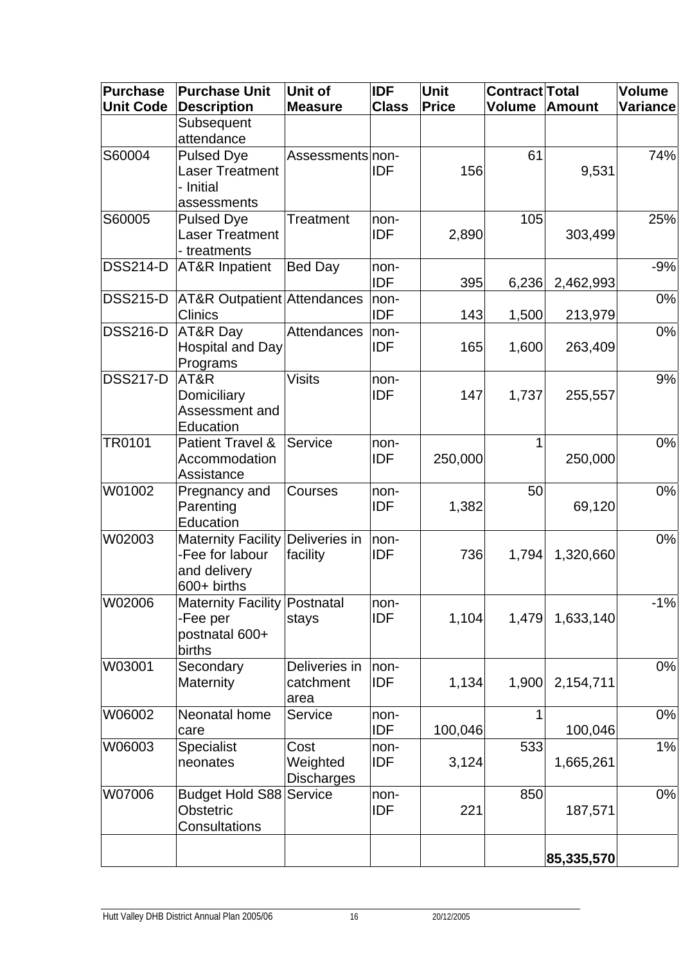| Purchase<br><b>Unit Code</b> | <b>Purchase Unit</b><br><b>Description</b>                                         | Unit of<br><b>Measure</b>          | <b>IDF</b><br><b>Class</b> | Unit<br><b>Price</b> | <b>Contract Total</b><br>Volume Amount |            | <b>Volume</b><br>Variance |
|------------------------------|------------------------------------------------------------------------------------|------------------------------------|----------------------------|----------------------|----------------------------------------|------------|---------------------------|
|                              | Subsequent<br>attendance                                                           |                                    |                            |                      |                                        |            |                           |
| S60004                       | <b>Pulsed Dye</b><br><b>Laser Treatment</b><br>- Initial<br>assessments            | Assessments non-                   | <b>IDF</b>                 | 156                  | 61                                     | 9,531      | 74%                       |
| S60005                       | <b>Pulsed Dye</b><br><b>Laser Treatment</b><br>- treatments                        | Treatment                          | non-<br><b>IDF</b>         | 2,890                | 105                                    | 303,499    | 25%                       |
| <b>DSS214-D</b>              | <b>AT&amp;R Inpatient</b>                                                          | Bed Day                            | non-<br><b>IDF</b>         | 395                  | 6,236                                  | 2,462,993  | $-9%$                     |
| <b>DSS215-D</b>              | <b>AT&amp;R Outpatient Attendances</b><br><b>Clinics</b>                           |                                    | non-<br><b>IDF</b>         | 143                  | 1,500                                  | 213,979    | 0%                        |
| <b>DSS216-D</b>              | AT&R Day<br>Hospital and Day<br>Programs                                           | Attendances                        | Inon-<br><b>IDF</b>        | 165                  | 1,600                                  | 263,409    | 0%                        |
| <b>DSS217-D</b>              | AT&R<br>Domiciliary<br>Assessment and<br>Education                                 | <b>Visits</b>                      | non-<br><b>IDF</b>         | 147                  | 1,737                                  | 255,557    | 9%                        |
| TR0101                       | Patient Travel &<br>Accommodation<br>Assistance                                    | Service                            | non-<br><b>IDF</b>         | 250,000              |                                        | 250,000    | 0%                        |
| W01002                       | Pregnancy and<br>Parenting<br>Education                                            | Courses                            | non-<br><b>IDF</b>         | 1,382                | 50                                     | 69,120     | 0%                        |
| W02003                       | Maternity Facility Deliveries in<br>-Fee for labour<br>and delivery<br>600+ births | facility                           | Inon-<br><b>IDF</b>        | 736                  | 1,794                                  | 1,320,660  | 0%                        |
| W02006                       | <b>Maternity Facility Postnatal</b><br>-Fee per<br>postnatal 600+<br>births        | stays                              | non-<br><b>IDF</b>         | 1,104                | 1,479                                  | 1,633,140  | $-1%$                     |
| W03001                       | Secondary<br>Maternity                                                             | Deliveries in<br>catchment<br>area | non-<br>IDF                | 1,134                | 1,900                                  | 2,154,711  | 0%                        |
| W06002                       | Neonatal home<br>care                                                              | Service                            | non-<br><b>IDF</b>         | 100,046              | 1                                      | 100,046    | 0%                        |
| W06003                       | <b>Specialist</b><br>neonates                                                      | Cost<br>Weighted<br>Discharges     | non-<br><b>IDF</b>         | 3,124                | 533                                    | 1,665,261  | 1%                        |
| W07006                       | <b>Budget Hold S88 Service</b><br>Obstetric<br>Consultations                       |                                    | non-<br><b>IDF</b>         | 221                  | 850                                    | 187,571    | 0%                        |
|                              |                                                                                    |                                    |                            |                      |                                        | 85,335,570 |                           |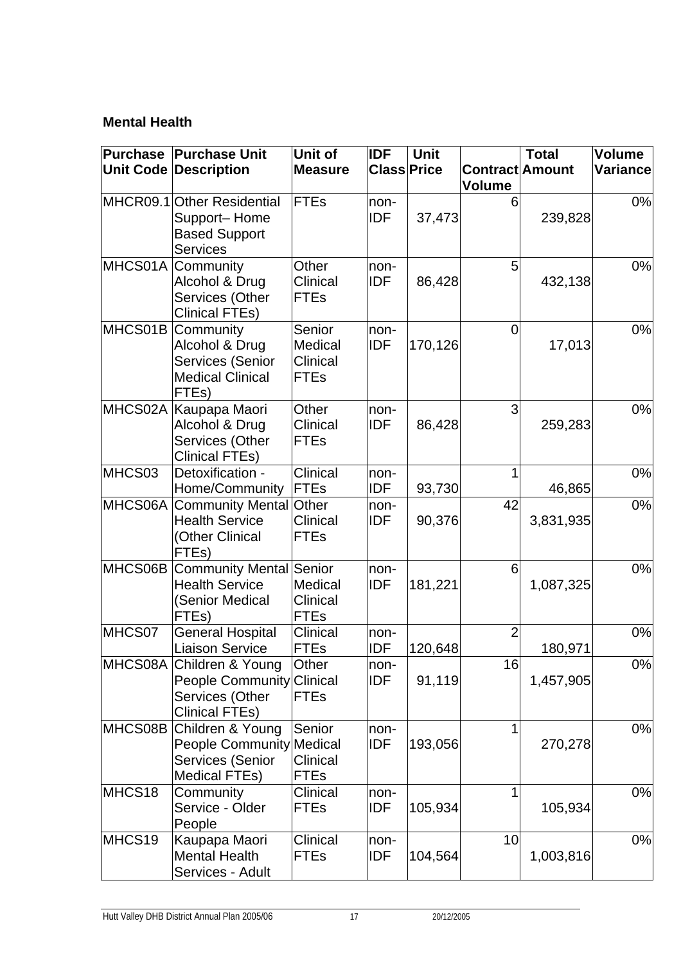# **Mental Health**

| Purchase | <b>Purchase Unit</b>                                                                                     | Unit of                                      | <b>IDF</b>         | <b>Unit</b>        |                        | <b>Total</b> | <b>Volume</b>   |
|----------|----------------------------------------------------------------------------------------------------------|----------------------------------------------|--------------------|--------------------|------------------------|--------------|-----------------|
|          | <b>Unit Code Description</b>                                                                             | <b>Measure</b>                               |                    | <b>Class Price</b> | <b>Contract Amount</b> |              | <b>Variance</b> |
|          |                                                                                                          |                                              |                    |                    | <b>Volume</b>          |              |                 |
|          | MHCR09.1 Other Residential<br>Support-Home<br><b>Based Support</b><br><b>Services</b>                    | <b>FTEs</b>                                  | non-<br><b>IDF</b> | 37,473             | 6                      | 239,828      | 0%              |
|          | MHCS01A Community<br>Alcohol & Drug<br>Services (Other<br><b>Clinical FTEs)</b>                          | Other<br>Clinical<br><b>FTEs</b>             | non-<br><b>IDF</b> | 86,428             | 5                      | 432,138      | 0%              |
|          | MHCS01B Community<br>Alcohol & Drug<br>Services (Senior<br><b>Medical Clinical</b><br>FTE <sub>s</sub> ) | Senior<br>Medical<br>Clinical<br><b>FTEs</b> | non-<br><b>IDF</b> | 170,126            | $\overline{0}$         | 17,013       | 0%              |
|          | MHCS02A Kaupapa Maori<br>Alcohol & Drug<br>Services (Other<br><b>Clinical FTEs)</b>                      | Other<br>Clinical<br><b>FTEs</b>             | non-<br><b>IDF</b> | 86,428             | 3                      | 259,283      | 0%              |
| MHCS03   | Detoxification -                                                                                         | Clinical                                     | non-               |                    |                        |              | 0%              |
|          | Home/Community                                                                                           | FTEs                                         | <b>IDF</b>         | 93,730             |                        | 46,865       |                 |
|          | MHCS06A Community Mental Other<br><b>Health Service</b><br>(Other Clinical<br>FTE <sub>s</sub> )         | Clinical<br><b>FTEs</b>                      | non-<br><b>IDF</b> | 90,376             | 42                     | 3,831,935    | 0%              |
|          | MHCS06B Community Mental Senior<br><b>Health Service</b><br>(Senior Medical<br>FTE <sub>s</sub> )        | Medical<br>Clinical<br><b>FTEs</b>           | non-<br><b>IDF</b> | 181,221            | 6                      | 1,087,325    | $0\%$           |
| MHCS07   | <b>General Hospital</b><br><b>Liaison Service</b>                                                        | Clinical<br><b>FTEs</b>                      | non-<br><b>IDF</b> | 120,648            | $\overline{2}$         | 180,971      | 0%              |
|          | MHCS08A Children & Young<br>People Community Clinical<br>Services (Other<br><b>Clinical FTEs)</b>        | Other<br><b>FTEs</b>                         | non-<br><b>IDF</b> | 91,119             | 16                     | 1,457,905    | 0%              |
| MHCS08B  | Children & Young<br>People Community Medical<br>Services (Senior<br>Medical FTEs)                        | Senior<br>Clinical<br><b>FTEs</b>            | non-<br><b>IDF</b> | 193,056            |                        | 270,278      | 0%              |
| MHCS18   | Community<br>Service - Older<br>People                                                                   | Clinical<br><b>FTEs</b>                      | non-<br><b>IDF</b> | 105,934            |                        | 105,934      | 0%              |
| MHCS19   | Kaupapa Maori<br><b>Mental Health</b><br>Services - Adult                                                | Clinical<br><b>FTEs</b>                      | non-<br><b>IDF</b> | 104,564            | 10                     | 1,003,816    | 0%              |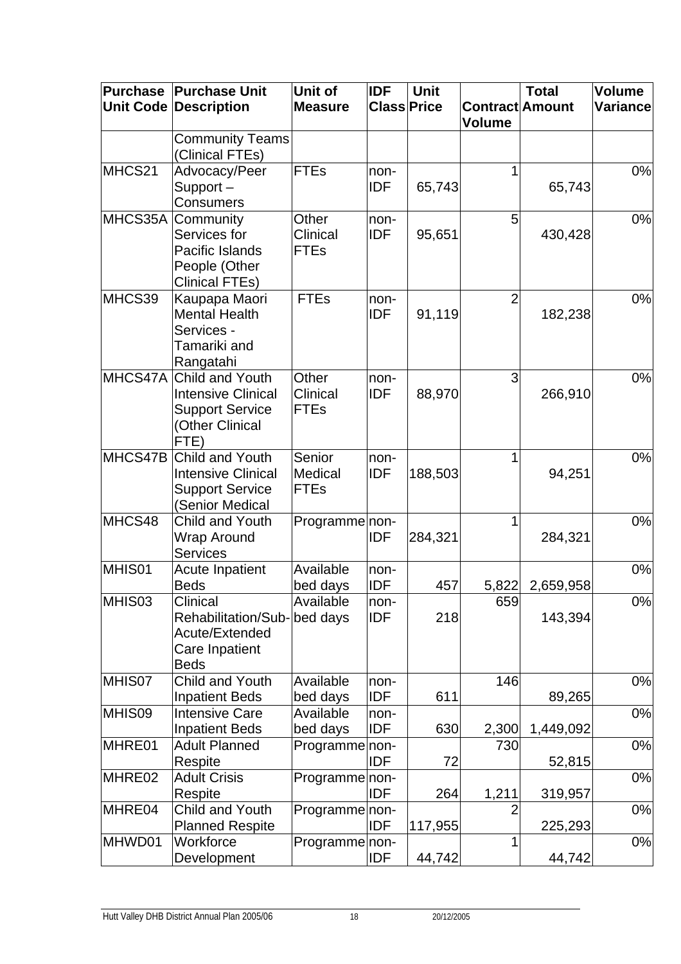| Purchase | <b>Purchase Unit</b>                                                                              | Unit of                          | <b>IDF</b>         | <b>Unit</b>        |                                         | <b>Total</b> | <b>Volume</b>   |
|----------|---------------------------------------------------------------------------------------------------|----------------------------------|--------------------|--------------------|-----------------------------------------|--------------|-----------------|
|          | <b>Unit Code Description</b>                                                                      | <b>Measure</b>                   |                    | <b>Class Price</b> | <b>Contract Amount</b><br><b>Volume</b> |              | <b>Variance</b> |
|          | <b>Community Teams</b><br>(Clinical FTEs)                                                         |                                  |                    |                    |                                         |              |                 |
| MHCS21   | Advocacy/Peer<br>Support $-$<br><b>Consumers</b>                                                  | <b>FTEs</b>                      | non-<br><b>IDF</b> | 65,743             |                                         | 65,743       | 0%              |
| MHCS35A  | Community<br>Services for<br>Pacific Islands<br>People (Other<br><b>Clinical FTEs)</b>            | Other<br>Clinical<br><b>FTEs</b> | non-<br><b>IDF</b> | 95,651             | 5                                       | 430,428      | 0%              |
| MHCS39   | Kaupapa Maori<br><b>Mental Health</b><br>Services -<br>Tamariki and<br>Rangatahi                  | <b>FTEs</b>                      | non-<br><b>IDF</b> | 91,119             | $\overline{2}$                          | 182,238      | 0%              |
| MHCS47A  | Child and Youth<br><b>Intensive Clinical</b><br><b>Support Service</b><br>(Other Clinical<br>FTE) | Other<br>Clinical<br><b>FTEs</b> | non-<br><b>IDF</b> | 88,970             | 3                                       | 266,910      | 0%              |
| MHCS47B  | Child and Youth<br><b>Intensive Clinical</b><br><b>Support Service</b><br>(Senior Medical         | Senior<br>Medical<br><b>FTEs</b> | non-<br><b>IDF</b> | 188,503            |                                         | 94,251       | 0%              |
| MHCS48   | Child and Youth<br><b>Wrap Around</b><br><b>Services</b>                                          | Programme non-                   | <b>IDF</b>         | 284,321            |                                         | 284,321      | 0%              |
| MHIS01   | <b>Acute Inpatient</b><br><b>Beds</b>                                                             | Available<br>bed days            | non-<br>IDF        | 457                | 5,822                                   | 2,659,958    | 0%              |
| MHIS03   | Clinical<br><b>Rehabilitation/Sub-</b><br>Acute/Extended<br>Care Inpatient<br><b>Beds</b>         | Available<br>bed days            | non-<br><b>IDF</b> | 218                | 659                                     | 143,394      | 0%              |
| MHIS07   | Child and Youth<br><b>Inpatient Beds</b>                                                          | Available<br>bed days            | non-<br><b>IDF</b> | 611                | 146                                     | 89,265       | 0%              |
| MHIS09   | <b>Intensive Care</b><br><b>Inpatient Beds</b>                                                    | Available<br>bed days            | non-<br><b>IDF</b> | 630                | 2,300                                   | 1,449,092    | 0%              |
| MHRE01   | <b>Adult Planned</b><br>Respite                                                                   | Programme non-                   | <b>IDF</b>         | 72                 | 730                                     | 52,815       | 0%              |
| MHRE02   | <b>Adult Crisis</b><br>Respite                                                                    | Programme non-                   | <b>IDF</b>         | 264                | 1,211                                   | 319,957      | 0%              |
| MHRE04   | <b>Child and Youth</b><br><b>Planned Respite</b>                                                  | Programme non-                   | <b>IDF</b>         | 117,955            |                                         | 225,293      | 0%              |
| MHWD01   | Workforce<br>Development                                                                          | Programme non-                   | <b>IDF</b>         | 44,742             |                                         | 44,742       | 0%              |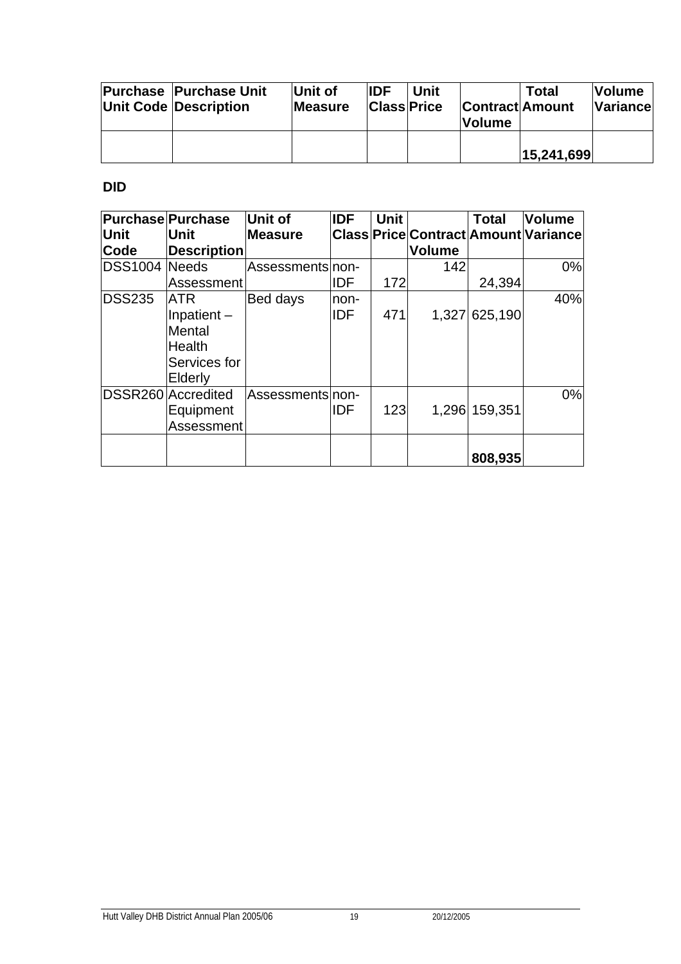| <b>Purchase Purchase Unit</b><br><b>Unit Code Description</b> | Unit of<br><b>Measure</b> | <b>IIDF</b><br><b>Class Price</b> | Unit | <b>Contract Amount</b><br><b>Volume</b> | Total      | <b>Volume</b><br>Variance |
|---------------------------------------------------------------|---------------------------|-----------------------------------|------|-----------------------------------------|------------|---------------------------|
|                                                               |                           |                                   |      |                                         | 15,241,699 |                           |

**DID** 

| Unit          | <b>Purchase Purchase</b><br>Unit | <b>Unit of</b><br><b>Measure</b> | <b>IDF</b> | <b>Unit</b> |        | <b>Total</b>  | Volume<br> Class  Price  Contract  Amount  Variance |
|---------------|----------------------------------|----------------------------------|------------|-------------|--------|---------------|-----------------------------------------------------|
| Code          | <b>Description</b>               |                                  |            |             | Volume |               |                                                     |
| DSS1004 Needs |                                  | Assessments non-                 |            |             | 142    |               | 0%                                                  |
|               | Assessment                       |                                  | <b>IDF</b> | 172         |        | 24,394        |                                                     |
| <b>DSS235</b> | <b>ATR</b>                       | Bed days                         | non-       |             |        |               | 40%                                                 |
|               | Inpatient $-$                    |                                  | <b>IDF</b> | 471         | 1,327  | 625,190       |                                                     |
|               | Mental                           |                                  |            |             |        |               |                                                     |
|               | <b>Health</b>                    |                                  |            |             |        |               |                                                     |
|               | Services for                     |                                  |            |             |        |               |                                                     |
|               | Elderly                          |                                  |            |             |        |               |                                                     |
|               | DSSR260 Accredited               | Assessments non-                 |            |             |        |               | 0%                                                  |
|               | Equipment                        |                                  | <b>IDF</b> | 123         |        | 1,296 159,351 |                                                     |
|               | Assessment                       |                                  |            |             |        |               |                                                     |
|               |                                  |                                  |            |             |        | 808,935       |                                                     |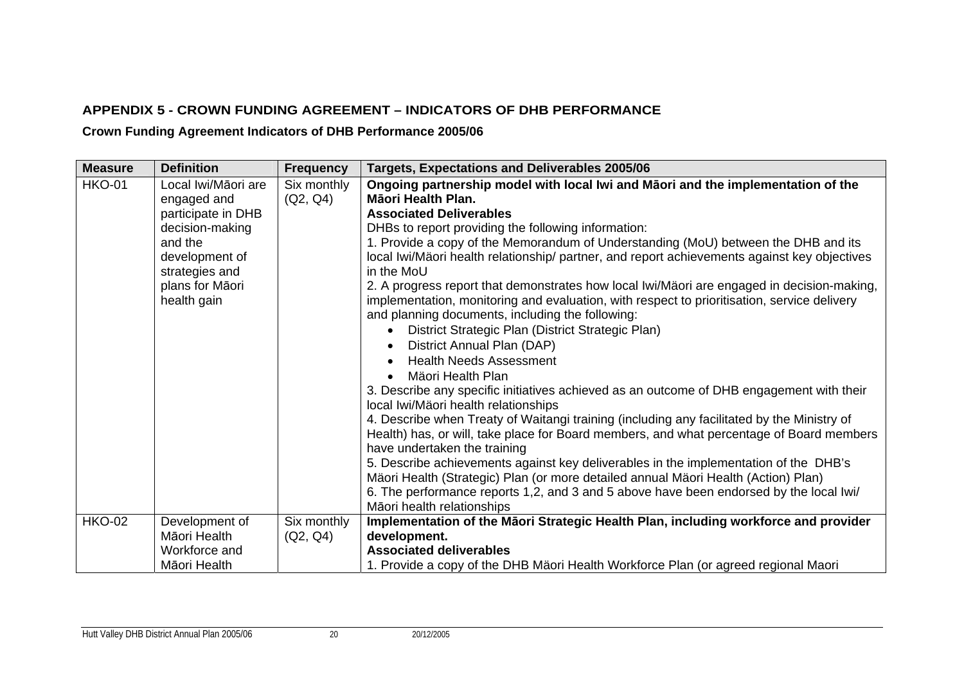## **APPENDIX 5 - CROWN FUNDING AGREEMENT – INDICATORS OF DHB PERFORMANCE**

**Crown Funding Agreement Indicators of DHB Performance 2005/06** 

| <b>Measure</b> | <b>Definition</b>                                                                                                                                            | <b>Frequency</b>        | <b>Targets, Expectations and Deliverables 2005/06</b>                                                                                                                                                                                                                                                                                                                                                                                                                                                                                                                                                                                                                                                                   |  |  |  |  |
|----------------|--------------------------------------------------------------------------------------------------------------------------------------------------------------|-------------------------|-------------------------------------------------------------------------------------------------------------------------------------------------------------------------------------------------------------------------------------------------------------------------------------------------------------------------------------------------------------------------------------------------------------------------------------------------------------------------------------------------------------------------------------------------------------------------------------------------------------------------------------------------------------------------------------------------------------------------|--|--|--|--|
| <b>HKO-01</b>  | Local Iwi/Māori are<br>engaged and<br>participate in DHB<br>decision-making<br>and the<br>development of<br>strategies and<br>plans for Māori<br>health gain | Six monthly<br>(Q2, Q4) | Ongoing partnership model with local lwi and Māori and the implementation of the<br>Māori Health Plan.<br><b>Associated Deliverables</b><br>DHBs to report providing the following information:<br>1. Provide a copy of the Memorandum of Understanding (MoU) between the DHB and its<br>local lwi/Mäori health relationship/ partner, and report achievements against key objectives<br>in the MoU<br>2. A progress report that demonstrates how local Iwi/Mäori are engaged in decision-making,<br>implementation, monitoring and evaluation, with respect to prioritisation, service delivery<br>and planning documents, including the following:<br>District Strategic Plan (District Strategic Plan)               |  |  |  |  |
|                |                                                                                                                                                              |                         | District Annual Plan (DAP)<br><b>Health Needs Assessment</b><br>Mäori Health Plan<br>3. Describe any specific initiatives achieved as an outcome of DHB engagement with their<br>local Iwi/Mäori health relationships<br>4. Describe when Treaty of Waitangi training (including any facilitated by the Ministry of<br>Health) has, or will, take place for Board members, and what percentage of Board members<br>have undertaken the training<br>5. Describe achievements against key deliverables in the implementation of the DHB's<br>Mäori Health (Strategic) Plan (or more detailed annual Mäori Health (Action) Plan)<br>6. The performance reports 1,2, and 3 and 5 above have been endorsed by the local lwi/ |  |  |  |  |
| <b>HKO-02</b>  | Development of                                                                                                                                               | Six monthly             | Māori health relationships<br>Implementation of the Māori Strategic Health Plan, including workforce and provider                                                                                                                                                                                                                                                                                                                                                                                                                                                                                                                                                                                                       |  |  |  |  |
|                | Māori Health                                                                                                                                                 | (Q2, Q4)                | development.                                                                                                                                                                                                                                                                                                                                                                                                                                                                                                                                                                                                                                                                                                            |  |  |  |  |
|                | Workforce and                                                                                                                                                |                         | <b>Associated deliverables</b>                                                                                                                                                                                                                                                                                                                                                                                                                                                                                                                                                                                                                                                                                          |  |  |  |  |
|                | Māori Health                                                                                                                                                 |                         | 1. Provide a copy of the DHB Mäori Health Workforce Plan (or agreed regional Maori                                                                                                                                                                                                                                                                                                                                                                                                                                                                                                                                                                                                                                      |  |  |  |  |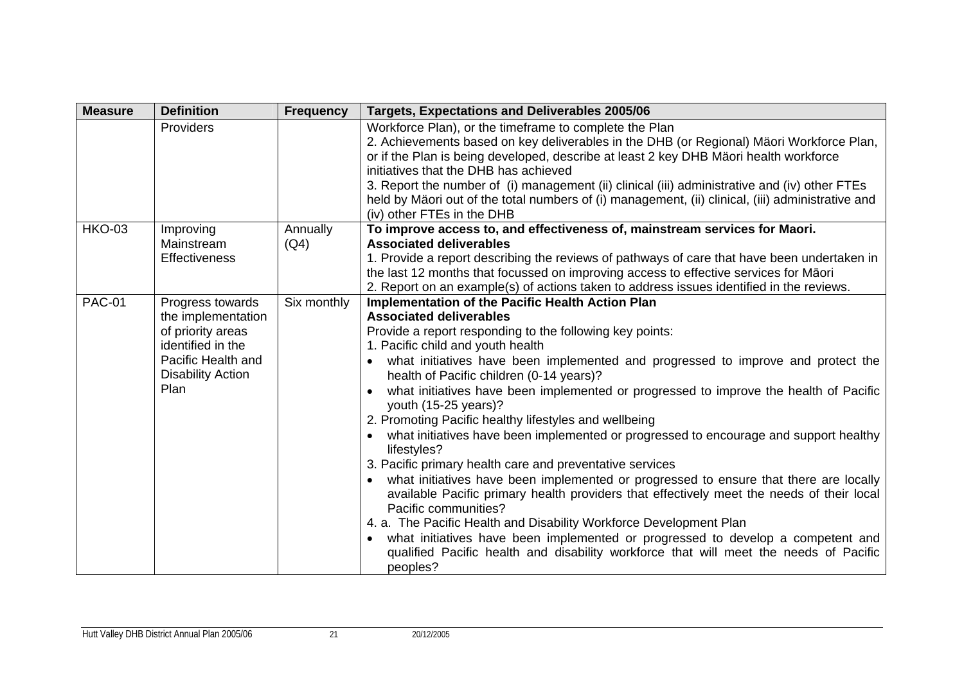| <b>Measure</b> | <b>Definition</b>                                                                                                                          | <b>Frequency</b> | <b>Targets, Expectations and Deliverables 2005/06</b>                                                                                                                                                                                                                                                                                                                                                                                                                                                                                                                                                                                                                                                                                                                                                                                                                                                                                                                                                                                                                                                                                         |  |  |  |  |
|----------------|--------------------------------------------------------------------------------------------------------------------------------------------|------------------|-----------------------------------------------------------------------------------------------------------------------------------------------------------------------------------------------------------------------------------------------------------------------------------------------------------------------------------------------------------------------------------------------------------------------------------------------------------------------------------------------------------------------------------------------------------------------------------------------------------------------------------------------------------------------------------------------------------------------------------------------------------------------------------------------------------------------------------------------------------------------------------------------------------------------------------------------------------------------------------------------------------------------------------------------------------------------------------------------------------------------------------------------|--|--|--|--|
|                | Providers                                                                                                                                  |                  | Workforce Plan), or the timeframe to complete the Plan<br>2. Achievements based on key deliverables in the DHB (or Regional) Mäori Workforce Plan,<br>or if the Plan is being developed, describe at least 2 key DHB Mäori health workforce<br>initiatives that the DHB has achieved<br>3. Report the number of (i) management (ii) clinical (iii) administrative and (iv) other FTEs<br>held by Mäori out of the total numbers of (i) management, (ii) clinical, (iii) administrative and<br>(iv) other FTEs in the DHB                                                                                                                                                                                                                                                                                                                                                                                                                                                                                                                                                                                                                      |  |  |  |  |
| <b>HKO-03</b>  | Improving<br>Mainstream<br><b>Effectiveness</b>                                                                                            | Annually<br>(Q4) | To improve access to, and effectiveness of, mainstream services for Maori.<br><b>Associated deliverables</b><br>1. Provide a report describing the reviews of pathways of care that have been undertaken in<br>the last 12 months that focussed on improving access to effective services for Māori<br>2. Report on an example(s) of actions taken to address issues identified in the reviews.                                                                                                                                                                                                                                                                                                                                                                                                                                                                                                                                                                                                                                                                                                                                               |  |  |  |  |
| <b>PAC-01</b>  | Progress towards<br>the implementation<br>of priority areas<br>identified in the<br>Pacific Health and<br><b>Disability Action</b><br>Plan | Six monthly      | Implementation of the Pacific Health Action Plan<br><b>Associated deliverables</b><br>Provide a report responding to the following key points:<br>1. Pacific child and youth health<br>what initiatives have been implemented and progressed to improve and protect the<br>health of Pacific children (0-14 years)?<br>what initiatives have been implemented or progressed to improve the health of Pacific<br>youth (15-25 years)?<br>2. Promoting Pacific healthy lifestyles and wellbeing<br>what initiatives have been implemented or progressed to encourage and support healthy<br>lifestyles?<br>3. Pacific primary health care and preventative services<br>what initiatives have been implemented or progressed to ensure that there are locally<br>available Pacific primary health providers that effectively meet the needs of their local<br>Pacific communities?<br>4. a. The Pacific Health and Disability Workforce Development Plan<br>what initiatives have been implemented or progressed to develop a competent and<br>qualified Pacific health and disability workforce that will meet the needs of Pacific<br>peoples? |  |  |  |  |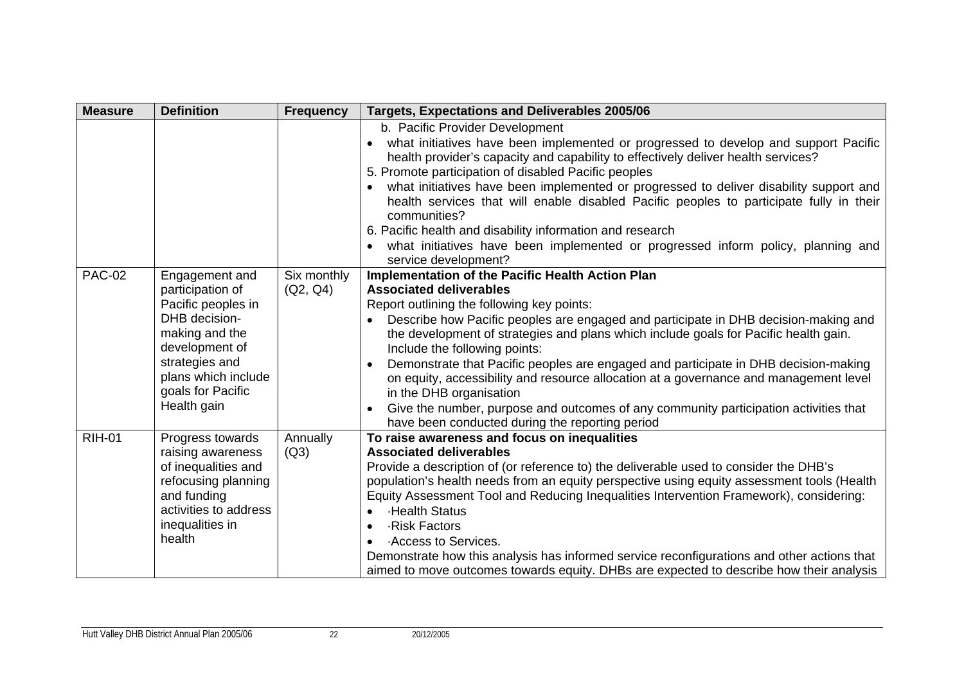| <b>Measure</b> | <b>Definition</b>                                                                                                                                                                          | <b>Frequency</b>        | Targets, Expectations and Deliverables 2005/06                                                                                                                                                                                                                                                                                                                                                                                                                                                                                                                                                                                                                                                         |
|----------------|--------------------------------------------------------------------------------------------------------------------------------------------------------------------------------------------|-------------------------|--------------------------------------------------------------------------------------------------------------------------------------------------------------------------------------------------------------------------------------------------------------------------------------------------------------------------------------------------------------------------------------------------------------------------------------------------------------------------------------------------------------------------------------------------------------------------------------------------------------------------------------------------------------------------------------------------------|
|                |                                                                                                                                                                                            |                         | b. Pacific Provider Development<br>what initiatives have been implemented or progressed to develop and support Pacific<br>health provider's capacity and capability to effectively deliver health services?<br>5. Promote participation of disabled Pacific peoples<br>what initiatives have been implemented or progressed to deliver disability support and<br>health services that will enable disabled Pacific peoples to participate fully in their<br>communities?<br>6. Pacific health and disability information and research<br>what initiatives have been implemented or progressed inform policy, planning and<br>service development?                                                      |
| <b>PAC-02</b>  | Engagement and<br>participation of<br>Pacific peoples in<br>DHB decision-<br>making and the<br>development of<br>strategies and<br>plans which include<br>goals for Pacific<br>Health gain | Six monthly<br>(Q2, Q4) | Implementation of the Pacific Health Action Plan<br><b>Associated deliverables</b><br>Report outlining the following key points:<br>Describe how Pacific peoples are engaged and participate in DHB decision-making and<br>the development of strategies and plans which include goals for Pacific health gain.<br>Include the following points:<br>Demonstrate that Pacific peoples are engaged and participate in DHB decision-making<br>on equity, accessibility and resource allocation at a governance and management level<br>in the DHB organisation<br>Give the number, purpose and outcomes of any community participation activities that<br>have been conducted during the reporting period |
| <b>RIH-01</b>  | Progress towards<br>raising awareness<br>of inequalities and<br>refocusing planning<br>and funding<br>activities to address<br>inequalities in<br>health                                   | Annually<br>(Q3)        | To raise awareness and focus on inequalities<br><b>Associated deliverables</b><br>Provide a description of (or reference to) the deliverable used to consider the DHB's<br>population's health needs from an equity perspective using equity assessment tools (Health<br>Equity Assessment Tool and Reducing Inequalities Intervention Framework), considering:<br><b>Health Status</b><br><b>Risk Factors</b><br>Access to Services.<br>Demonstrate how this analysis has informed service reconfigurations and other actions that<br>aimed to move outcomes towards equity. DHBs are expected to describe how their analysis                                                                         |

Hutt Valley DHB District Annual Plan 2005/06 22 20/12/2005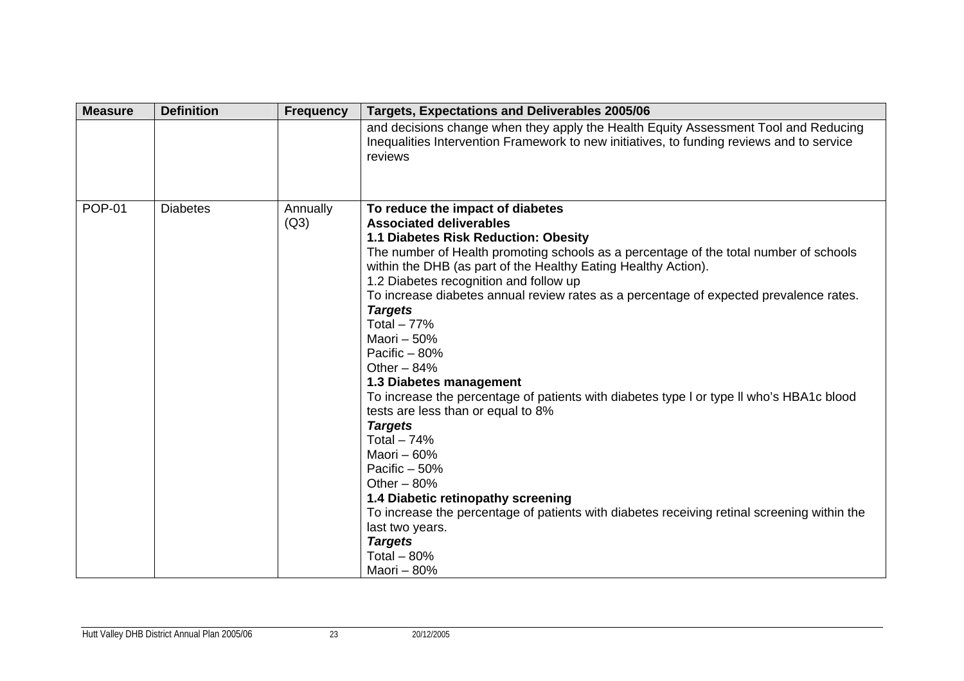| <b>Measure</b> | <b>Definition</b> | <b>Frequency</b> | <b>Targets, Expectations and Deliverables 2005/06</b>                                                                                                                                                                                                                                                                                                                                                                                                                                                                                                                                                                                                                                                                                                                                                                                                                                                                                                   |  |  |  |  |
|----------------|-------------------|------------------|---------------------------------------------------------------------------------------------------------------------------------------------------------------------------------------------------------------------------------------------------------------------------------------------------------------------------------------------------------------------------------------------------------------------------------------------------------------------------------------------------------------------------------------------------------------------------------------------------------------------------------------------------------------------------------------------------------------------------------------------------------------------------------------------------------------------------------------------------------------------------------------------------------------------------------------------------------|--|--|--|--|
|                |                   |                  | and decisions change when they apply the Health Equity Assessment Tool and Reducing<br>Inequalities Intervention Framework to new initiatives, to funding reviews and to service<br>reviews                                                                                                                                                                                                                                                                                                                                                                                                                                                                                                                                                                                                                                                                                                                                                             |  |  |  |  |
| <b>POP-01</b>  | <b>Diabetes</b>   | Annually<br>(Q3) | To reduce the impact of diabetes<br><b>Associated deliverables</b><br>1.1 Diabetes Risk Reduction: Obesity<br>The number of Health promoting schools as a percentage of the total number of schools<br>within the DHB (as part of the Healthy Eating Healthy Action).<br>1.2 Diabetes recognition and follow up<br>To increase diabetes annual review rates as a percentage of expected prevalence rates.<br><b>Targets</b><br>Total $-77%$<br>Maori $-50%$<br>Pacific $-80%$<br>Other $-84%$<br>1.3 Diabetes management<br>To increase the percentage of patients with diabetes type I or type II who's HBA1c blood<br>tests are less than or equal to 8%<br><b>Targets</b><br>Total $-74%$<br>Maori $-60%$<br>Pacific $-50%$<br>Other $-80%$<br>1.4 Diabetic retinopathy screening<br>To increase the percentage of patients with diabetes receiving retinal screening within the<br>last two years.<br><b>Targets</b><br>Total $-80%$<br>Maori - 80% |  |  |  |  |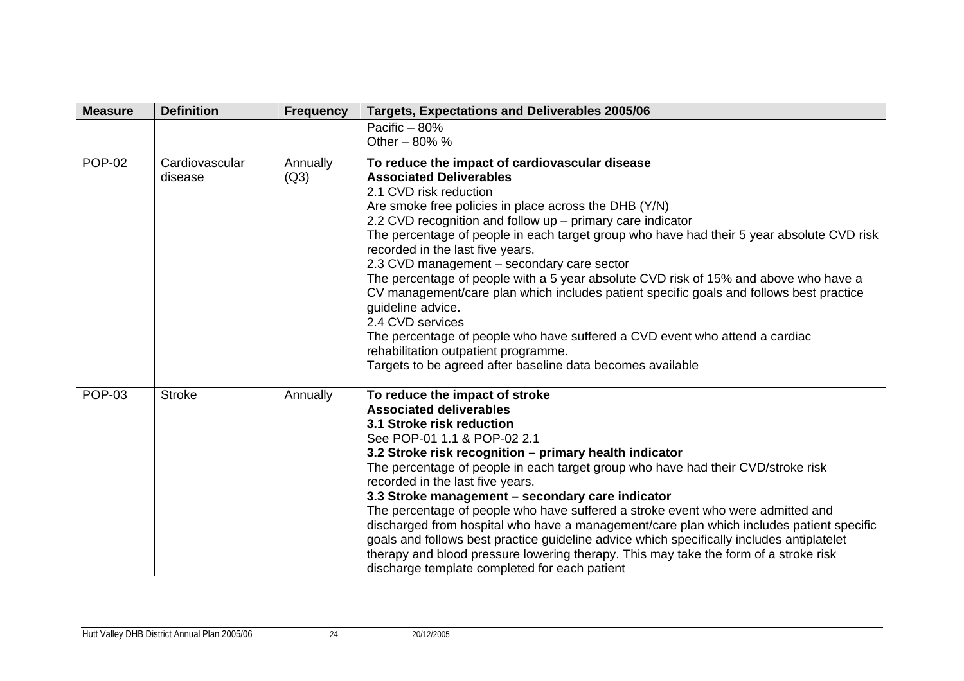| <b>Measure</b> | <b>Definition</b>         | <b>Frequency</b> | <b>Targets, Expectations and Deliverables 2005/06</b>                                                                                                                                                                                                                                                                                                                                                                                                                                                                                                                                                                                                                                                                                                                                                                             |  |  |  |  |  |
|----------------|---------------------------|------------------|-----------------------------------------------------------------------------------------------------------------------------------------------------------------------------------------------------------------------------------------------------------------------------------------------------------------------------------------------------------------------------------------------------------------------------------------------------------------------------------------------------------------------------------------------------------------------------------------------------------------------------------------------------------------------------------------------------------------------------------------------------------------------------------------------------------------------------------|--|--|--|--|--|
|                |                           |                  | Pacific $-80%$<br>Other - 80% %                                                                                                                                                                                                                                                                                                                                                                                                                                                                                                                                                                                                                                                                                                                                                                                                   |  |  |  |  |  |
| <b>POP-02</b>  | Cardiovascular<br>disease | Annually<br>(Q3) | To reduce the impact of cardiovascular disease<br><b>Associated Deliverables</b><br>2.1 CVD risk reduction<br>Are smoke free policies in place across the DHB (Y/N)<br>2.2 CVD recognition and follow up – primary care indicator<br>The percentage of people in each target group who have had their 5 year absolute CVD risk<br>recorded in the last five years.<br>2.3 CVD management - secondary care sector<br>The percentage of people with a 5 year absolute CVD risk of 15% and above who have a<br>CV management/care plan which includes patient specific goals and follows best practice<br>guideline advice.<br>2.4 CVD services<br>The percentage of people who have suffered a CVD event who attend a cardiac<br>rehabilitation outpatient programme.<br>Targets to be agreed after baseline data becomes available |  |  |  |  |  |
| <b>POP-03</b>  | <b>Stroke</b>             | Annually         | To reduce the impact of stroke<br><b>Associated deliverables</b><br>3.1 Stroke risk reduction<br>See POP-01 1.1 & POP-02 2.1<br>3.2 Stroke risk recognition - primary health indicator<br>The percentage of people in each target group who have had their CVD/stroke risk<br>recorded in the last five years.<br>3.3 Stroke management - secondary care indicator<br>The percentage of people who have suffered a stroke event who were admitted and<br>discharged from hospital who have a management/care plan which includes patient specific<br>goals and follows best practice guideline advice which specifically includes antiplatelet<br>therapy and blood pressure lowering therapy. This may take the form of a stroke risk<br>discharge template completed for each patient                                           |  |  |  |  |  |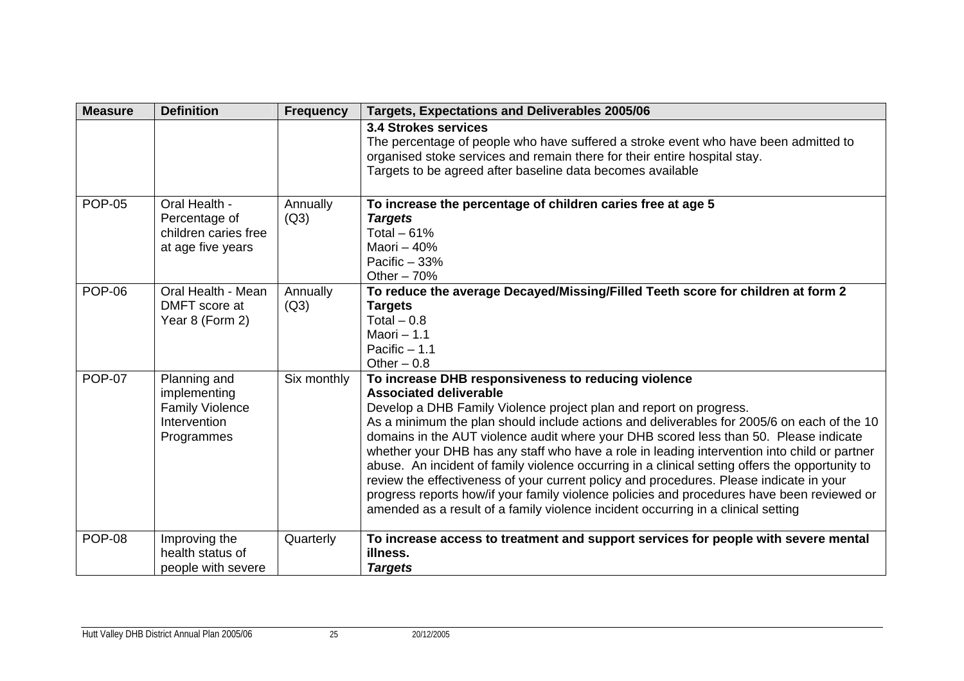| <b>Measure</b> | <b>Definition</b>                                                                    | <b>Frequency</b> | <b>Targets, Expectations and Deliverables 2005/06</b>                                                                                                                                                                                                                                                                                                                                                                                                                                                                                                                                                                                                                                                                                                                                                                              |  |  |  |  |
|----------------|--------------------------------------------------------------------------------------|------------------|------------------------------------------------------------------------------------------------------------------------------------------------------------------------------------------------------------------------------------------------------------------------------------------------------------------------------------------------------------------------------------------------------------------------------------------------------------------------------------------------------------------------------------------------------------------------------------------------------------------------------------------------------------------------------------------------------------------------------------------------------------------------------------------------------------------------------------|--|--|--|--|
|                |                                                                                      |                  | <b>3.4 Strokes services</b><br>The percentage of people who have suffered a stroke event who have been admitted to<br>organised stoke services and remain there for their entire hospital stay.<br>Targets to be agreed after baseline data becomes available                                                                                                                                                                                                                                                                                                                                                                                                                                                                                                                                                                      |  |  |  |  |
| <b>POP-05</b>  | Oral Health -<br>Percentage of<br>children caries free<br>at age five years          | Annually<br>(Q3) | To increase the percentage of children caries free at age 5<br><b>Targets</b><br>Total $-61%$<br>Maori $-40%$<br>Pacific $-33%$<br>Other $-70%$                                                                                                                                                                                                                                                                                                                                                                                                                                                                                                                                                                                                                                                                                    |  |  |  |  |
| <b>POP-06</b>  | Oral Health - Mean<br>DMFT score at<br>Year 8 (Form 2)                               | Annually<br>(Q3) | To reduce the average Decayed/Missing/Filled Teeth score for children at form 2<br><b>Targets</b><br>Total $-0.8$<br>Maori $-1.1$<br>Pacific $-1.1$<br>Other $-0.8$                                                                                                                                                                                                                                                                                                                                                                                                                                                                                                                                                                                                                                                                |  |  |  |  |
| <b>POP-07</b>  | Planning and<br>implementing<br><b>Family Violence</b><br>Intervention<br>Programmes | Six monthly      | To increase DHB responsiveness to reducing violence<br><b>Associated deliverable</b><br>Develop a DHB Family Violence project plan and report on progress.<br>As a minimum the plan should include actions and deliverables for 2005/6 on each of the 10<br>domains in the AUT violence audit where your DHB scored less than 50. Please indicate<br>whether your DHB has any staff who have a role in leading intervention into child or partner<br>abuse. An incident of family violence occurring in a clinical setting offers the opportunity to<br>review the effectiveness of your current policy and procedures. Please indicate in your<br>progress reports how/if your family violence policies and procedures have been reviewed or<br>amended as a result of a family violence incident occurring in a clinical setting |  |  |  |  |
| <b>POP-08</b>  | Improving the<br>health status of<br>people with severe                              | Quarterly        | To increase access to treatment and support services for people with severe mental<br>illness.<br><b>Targets</b>                                                                                                                                                                                                                                                                                                                                                                                                                                                                                                                                                                                                                                                                                                                   |  |  |  |  |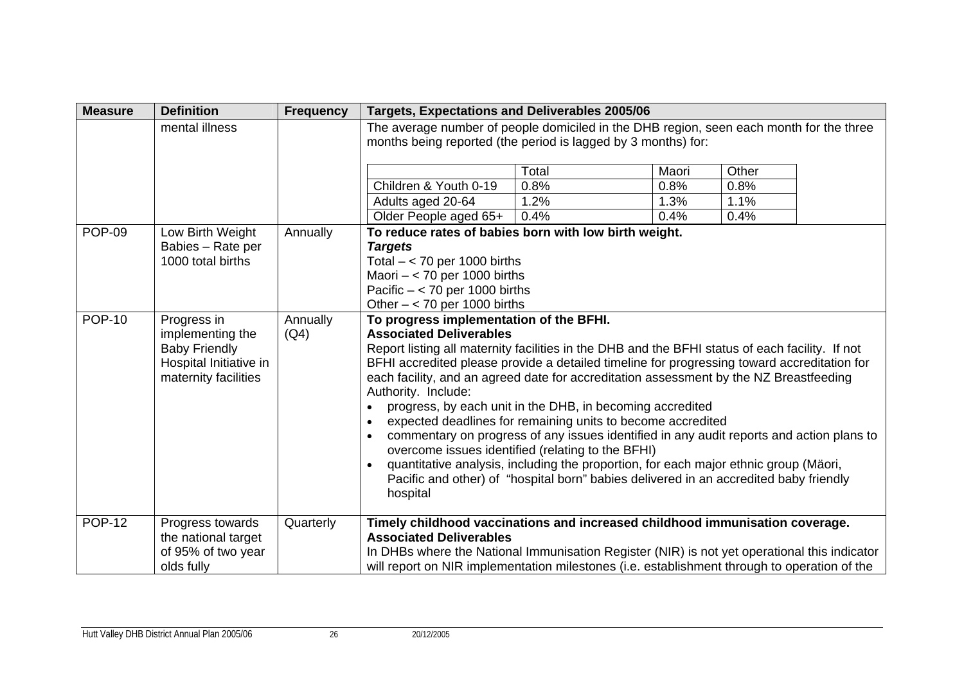| <b>Measure</b> | <b>Definition</b>                                                                                         | <b>Frequency</b> | <b>Targets, Expectations and Deliverables 2005/06</b>                                                                                                                                                                                                                                                                                                                                                                                                                                                                                                                                                                                                                                                                                                                                                                                                                                            |       |       |       |  |  |  |
|----------------|-----------------------------------------------------------------------------------------------------------|------------------|--------------------------------------------------------------------------------------------------------------------------------------------------------------------------------------------------------------------------------------------------------------------------------------------------------------------------------------------------------------------------------------------------------------------------------------------------------------------------------------------------------------------------------------------------------------------------------------------------------------------------------------------------------------------------------------------------------------------------------------------------------------------------------------------------------------------------------------------------------------------------------------------------|-------|-------|-------|--|--|--|
|                | mental illness                                                                                            |                  | The average number of people domiciled in the DHB region, seen each month for the three<br>months being reported (the period is lagged by 3 months) for:                                                                                                                                                                                                                                                                                                                                                                                                                                                                                                                                                                                                                                                                                                                                         |       |       |       |  |  |  |
|                |                                                                                                           |                  |                                                                                                                                                                                                                                                                                                                                                                                                                                                                                                                                                                                                                                                                                                                                                                                                                                                                                                  | Total | Maori | Other |  |  |  |
|                |                                                                                                           |                  | Children & Youth 0-19                                                                                                                                                                                                                                                                                                                                                                                                                                                                                                                                                                                                                                                                                                                                                                                                                                                                            | 0.8%  | 0.8%  | 0.8%  |  |  |  |
|                |                                                                                                           |                  | Adults aged 20-64                                                                                                                                                                                                                                                                                                                                                                                                                                                                                                                                                                                                                                                                                                                                                                                                                                                                                | 1.2%  | 1.3%  | 1.1%  |  |  |  |
|                |                                                                                                           |                  | Older People aged 65+                                                                                                                                                                                                                                                                                                                                                                                                                                                                                                                                                                                                                                                                                                                                                                                                                                                                            | 0.4%  | 0.4%  | 0.4%  |  |  |  |
| <b>POP-09</b>  | Low Birth Weight<br>Babies - Rate per<br>1000 total births                                                | Annually         | To reduce rates of babies born with low birth weight.<br><b>Targets</b><br>Total $-$ < 70 per 1000 births<br>Maori $- < 70$ per 1000 births<br>Pacific $- < 70$ per 1000 births<br>Other $- < 70$ per 1000 births                                                                                                                                                                                                                                                                                                                                                                                                                                                                                                                                                                                                                                                                                |       |       |       |  |  |  |
| <b>POP-10</b>  | Progress in<br>implementing the<br><b>Baby Friendly</b><br>Hospital Initiative in<br>maternity facilities | Annually<br>(Q4) | To progress implementation of the BFHI.<br><b>Associated Deliverables</b><br>Report listing all maternity facilities in the DHB and the BFHI status of each facility. If not<br>BFHI accredited please provide a detailed timeline for progressing toward accreditation for<br>each facility, and an agreed date for accreditation assessment by the NZ Breastfeeding<br>Authority. Include:<br>progress, by each unit in the DHB, in becoming accredited<br>expected deadlines for remaining units to become accredited<br>$\bullet$<br>commentary on progress of any issues identified in any audit reports and action plans to<br>$\bullet$<br>overcome issues identified (relating to the BFHI)<br>quantitative analysis, including the proportion, for each major ethnic group (Mäori,<br>Pacific and other) of "hospital born" babies delivered in an accredited baby friendly<br>hospital |       |       |       |  |  |  |
| <b>POP-12</b>  | Progress towards<br>the national target<br>of 95% of two year<br>olds fully                               | Quarterly        | Timely childhood vaccinations and increased childhood immunisation coverage.<br><b>Associated Deliverables</b><br>In DHBs where the National Immunisation Register (NIR) is not yet operational this indicator<br>will report on NIR implementation milestones (i.e. establishment through to operation of the                                                                                                                                                                                                                                                                                                                                                                                                                                                                                                                                                                                   |       |       |       |  |  |  |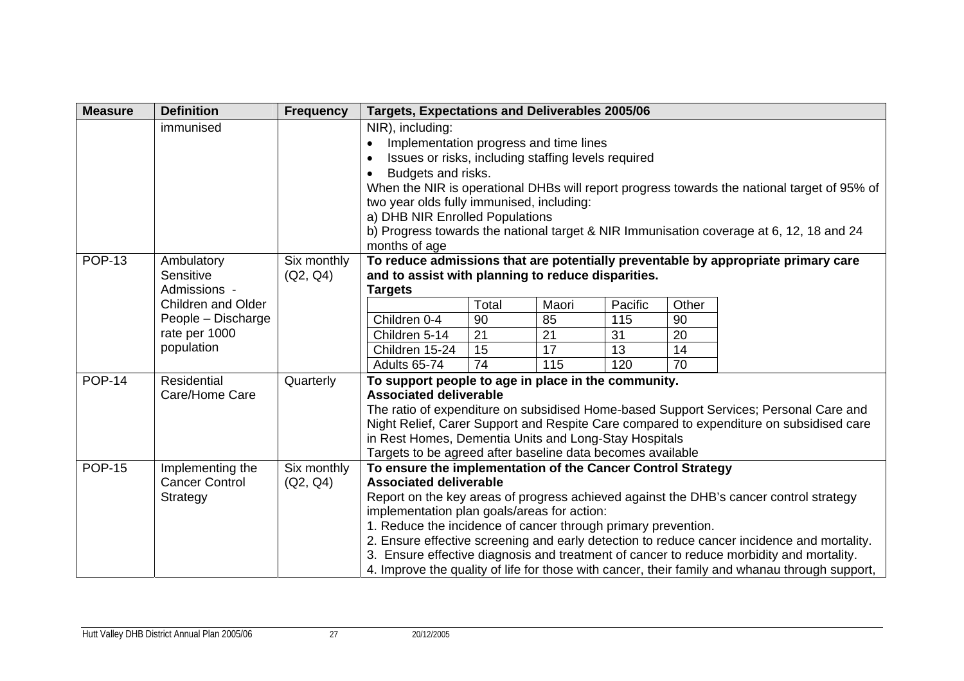| <b>Measure</b> | <b>Definition</b>                                                                                  | <b>Frequency</b> |                                                                                                | <b>Targets, Expectations and Deliverables 2005/06</b> |       |           |       |                                                                                             |  |
|----------------|----------------------------------------------------------------------------------------------------|------------------|------------------------------------------------------------------------------------------------|-------------------------------------------------------|-------|-----------|-------|---------------------------------------------------------------------------------------------|--|
|                | immunised                                                                                          |                  | NIR), including:                                                                               |                                                       |       |           |       |                                                                                             |  |
|                |                                                                                                    |                  | Implementation progress and time lines                                                         |                                                       |       |           |       |                                                                                             |  |
|                |                                                                                                    |                  | Issues or risks, including staffing levels required                                            |                                                       |       |           |       |                                                                                             |  |
|                |                                                                                                    |                  | Budgets and risks.                                                                             |                                                       |       |           |       |                                                                                             |  |
|                |                                                                                                    |                  |                                                                                                |                                                       |       |           |       | When the NIR is operational DHBs will report progress towards the national target of 95% of |  |
|                |                                                                                                    |                  | two year olds fully immunised, including:                                                      |                                                       |       |           |       |                                                                                             |  |
|                |                                                                                                    |                  | a) DHB NIR Enrolled Populations                                                                |                                                       |       |           |       |                                                                                             |  |
|                |                                                                                                    |                  | b) Progress towards the national target & NIR Immunisation coverage at 6, 12, 18 and 24        |                                                       |       |           |       |                                                                                             |  |
|                |                                                                                                    |                  | months of age                                                                                  |                                                       |       |           |       |                                                                                             |  |
| <b>POP-13</b>  | Ambulatory                                                                                         | Six monthly      |                                                                                                |                                                       |       |           |       | To reduce admissions that are potentially preventable by appropriate primary care           |  |
|                | Sensitive                                                                                          | (Q2, Q4)         | and to assist with planning to reduce disparities.                                             |                                                       |       |           |       |                                                                                             |  |
|                | Admissions -<br><b>Children and Older</b>                                                          |                  | <b>Targets</b>                                                                                 | Total                                                 | Maori | Pacific   | Other |                                                                                             |  |
|                | People - Discharge                                                                                 |                  | Children 0-4                                                                                   |                                                       | 85    |           | 90    |                                                                                             |  |
|                | rate per 1000<br>population                                                                        |                  | Children 5-14                                                                                  | 90<br>21                                              | 21    | 115<br>31 | 20    |                                                                                             |  |
|                |                                                                                                    |                  | Children 15-24                                                                                 | 15                                                    | 17    | 13        | 14    |                                                                                             |  |
|                |                                                                                                    |                  | Adults 65-74                                                                                   | 74                                                    | 115   | 120       | 70    |                                                                                             |  |
| <b>POP-14</b>  | <b>Residential</b>                                                                                 | Quarterly        | To support people to age in place in the community.                                            |                                                       |       |           |       |                                                                                             |  |
|                | Care/Home Care                                                                                     |                  | <b>Associated deliverable</b>                                                                  |                                                       |       |           |       |                                                                                             |  |
|                |                                                                                                    |                  | The ratio of expenditure on subsidised Home-based Support Services; Personal Care and          |                                                       |       |           |       |                                                                                             |  |
|                |                                                                                                    |                  | Night Relief, Carer Support and Respite Care compared to expenditure on subsidised care        |                                                       |       |           |       |                                                                                             |  |
|                |                                                                                                    |                  | in Rest Homes, Dementia Units and Long-Stay Hospitals                                          |                                                       |       |           |       |                                                                                             |  |
|                |                                                                                                    |                  | Targets to be agreed after baseline data becomes available                                     |                                                       |       |           |       |                                                                                             |  |
| <b>POP-15</b>  | Implementing the                                                                                   | Six monthly      | To ensure the implementation of the Cancer Control Strategy                                    |                                                       |       |           |       |                                                                                             |  |
|                | <b>Cancer Control</b>                                                                              | (Q2, Q4)         | <b>Associated deliverable</b>                                                                  |                                                       |       |           |       |                                                                                             |  |
|                | Report on the key areas of progress achieved against the DHB's cancer control strategy<br>Strategy |                  |                                                                                                |                                                       |       |           |       |                                                                                             |  |
|                |                                                                                                    |                  | implementation plan goals/areas for action:                                                    |                                                       |       |           |       |                                                                                             |  |
|                |                                                                                                    |                  | 1. Reduce the incidence of cancer through primary prevention.                                  |                                                       |       |           |       |                                                                                             |  |
|                |                                                                                                    |                  |                                                                                                |                                                       |       |           |       | 2. Ensure effective screening and early detection to reduce cancer incidence and mortality. |  |
|                |                                                                                                    |                  | 3. Ensure effective diagnosis and treatment of cancer to reduce morbidity and mortality.       |                                                       |       |           |       |                                                                                             |  |
|                |                                                                                                    |                  | 4. Improve the quality of life for those with cancer, their family and whanau through support, |                                                       |       |           |       |                                                                                             |  |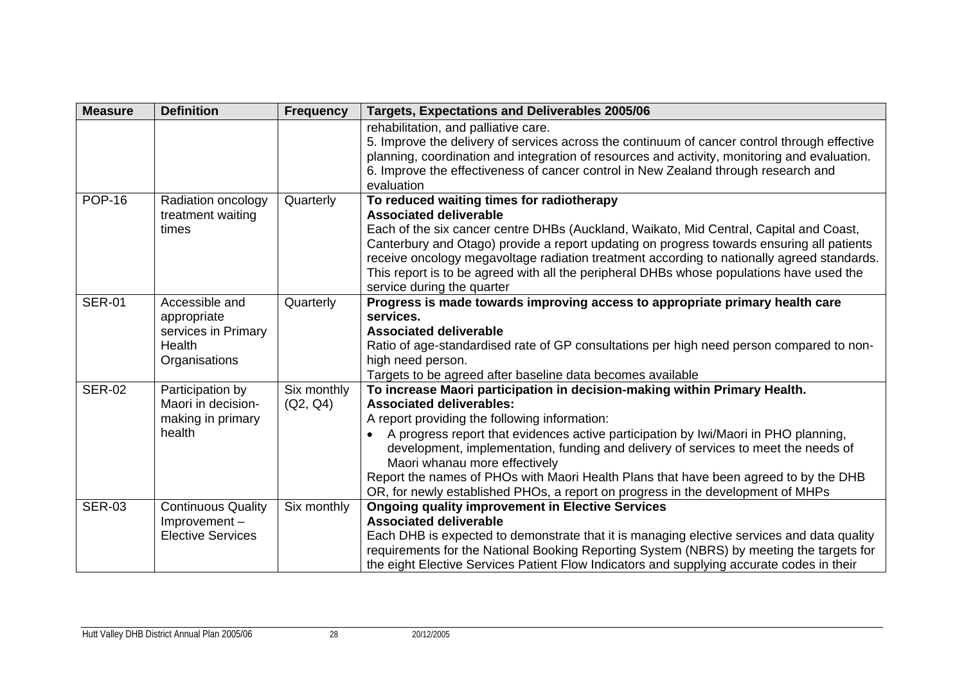| <b>Measure</b> | <b>Definition</b>                                                                      | <b>Frequency</b>        | <b>Targets, Expectations and Deliverables 2005/06</b>                                                                                                                                                                                                                                                                                                                                                                                                                                                                                                  |
|----------------|----------------------------------------------------------------------------------------|-------------------------|--------------------------------------------------------------------------------------------------------------------------------------------------------------------------------------------------------------------------------------------------------------------------------------------------------------------------------------------------------------------------------------------------------------------------------------------------------------------------------------------------------------------------------------------------------|
|                |                                                                                        |                         | rehabilitation, and palliative care.<br>5. Improve the delivery of services across the continuum of cancer control through effective<br>planning, coordination and integration of resources and activity, monitoring and evaluation.<br>6. Improve the effectiveness of cancer control in New Zealand through research and<br>evaluation                                                                                                                                                                                                               |
| <b>POP-16</b>  | Radiation oncology<br>treatment waiting<br>times                                       | Quarterly               | To reduced waiting times for radiotherapy<br><b>Associated deliverable</b><br>Each of the six cancer centre DHBs (Auckland, Waikato, Mid Central, Capital and Coast,<br>Canterbury and Otago) provide a report updating on progress towards ensuring all patients<br>receive oncology megavoltage radiation treatment according to nationally agreed standards.<br>This report is to be agreed with all the peripheral DHBs whose populations have used the<br>service during the quarter                                                              |
| <b>SER-01</b>  | Accessible and<br>appropriate<br>services in Primary<br><b>Health</b><br>Organisations | Quarterly               | Progress is made towards improving access to appropriate primary health care<br>services.<br><b>Associated deliverable</b><br>Ratio of age-standardised rate of GP consultations per high need person compared to non-<br>high need person.<br>Targets to be agreed after baseline data becomes available                                                                                                                                                                                                                                              |
| <b>SER-02</b>  | Participation by<br>Maori in decision-<br>making in primary<br>health                  | Six monthly<br>(Q2, Q4) | To increase Maori participation in decision-making within Primary Health.<br><b>Associated deliverables:</b><br>A report providing the following information:<br>A progress report that evidences active participation by Iwi/Maori in PHO planning,<br>development, implementation, funding and delivery of services to meet the needs of<br>Maori whanau more effectively<br>Report the names of PHOs with Maori Health Plans that have been agreed to by the DHB<br>OR, for newly established PHOs, a report on progress in the development of MHPs |
| <b>SER-03</b>  | <b>Continuous Quality</b><br>Improvement-<br><b>Elective Services</b>                  | Six monthly             | <b>Ongoing quality improvement in Elective Services</b><br><b>Associated deliverable</b><br>Each DHB is expected to demonstrate that it is managing elective services and data quality<br>requirements for the National Booking Reporting System (NBRS) by meeting the targets for<br>the eight Elective Services Patient Flow Indicators and supplying accurate codes in their                                                                                                                                                                        |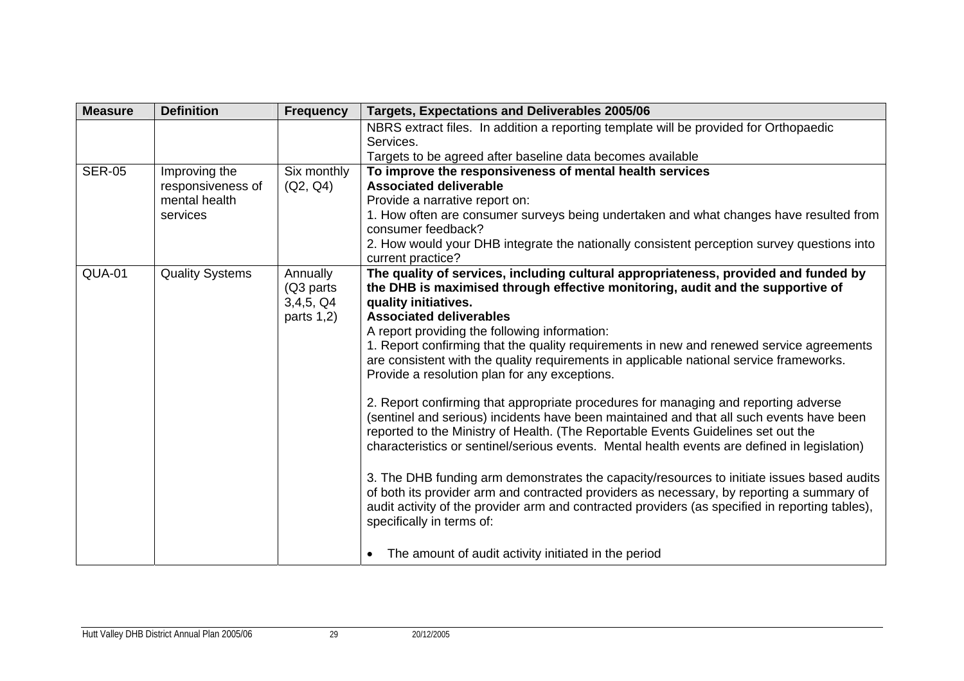| <b>Measure</b> | <b>Definition</b>      | <b>Frequency</b>       | <b>Targets, Expectations and Deliverables 2005/06</b>                                                  |  |  |  |
|----------------|------------------------|------------------------|--------------------------------------------------------------------------------------------------------|--|--|--|
|                |                        |                        | NBRS extract files. In addition a reporting template will be provided for Orthopaedic                  |  |  |  |
|                |                        |                        | Services.                                                                                              |  |  |  |
|                |                        |                        | Targets to be agreed after baseline data becomes available                                             |  |  |  |
| <b>SER-05</b>  | Improving the          | Six monthly            | To improve the responsiveness of mental health services                                                |  |  |  |
|                | responsiveness of      | (Q2, Q4)               | <b>Associated deliverable</b>                                                                          |  |  |  |
|                | mental health          |                        | Provide a narrative report on:                                                                         |  |  |  |
|                | services               |                        | 1. How often are consumer surveys being undertaken and what changes have resulted from                 |  |  |  |
|                |                        |                        | consumer feedback?                                                                                     |  |  |  |
|                |                        |                        | 2. How would your DHB integrate the nationally consistent perception survey questions into             |  |  |  |
|                |                        |                        | current practice?                                                                                      |  |  |  |
| QUA-01         | <b>Quality Systems</b> | Annually               | The quality of services, including cultural appropriateness, provided and funded by                    |  |  |  |
|                |                        | (Q3 parts<br>3,4,5, Q4 | the DHB is maximised through effective monitoring, audit and the supportive of<br>quality initiatives. |  |  |  |
|                |                        | parts $1,2)$           | <b>Associated deliverables</b>                                                                         |  |  |  |
|                |                        |                        | A report providing the following information:                                                          |  |  |  |
|                |                        |                        | 1. Report confirming that the quality requirements in new and renewed service agreements               |  |  |  |
|                |                        |                        | are consistent with the quality requirements in applicable national service frameworks.                |  |  |  |
|                |                        |                        | Provide a resolution plan for any exceptions.                                                          |  |  |  |
|                |                        |                        |                                                                                                        |  |  |  |
|                |                        |                        | 2. Report confirming that appropriate procedures for managing and reporting adverse                    |  |  |  |
|                |                        |                        | (sentinel and serious) incidents have been maintained and that all such events have been               |  |  |  |
|                |                        |                        | reported to the Ministry of Health. (The Reportable Events Guidelines set out the                      |  |  |  |
|                |                        |                        | characteristics or sentinel/serious events. Mental health events are defined in legislation)           |  |  |  |
|                |                        |                        |                                                                                                        |  |  |  |
|                |                        |                        | 3. The DHB funding arm demonstrates the capacity/resources to initiate issues based audits             |  |  |  |
|                |                        |                        | of both its provider arm and contracted providers as necessary, by reporting a summary of              |  |  |  |
|                |                        |                        | audit activity of the provider arm and contracted providers (as specified in reporting tables),        |  |  |  |
|                |                        |                        | specifically in terms of:                                                                              |  |  |  |
|                |                        |                        |                                                                                                        |  |  |  |
|                |                        |                        | The amount of audit activity initiated in the period                                                   |  |  |  |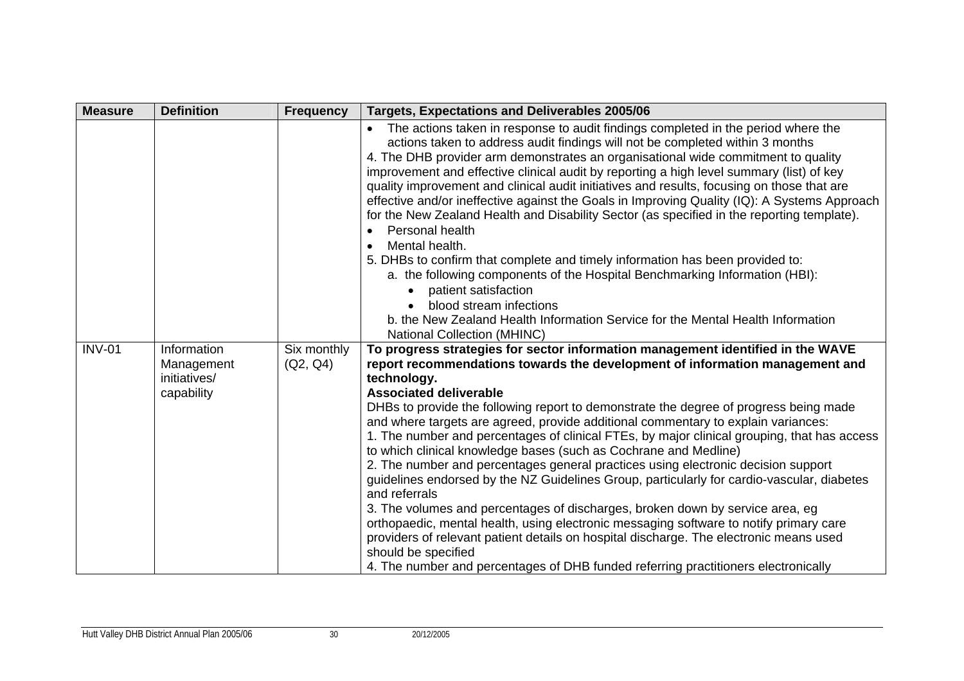| <b>Measure</b> | <b>Definition</b>                                       | <b>Frequency</b>        | <b>Targets, Expectations and Deliverables 2005/06</b>                                                                                                                                                                                                                                                                                                                                                                                                                                                                                                                                                                                                                                                                                                                                                                                                                                                                                                                                                                                                                                                                                                                                        |
|----------------|---------------------------------------------------------|-------------------------|----------------------------------------------------------------------------------------------------------------------------------------------------------------------------------------------------------------------------------------------------------------------------------------------------------------------------------------------------------------------------------------------------------------------------------------------------------------------------------------------------------------------------------------------------------------------------------------------------------------------------------------------------------------------------------------------------------------------------------------------------------------------------------------------------------------------------------------------------------------------------------------------------------------------------------------------------------------------------------------------------------------------------------------------------------------------------------------------------------------------------------------------------------------------------------------------|
|                |                                                         |                         | The actions taken in response to audit findings completed in the period where the<br>$\bullet$<br>actions taken to address audit findings will not be completed within 3 months<br>4. The DHB provider arm demonstrates an organisational wide commitment to quality<br>improvement and effective clinical audit by reporting a high level summary (list) of key<br>quality improvement and clinical audit initiatives and results, focusing on those that are<br>effective and/or ineffective against the Goals in Improving Quality (IQ): A Systems Approach<br>for the New Zealand Health and Disability Sector (as specified in the reporting template).<br>Personal health<br>Mental health.<br>5. DHBs to confirm that complete and timely information has been provided to:<br>a. the following components of the Hospital Benchmarking Information (HBI):<br>patient satisfaction<br>blood stream infections<br>b. the New Zealand Health Information Service for the Mental Health Information                                                                                                                                                                                      |
| <b>INV-01</b>  | Information<br>Management<br>initiatives/<br>capability | Six monthly<br>(Q2, Q4) | <b>National Collection (MHINC)</b><br>To progress strategies for sector information management identified in the WAVE<br>report recommendations towards the development of information management and<br>technology.<br><b>Associated deliverable</b><br>DHBs to provide the following report to demonstrate the degree of progress being made<br>and where targets are agreed, provide additional commentary to explain variances:<br>1. The number and percentages of clinical FTEs, by major clinical grouping, that has access<br>to which clinical knowledge bases (such as Cochrane and Medline)<br>2. The number and percentages general practices using electronic decision support<br>guidelines endorsed by the NZ Guidelines Group, particularly for cardio-vascular, diabetes<br>and referrals<br>3. The volumes and percentages of discharges, broken down by service area, eg<br>orthopaedic, mental health, using electronic messaging software to notify primary care<br>providers of relevant patient details on hospital discharge. The electronic means used<br>should be specified<br>4. The number and percentages of DHB funded referring practitioners electronically |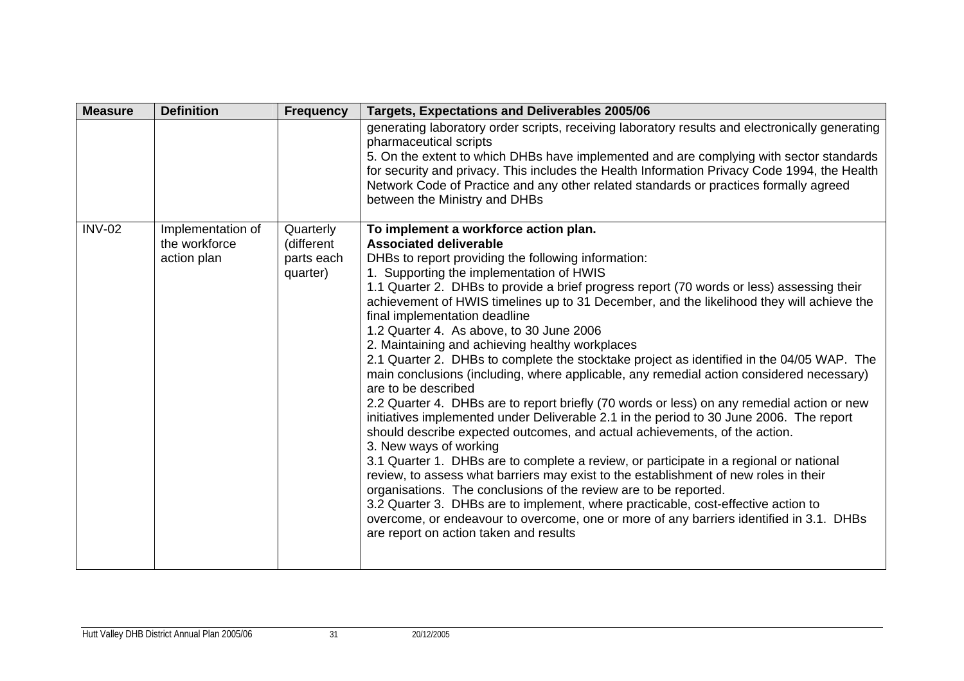| <b>Measure</b> | <b>Definition</b>                                 | <b>Frequency</b>                                  | <b>Targets, Expectations and Deliverables 2005/06</b>                                                                                                                                                                                                                                                                                                                                                                                                                                                                                                                                                                                                                                                                                                                                                                                                                                                                                                                                                                                                                                                                                                                                                                                                                                                                                                                                                                                                                                                |
|----------------|---------------------------------------------------|---------------------------------------------------|------------------------------------------------------------------------------------------------------------------------------------------------------------------------------------------------------------------------------------------------------------------------------------------------------------------------------------------------------------------------------------------------------------------------------------------------------------------------------------------------------------------------------------------------------------------------------------------------------------------------------------------------------------------------------------------------------------------------------------------------------------------------------------------------------------------------------------------------------------------------------------------------------------------------------------------------------------------------------------------------------------------------------------------------------------------------------------------------------------------------------------------------------------------------------------------------------------------------------------------------------------------------------------------------------------------------------------------------------------------------------------------------------------------------------------------------------------------------------------------------------|
|                |                                                   |                                                   | generating laboratory order scripts, receiving laboratory results and electronically generating<br>pharmaceutical scripts<br>5. On the extent to which DHBs have implemented and are complying with sector standards<br>for security and privacy. This includes the Health Information Privacy Code 1994, the Health<br>Network Code of Practice and any other related standards or practices formally agreed<br>between the Ministry and DHBs                                                                                                                                                                                                                                                                                                                                                                                                                                                                                                                                                                                                                                                                                                                                                                                                                                                                                                                                                                                                                                                       |
| <b>INV-02</b>  | Implementation of<br>the workforce<br>action plan | Quarterly<br>(different<br>parts each<br>quarter) | To implement a workforce action plan.<br><b>Associated deliverable</b><br>DHBs to report providing the following information:<br>1. Supporting the implementation of HWIS<br>1.1 Quarter 2. DHBs to provide a brief progress report (70 words or less) assessing their<br>achievement of HWIS timelines up to 31 December, and the likelihood they will achieve the<br>final implementation deadline<br>1.2 Quarter 4. As above, to 30 June 2006<br>2. Maintaining and achieving healthy workplaces<br>2.1 Quarter 2. DHBs to complete the stocktake project as identified in the 04/05 WAP. The<br>main conclusions (including, where applicable, any remedial action considered necessary)<br>are to be described<br>2.2 Quarter 4. DHBs are to report briefly (70 words or less) on any remedial action or new<br>initiatives implemented under Deliverable 2.1 in the period to 30 June 2006. The report<br>should describe expected outcomes, and actual achievements, of the action.<br>3. New ways of working<br>3.1 Quarter 1. DHBs are to complete a review, or participate in a regional or national<br>review, to assess what barriers may exist to the establishment of new roles in their<br>organisations. The conclusions of the review are to be reported.<br>3.2 Quarter 3. DHBs are to implement, where practicable, cost-effective action to<br>overcome, or endeavour to overcome, one or more of any barriers identified in 3.1. DHBs<br>are report on action taken and results |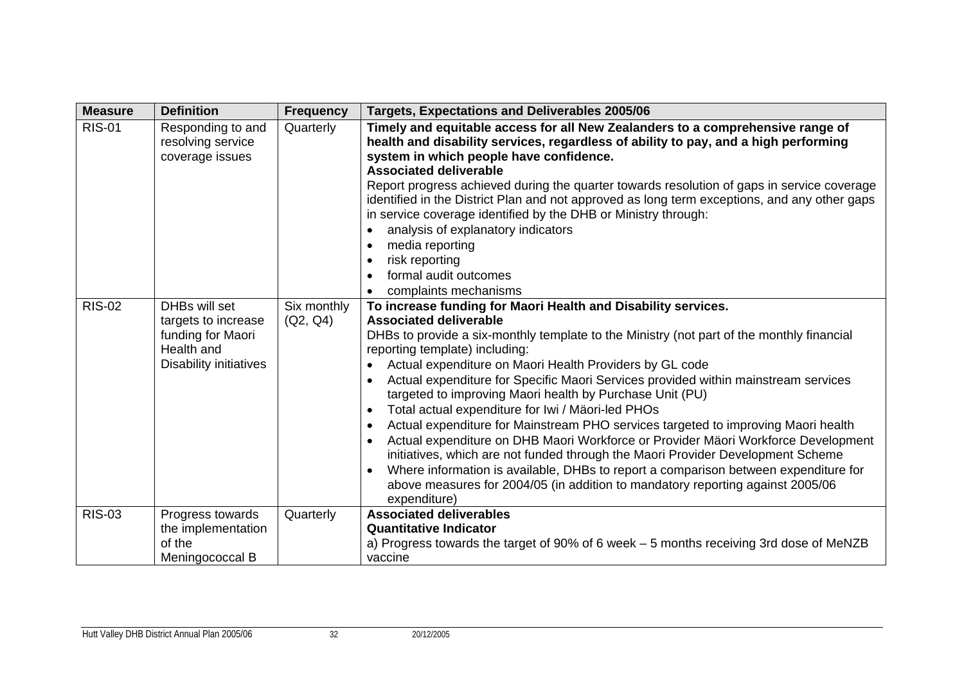| <b>Measure</b> | <b>Definition</b>                                                                                 | <b>Frequency</b>        | <b>Targets, Expectations and Deliverables 2005/06</b>                                                                                                                                                                                                                                                                                                                                                                                                                                                                                                                                                                                                                                                                                                                                                                                                                                                                                                                                                                               |
|----------------|---------------------------------------------------------------------------------------------------|-------------------------|-------------------------------------------------------------------------------------------------------------------------------------------------------------------------------------------------------------------------------------------------------------------------------------------------------------------------------------------------------------------------------------------------------------------------------------------------------------------------------------------------------------------------------------------------------------------------------------------------------------------------------------------------------------------------------------------------------------------------------------------------------------------------------------------------------------------------------------------------------------------------------------------------------------------------------------------------------------------------------------------------------------------------------------|
| <b>RIS-01</b>  | Responding to and<br>resolving service<br>coverage issues                                         | Quarterly               | Timely and equitable access for all New Zealanders to a comprehensive range of<br>health and disability services, regardless of ability to pay, and a high performing<br>system in which people have confidence.<br><b>Associated deliverable</b><br>Report progress achieved during the quarter towards resolution of gaps in service coverage<br>identified in the District Plan and not approved as long term exceptions, and any other gaps<br>in service coverage identified by the DHB or Ministry through:<br>analysis of explanatory indicators<br>$\bullet$<br>media reporting<br>risk reporting<br>$\bullet$<br>formal audit outcomes<br>complaints mechanisms                                                                                                                                                                                                                                                                                                                                                            |
| <b>RIS-02</b>  | DHBs will set<br>targets to increase<br>funding for Maori<br>Health and<br>Disability initiatives | Six monthly<br>(Q2, Q4) | To increase funding for Maori Health and Disability services.<br><b>Associated deliverable</b><br>DHBs to provide a six-monthly template to the Ministry (not part of the monthly financial<br>reporting template) including:<br>Actual expenditure on Maori Health Providers by GL code<br>$\bullet$<br>Actual expenditure for Specific Maori Services provided within mainstream services<br>$\bullet$<br>targeted to improving Maori health by Purchase Unit (PU)<br>Total actual expenditure for Iwi / Mäori-led PHOs<br>$\bullet$<br>Actual expenditure for Mainstream PHO services targeted to improving Maori health<br>$\bullet$<br>Actual expenditure on DHB Maori Workforce or Provider Mäori Workforce Development<br>$\bullet$<br>initiatives, which are not funded through the Maori Provider Development Scheme<br>Where information is available, DHBs to report a comparison between expenditure for<br>$\bullet$<br>above measures for 2004/05 (in addition to mandatory reporting against 2005/06<br>expenditure) |
| <b>RIS-03</b>  | Progress towards<br>the implementation<br>of the<br>Meningococcal B                               | Quarterly               | <b>Associated deliverables</b><br><b>Quantitative Indicator</b><br>a) Progress towards the target of 90% of 6 week - 5 months receiving 3rd dose of MeNZB<br>vaccine                                                                                                                                                                                                                                                                                                                                                                                                                                                                                                                                                                                                                                                                                                                                                                                                                                                                |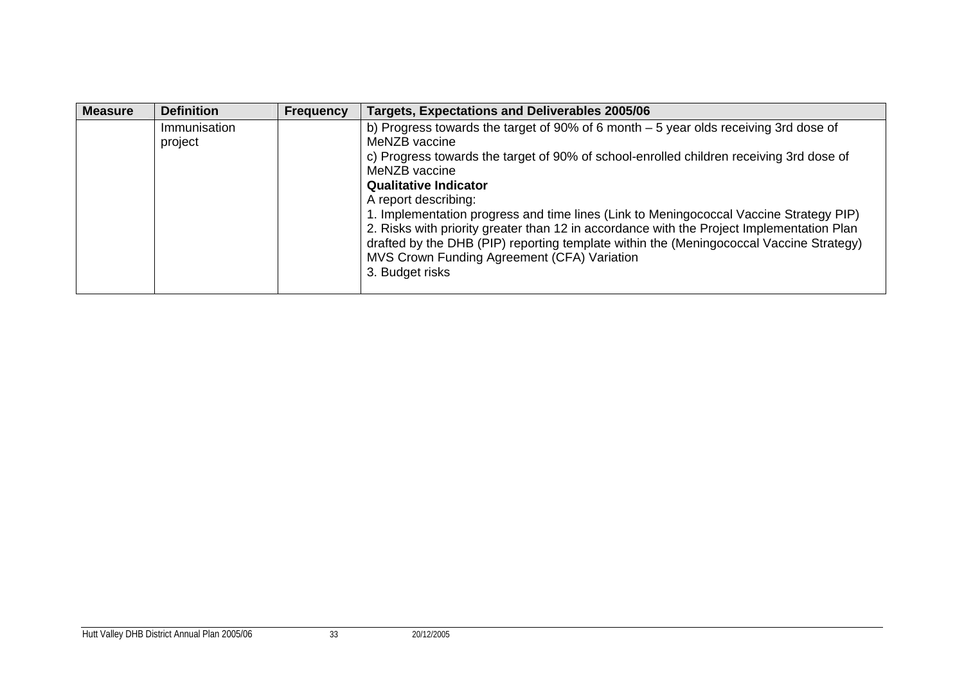| <b>Measure</b> | <b>Definition</b>       | Frequency | Targets, Expectations and Deliverables 2005/06                                                                                                                                                                                                                                                                                                                                                                                                                                                                                                                                                                                |
|----------------|-------------------------|-----------|-------------------------------------------------------------------------------------------------------------------------------------------------------------------------------------------------------------------------------------------------------------------------------------------------------------------------------------------------------------------------------------------------------------------------------------------------------------------------------------------------------------------------------------------------------------------------------------------------------------------------------|
|                | Immunisation<br>project |           | b) Progress towards the target of 90% of 6 month – 5 year olds receiving 3rd dose of<br>MeNZB vaccine<br>c) Progress towards the target of 90% of school-enrolled children receiving 3rd dose of<br>MeNZB vaccine<br><b>Qualitative Indicator</b><br>A report describing:<br>1. Implementation progress and time lines (Link to Meningococcal Vaccine Strategy PIP)<br>2. Risks with priority greater than 12 in accordance with the Project Implementation Plan<br>drafted by the DHB (PIP) reporting template within the (Meningococcal Vaccine Strategy)<br>MVS Crown Funding Agreement (CFA) Variation<br>3. Budget risks |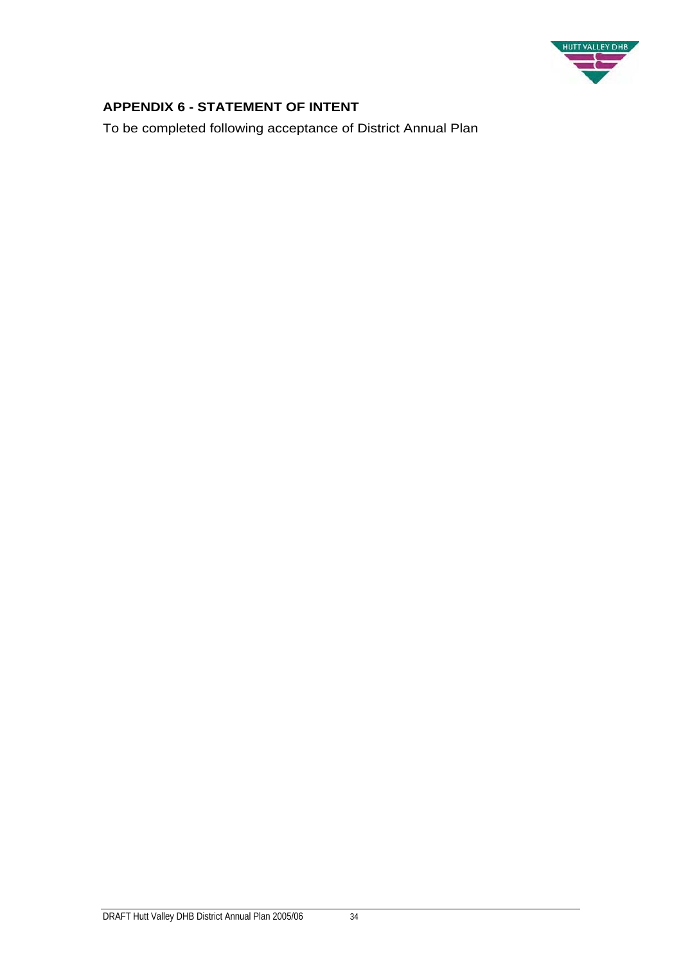

## **APPENDIX 6 - STATEMENT OF INTENT**

To be completed following acceptance of District Annual Plan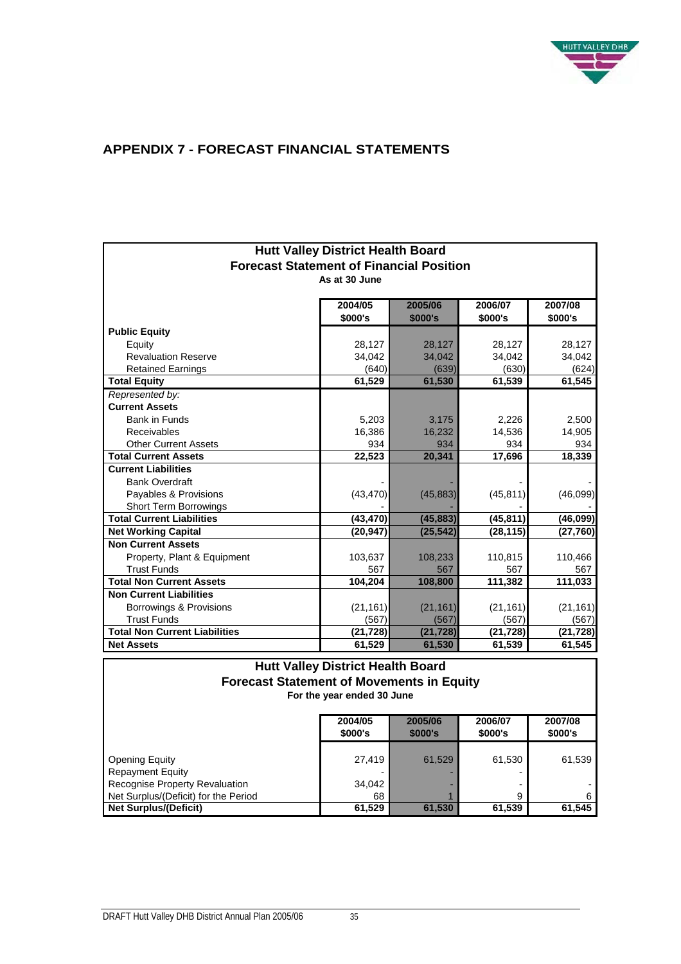

### **APPENDIX 7 - FORECAST FINANCIAL STATEMENTS**

| <b>Hutt Valley District Health Board</b>        |               |           |           |           |  |
|-------------------------------------------------|---------------|-----------|-----------|-----------|--|
| <b>Forecast Statement of Financial Position</b> |               |           |           |           |  |
|                                                 | As at 30 June |           |           |           |  |
|                                                 |               |           |           |           |  |
|                                                 | 2004/05       | 2005/06   | 2006/07   | 2007/08   |  |
|                                                 | \$000's       | \$000's   | \$000's   | \$000's   |  |
| <b>Public Equity</b>                            |               |           |           |           |  |
| Equity                                          | 28,127        | 28,127    | 28,127    | 28,127    |  |
| <b>Revaluation Reserve</b>                      | 34,042        | 34,042    | 34,042    | 34,042    |  |
| <b>Retained Earnings</b>                        | (640)         | (639)     | (630)     | (624)     |  |
| <b>Total Equity</b>                             | 61,529        | 61,530    | 61,539    | 61,545    |  |
| Represented by:                                 |               |           |           |           |  |
| <b>Current Assets</b>                           |               |           |           |           |  |
| <b>Bank in Funds</b>                            | 5,203         | 3,175     | 2,226     | 2,500     |  |
| Receivables                                     | 16,386        | 16,232    | 14,536    | 14,905    |  |
| <b>Other Current Assets</b>                     | 934           | 934       | 934       | 934       |  |
| <b>Total Current Assets</b>                     | 22,523        | 20,341    | 17,696    | 18,339    |  |
| <b>Current Liabilities</b>                      |               |           |           |           |  |
| <b>Bank Overdraft</b>                           |               |           |           |           |  |
| Payables & Provisions                           | (43, 470)     | (45, 883) | (45, 811) | (46,099)  |  |
| <b>Short Term Borrowings</b>                    |               |           |           |           |  |
| <b>Total Current Liabilities</b>                | (43, 470)     | (45, 883) | (45, 811) | (46,099)  |  |
| <b>Net Working Capital</b>                      | (20, 947)     | (25, 542) | (28, 115) | (27, 760) |  |
| <b>Non Current Assets</b>                       |               |           |           |           |  |
| Property, Plant & Equipment                     | 103,637       | 108,233   | 110,815   | 110,466   |  |
| <b>Trust Funds</b>                              | 567           | 567       | 567       | 567       |  |
| <b>Total Non Current Assets</b>                 | 104,204       | 108,800   | 111,382   | 111,033   |  |
| <b>Non Current Liabilities</b>                  |               |           |           |           |  |
| Borrowings & Provisions                         | (21, 161)     | (21, 161) | (21, 161) | (21, 161) |  |
| <b>Trust Funds</b>                              | (567)         | (567)     | (567)     | (567)     |  |
| <b>Total Non Current Liabilities</b>            | (21, 728)     | (21, 728) | (21,728)  | (21, 728) |  |
| <b>Net Assets</b>                               | 61,529        | 61,530    | 61,539    | 61,545    |  |

#### **Hutt Valley District Health Board Forecast Statement of Movements in Equity For the year ended 30 June**

|                                       | 2004/05<br>\$000's | 2005/06<br>\$000's | 2006/07<br>\$000's | 2007/08<br>\$000's |
|---------------------------------------|--------------------|--------------------|--------------------|--------------------|
| <b>Opening Equity</b>                 | 27,419             | 61.529             | 61.530             | 61,539             |
| <b>Repayment Equity</b>               |                    |                    |                    |                    |
| <b>Recognise Property Revaluation</b> | 34,042             |                    |                    |                    |
| Net Surplus/(Deficit) for the Period  | 68                 |                    | 9                  | 6                  |
| <b>Net Surplus/(Deficit)</b>          | 61,529             | 61,530             | 61,539             | 61.545             |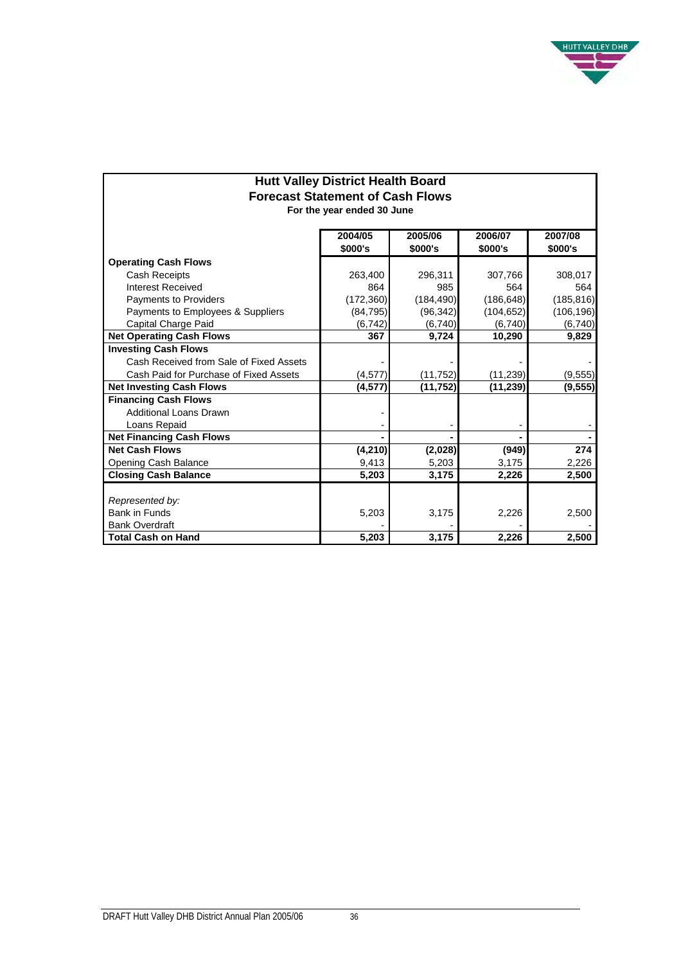

#### **Hutt Valley District Health Board Forecast Statement of Cash Flows For the year ended 30 June**

|                                         | 2004/05    | 2005/06    | 2006/07    | 2007/08    |
|-----------------------------------------|------------|------------|------------|------------|
|                                         | \$000's    | \$000's    | \$000's    | \$000's    |
| <b>Operating Cash Flows</b>             |            |            |            |            |
| <b>Cash Receipts</b>                    | 263,400    | 296,311    | 307,766    | 308,017    |
| <b>Interest Received</b>                | 864        | 985        | 564        | 564        |
| Payments to Providers                   | (172, 360) | (184, 490) | (186, 648) | (185, 816) |
| Payments to Employees & Suppliers       | (84, 795)  | (96, 342)  | (104, 652) | (106, 196) |
| Capital Charge Paid                     | (6, 742)   | (6, 740)   | (6,740)    | (6,740)    |
| <b>Net Operating Cash Flows</b>         | 367        | 9,724      | 10,290     | 9,829      |
| <b>Investing Cash Flows</b>             |            |            |            |            |
| Cash Received from Sale of Fixed Assets |            |            |            |            |
| Cash Paid for Purchase of Fixed Assets  | (4, 577)   | (11, 752)  | (11, 239)  | (9, 555)   |
| <b>Net Investing Cash Flows</b>         | (4,577)    | (11, 752)  | (11,239)   | (9, 555)   |
| <b>Financing Cash Flows</b>             |            |            |            |            |
| <b>Additional Loans Drawn</b>           |            |            |            |            |
| Loans Repaid                            |            |            |            |            |
| <b>Net Financing Cash Flows</b>         |            |            |            |            |
| <b>Net Cash Flows</b>                   | (4, 210)   | (2,028)    | (949)      | 274        |
| Opening Cash Balance                    | 9,413      | 5,203      | 3,175      | 2,226      |
| <b>Closing Cash Balance</b>             | 5,203      | 3,175      | 2,226      | 2,500      |
|                                         |            |            |            |            |
| Represented by:                         |            |            |            |            |
| <b>Bank in Funds</b>                    | 5,203      | 3,175      | 2,226      | 2,500      |
| <b>Bank Overdraft</b>                   |            |            |            |            |
| <b>Total Cash on Hand</b>               | 5,203      | 3,175      | 2,226      | 2,500      |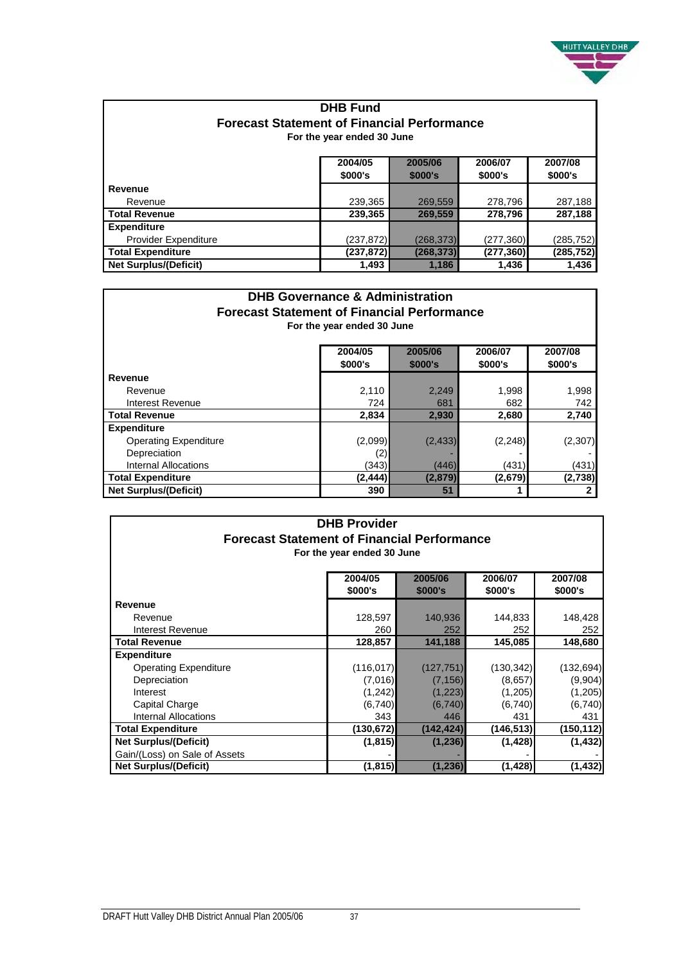

| <b>DHB Fund</b>                                    |
|----------------------------------------------------|
| <b>Forecast Statement of Financial Performance</b> |
| For the year ended 30 June                         |

|                              | 2004/05    | 2005/06    | 2006/07    | 2007/08    |
|------------------------------|------------|------------|------------|------------|
|                              | \$000's    | \$000's    | \$000's    | \$000's    |
| Revenue                      |            |            |            |            |
| Revenue                      | 239,365    | 269,559    | 278.796    | 287,188    |
| <b>Total Revenue</b>         | 239,365    | 269,559    | 278,796    | 287,188    |
| <b>Expenditure</b>           |            |            |            |            |
| <b>Provider Expenditure</b>  | (237, 872) | (268, 373) | (277, 360) | (285, 752) |
| <b>Total Expenditure</b>     | (237, 872) | (268, 373) | (277, 360) | (285,752)  |
| <b>Net Surplus/(Deficit)</b> | 1,493      | 1.186      | 1,436      | 1.436      |

| <b>DHB Governance &amp; Administration</b><br><b>Forecast Statement of Financial Performance</b><br>For the year ended 30 June |         |          |          |         |  |
|--------------------------------------------------------------------------------------------------------------------------------|---------|----------|----------|---------|--|
|                                                                                                                                | 2004/05 | 2005/06  | 2006/07  | 2007/08 |  |
|                                                                                                                                | \$000's | \$000's  | \$000's  | \$000's |  |
| Revenue                                                                                                                        |         |          |          |         |  |
| Revenue                                                                                                                        | 2,110   | 2,249    | 1.998    | 1,998   |  |
| Interest Revenue                                                                                                               | 724     | 681      | 682      | 742     |  |
| <b>Total Revenue</b>                                                                                                           | 2,834   | 2,930    | 2,680    | 2,740   |  |
| <b>Expenditure</b>                                                                                                             |         |          |          |         |  |
| <b>Operating Expenditure</b>                                                                                                   | (2,099) | (2, 433) | (2, 248) | (2,307) |  |
| Depreciation                                                                                                                   | (2)     |          |          |         |  |
| <b>Internal Allocations</b>                                                                                                    | (343)   | (446)    | (431)    | (431)   |  |
| (2,679)<br><b>Total Expenditure</b><br>(2, 444)<br>(2,879)<br>(2,738)                                                          |         |          |          |         |  |
| <b>Net Surplus/(Deficit)</b>                                                                                                   | 390     | 51       |          |         |  |

| <b>DHB Provider</b><br><b>Forecast Statement of Financial Performance</b><br>For the year ended 30 June |                    |                    |                    |                    |  |
|---------------------------------------------------------------------------------------------------------|--------------------|--------------------|--------------------|--------------------|--|
|                                                                                                         | 2004/05<br>\$000's | 2005/06<br>\$000's | 2006/07<br>\$000's | 2007/08<br>\$000's |  |
| Revenue                                                                                                 |                    |                    |                    |                    |  |
| Revenue                                                                                                 | 128,597            | 140,936            | 144,833            | 148,428            |  |
| Interest Revenue                                                                                        | 260                | 252                | 252                | 252                |  |
| <b>Total Revenue</b>                                                                                    | 128,857            | 141,188            | 145,085            | 148,680            |  |
| <b>Expenditure</b>                                                                                      |                    |                    |                    |                    |  |
| <b>Operating Expenditure</b>                                                                            | (116, 017)         | (127, 751)         | (130, 342)         | (132, 694)         |  |
| Depreciation                                                                                            | (7,016)            | (7, 156)           | (8,657)            | (9,904)            |  |
| Interest                                                                                                | (1,242)            | (1,223)            | (1,205)            | (1,205)            |  |
| Capital Charge                                                                                          | (6,740)            | (6,740)            | (6,740)            | (6,740)            |  |
| <b>Internal Allocations</b>                                                                             | 343                | 446                | 431                | 431                |  |
| <b>Total Expenditure</b>                                                                                | (130, 672)         | (142, 424)         | (146, 513)         | (150, 112)         |  |
| <b>Net Surplus/(Deficit)</b>                                                                            | (1, 815)           | (1, 236)           | (1, 428)           | (1, 432)           |  |
| Gain/(Loss) on Sale of Assets                                                                           |                    |                    |                    |                    |  |
| <b>Net Surplus/(Deficit)</b>                                                                            | (1, 815)           | (1, 236)           | (1, 428)           | (1, 432)           |  |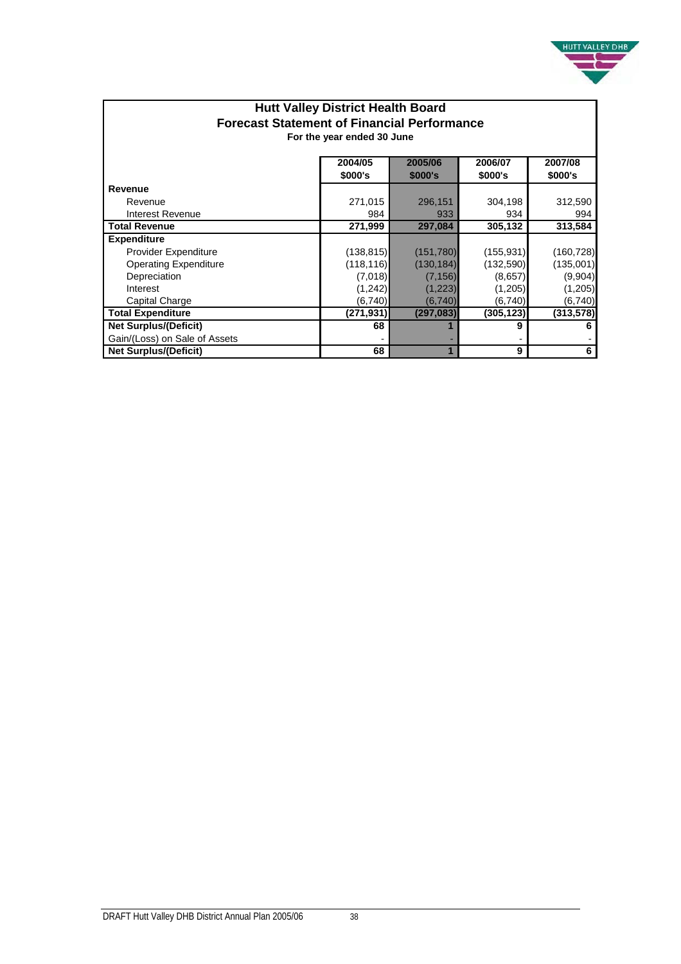

#### **Hutt Valley District Health Board Forecast Statement of Financial Performance For the year ended 30 June**

|                               | 2004/05<br>\$000's | 2005/06<br>\$000's | 2006/07<br>\$000's | 2007/08<br>\$000's |
|-------------------------------|--------------------|--------------------|--------------------|--------------------|
| Revenue                       |                    |                    |                    |                    |
| Revenue                       | 271,015            | 296,151            | 304,198            | 312,590            |
| Interest Revenue              | 984                | 933                | 934                | 994                |
| <b>Total Revenue</b>          | 271,999            | 297,084            | 305,132            | 313,584            |
| <b>Expenditure</b>            |                    |                    |                    |                    |
| <b>Provider Expenditure</b>   | (138, 815)         | (151, 780)         | (155, 931)         | (160, 728)         |
| <b>Operating Expenditure</b>  | (118, 116)         | (130, 184)         | (132, 590)         | (135,001)          |
| Depreciation                  | (7,018)            | (7, 156)           | (8,657)            | (9,904)            |
| Interest                      | (1,242)            | (1,223)            | (1,205)            | (1,205)            |
| Capital Charge                | (6,740)            | (6,740)            | (6,740)            | (6, 740)           |
| <b>Total Expenditure</b>      | (271, 931)         | (297, 083)         | (305, 123)         | (313, 578)         |
| <b>Net Surplus/(Deficit)</b>  | 68                 |                    | 9                  | 6                  |
| Gain/(Loss) on Sale of Assets |                    |                    |                    |                    |
| <b>Net Surplus/(Deficit)</b>  | 68                 | и                  | 9                  | 6                  |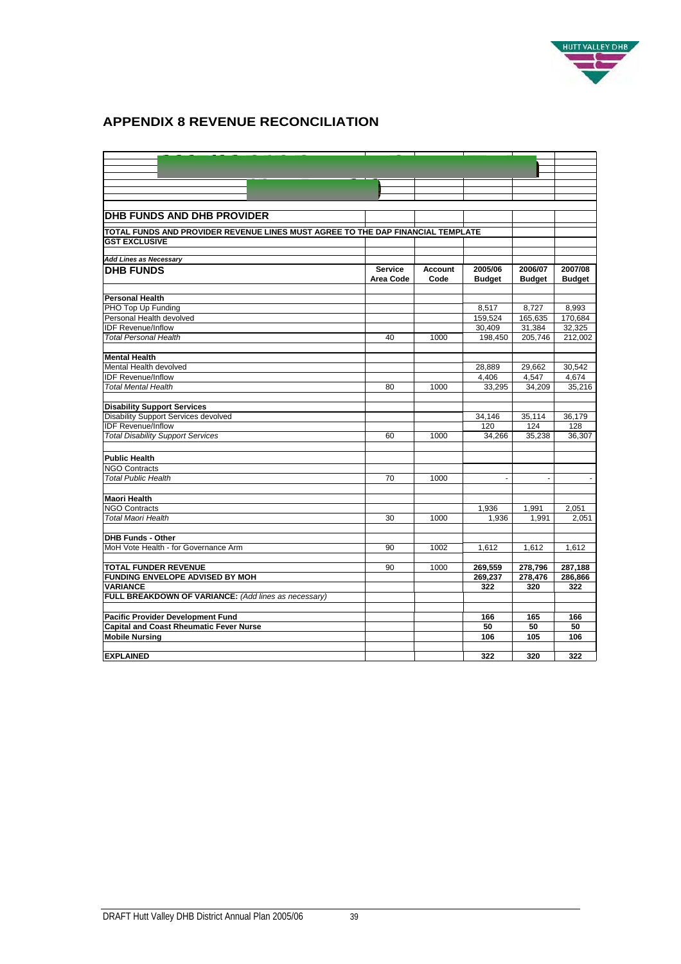

## **APPENDIX 8 REVENUE RECONCILIATION**

| DHB FUNDS AND DHB PROVIDER                                                      |                |                |               |         |               |
|---------------------------------------------------------------------------------|----------------|----------------|---------------|---------|---------------|
| TOTAL FUNDS AND PROVIDER REVENUE LINES MUST AGREE TO THE DAP FINANCIAL TEMPLATE |                |                |               |         |               |
| <b>GST EXCLUSIVE</b>                                                            |                |                |               |         |               |
|                                                                                 |                |                |               |         |               |
| <b>Add Lines as Necessary</b>                                                   |                |                |               |         |               |
| <b>IDHB FUNDS</b>                                                               | <b>Service</b> | <b>Account</b> | 2005/06       | 2006/07 | 2007/08       |
|                                                                                 | Area Code      | Code           | <b>Budget</b> | Budget  | <b>Budget</b> |
|                                                                                 |                |                |               |         |               |
| <b>Personal Health</b>                                                          |                |                |               |         |               |
| PHO Top Up Funding                                                              |                |                | 8,517         | 8,727   | 8,993         |
| Personal Health devolved                                                        |                |                | 159.524       | 165,635 | 170,684       |
| <b>IDF Revenue/Inflow</b>                                                       |                |                | 30,409        | 31,384  | 32,325        |
| <b>Total Personal Health</b>                                                    | 40             | 1000           | 198,450       | 205,746 | 212,002       |
|                                                                                 |                |                |               |         |               |
|                                                                                 |                |                |               |         |               |
| <b>Mental Health</b>                                                            |                |                |               |         |               |
| Mental Health devolved                                                          |                |                | 28,889        | 29,662  | 30,542        |
| <b>IDF Revenue/Inflow</b>                                                       |                |                | 4,406         | 4,547   | 4,674         |
| <b>Total Mental Health</b>                                                      | 80             | 1000           | 33.295        | 34,209  | 35,216        |
|                                                                                 |                |                |               |         |               |
| <b>Disability Support Services</b>                                              |                |                |               |         |               |
| Disability Support Services devolved                                            |                |                | 34,146        | 35,114  | 36,179        |
| <b>IDF Revenue/Inflow</b>                                                       |                |                | 120           | 124     | 128           |
| <b>Total Disability Support Services</b>                                        | 60             | 1000           | 34.266        | 35,238  | 36,307        |
|                                                                                 |                |                |               |         |               |
| <b>Public Health</b>                                                            |                |                |               |         |               |
| <b>NGO Contracts</b>                                                            |                |                |               |         |               |
| <b>Total Public Health</b>                                                      | 70             | 1000           |               |         |               |
|                                                                                 |                |                |               |         |               |
| <b>Maori Health</b>                                                             |                |                |               |         |               |
| <b>NGO Contracts</b>                                                            |                |                | 1,936         | 1,991   | 2,051         |
| <b>Total Maori Health</b>                                                       | 30             | 1000           | 1,936         | 1,991   | 2,051         |
|                                                                                 |                |                |               |         |               |
| <b>DHB Funds - Other</b>                                                        |                |                |               |         |               |
| MoH Vote Health - for Governance Arm                                            | 90             | 1002           | 1.612         | 1.612   | 1,612         |
|                                                                                 |                |                |               |         |               |
| <b>TOTAL FUNDER REVENUE</b>                                                     | 90             | 1000           | 269,559       | 278,796 | 287,188       |
| FUNDING ENVELOPE ADVISED BY MOH                                                 |                |                | 269,237       | 278,476 | 286,866       |
| <b>VARIANCE</b>                                                                 |                |                | 322           | 320     | 322           |
| FULL BREAKDOWN OF VARIANCE: (Add lines as necessary)                            |                |                |               |         |               |
|                                                                                 |                |                |               |         |               |
| <b>Pacific Provider Development Fund</b>                                        |                |                | 166           | 165     | 166           |
|                                                                                 |                |                | 50            |         | 50            |
| <b>Capital and Coast Rheumatic Fever Nurse</b>                                  |                |                |               | 50      |               |
| <b>Mobile Nursing</b>                                                           |                |                | 106           | 105     | 106           |
|                                                                                 |                |                |               |         |               |
| <b>EXPLAINED</b>                                                                |                |                | 322           | 320     | 322           |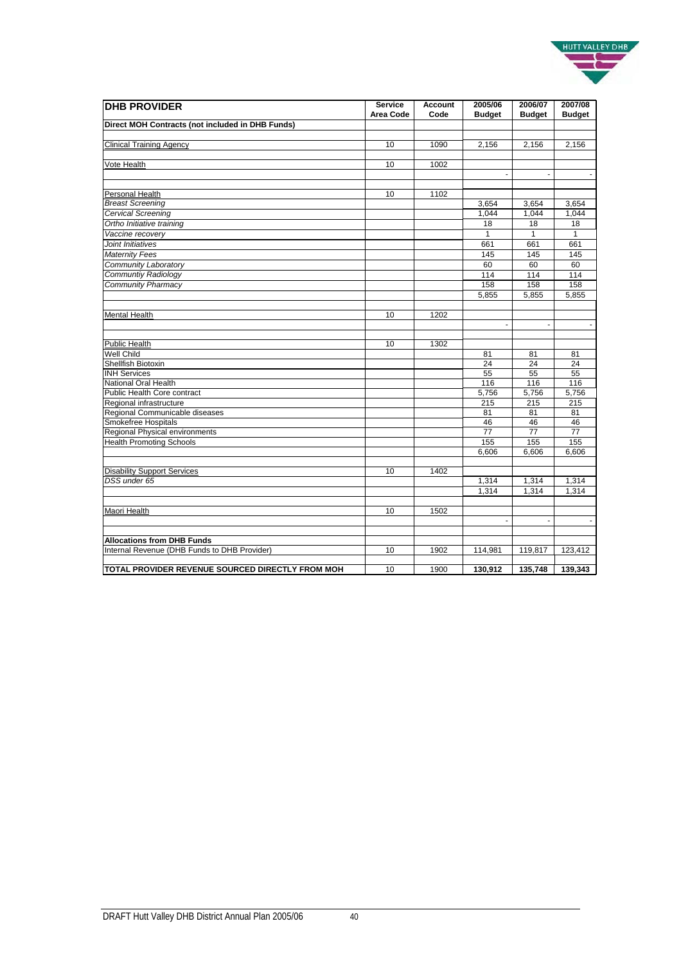

| <b>DHB PROVIDER</b>                              | <b>Service</b><br><b>Area Code</b> | Account<br>Code | 2005/06<br><b>Budget</b> | 2006/07<br><b>Budget</b> | 2007/08<br><b>Budget</b> |
|--------------------------------------------------|------------------------------------|-----------------|--------------------------|--------------------------|--------------------------|
| Direct MOH Contracts (not included in DHB Funds) |                                    |                 |                          |                          |                          |
| <b>Clinical Training Agency</b>                  | 10                                 | 1090            | 2,156                    | 2,156                    | 2,156                    |
| Vote Health                                      | 10                                 | 1002            | ÷.                       | ÷.                       |                          |
| Personal Health                                  | 10                                 | 1102            |                          |                          |                          |
| <b>Breast Screening</b>                          |                                    |                 | 3,654                    | 3,654                    | 3,654                    |
| <b>Cervical Screening</b>                        |                                    |                 | 1,044                    | 1,044                    | 1,044                    |
| Ortho Initiative training                        |                                    |                 | 18                       | 18                       | 18                       |
| Vaccine recovery                                 |                                    |                 | 1                        | 1                        | $\mathbf{1}$             |
| Joint Initiatives                                |                                    |                 | 661                      | 661                      | 661                      |
| <b>Maternity Fees</b>                            |                                    |                 | 145                      | 145                      | 145                      |
| <b>Community Laboratory</b>                      |                                    |                 | 60                       | 60                       | 60                       |
| <b>Communtiy Radiology</b>                       |                                    |                 | 114                      | 114                      | 114                      |
| <b>Community Pharmacy</b>                        |                                    |                 | 158                      | 158                      | 158                      |
|                                                  |                                    |                 | 5,855                    | 5,855                    | 5,855                    |
| <b>Mental Health</b>                             | 10                                 | 1202            |                          |                          |                          |
|                                                  |                                    |                 |                          |                          |                          |
| <b>Public Health</b>                             | 10                                 | 1302            |                          |                          |                          |
| <b>Well Child</b>                                |                                    |                 | 81                       | 81                       | 81                       |
| Shellfish Biotoxin                               |                                    |                 | 24                       | 24                       | 24                       |
| <b>INH Services</b>                              |                                    |                 | 55                       | 55                       | 55                       |
| National Oral Health                             |                                    |                 | 116                      | 116                      | 116                      |
| Public Health Core contract                      |                                    |                 | 5,756                    | 5,756                    | 5,756                    |
| Regional infrastructure                          |                                    |                 | 215                      | 215                      | 215                      |
| Regional Communicable diseases                   |                                    |                 | 81                       | 81                       | 81                       |
| Smokefree Hospitals                              |                                    |                 | 46                       | 46                       | 46                       |
| Regional Physical environments                   |                                    |                 | 77                       | 77                       | 77                       |
| <b>Health Promoting Schools</b>                  |                                    |                 | 155                      | 155                      | 155                      |
|                                                  |                                    |                 | 6,606                    | 6,606                    | 6,606                    |
| <b>Disability Support Services</b>               | 10                                 | 1402            |                          |                          |                          |
| DSS under 65                                     |                                    |                 | 1,314<br>1,314           | 1,314                    | 1,314                    |
|                                                  |                                    |                 |                          | 1,314                    | 1,314                    |
| <b>Maori Health</b>                              | 10                                 | 1502            |                          |                          |                          |
| <b>Allocations from DHB Funds</b>                |                                    |                 |                          |                          |                          |
| Internal Revenue (DHB Funds to DHB Provider)     | 10                                 | 1902            | 114,981                  | 119,817                  | 123,412                  |
|                                                  |                                    |                 |                          |                          |                          |
| TOTAL PROVIDER REVENUE SOURCED DIRECTLY FROM MOH | 10                                 | 1900            | 130,912                  | 135,748                  | 139,343                  |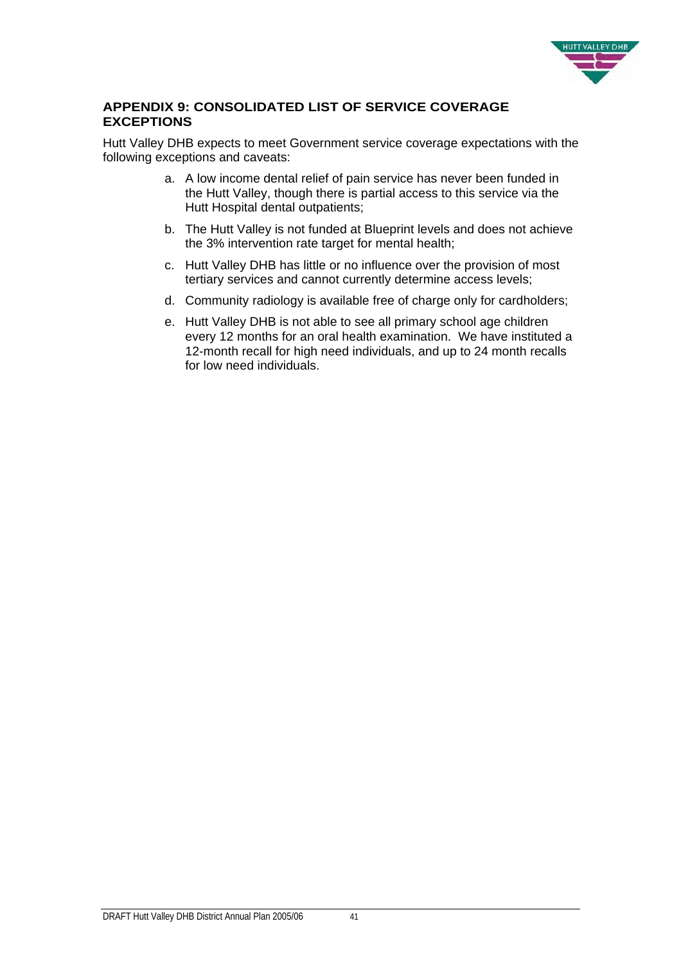

### **APPENDIX 9: CONSOLIDATED LIST OF SERVICE COVERAGE EXCEPTIONS**

Hutt Valley DHB expects to meet Government service coverage expectations with the following exceptions and caveats:

- a. A low income dental relief of pain service has never been funded in the Hutt Valley, though there is partial access to this service via the Hutt Hospital dental outpatients;
- b. The Hutt Valley is not funded at Blueprint levels and does not achieve the 3% intervention rate target for mental health;
- c. Hutt Valley DHB has little or no influence over the provision of most tertiary services and cannot currently determine access levels;
- d. Community radiology is available free of charge only for cardholders;
- e. Hutt Valley DHB is not able to see all primary school age children every 12 months for an oral health examination. We have instituted a 12-month recall for high need individuals, and up to 24 month recalls for low need individuals.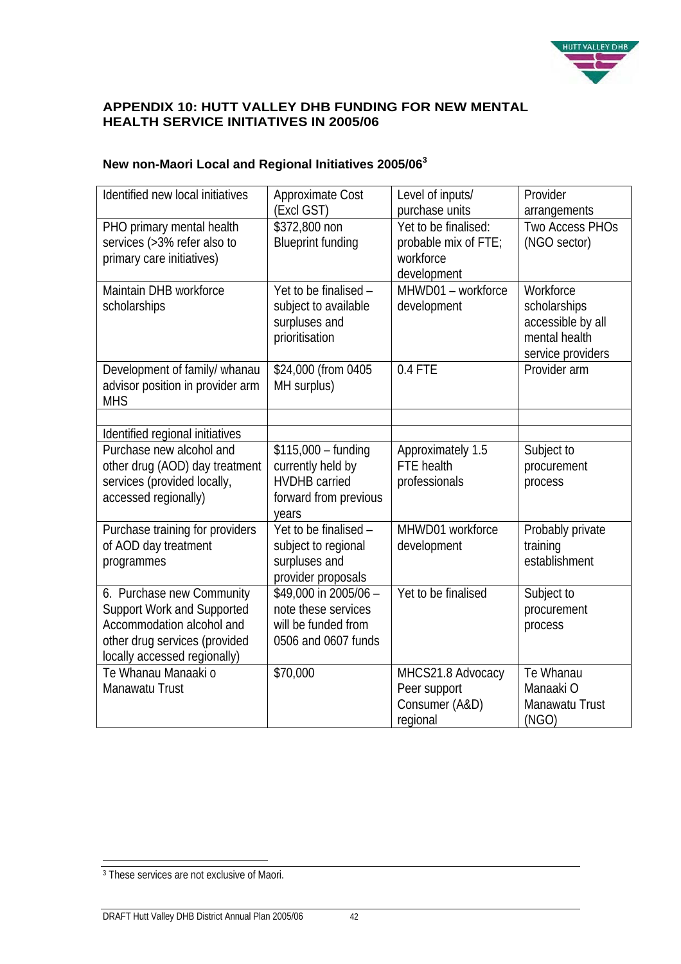

### **APPENDIX 10: HUTT VALLEY DHB FUNDING FOR NEW MENTAL HEALTH SERVICE INITIATIVES IN 2005/06**

## **New non-Maori Local and Regional Initiatives 2005/063**

| Identified new local initiatives                                                                                                                      | Approximate Cost<br>(Excl GST)                                                                      | Level of inputs/<br>purchase units                                       | Provider<br>arrangements                                                             |
|-------------------------------------------------------------------------------------------------------------------------------------------------------|-----------------------------------------------------------------------------------------------------|--------------------------------------------------------------------------|--------------------------------------------------------------------------------------|
| PHO primary mental health<br>services (>3% refer also to<br>primary care initiatives)                                                                 | \$372,800 non<br><b>Blueprint funding</b>                                                           | Yet to be finalised:<br>probable mix of FTE;<br>workforce<br>development | <b>Two Access PHOs</b><br>(NGO sector)                                               |
| Maintain DHB workforce<br>scholarships                                                                                                                | Yet to be finalised -<br>subject to available<br>surpluses and<br>prioritisation                    | MHWD01 - workforce<br>development                                        | Workforce<br>scholarships<br>accessible by all<br>mental health<br>service providers |
| Development of family/ whanau<br>advisor position in provider arm<br><b>MHS</b>                                                                       | \$24,000 (from 0405<br>MH surplus)                                                                  | $0.4$ FTE                                                                | Provider arm                                                                         |
| Identified regional initiatives                                                                                                                       |                                                                                                     |                                                                          |                                                                                      |
| Purchase new alcohol and<br>other drug (AOD) day treatment<br>services (provided locally,<br>accessed regionally)                                     | $$115,000 - funding$<br>currently held by<br><b>HVDHB</b> carried<br>forward from previous<br>years | Approximately 1.5<br>FTE health<br>professionals                         | Subject to<br>procurement<br>process                                                 |
| Purchase training for providers<br>of AOD day treatment<br>programmes                                                                                 | Yet to be finalised -<br>subject to regional<br>surpluses and<br>provider proposals                 | MHWD01 workforce<br>development                                          | Probably private<br>training<br>establishment                                        |
| 6. Purchase new Community<br>Support Work and Supported<br>Accommodation alcohol and<br>other drug services (provided<br>locally accessed regionally) | $\sqrt{$49,000}$ in 2005/06 -<br>note these services<br>will be funded from<br>0506 and 0607 funds  | Yet to be finalised                                                      | Subject to<br>procurement<br>process                                                 |
| Te Whanau Manaaki o<br>Manawatu Trust                                                                                                                 | \$70,000                                                                                            | MHCS21.8 Advocacy<br>Peer support<br>Consumer (A&D)<br>regional          | Te Whanau<br>Manaaki O<br>Manawatu Trust<br>(NGO)                                    |

 $\overline{a}$ 

<sup>3</sup> These services are not exclusive of Maori.